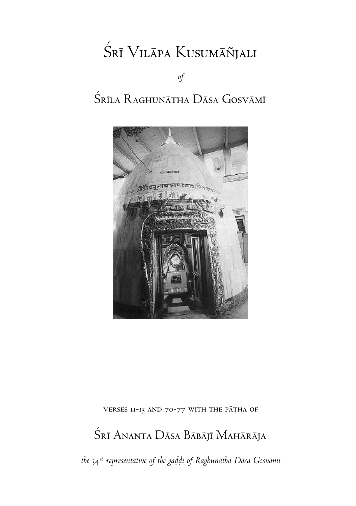# Śrī Vilāpa Kusumāñjali

*of*

## Śrīla Raghunātha Dāsa Gosvāmī



VERSES II-13 AND 70-77 WITH THE PATHA OF

## Śrī Ananta Dāsa Bābājī Mahārāja

*the* 34*th representative of the gaòòé of Raghunätha Däsa Gosvämé*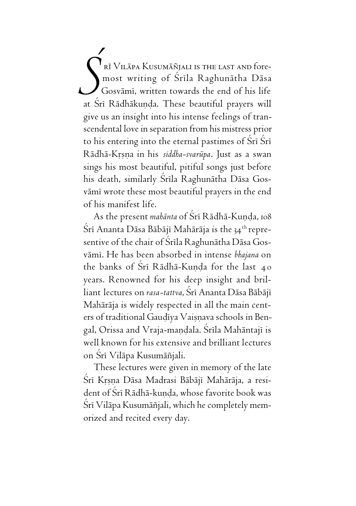rī Vilāpa Kusumāñjali is the last and foremost writing of Śrīla Raghunātha Dāsa Gosvämé, written towards the end of his life at Šrī Rādhākuņda. These beautiful prayers will give us an insight into his intense feelings of transcendental love in separation from his mistress prior to his entering into the eternal pastimes of Sri Sri Rädhä-Kåñëa in his *siddha-svarüpa*. Just as a swan sings his most beautiful, pitiful songs just before his death, similarly Śrīla Raghunātha Dāsa Gosvāmī wrote these most beautiful prayers in the end of his manifest life. *Ç*

As the present *mahānta* of Śrī Rādhā-Kunda, 108 Śrī Ananta Dāsa Bābājī Mahārāja is the 34<sup>th</sup> representive of the chair of Śrīla Raghunātha Dāsa Gosvämé. He has been absorbed in intense *bhajana* on the banks of Śri Rādhā-Kunda for the last 40 years. Renowned for his deep insight and brilliant lectures on *rasa-tattva*, Šrī Ananta Dāsa Bābājī Mahäräja is widely respected in all the main centers of traditional Gaudīya Vaisnava schools in Bengal, Orissa and Vraja-mandala. Srīla Mahāntajī is well known for his extensive and brilliant lectures on Śrī Vilāpa Kusumāñjali.

These lectures were given in memory of the late Śrī Krsna Dāsa Madrasi Bābājī Mahārāja, a resident of Śrī Rādhā-kunda, whose favorite book was Śrī Vilāpa Kusumāñjali, which he completely memorized and recited every day.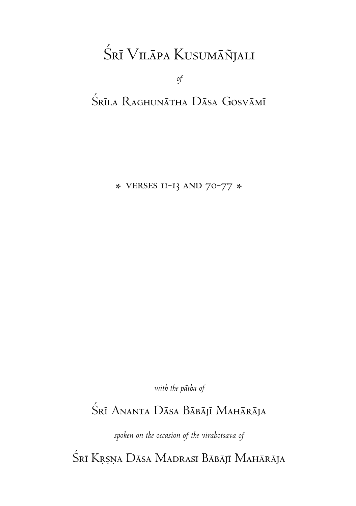# Śrī Vilāpa Kusumāñjali

*of*

### Śrīla Raghunātha Dāsa Gosvāmī

\* verses 11-13 and 70-77 \*

with the pātha of

### Śrī Ananta Dāsa Bābājī Mahārāja

*spoken on the occasion of the virahotsava of*

Śrī Krsņa Dāsa Madrasi Bābājī Mahārāja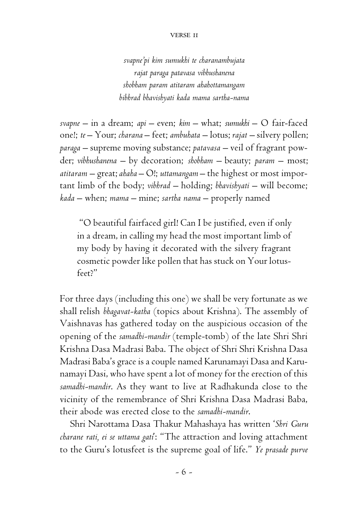#### verse 11

*svapne'pi kim sumukhi te charanambujata rajat paraga patavasa vibhushanena shobham param atitaram ahahottamangam bibhrad bhavishyati kada mama sartha-nama*

*svapne* – in a dream; *api* – even; *kim* – what; *sumukhi* – O fair-faced one!; *te* – Your; *charana* – feet; *ambuhata* – lotus; *rajat* – silvery pollen; *paraga* – supreme moving substance; *patavasa* – veil of fragrant powder; *vibhushanena* – by decoration; *shobham* – beauty; *param* – most; *atitaram* – great; *ahaha* – O!; *uttamangam* – the highest or most important limb of the body; *vibhrad* – holding; *bhavishyati* – will become; *kada* – when; *mama* – mine; *sartha nama* – properly named

 "O beautiful fairfaced girl! Can I be justified, even if only in a dream, in calling my head the most important limb of my body by having it decorated with the silvery fragrant cosmetic powder like pollen that has stuck on Your lotusfeet?"

For three days (including this one) we shall be very fortunate as we shall relish *bhagavat-katha* (topics about Krishna). The assembly of Vaishnavas has gathered today on the auspicious occasion of the opening of the *samadhi-mandir* (temple-tomb) of the late Shri Shri Krishna Dasa Madrasi Baba. The object of Shri Shri Krishna Dasa Madrasi Baba's grace is a couple named Karunamayi Dasa and Karunamayi Dasi, who have spent a lot of money for the erection of this *samadhi-mandir*. As they want to live at Radhakunda close to the vicinity of the remembrance of Shri Krishna Dasa Madrasi Baba, their abode was erected close to the *samadhi-mandir*.

Shri Narottama Dasa Thakur Mahashaya has written '*Shri Guru charane rati, ei se uttama gati*': "The attraction and loving attachment to the Guru's lotusfeet is the supreme goal of life." *Ye prasade purve*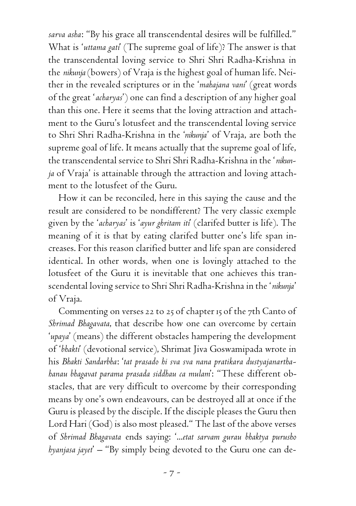*sarva asha*: "By his grace all transcendental desires will be fulfilled." What is '*uttama gati*' (The supreme goal of life)? The answer is that the transcendental loving service to Shri Shri Radha-Krishna in the *nikunja* (bowers) of Vraja is the highest goal of human life. Neither in the revealed scriptures or in the '*mahajana vani*' (great words of the great '*acharyas*') one can find a description of any higher goal than this one. Here it seems that the loving attraction and attachment to the Guru's lotusfeet and the transcendental loving service to Shri Shri Radha-Krishna in the '*nikunja*' of Vraja, are both the supreme goal of life. It means actually that the supreme goal of life, the transcendental service to Shri Shri Radha-Krishna in the '*nikunja* of Vraja' is attainable through the attraction and loving attachment to the lotusfeet of the Guru.

How it can be reconciled, here in this saying the cause and the result are considered to be nondifferent? The very classic exemple given by the '*acharyas*' is '*ayur ghritam iti*' (clarifed butter is life). The meaning of it is that by eating clarifed butter one's life span increases. For this reason clarified butter and life span are considered identical. In other words, when one is lovingly attached to the lotusfeet of the Guru it is inevitable that one achieves this transcendental loving service to Shri Shri Radha-Krishna in the '*nikunja*' of Vraja.

Commenting on verses 22 to 25 of chapter 15 of the 7th Canto of *Shrimad Bhagavata*, that describe how one can overcome by certain '*upaya*' (means) the different obstacles hampering the development of '*bhakti*' (devotional service), Shrimat Jiva Goswamipada wrote in his *Bhakti Sandarbha*: '*tat prasado hi sva sva nana pratikara dustyajanarthahanau bhagavat parama prasada siddhau ca mulam*': "These different obstacles, that are very difficult to overcome by their corresponding means by one's own endeavours, can be destroyed all at once if the Guru is pleased by the disciple. If the disciple pleases the Guru then Lord Hari (God) is also most pleased." The last of the above verses of *Shrimad Bhagavata* ends saying: '...*etat sarvam gurau bhaktya purusho hyanjasa jayet*' – "By simply being devoted to the Guru one can de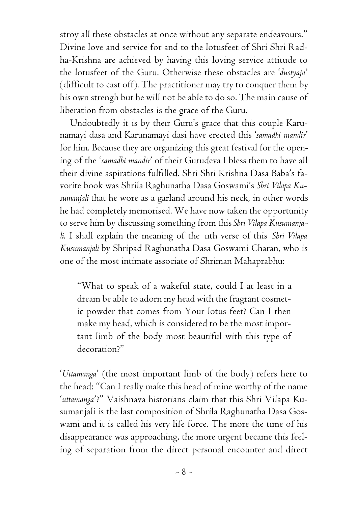stroy all these obstacles at once without any separate endeavours." Divine love and service for and to the lotusfeet of Shri Shri Radha-Krishna are achieved by having this loving service attitude to the lotusfeet of the Guru. Otherwise these obstacles are '*dustyaja*' (difficult to cast off). The practitioner may try to conquer them by his own strengh but he will not be able to do so. The main cause of liberation from obstacles is the grace of the Guru.

Undoubtedly it is by their Guru's grace that this couple Karunamayi dasa and Karunamayi dasi have erected this '*samadhi mandir*' for him. Because they are organizing this great festival for the opening of the '*samadhi mandir*' of their Gurudeva I bless them to have all their divine aspirations fulfilled. Shri Shri Krishna Dasa Baba's favorite book was Shrila Raghunatha Dasa Goswami's *Shri Vilapa Kusumanjali* that he wore as a garland around his neck, in other words he had completely memorised. We have now taken the opportunity to serve him by discussing something from this *Shri Vilapa Kusumanjali*. I shall explain the meaning of the 11th verse of this *Shri Vilapa Kusumanjali* by Shripad Raghunatha Dasa Goswami Charan, who is one of the most intimate associate of Shriman Mahaprabhu:

"What to speak of a wakeful state, could I at least in a dream be able to adorn my head with the fragrant cosmetic powder that comes from Your lotus feet? Can I then make my head, which is considered to be the most important limb of the body most beautiful with this type of decoration?"

'*Uttamanga*' (the most important limb of the body) refers here to the head: "Can I really make this head of mine worthy of the name '*uttamanga*'?" Vaishnava historians claim that this Shri Vilapa Kusumanjali is the last composition of Shrila Raghunatha Dasa Goswami and it is called his very life force. The more the time of his disappearance was approaching, the more urgent became this feeling of separation from the direct personal encounter and direct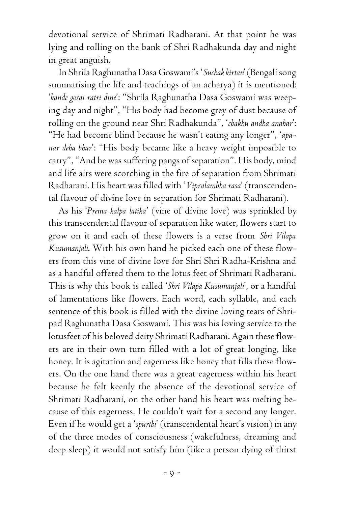devotional service of Shrimati Radharani. At that point he was lying and rolling on the bank of Shri Radhakunda day and night in great anguish.

In Shrila Raghunatha Dasa Goswami's '*Suchak kirtan*' (Bengali song summarising the life and teachings of an acharya) it is mentioned: '*kande gosai ratri dine*': "Shrila Raghunatha Dasa Goswami was weeping day and night", "His body had become grey of dust because of rolling on the ground near Shri Radhakunda", '*chakhu andha anahar*': "He had become blind because he wasn't eating any longer", '*apanar deha bhar*': "His body became like a heavy weight imposible to carry", "And he was suffering pangs of separation". His body, mind and life airs were scorching in the fire of separation from Shrimati Radharani. His heart was filled with '*Vipralambha rasa*' (transcendental flavour of divine love in separation for Shrimati Radharani).

As his '*Prema kalpa latika*' (vine of divine love) was sprinkled by this transcendental flavour of separation like water, flowers start to grow on it and each of these flowers is a verse from *Shri Vilapa Kusumanjali*. With his own hand he picked each one of these flowers from this vine of divine love for Shri Shri Radha-Krishna and as a handful offered them to the lotus feet of Shrimati Radharani. This is why this book is called '*Shri Vilapa Kusumanjali*', or a handful of lamentations like flowers. Each word, each syllable, and each sentence of this book is filled with the divine loving tears of Shripad Raghunatha Dasa Goswami. This was his loving service to the lotusfeet of his beloved deity Shrimati Radharani. Again these flowers are in their own turn filled with a lot of great longing, like honey. It is agitation and eagerness like honey that fills these flowers. On the one hand there was a great eagerness within his heart because he felt keenly the absence of the devotional service of Shrimati Radharani, on the other hand his heart was melting because of this eagerness. He couldn't wait for a second any longer. Even if he would get a '*spurthi*' (transcendental heart's vision) in any of the three modes of consciousness (wakefulness, dreaming and deep sleep) it would not satisfy him (like a person dying of thirst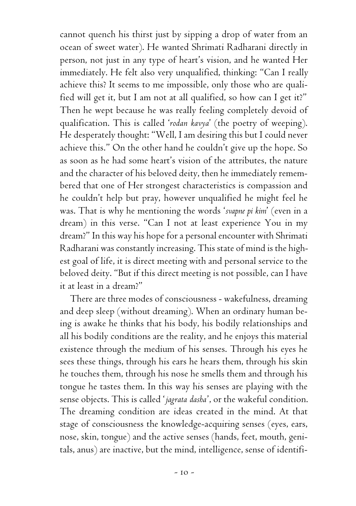cannot quench his thirst just by sipping a drop of water from an ocean of sweet water). He wanted Shrimati Radharani directly in person, not just in any type of heart's vision, and he wanted Her immediately. He felt also very unqualified, thinking: "Can I really achieve this? It seems to me impossible, only those who are qualified will get it, but I am not at all qualified, so how can I get it?" Then he wept because he was really feeling completely devoid of qualification. This is called '*rodan kavya*' (the poetry of weeping). He desperately thought: "Well, I am desiring this but I could never achieve this." On the other hand he couldn't give up the hope. So as soon as he had some heart's vision of the attributes, the nature and the character of his beloved deity, then he immediately remembered that one of Her strongest characteristics is compassion and he couldn't help but pray, however unqualified he might feel he was. That is why he mentioning the words '*svapne pi kim*' (even in a dream) in this verse. "Can I not at least experience You in my dream?" In this way his hope for a personal encounter with Shrimati Radharani was constantly increasing. This state of mind is the highest goal of life, it is direct meeting with and personal service to the beloved deity. "But if this direct meeting is not possible, can I have it at least in a dream?"

There are three modes of consciousness - wakefulness, dreaming and deep sleep (without dreaming). When an ordinary human being is awake he thinks that his body, his bodily relationships and all his bodily conditions are the reality, and he enjoys this material existence through the medium of his senses. Through his eyes he sees these things, through his ears he hears them, through his skin he touches them, through his nose he smells them and through his tongue he tastes them. In this way his senses are playing with the sense objects. This is called '*jagrata dasha*', or the wakeful condition. The dreaming condition are ideas created in the mind. At that stage of consciousness the knowledge-acquiring senses (eyes, ears, nose, skin, tongue) and the active senses (hands, feet, mouth, genitals, anus) are inactive, but the mind, intelligence, sense of identifi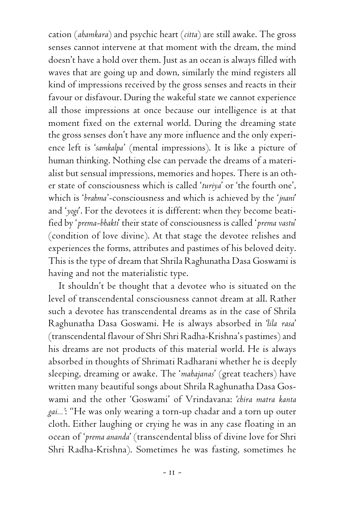cation (*ahamkara*) and psychic heart (*citta*) are still awake. The gross senses cannot intervene at that moment with the dream, the mind doesn't have a hold over them. Just as an ocean is always filled with waves that are going up and down, similarly the mind registers all kind of impressions received by the gross senses and reacts in their favour or disfavour. During the wakeful state we cannot experience all those impressions at once because our intelligence is at that moment fixed on the external world. During the dreaming state the gross senses don't have any more influence and the only experience left is '*samkalpa*' (mental impressions). It is like a picture of human thinking. Nothing else can pervade the dreams of a materialist but sensual impressions, memories and hopes. There is an other state of consciousness which is called '*turiya*' or 'the fourth one', which is '*brahma*'-consciousness and which is achieved by the '*jnani*' and '*yogi*'. For the devotees it is different: when they become beatified by '*prema-bhakti*' their state of consciousness is called '*prema vastu*' (condition of love divine). At that stage the devotee relishes and experiences the forms, attributes and pastimes of his beloved deity. This is the type of dream that Shrila Raghunatha Dasa Goswami is having and not the materialistic type.

It shouldn't be thought that a devotee who is situated on the level of transcendental consciousness cannot dream at all. Rather such a devotee has transcendental dreams as in the case of Shrila Raghunatha Dasa Goswami. He is always absorbed in '*lila rasa*' (transcendental flavour of Shri Shri Radha-Krishna's pastimes) and his dreams are not products of this material world. He is always absorbed in thoughts of Shrimati Radharani whether he is deeply sleeping, dreaming or awake. The '*mahajanas*' (great teachers) have written many beautiful songs about Shrila Raghunatha Dasa Goswami and the other 'Goswami' of Vrindavana: '*chira matra kanta gai...'*: "He was only wearing a torn-up chadar and a torn up outer cloth. Either laughing or crying he was in any case floating in an ocean of '*prema ananda*' (transcendental bliss of divine love for Shri Shri Radha-Krishna). Sometimes he was fasting, sometimes he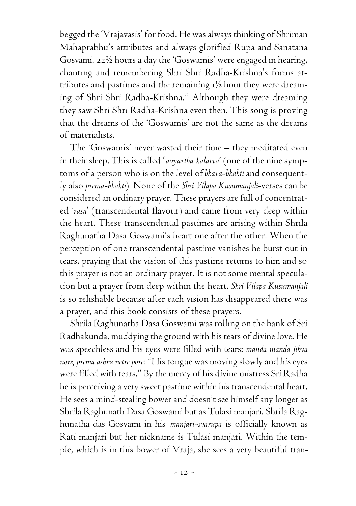begged the 'Vrajavasis' for food. He was always thinking of Shriman Mahaprabhu's attributes and always glorified Rupa and Sanatana Gosvami. 22½ hours a day the 'Goswamis' were engaged in hearing, chanting and remembering Shri Shri Radha-Krishna's forms attributes and pastimes and the remaining 1½ hour they were dreaming of Shri Shri Radha-Krishna." Although they were dreaming they saw Shri Shri Radha-Krishna even then. This song is proving that the dreams of the 'Goswamis' are not the same as the dreams of materialists.

The 'Goswamis' never wasted their time – they meditated even in their sleep. This is called '*avyartha kalatva*' (one of the nine symptoms of a person who is on the level of *bhava-bhakti* and consequently also *prema-bhakti*). None of the *Shri Vilapa Kusumanjali*-verses can be considered an ordinary prayer. These prayers are full of concentrated '*rasa*' (transcendental flavour) and came from very deep within the heart. These transcendental pastimes are arising within Shrila Raghunatha Dasa Goswami's heart one after the other. When the perception of one transcendental pastime vanishes he burst out in tears, praying that the vision of this pastime returns to him and so this prayer is not an ordinary prayer. It is not some mental speculation but a prayer from deep within the heart. *Shri Vilapa Kusumanjali* is so relishable because after each vision has disappeared there was a prayer, and this book consists of these prayers.

Shrila Raghunatha Dasa Goswami was rolling on the bank of Sri Radhakunda, muddying the ground with his tears of divine love. He was speechless and his eyes were filled with tears: *manda manda jihva nore, prema ashru netre pore*: "His tongue was moving slowly and his eyes were filled with tears." By the mercy of his divine mistress Sri Radha he is perceiving a very sweet pastime within his transcendental heart. He sees a mind-stealing bower and doesn't see himself any longer as Shrila Raghunath Dasa Goswami but as Tulasi manjari. Shrila Raghunatha das Gosvami in his *manjari-svarupa* is officially known as Rati manjari but her nickname is Tulasi manjari. Within the temple, which is in this bower of Vraja, she sees a very beautiful tran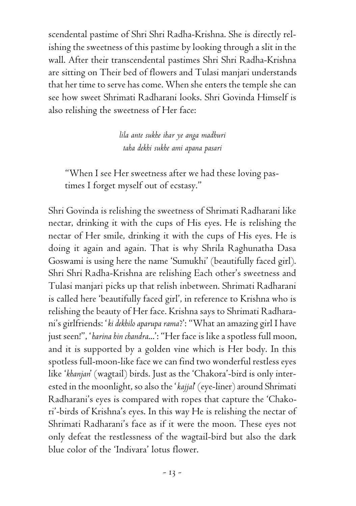scendental pastime of Shri Shri Radha-Krishna. She is directly relishing the sweetness of this pastime by looking through a slit in the wall. After their transcendental pastimes Shri Shri Radha-Krishna are sitting on Their bed of flowers and Tulasi manjari understands that her time to serve has come. When she enters the temple she can see how sweet Shrimati Radharani looks. Shri Govinda Himself is also relishing the sweetness of Her face:

> *lila ante sukhe ihar ye anga madhuri taha dekhi sukhe ami apana pasari*

"When I see Her sweetness after we had these loving pastimes I forget myself out of ecstasy."

Shri Govinda is relishing the sweetness of Shrimati Radharani like nectar, drinking it with the cups of His eyes. He is relishing the nectar of Her smile, drinking it with the cups of His eyes. He is doing it again and again. That is why Shrila Raghunatha Dasa Goswami is using here the name 'Sumukhi' (beautifully faced girl). Shri Shri Radha-Krishna are relishing Each other's sweetness and Tulasi manjari picks up that relish inbetween. Shrimati Radharani is called here 'beautifully faced girl', in reference to Krishna who is relishing the beauty of Her face. Krishna says to Shrimati Radharani's girlfriends: '*ki dekhilo aparupa rama*?': "What an amazing girl I have just seen!", '*harina hin chandra*...': "Her face is like a spotless full moon, and it is supported by a golden vine which is Her body. In this spotless full-moon-like face we can find two wonderful restless eyes like '*khanjan*' (wagtail) birds. Just as the 'Chakora'-bird is only interested in the moonlight, so also the '*kajjal*' (eye-liner) around Shrimati Radharani's eyes is compared with ropes that capture the 'Chakori'-birds of Krishna's eyes. In this way He is relishing the nectar of Shrimati Radharani's face as if it were the moon. These eyes not only defeat the restlessness of the wagtail-bird but also the dark blue color of the 'Indivara' lotus flower.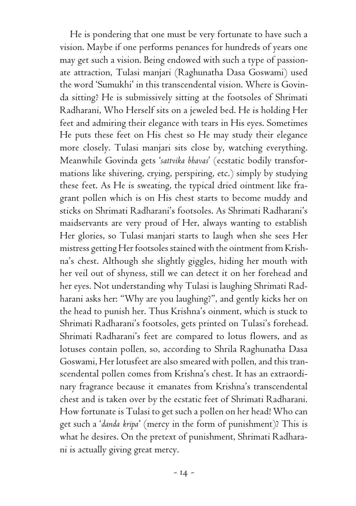He is pondering that one must be very fortunate to have such a vision. Maybe if one performs penances for hundreds of years one may get such a vision. Being endowed with such a type of passionate attraction, Tulasi manjari (Raghunatha Dasa Goswami) used the word 'Sumukhi' in this transcendental vision. Where is Govinda sitting? He is submissively sitting at the footsoles of Shrimati Radharani, Who Herself sits on a jeweled bed. He is holding Her feet and admiring their elegance with tears in His eyes. Sometimes He puts these feet on His chest so He may study their elegance more closely. Tulasi manjari sits close by, watching everything. Meanwhile Govinda gets '*sattvika bhavas*' (ecstatic bodily transformations like shivering, crying, perspiring, etc.) simply by studying these feet. As He is sweating, the typical dried ointment like fragrant pollen which is on His chest starts to become muddy and sticks on Shrimati Radharani's footsoles. As Shrimati Radharani's maidservants are very proud of Her, always wanting to establish Her glories, so Tulasi manjari starts to laugh when she sees Her mistress getting Her footsoles stained with the ointment from Krishna's chest. Although she slightly giggles, hiding her mouth with her veil out of shyness, still we can detect it on her forehead and her eyes. Not understanding why Tulasi is laughing Shrimati Radharani asks her: "Why are you laughing?", and gently kicks her on the head to punish her. Thus Krishna's oinment, which is stuck to Shrimati Radharani's footsoles, gets printed on Tulasi's forehead. Shrimati Radharani's feet are compared to lotus flowers, and as lotuses contain pollen, so, according to Shrila Raghunatha Dasa Goswami, Her lotusfeet are also smeared with pollen, and this transcendental pollen comes from Krishna's chest. It has an extraordinary fragrance because it emanates from Krishna's transcendental chest and is taken over by the ecstatic feet of Shrimati Radharani. How fortunate is Tulasi to get such a pollen on her head! Who can get such a '*danda kripa*' (mercy in the form of punishment)? This is what he desires. On the pretext of punishment, Shrimati Radharani is actually giving great mercy.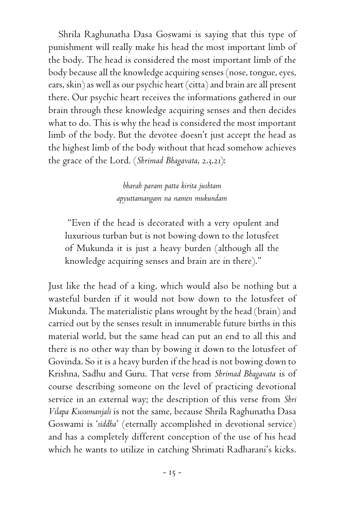Shrila Raghunatha Dasa Goswami is saying that this type of punishment will really make his head the most important limb of the body. The head is considered the most important limb of the body because all the knowledge acquiring senses (nose, tongue, eyes, ears, skin) as well as our psychic heart (citta) and brain are all present there. Our psychic heart receives the informations gathered in our brain through these knowledge acquiring senses and then decides what to do. This is why the head is considered the most important limb of the body. But the devotee doesn't just accept the head as the highest limb of the body without that head somehow achieves the grace of the Lord. (*Shrimad Bhagavata*, 2.3.21):

> *bharah param patta kirita jushtam apyuttamangam na namen mukundam*

"Even if the head is decorated with a very opulent and luxurious turban but is not bowing down to the lotusfeet of Mukunda it is just a heavy burden (although all the knowledge acquiring senses and brain are in there)."

Just like the head of a king, which would also be nothing but a wasteful burden if it would not bow down to the lotusfeet of Mukunda. The materialistic plans wrought by the head (brain) and carried out by the senses result in innumerable future births in this material world, but the same head can put an end to all this and there is no other way than by bowing it down to the lotusfeet of Govinda. So it is a heavy burden if the head is not bowing down to Krishna, Sadhu and Guru. That verse from *Shrimad Bhagavata* is of course describing someone on the level of practicing devotional service in an external way; the description of this verse from *Shri Vilapa Kusumanjali* is not the same, because Shrila Raghunatha Dasa Goswami is '*siddha*' (eternally accomplished in devotional service) and has a completely different conception of the use of his head which he wants to utilize in catching Shrimati Radharani's kicks.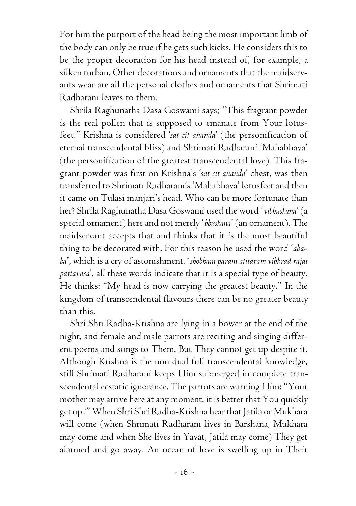For him the purport of the head being the most important limb of the body can only be true if he gets such kicks. He considers this to be the proper decoration for his head instead of, for example, a silken turban. Other decorations and ornaments that the maidservants wear are all the personal clothes and ornaments that Shrimati Radharani leaves to them.

Shrila Raghunatha Dasa Goswami says; "This fragrant powder is the real pollen that is supposed to emanate from Your lotusfeet." Krishna is considered '*sat cit ananda*' (the personification of eternal transcendental bliss) and Shrimati Radharani 'Mahabhava' (the personification of the greatest transcendental love). This fragrant powder was first on Krishna's '*sat cit ananda*' chest, was then transferred to Shrimati Radharani's 'Mahabhava' lotusfeet and then it came on Tulasi manjari's head. Who can be more fortunate than her? Shrila Raghunatha Dasa Goswami used the word '*vibhushana*' (a special ornament) here and not merely '*bhushana*' (an ornament). The maidservant accepts that and thinks that it is the most beautiful thing to be decorated with. For this reason he used the word '*ahaha*', which is a cry of astonishment. '*shobham param atitaram vibhrad rajat pattavasa*', all these words indicate that it is a special type of beauty. He thinks: "My head is now carrying the greatest beauty." In the kingdom of transcendental flavours there can be no greater beauty than this.

Shri Shri Radha-Krishna are lying in a bower at the end of the night, and female and male parrots are reciting and singing different poems and songs to Them. But They cannot get up despite it. Although Krishna is the non dual full transcendental knowledge, still Shrimati Radharani keeps Him submerged in complete transcendental ecstatic ignorance. The parrots are warning Him: "Your mother may arrive here at any moment, it is better that You quickly get up !" When Shri Shri Radha-Krishna hear that Jatila or Mukhara will come (when Shrimati Radharani lives in Barshana, Mukhara may come and when She lives in Yavat, Jatila may come) They get alarmed and go away. An ocean of love is swelling up in Their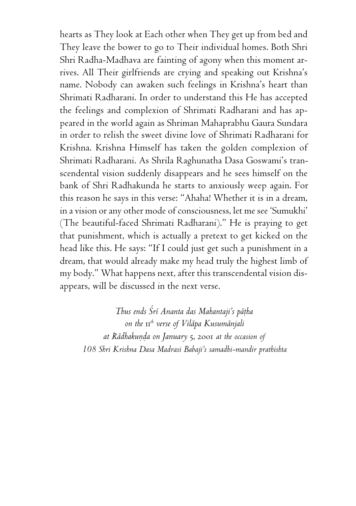hearts as They look at Each other when They get up from bed and They leave the bower to go to Their individual homes. Both Shri Shri Radha-Madhava are fainting of agony when this moment arrives. All Their girlfriends are crying and speaking out Krishna's name. Nobody can awaken such feelings in Krishna's heart than Shrimati Radharani. In order to understand this He has accepted the feelings and complexion of Shrimati Radharani and has appeared in the world again as Shriman Mahaprabhu Gaura Sundara in order to relish the sweet divine love of Shrimati Radharani for Krishna. Krishna Himself has taken the golden complexion of Shrimati Radharani. As Shrila Raghunatha Dasa Goswami's transcendental vision suddenly disappears and he sees himself on the bank of Shri Radhakunda he starts to anxiously weep again. For this reason he says in this verse: "Ahaha! Whether it is in a dream, in a vision or any other mode of consciousness, let me see 'Sumukhi' (The beautiful-faced Shrimati Radharani)." He is praying to get that punishment, which is actually a pretext to get kicked on the head like this. He says: "If I could just get such a punishment in a dream, that would already make my head truly the highest limb of my body." What happens next, after this transcendental vision disappears, will be discussed in the next verse.

*Thus ends Çré Ananta das Mahantaji's päöha on the* 11*th verse of Viläpa Kusumänjali at Rädhakuëòa on January* 5, 2001 *at the occasion of 108 Shri Krishna Dasa Madrasi Babaji's samadhi-mandir prathishta*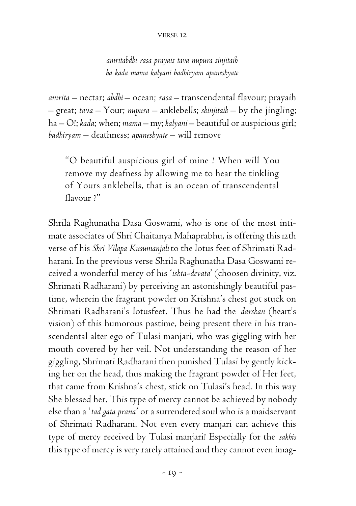#### verse 12

*amritabdhi rasa prayais tava nupura sinjitaih ha kada mama kalyani badhiryam apaneshyate*

*amrita* – nectar; *abdhi* – ocean; *rasa* – transcendental flavour; prayaih – great; *tava* – Your; *nupura* – anklebells; *shinjitaih* – by the jingling; ha – O!; *kada*; when; *mama* – my; *kalyani* – beautiful or auspicious girl; *badhiryam* – deathness; *apaneshyate* – will remove

"O beautiful auspicious girl of mine ! When will You remove my deafness by allowing me to hear the tinkling of Yours anklebells, that is an ocean of transcendental flavour ?"

Shrila Raghunatha Dasa Goswami, who is one of the most intimate associates of Shri Chaitanya Mahaprabhu, is offering this 12th verse of his *Shri Vilapa Kusumanjali* to the lotus feet of Shrimati Radharani. In the previous verse Shrila Raghunatha Dasa Goswami received a wonderful mercy of his '*ishta-devata*' (choosen divinity, viz. Shrimati Radharani) by perceiving an astonishingly beautiful pastime, wherein the fragrant powder on Krishna's chest got stuck on Shrimati Radharani's lotusfeet. Thus he had the *darshan* (heart's vision) of this humorous pastime, being present there in his transcendental alter ego of Tulasi manjari, who was giggling with her mouth covered by her veil. Not understanding the reason of her giggling, Shrimati Radharani then punished Tulasi by gently kicking her on the head, thus making the fragrant powder of Her feet, that came from Krishna's chest, stick on Tulasi's head. In this way She blessed her. This type of mercy cannot be achieved by nobody else than a '*tad gata prana*' or a surrendered soul who is a maidservant of Shrimati Radharani. Not even every manjari can achieve this type of mercy received by Tulasi manjari! Especially for the *sakhis* this type of mercy is very rarely attained and they cannot even imag-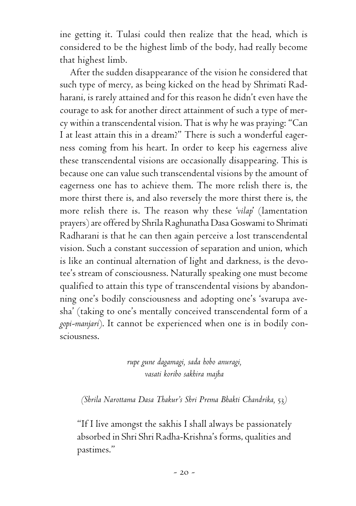ine getting it. Tulasi could then realize that the head, which is considered to be the highest limb of the body, had really become that highest limb.

After the sudden disappearance of the vision he considered that such type of mercy, as being kicked on the head by Shrimati Radharani, is rarely attained and for this reason he didn't even have the courage to ask for another direct attainment of such a type of mercy within a transcendental vision. That is why he was praying: "Can I at least attain this in a dream?" There is such a wonderful eagerness coming from his heart. In order to keep his eagerness alive these transcendental visions are occasionally disappearing. This is because one can value such transcendental visions by the amount of eagerness one has to achieve them. The more relish there is, the more thirst there is, and also reversely the more thirst there is, the more relish there is. The reason why these '*vilap*' (lamentation prayers) are offered by Shrila Raghunatha Dasa Goswami to Shrimati Radharani is that he can then again perceive a lost transcendental vision. Such a constant succession of separation and union, which is like an continual alternation of light and darkness, is the devotee's stream of consciousness. Naturally speaking one must become qualified to attain this type of transcendental visions by abandonning one's bodily consciousness and adopting one's 'svarupa avesha' (taking to one's mentally conceived transcendental form of a *gopi-manjari*). It cannot be experienced when one is in bodily consciousness.

> *rupe gune dagamagi, sada hobo anuragi, vasati koribo sakhira majha*

*(Shrila Narottama Dasa Thakur's Shri Prema Bhakti Chandrika,* 53*)*

"If I live amongst the sakhis I shall always be passionately absorbed in Shri Shri Radha-Krishna's forms, qualities and pastimes."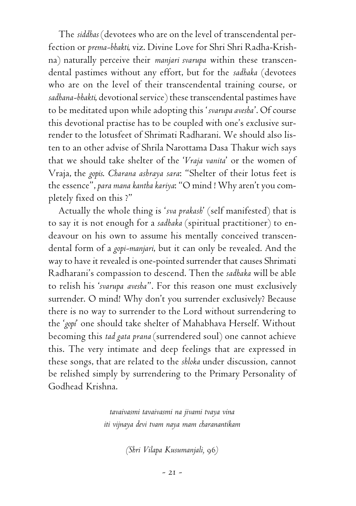The *siddhas* (devotees who are on the level of transcendental perfection or *prema-bhakti*, viz. Divine Love for Shri Shri Radha-Krishna) naturally perceive their *manjari svarupa* within these transcendental pastimes without any effort, but for the *sadhaka* (devotees who are on the level of their transcendental training course, or *sadhana-bhakti*, devotional service) these transcendental pastimes have to be meditated upon while adopting this '*svarupa avesha*'. Of course this devotional practise has to be coupled with one's exclusive surrender to the lotusfeet of Shrimati Radharani. We should also listen to an other advise of Shrila Narottama Dasa Thakur wich says that we should take shelter of the '*Vraja vanita*' or the women of Vraja, the *gopis*. *Charana ashraya sara*: "Shelter of their lotus feet is the essence", *para mana kantha kariya*: "O mind ! Why aren't you completely fixed on this ?"

Actually the whole thing is '*sva prakash*' (self manifested) that is to say it is not enough for a *sadhaka* (spiritual practitioner) to endeavour on his own to assume his mentally conceived transcendental form of a *gopi-manjari*, but it can only be revealed. And the way to have it revealed is one-pointed surrender that causes Shrimati Radharani's compassion to descend. Then the *sadhaka* will be able to relish his '*svarupa avesha*". For this reason one must exclusively surrender. O mind! Why don't you surrender exclusively? Because there is no way to surrender to the Lord without surrendering to the '*gopi*' one should take shelter of Mahabhava Herself. Without becoming this *tad gata prana* (surrendered soul) one cannot achieve this. The very intimate and deep feelings that are expressed in these songs, that are related to the *shloka* under discussion, cannot be relished simply by surrendering to the Primary Personality of Godhead Krishna.

> *tavaivasmi tavaivasmi na jivami tvaya vina iti vijnaya devi tvam naya mam charanantikam*

> > *(Shri Vilapa Kusumanjali,* 96*)*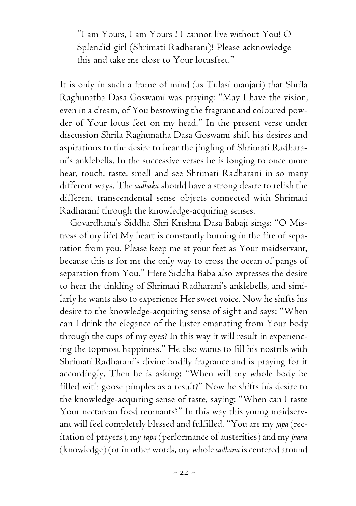"I am Yours, I am Yours ! I cannot live without You! O Splendid girl (Shrimati Radharani)! Please acknowledge this and take me close to Your lotusfeet."

It is only in such a frame of mind (as Tulasi manjari) that Shrila Raghunatha Dasa Goswami was praying: "May I have the vision, even in a dream, of You bestowing the fragrant and coloured powder of Your lotus feet on my head." In the present verse under discussion Shrila Raghunatha Dasa Goswami shift his desires and aspirations to the desire to hear the jingling of Shrimati Radharani's anklebells. In the successive verses he is longing to once more hear, touch, taste, smell and see Shrimati Radharani in so many different ways. The *sadhaka* should have a strong desire to relish the different transcendental sense objects connected with Shrimati Radharani through the knowledge-acquiring senses.

Govardhana's Siddha Shri Krishna Dasa Babaji sings: "O Mistress of my life! My heart is constantly burning in the fire of separation from you. Please keep me at your feet as Your maidservant, because this is for me the only way to cross the ocean of pangs of separation from You." Here Siddha Baba also expresses the desire to hear the tinkling of Shrimati Radharani's anklebells, and similarly he wants also to experience Her sweet voice. Now he shifts his desire to the knowledge-acquiring sense of sight and says: "When can I drink the elegance of the luster emanating from Your body through the cups of my eyes? In this way it will result in experiencing the topmost happiness." He also wants to fill his nostrils with Shrimati Radharani's divine bodily fragrance and is praying for it accordingly. Then he is asking: "When will my whole body be filled with goose pimples as a result?" Now he shifts his desire to the knowledge-acquiring sense of taste, saying: "When can I taste Your nectarean food remnants?" In this way this young maidservant will feel completely blessed and fulfilled. "You are my *japa* (recitation of prayers), my *tapa* (performance of austerities) and my *jnana* (knowledge) (or in other words, my whole *sadhana* is centered around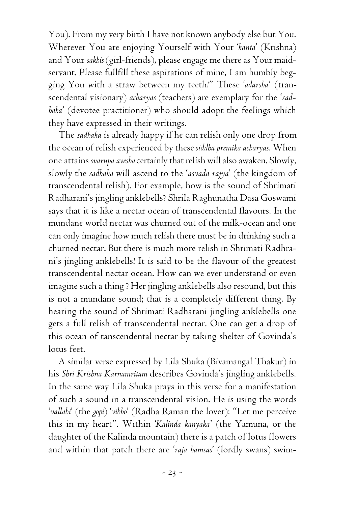You). From my very birth I have not known anybody else but You. Wherever You are enjoying Yourself with Your '*kanta*' (Krishna) and Your *sakhis* (girl-friends), please engage me there as Your maidservant. Please fullfill these aspirations of mine, I am humbly begging You with a straw between my teeth!" These '*adarsha*' (transcendental visionary) *acharyas* (teachers) are exemplary for the '*sadhaka*' (devotee practitioner) who should adopt the feelings which they have expressed in their writings.

The *sadhaka* is already happy if he can relish only one drop from the ocean of relish experienced by these *siddha premika acharyas*. When one attains *svarupa avesha* certainly that relish will also awaken. Slowly, slowly the *sadhaka* will ascend to the '*asvada rajya*' (the kingdom of transcendental relish). For example, how is the sound of Shrimati Radharani's jingling anklebells? Shrila Raghunatha Dasa Goswami says that it is like a nectar ocean of transcendental flavours. In the mundane world nectar was churned out of the milk-ocean and one can only imagine how much relish there must be in drinking such a churned nectar. But there is much more relish in Shrimati Radhrani's jingling anklebells! It is said to be the flavour of the greatest transcendental nectar ocean. How can we ever understand or even imagine such a thing ? Her jingling anklebells also resound, but this is not a mundane sound; that is a completely different thing. By hearing the sound of Shrimati Radharani jingling anklebells one gets a full relish of transcendental nectar. One can get a drop of this ocean of tanscendental nectar by taking shelter of Govinda's lotus feet.

A similar verse expressed by Lila Shuka (Bivamangal Thakur) in his *Shri Krishna Karnamritam* describes Govinda's jingling anklebells. In the same way Lila Shuka prays in this verse for a manifestation of such a sound in a transcendental vision. He is using the words '*vallabi*' (the *gopi*) '*vibho*' (Radha Raman the lover): "Let me perceive this in my heart". Within '*Kalinda kanyaka*' (the Yamuna, or the daughter of the Kalinda mountain) there is a patch of lotus flowers and within that patch there are '*raja hamsas*' (lordly swans) swim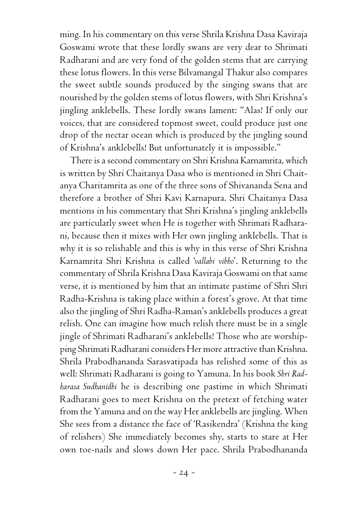ming. In his commentary on this verse Shrila Krishna Dasa Kaviraja Goswami wrote that these lordly swans are very dear to Shrimati Radharani and are very fond of the golden stems that are carrying these lotus flowers. In this verse Bilvamangal Thakur also compares the sweet subtle sounds produced by the singing swans that are nourished by the golden stems of lotus flowers, with Shri Krishna's jingling anklebells. These lordly swans lament: "Alas! If only our voices, that are considered topmost sweet, could produce just one drop of the nectar ocean which is produced by the jingling sound of Krishna's anklebells! But unfortunately it is impossible."

There is a second commentary on Shri Krishna Karnamrita, which is written by Shri Chaitanya Dasa who is mentioned in Shri Chaitanya Charitamrita as one of the three sons of Shivananda Sena and therefore a brother of Shri Kavi Karnapura. Shri Chaitanya Dasa mentions in his commentary that Shri Krishna's jingling anklebells are particularly sweet when He is together with Shrimati Radharani, because then it mixes with Her own jingling anklebells. That is why it is so relishable and this is why in this verse of Shri Krishna Karnamrita Shri Krishna is called '*vallabi vibho*'. Returning to the commentary of Shrila Krishna Dasa Kaviraja Goswami on that same verse, it is mentioned by him that an intimate pastime of Shri Shri Radha-Krishna is taking place within a forest's grove. At that time also the jingling of Shri Radha-Raman's anklebells produces a great relish. One can imagine how much relish there must be in a single jingle of Shrimati Radharani's anklebells! Those who are worshipping Shrimati Radharani considers Her more attractive than Krishna. Shrila Prabodhananda Sarasvatipada has relished some of this as well: Shrimati Radharani is going to Yamuna. In his book *Shri Radharasa Sudhanidhi* he is describing one pastime in which Shrimati Radharani goes to meet Krishna on the pretext of fetching water from the Yamuna and on the way Her anklebells are jingling. When She sees from a distance the face of 'Rasikendra' (Krishna the king of relishers) She immediately becomes shy, starts to stare at Her own toe-nails and slows down Her pace. Shrila Prabodhananda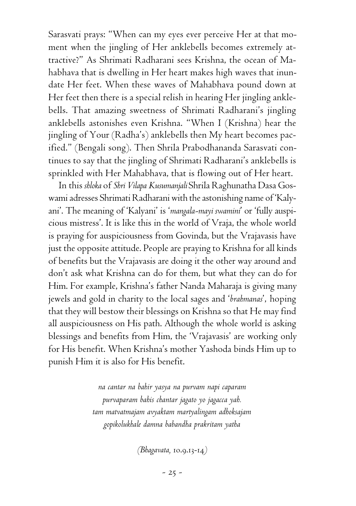Sarasvati prays: "When can my eyes ever perceive Her at that moment when the jingling of Her anklebells becomes extremely attractive?" As Shrimati Radharani sees Krishna, the ocean of Mahabhava that is dwelling in Her heart makes high waves that inundate Her feet. When these waves of Mahabhava pound down at Her feet then there is a special relish in hearing Her jingling anklebells. That amazing sweetness of Shrimati Radharani's jingling anklebells astonishes even Krishna. "When I (Krishna) hear the jingling of Your (Radha's) anklebells then My heart becomes pacified." (Bengali song). Then Shrila Prabodhananda Sarasvati continues to say that the jingling of Shrimati Radharani's anklebells is sprinkled with Her Mahabhava, that is flowing out of Her heart.

In this *shloka* of *Shri Vilapa Kusumanjali* Shrila Raghunatha Dasa Goswami adresses Shrimati Radharani with the astonishing name of 'Kalyani'. The meaning of 'Kalyani' is '*mangala-mayi swamini*' or 'fully auspicious mistress'. It is like this in the world of Vraja, the whole world is praying for auspiciousness from Govinda, but the Vrajavasis have just the opposite attitude. People are praying to Krishna for all kinds of benefits but the Vrajavasis are doing it the other way around and don't ask what Krishna can do for them, but what they can do for Him. For example, Krishna's father Nanda Maharaja is giving many jewels and gold in charity to the local sages and '*brahmanas*', hoping that they will bestow their blessings on Krishna so that He may find all auspiciousness on His path. Although the whole world is asking blessings and benefits from Him, the 'Vrajavasis' are working only for His benefit. When Krishna's mother Yashoda binds Him up to punish Him it is also for His benefit.

> *na cantar na bahir yasya na purvam napi caparam purvaparam bahis chantar jagato yo jagacca yah. tam matvatmajam avyaktam martyalingam adhoksajam gopikolukhale damna babandha prakritam yatha*

> > *(Bhagavata,* 10.9.13-14*)*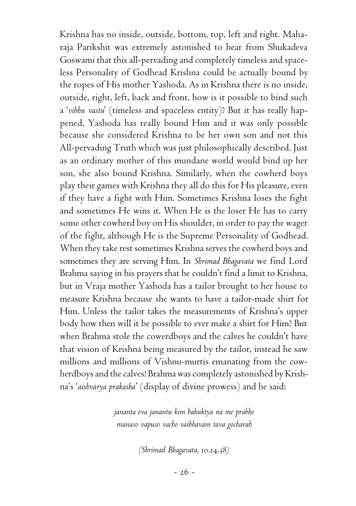Krishna has no inside, outside, bottom, top, left and right. Maharaja Parikshit was extremely astonished to hear from Shukadeva Goswami that this all-pervading and completely timeless and spaceless Personality of Godhead Krishna could be actually bound by the ropes of His mother Yashoda. As in Krishna there is no inside, outside, right, left, back and front, how is it possible to bind such a '*vibhu vastu*' (timeless and spaceless entity)? But it has really happened, Yashoda has really bound Him and it was only possible because she considered Krishna to be her own son and not this All-pervading Truth which was just philosophically described. Just as an ordinary mother of this mundane world would bind up her son, she also bound Krishna. Similarly, when the cowherd boys play their games with Krishna they all do this for His pleasure, even if they have a fight with Him. Sometimes Krishna loses the fight and sometimes He wins it. When He is the loser He has to carry some other cowherd boy on His shoulder, in order to pay the wager of the fight, although He is the Supreme Personality of Godhead. When they take rest sometimes Krishna serves the cowherd boys and sometimes they are serving Him. In *Shrimad Bhagavata* we find Lord Brahma saying in his prayers that he couldn't find a limit to Krishna, but in Vraja mother Yashoda has a tailor brought to her house to measure Krishna because she wants to have a tailor-made shirt for Him. Unless the tailor takes the measurements of Krishna's upper body how then will it be possible to ever make a shirt for Him? But when Brahma stole the cowerdboys and the calves he couldn't have that vision of Krishna being measured by the tailor, instead he saw millions and millions of Vishnu-murtis emanating from the cowherdboys and the calves! Brahma was completely astonished by Krishna's '*aishvarya prakasha*' (display of divine prowess) and he said:

> *jananta eva janantu kim bahuktya na me prabho manaso vapuso vacho vaibhavam tava gocharah*

> > *(Shrimad Bhagavata,* 10.14.38*)*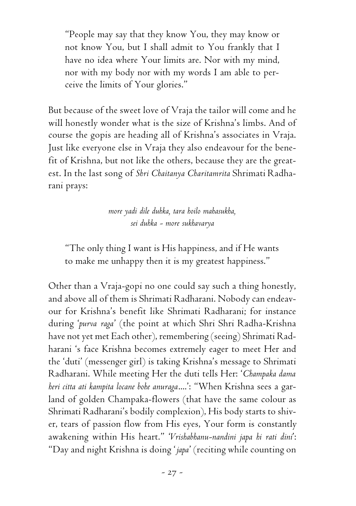"People may say that they know You, they may know or not know You, but I shall admit to You frankly that I have no idea where Your limits are. Nor with my mind, nor with my body nor with my words I am able to perceive the limits of Your glories."

But because of the sweet love of Vraja the tailor will come and he will honestly wonder what is the size of Krishna's limbs. And of course the gopis are heading all of Krishna's associates in Vraja. Just like everyone else in Vraja they also endeavour for the benefit of Krishna, but not like the others, because they are the greatest. In the last song of *Shri Chaitanya Charitamrita* Shrimati Radharani prays:

> *more yadi dile duhka, tara hoilo mahasukha, sei duhka - more sukhavarya*

"The only thing I want is His happiness, and if He wants to make me unhappy then it is my greatest happiness."

Other than a Vraja-gopi no one could say such a thing honestly, and above all of them is Shrimati Radharani. Nobody can endeavour for Krishna's benefit like Shrimati Radharani; for instance during '*purva raga*' (the point at which Shri Shri Radha-Krishna have not yet met Each other), remembering (seeing) Shrimati Radharani 's face Krishna becomes extremely eager to meet Her and the 'duti' (messenger girl) is taking Krishna's message to Shrimati Radharani. While meeting Her the duti tells Her: '*Champaka dama heri citta ati kampita locane bohe anuraga*....': "When Krishna sees a garland of golden Champaka-flowers (that have the same colour as Shrimati Radharani's bodily complexion), His body starts to shiver, tears of passion flow from His eyes, Your form is constantly awakening within His heart." '*Vrishabhanu-nandini japa hi rati dini*': "Day and night Krishna is doing '*japa*' (reciting while counting on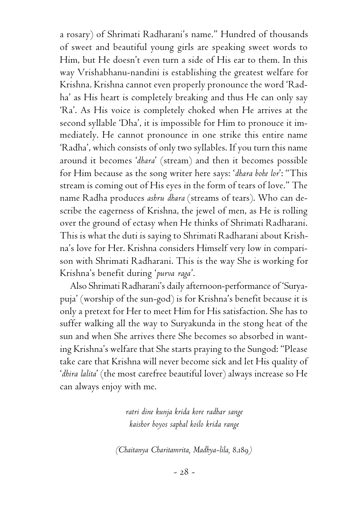a rosary) of Shrimati Radharani's name." Hundred of thousands of sweet and beautiful young girls are speaking sweet words to Him, but He doesn't even turn a side of His ear to them. In this way Vrishabhanu-nandini is establishing the greatest welfare for Krishna. Krishna cannot even properly pronounce the word 'Radha' as His heart is completely breaking and thus He can only say 'Ra'. As His voice is completely choked when He arrives at the second syllable 'Dha', it is impossible for Him to pronouce it immediately. He cannot pronounce in one strike this entire name 'Radha', which consists of only two syllables. If you turn this name around it becomes '*dhara*' (stream) and then it becomes possible for Him because as the song writer here says: '*dhara bohe lor*': "This stream is coming out of His eyes in the form of tears of love." The name Radha produces *ashru dhara* (streams of tears). Who can describe the eagerness of Krishna, the jewel of men, as He is rolling over the ground of ectasy when He thinks of Shrimati Radharani. This is what the duti is saying to Shrimati Radharani about Krishna's love for Her. Krishna considers Himself very low in comparison with Shrimati Radharani. This is the way She is working for Krishna's benefit during '*purva raga*'.

Also Shrimati Radharani's daily afternoon-performance of 'Suryapuja' (worship of the sun-god) is for Krishna's benefit because it is only a pretext for Her to meet Him for His satisfaction. She has to suffer walking all the way to Suryakunda in the stong heat of the sun and when She arrives there She becomes so absorbed in wanting Krishna's welfare that She starts praying to the Sungod: "Please take care that Krishna will never become sick and let His quality of '*dhira lalita*' (the most carefree beautiful lover) always increase so He can always enjoy with me.

> *ratri dine kunja krida kore radhar sange kaishor boyos saphal koilo krida range*

*(Chaitanya Charitamrita, Madhya-lila,* 8.189*)*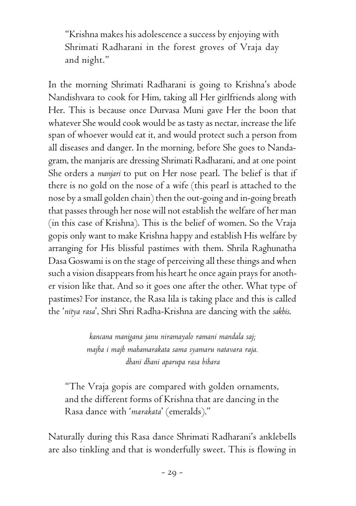"Krishna makes his adolescence a success by enjoying with Shrimati Radharani in the forest groves of Vraja day and night."

In the morning Shrimati Radharani is going to Krishna's abode Nandishvara to cook for Him, taking all Her girlfriends along with Her. This is because once Durvasa Muni gave Her the boon that whatever She would cook would be as tasty as nectar, increase the life span of whoever would eat it, and would protect such a person from all diseases and danger. In the morning, before She goes to Nandagram, the manjaris are dressing Shrimati Radharani, and at one point She orders a *manjari* to put on Her nose pearl. The belief is that if there is no gold on the nose of a wife (this pearl is attached to the nose by a small golden chain) then the out-going and in-going breath that passes through her nose will not establish the welfare of her man (in this case of Krishna). This is the belief of women. So the Vraja gopis only want to make Krishna happy and establish His welfare by arranging for His blissful pastimes with them. Shrila Raghunatha Dasa Goswami is on the stage of perceiving all these things and when such a vision disappears from his heart he once again prays for another vision like that. And so it goes one after the other. What type of pastimes? For instance, the Rasa lila is taking place and this is called the '*nitya rasa*', Shri Shri Radha-Krishna are dancing with the *sakhis*.

> *kancana manigana janu niramayalo ramani mandala saj; majha i majh mahamarakata sama syamaru natavara raja. dhani dhani aparupa rasa bihara*

"The Vraja gopis are compared with golden ornaments, and the different forms of Krishna that are dancing in the Rasa dance with '*marakata*' (emeralds)."

Naturally during this Rasa dance Shrimati Radharani's anklebells are also tinkling and that is wonderfully sweet. This is flowing in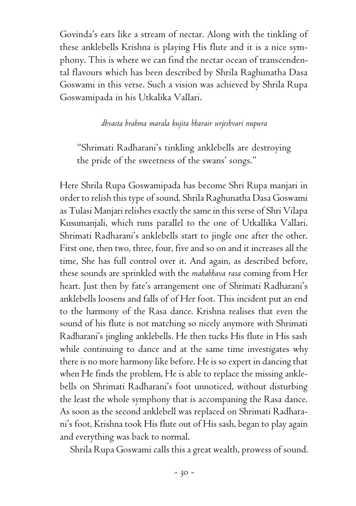Govinda's ears like a stream of nectar. Along with the tinkling of these anklebells Krishna is playing His flute and it is a nice symphony. This is where we can find the nectar ocean of transcendental flavours which has been described by Shrila Raghunatha Dasa Goswami in this verse. Such a vision was achieved by Shrila Rupa Goswamipada in his Utkalika Vallari.

### *dhvasta brahma marala kujita bharair urjeshvari nupura*

"Shrimati Radharani's tinkling anklebells are destroying the pride of the sweetness of the swans' songs."

Here Shrila Rupa Goswamipada has become Shri Rupa manjari in order to relish this type of sound. Shrila Raghunatha Dasa Goswami as Tulasi Manjari relishes exactly the same in this verse of Shri Vilapa Kusumanjali, which runs parallel to the one of Utkallika Vallari. Shrimati Radharani's anklebells start to jingle one after the other. First one, then two, three, four, five and so on and it increases all the time, She has full control over it. And again, as described before, these sounds are sprinkled with the *mahabhava rasa* coming from Her heart. Just then by fate's arrangement one of Shrimati Radharani's anklebells loosens and falls of of Her foot. This incident put an end to the harmony of the Rasa dance. Krishna realises that even the sound of his flute is not matching so nicely anymore with Shrimati Radharani's jingling anklebells. He then tucks His flute in His sash while continuing to dance and at the same time investigates why there is no more harmony like before. He is so expert in dancing that when He finds the problem, He is able to replace the missing anklebells on Shrimati Radharani's foot unnoticed, without disturbing the least the whole symphony that is accompaning the Rasa dance. As soon as the second anklebell was replaced on Shrimati Radharani's foot, Krishna took His flute out of His sash, began to play again and everything was back to normal.

Shrila Rupa Goswami calls this a great wealth, prowess of sound.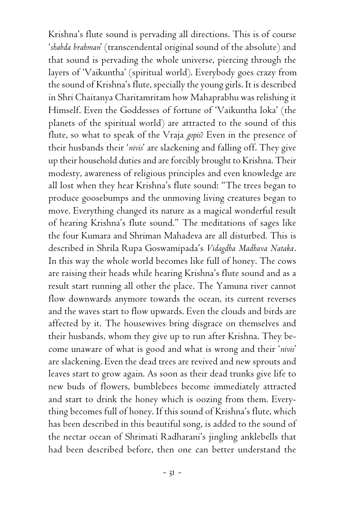Krishna's flute sound is pervading all directions. This is of course '*shabda brahman*' (transcendental original sound of the absolute) and that sound is pervading the whole universe, piercing through the layers of 'Vaikuntha' (spiritual world). Everybody goes crazy from the sound of Krishna's flute, specially the young girls. It is described in Shri Chaitanya Charitamritam how Mahaprabhu was relishing it Himself. Even the Goddesses of fortune of 'Vaikuntha loka' (the planets of the spiritual world) are attracted to the sound of this flute, so what to speak of the Vraja *gopis*? Even in the presence of their husbands their '*nivis*' are slackening and falling off. They give up their household duties and are forcibly brought to Krishna. Their modesty, awareness of religious principles and even knowledge are all lost when they hear Krishna's flute sound: "The trees began to produce goosebumps and the unmoving living creatures began to move. Everything changed its nature as a magical wonderful result of hearing Krishna's flute sound." The meditations of sages like the four Kumara and Shriman Mahadeva are all disturbed. This is described in Shrila Rupa Goswamipada's *Vidagdha Madhava Nataka*. In this way the whole world becomes like full of honey. The cows are raising their heads while hearing Krishna's flute sound and as a result start running all other the place. The Yamuna river cannot flow downwards anymore towards the ocean, its current reverses and the waves start to flow upwards. Even the clouds and birds are affected by it. The housewives bring disgrace on themselves and their husbands, whom they give up to run after Krishna. They become unaware of what is good and what is wrong and their '*nivis*' are slackening. Even the dead trees are revived and new sprouts and leaves start to grow again. As soon as their dead trunks give life to new buds of flowers, bumblebees become immediately attracted and start to drink the honey which is oozing from them. Everything becomes full of honey. If this sound of Krishna's flute, which has been described in this beautiful song, is added to the sound of the nectar ocean of Shrimati Radharani's jingling anklebells that had been described before, then one can better understand the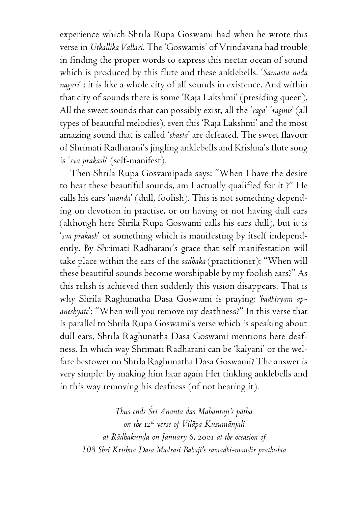experience which Shrila Rupa Goswami had when he wrote this verse in *Utkallika Vallari*. The 'Goswamis' of Vrindavana had trouble in finding the proper words to express this nectar ocean of sound which is produced by this flute and these anklebells. '*Samasta nada nagari*' : it is like a whole city of all sounds in existence. And within that city of sounds there is some 'Raja Lakshmi' (presiding queen). All the sweet sounds that can possibly exist, all the '*raga*' '*raginis*' (all types of beautiful melodies), even this 'Raja Lakshmi' and the most amazing sound that is called '*shasta*' are defeated. The sweet flavour of Shrimati Radharani's jingling anklebells and Krishna's flute song is '*sva prakash*' (self-manifest).

Then Shrila Rupa Gosvamipada says: "When I have the desire to hear these beautiful sounds, am I actually qualified for it ?" He calls his ears '*manda*' (dull, foolish). This is not something depending on devotion in practise, or on having or not having dull ears (although here Shrila Rupa Goswami calls his ears dull), but it is '*sva prakash*' or something which is manifesting by itself independently. By Shrimati Radharani's grace that self manifestation will take place within the ears of the *sadhaka* (practitioner): "When will these beautiful sounds become worshipable by my foolish ears?" As this relish is achieved then suddenly this vision disappears. That is why Shrila Raghunatha Dasa Goswami is praying: '*badhiryam apaneshyate*': "When will you remove my deathness?" In this verse that is parallel to Shrila Rupa Goswami's verse which is speaking about dull ears, Shrila Raghunatha Dasa Goswami mentions here deafness. In which way Shrimati Radharani can be 'kalyani' or the welfare bestower on Shrila Raghunatha Dasa Goswami? The answer is very simple: by making him hear again Her tinkling anklebells and in this way removing his deafness (of not hearing it).

*Thus ends Çré Ananta das Mahantaji's päöha on the* 12*th verse of Viläpa Kusumänjali at Rädhakuëòa on January* 6, 2001 *at the occasion of 108 Shri Krishna Dasa Madrasi Babaji's samadhi-mandir prathishta*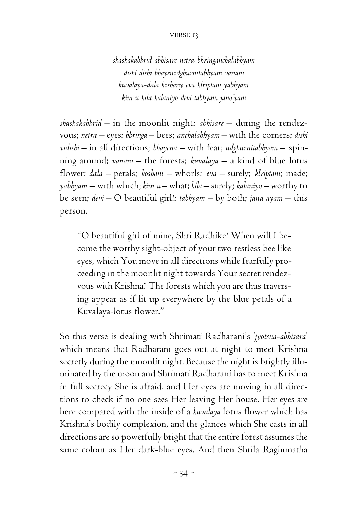### verse 13

*shashakabhrid abhisare netra-bhringanchalabhyam dishi dishi bhayenodghurnitabhyam vanani kuvalaya-dala koshany eva klriptani yabhyam kim u kila kalaniyo devi tabhyam jano'yam*

*shashakabhrid* – in the moonlit night; *abhisare* – during the rendezvous; *netra* – eyes; *bhringa* – bees; *anchalabhyam* – with the corners; *dishi vidishi* – in all directions; *bhayena* – with fear; *udghurnitabhyam* – spinning around; *vanani* – the forests; *kuvalaya* – a kind of blue lotus flower; *dala* – petals; *koshani* – whorls; *eva* – surely; *klriptani*; made; *yabhyam* – with which; *kim u* – what; *kila* – surely; *kalaniyo* – worthy to be seen; *devi* – O beautiful girl!; *tabhyam* – by both; *jana ayam* – this person.

"O beautiful girl of mine, Shri Radhike! When will I become the worthy sight-object of your two restless bee like eyes, which You move in all directions while fearfully proceeding in the moonlit night towards Your secret rendezvous with Krishna? The forests which you are thus traversing appear as if lit up everywhere by the blue petals of a Kuvalaya-lotus flower."

So this verse is dealing with Shrimati Radharani's '*jyotsna-abhisara*' which means that Radharani goes out at night to meet Krishna secretly during the moonlit night. Because the night is brightly illuminated by the moon and Shrimati Radharani has to meet Krishna in full secrecy She is afraid, and Her eyes are moving in all directions to check if no one sees Her leaving Her house. Her eyes are here compared with the inside of a *kuvalaya* lotus flower which has Krishna's bodily complexion, and the glances which She casts in all directions are so powerfully bright that the entire forest assumes the same colour as Her dark-blue eyes. And then Shrila Raghunatha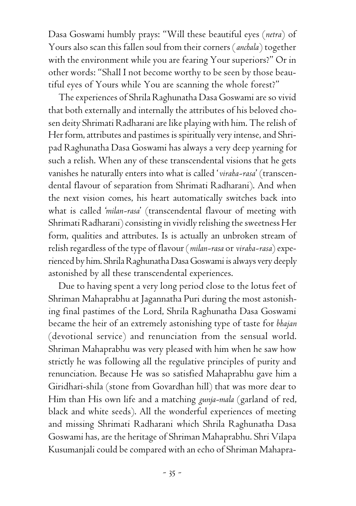Dasa Goswami humbly prays: "Will these beautiful eyes (*netra*) of Yours also scan this fallen soul from their corners (*anchala*) together with the environment while you are fearing Your superiors?" Or in other words: "Shall I not become worthy to be seen by those beautiful eyes of Yours while You are scanning the whole forest?"

The experiences of Shrila Raghunatha Dasa Goswami are so vivid that both externally and internally the attributes of his beloved chosen deity Shrimati Radharani are like playing with him. The relish of Her form, attributes and pastimes is spiritually very intense, and Shripad Raghunatha Dasa Goswami has always a very deep yearning for such a relish. When any of these transcendental visions that he gets vanishes he naturally enters into what is called '*viraha-rasa*' (transcendental flavour of separation from Shrimati Radharani). And when the next vision comes, his heart automatically switches back into what is called '*milan-rasa*' (transcendental flavour of meeting with Shrimati Radharani) consisting in vividly relishing the sweetness Her form, qualities and attributes. Is is actually an unbroken stream of relish regardless of the type of flavour (*milan-rasa* or *viraha-rasa*) experienced by him. Shrila Raghunatha Dasa Goswami is always very deeply astonished by all these transcendental experiences.

Due to having spent a very long period close to the lotus feet of Shriman Mahaprabhu at Jagannatha Puri during the most astonishing final pastimes of the Lord, Shrila Raghunatha Dasa Goswami became the heir of an extremely astonishing type of taste for *bhajan* (devotional service) and renunciation from the sensual world. Shriman Mahaprabhu was very pleased with him when he saw how strictly he was following all the regulative principles of purity and renunciation. Because He was so satisfied Mahaprabhu gave him a Giridhari-shila (stone from Govardhan hill) that was more dear to Him than His own life and a matching *gunja-mala* (garland of red, black and white seeds). All the wonderful experiences of meeting and missing Shrimati Radharani which Shrila Raghunatha Dasa Goswami has, are the heritage of Shriman Mahaprabhu. Shri Vilapa Kusumanjali could be compared with an echo of Shriman Mahapra-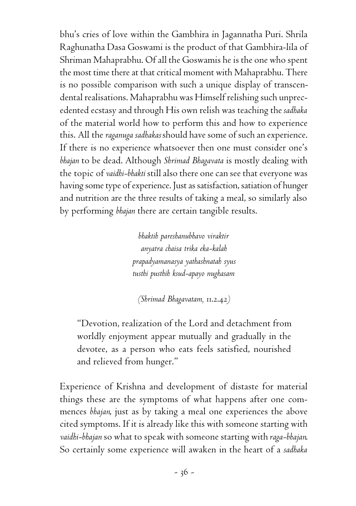bhu's cries of love within the Gambhira in Jagannatha Puri. Shrila Raghunatha Dasa Goswami is the product of that Gambhira-lila of Shriman Mahaprabhu. Of all the Goswamis he is the one who spent the most time there at that critical moment with Mahaprabhu. There is no possible comparison with such a unique display of transcendental realisations. Mahaprabhu was Himself relishing such unprecedented ecstasy and through His own relish was teaching the *sadhaka* of the material world how to perform this and how to experience this. All the *raganuga sadhakas* should have some of such an experience. If there is no experience whatsoever then one must consider one's *bhajan* to be dead. Although *Shrimad Bhagavata* is mostly dealing with the topic of *vaidhi-bhakti* still also there one can see that everyone was having some type of experience. Just as satisfaction, satiation of hunger and nutrition are the three results of taking a meal, so similarly also by performing *bhajan* there are certain tangible results.

> *bhaktih pareshanubhavo viraktir anyatra chaisa trika eka-kalah prapadyamanasya yathashnatah syus tusthi pusthih ksud-apayo nughasam*

*(Shrimad Bhagavatam,* 11.2.42*)*

"Devotion, realization of the Lord and detachment from worldly enjoyment appear mutually and gradually in the devotee, as a person who eats feels satisfied, nourished and relieved from hunger."

Experience of Krishna and development of distaste for material things these are the symptoms of what happens after one commences *bhajan*, just as by taking a meal one experiences the above cited symptoms. If it is already like this with someone starting with *vaidhi-bhajan* so what to speak with someone starting with *raga-bhajan*. So certainly some experience will awaken in the heart of a *sadhaka*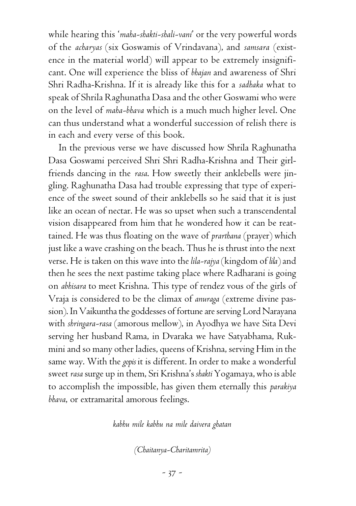while hearing this '*maha-shakti-shali-vani*' or the very powerful words of the *acharyas* (six Goswamis of Vrindavana), and *samsara* (existence in the material world) will appear to be extremely insignificant. One will experience the bliss of *bhajan* and awareness of Shri Shri Radha-Krishna. If it is already like this for a *sadhaka* what to speak of Shrila Raghunatha Dasa and the other Goswami who were on the level of *maha-bhava* which is a much much higher level. One can thus understand what a wonderful succession of relish there is in each and every verse of this book.

In the previous verse we have discussed how Shrila Raghunatha Dasa Goswami perceived Shri Shri Radha-Krishna and Their girlfriends dancing in the *rasa*. How sweetly their anklebells were jingling. Raghunatha Dasa had trouble expressing that type of experience of the sweet sound of their anklebells so he said that it is just like an ocean of nectar. He was so upset when such a transcendental vision disappeared from him that he wondered how it can be reattained. He was thus floating on the wave of *prarthana* (prayer) which just like a wave crashing on the beach. Thus he is thrust into the next verse. He is taken on this wave into the *lila-rajya* (kingdom of *lila*) and then he sees the next pastime taking place where Radharani is going on *abhisara* to meet Krishna. This type of rendez vous of the girls of Vraja is considered to be the climax of *anuraga* (extreme divine passion). In Vaikuntha the goddesses of fortune are serving Lord Narayana with *shringara-rasa* (amorous mellow), in Ayodhya we have Sita Devi serving her husband Rama, in Dvaraka we have Satyabhama, Rukmini and so many other ladies, queens of Krishna, serving Him in the same way. With the *gopis* it is different. In order to make a wonderful sweet *rasa* surge up in them, Sri Krishna's *shakti* Yogamaya, who is able to accomplish the impossible, has given them eternally this *parakiya bhava*, or extramarital amorous feelings.

*kabhu mile kabhu na mile daivera ghatan*

*(Chaitanya-Charitamrita)*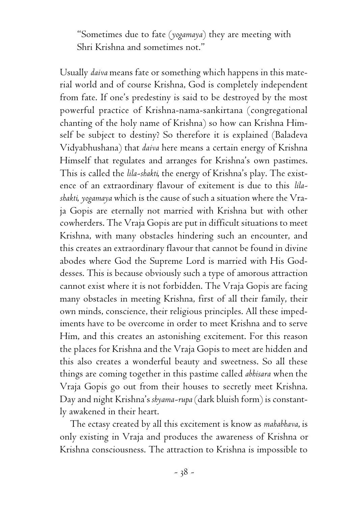"Sometimes due to fate (*yogamaya*) they are meeting with Shri Krishna and sometimes not."

Usually *daiva* means fate or something which happens in this material world and of course Krishna, God is completely independent from fate. If one's predestiny is said to be destroyed by the most powerful practice of Krishna-nama-sankirtana (congregational chanting of the holy name of Krishna) so how can Krishna Himself be subject to destiny? So therefore it is explained (Baladeva Vidyabhushana) that *daiva* here means a certain energy of Krishna Himself that regulates and arranges for Krishna's own pastimes. This is called the *lila-shakti*, the energy of Krishna's play. The existence of an extraordinary flavour of exitement is due to this *lilashakti*, *yogamaya* which is the cause of such a situation where the Vraja Gopis are eternally not married with Krishna but with other cowherders. The Vraja Gopis are put in difficult situations to meet Krishna, with many obstacles hindering such an encounter, and this creates an extraordinary flavour that cannot be found in divine abodes where God the Supreme Lord is married with His Goddesses. This is because obviously such a type of amorous attraction cannot exist where it is not forbidden. The Vraja Gopis are facing many obstacles in meeting Krishna, first of all their family, their own minds, conscience, their religious principles. All these impediments have to be overcome in order to meet Krishna and to serve Him, and this creates an astonishing excitement. For this reason the places for Krishna and the Vraja Gopis to meet are hidden and this also creates a wonderful beauty and sweetness. So all these things are coming together in this pastime called *abhisara* when the Vraja Gopis go out from their houses to secretly meet Krishna. Day and night Krishna's *shyama-rupa* (dark bluish form) is constantly awakened in their heart.

The ectasy created by all this excitement is know as *mahabhava*, is only existing in Vraja and produces the awareness of Krishna or Krishna consciousness. The attraction to Krishna is impossible to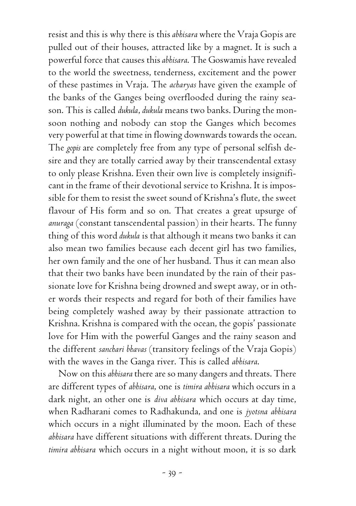resist and this is why there is this *abhisara* where the Vraja Gopis are pulled out of their houses, attracted like by a magnet. It is such a powerful force that causes this *abhisara*. The Goswamis have revealed to the world the sweetness, tenderness, excitement and the power of these pastimes in Vraja. The *acharyas* have given the example of the banks of the Ganges being overflooded during the rainy season. This is called *dukula*, *dukula* means two banks. During the monsoon nothing and nobody can stop the Ganges which becomes very powerful at that time in flowing downwards towards the ocean. The *gopis* are completely free from any type of personal selfish desire and they are totally carried away by their transcendental extasy to only please Krishna. Even their own live is completely insignificant in the frame of their devotional service to Krishna. It is impossible for them to resist the sweet sound of Krishna's flute, the sweet flavour of His form and so on. That creates a great upsurge of *anuraga* (constant tanscendental passion) in their hearts. The funny thing of this word *dukula* is that although it means two banks it can also mean two families because each decent girl has two families, her own family and the one of her husband. Thus it can mean also that their two banks have been inundated by the rain of their passionate love for Krishna being drowned and swept away, or in other words their respects and regard for both of their families have being completely washed away by their passionate attraction to Krishna. Krishna is compared with the ocean, the gopis' passionate love for Him with the powerful Ganges and the rainy season and the different *sanchari bhavas* (transitory feelings of the Vraja Gopis) with the waves in the Ganga river. This is called *abhisara*.

Now on this *abhisara* there are so many dangers and threats. There are different types of *abhisara*, one is *timira abhisara* which occurs in a dark night, an other one is *diva abhisara* which occurs at day time, when Radharani comes to Radhakunda, and one is *jyotsna abhisara* which occurs in a night illuminated by the moon. Each of these *abhisara* have different situations with different threats. During the *timira abhisara* which occurs in a night without moon, it is so dark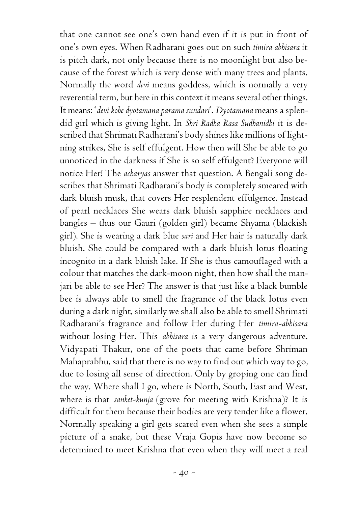that one cannot see one's own hand even if it is put in front of one's own eyes. When Radharani goes out on such *timira abhisara* it is pitch dark, not only because there is no moonlight but also because of the forest which is very dense with many trees and plants. Normally the word *devi* means goddess, which is normally a very reverential term, but here in this context it means several other things. It means: '*devi kohe dyotamana parama sundari*'. *Dyotamana* means a splendid girl which is giving light. In *Shri Radha Rasa Sudhanidhi* it is described that Shrimati Radharani's body shines like millions of lightning strikes, She is self effulgent. How then will She be able to go unnoticed in the darkness if She is so self effulgent? Everyone will notice Her! The *acharyas* answer that question. A Bengali song describes that Shrimati Radharani's body is completely smeared with dark bluish musk, that covers Her resplendent effulgence. Instead of pearl necklaces She wears dark bluish sapphire necklaces and bangles – thus our Gauri (golden girl) became Shyama (blackish girl). She is wearing a dark blue *sari* and Her hair is naturally dark bluish. She could be compared with a dark bluish lotus floating incognito in a dark bluish lake. If She is thus camouflaged with a colour that matches the dark-moon night, then how shall the manjari be able to see Her? The answer is that just like a black bumble bee is always able to smell the fragrance of the black lotus even during a dark night, similarly we shall also be able to smell Shrimati Radharani's fragrance and follow Her during Her *timira-abhisara* without losing Her. This *abhisara* is a very dangerous adventure. Vidyapati Thakur, one of the poets that came before Shriman Mahaprabhu, said that there is no way to find out which way to go, due to losing all sense of direction. Only by groping one can find the way. Where shall I go, where is North, South, East and West, where is that *sanket-kunja* (grove for meeting with Krishna)? It is difficult for them because their bodies are very tender like a flower. Normally speaking a girl gets scared even when she sees a simple picture of a snake, but these Vraja Gopis have now become so determined to meet Krishna that even when they will meet a real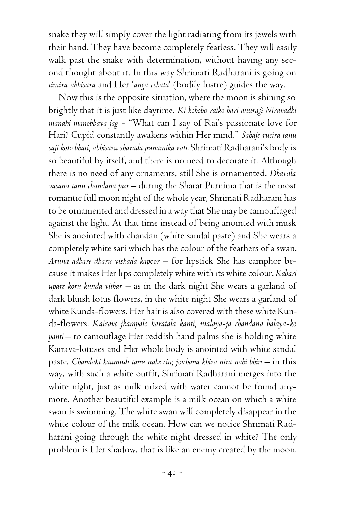snake they will simply cover the light radiating from its jewels with their hand. They have become completely fearless. They will easily walk past the snake with determination, without having any second thought about it. In this way Shrimati Radharani is going on *timira abhisara* and Her '*anga cchata*' (bodily lustre) guides the way.

Now this is the opposite situation, where the moon is shining so brightly that it is just like daytime. *Ki kohobo raiko hari anurag*? *Niravadhi manahi manobhava jag* - "What can I say of Rai's passionate love for Hari? Cupid constantly awakens within Her mind." *Sahaje rucira tanu saji koto bhati; abhisaru sharada punamika rati.* Shrimati Radharani's body is so beautiful by itself, and there is no need to decorate it. Although there is no need of any ornaments, still She is ornamented. *Dhavala vasana tanu chandana pur* – during the Sharat Purnima that is the most romantic full moon night of the whole year, Shrimati Radharani has to be ornamented and dressed in a way that She may be camouflaged against the light. At that time instead of being anointed with musk She is anointed with chandan (white sandal paste) and She wears a completely white sari which has the colour of the feathers of a swan. *Aruna adhare dharu vishada kapoor* – for lipstick She has camphor because it makes Her lips completely white with its white colour. *Kabari upare koru kunda vithar* – as in the dark night She wears a garland of dark bluish lotus flowers, in the white night She wears a garland of white Kunda-flowers. Her hair is also covered with these white Kunda-flowers. *Kairave jhampalo karatala kanti; malaya-ja chandana balaya-ko panti* – to camouflage Her reddish hand palms she is holding white Kairava-lotuses and Her whole body is anointed with white sandal paste. *Chandaki kaumudi tanu nahe cin; joichana khira nira nahi bhin* – in this way, with such a white outfit, Shrimati Radharani merges into the white night, just as milk mixed with water cannot be found anymore. Another beautiful example is a milk ocean on which a white swan is swimming. The white swan will completely disappear in the white colour of the milk ocean. How can we notice Shrimati Radharani going through the white night dressed in white? The only problem is Her shadow, that is like an enemy created by the moon.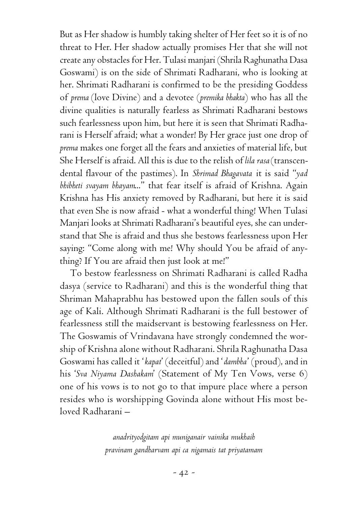But as Her shadow is humbly taking shelter of Her feet so it is of no threat to Her. Her shadow actually promises Her that she will not create any obstacles for Her. Tulasi manjari (Shrila Raghunatha Dasa Goswami) is on the side of Shrimati Radharani, who is looking at her. Shrimati Radharani is confirmed to be the presiding Goddess of *prema* (love Divine) and a devotee (*premika bhakta*) who has all the divine qualities is naturally fearless as Shrimati Radharani bestows such fearlessness upon him, but here it is seen that Shrimati Radharani is Herself afraid; what a wonder! By Her grace just one drop of *prema* makes one forget all the fears and anxieties of material life, but She Herself is afraid. All this is due to the relish of *lila rasa* (transcendental flavour of the pastimes). In *Shrimad Bhagavata* it is said "*yad bhibheti svayam bhayam*..." that fear itself is afraid of Krishna. Again Krishna has His anxiety removed by Radharani, but here it is said that even She is now afraid - what a wonderful thing! When Tulasi Manjari looks at Shrimati Radharani's beautiful eyes, she can understand that She is afraid and thus she bestows fearlessness upon Her saying: "Come along with me! Why should You be afraid of anything? If You are afraid then just look at me!"

To bestow fearlessness on Shrimati Radharani is called Radha dasya (service to Radharani) and this is the wonderful thing that Shriman Mahaprabhu has bestowed upon the fallen souls of this age of Kali. Although Shrimati Radharani is the full bestower of fearlessness still the maidservant is bestowing fearlessness on Her. The Goswamis of Vrindavana have strongly condemned the worship of Krishna alone without Radharani. Shrila Raghunatha Dasa Goswami has called it '*kapat*' (deceitful) and '*dambha*' (proud), and in his '*Sva Niyama Dashakam*' (Statement of My Ten Vows, verse 6) one of his vows is to not go to that impure place where a person resides who is worshipping Govinda alone without His most beloved Radharani –

> *anadrityodgitam api muniganair vainika mukhaih pravinam gandharvam api ca nigamais tat priyatamam*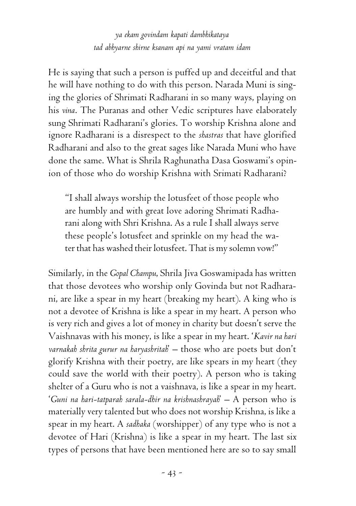*ya ekam govindam kapati dambhikataya tad abhyarne shirne ksanam api na yami vratam idam*

He is saying that such a person is puffed up and deceitful and that he will have nothing to do with this person. Narada Muni is singing the glories of Shrimati Radharani in so many ways, playing on his *vina*. The Puranas and other Vedic scriptures have elaborately sung Shrimati Radharani's glories. To worship Krishna alone and ignore Radharani is a disrespect to the *shastras* that have glorified Radharani and also to the great sages like Narada Muni who have done the same. What is Shrila Raghunatha Dasa Goswami's opinion of those who do worship Krishna with Srimati Radharani?

"I shall always worship the lotusfeet of those people who are humbly and with great love adoring Shrimati Radharani along with Shri Krishna. As a rule I shall always serve these people's lotusfeet and sprinkle on my head the water that has washed their lotusfeet. That is my solemn vow!"

Similarly, in the *Gopal Champu*, Shrila Jiva Goswamipada has written that those devotees who worship only Govinda but not Radharani, are like a spear in my heart (breaking my heart). A king who is not a devotee of Krishna is like a spear in my heart. A person who is very rich and gives a lot of money in charity but doesn't serve the Vaishnavas with his money, is like a spear in my heart. '*Kavir na hari varnakah shrita gurur na haryashritah*' – those who are poets but don't glorify Krishna with their poetry, are like spears in my heart (they could save the world with their poetry). A person who is taking shelter of a Guru who is not a vaishnava, is like a spear in my heart. '*Guni na hari-tatparah sarala-dhir na krishnashrayah*' – A person who is materially very talented but who does not worship Krishna, is like a spear in my heart. A *sadhaka* (worshipper) of any type who is not a devotee of Hari (Krishna) is like a spear in my heart. The last six types of persons that have been mentioned here are so to say small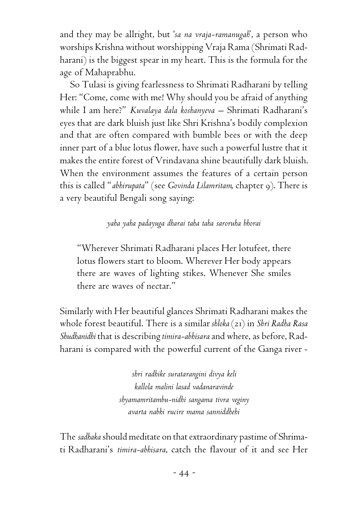and they may be allright, but '*sa na vraja-ramanugah*', a person who worships Krishna without worshipping Vraja Rama (Shrimati Radharani) is the biggest spear in my heart. This is the formula for the age of Mahaprabhu.

So Tulasi is giving fearlessness to Shrimati Radharani by telling Her: "Come, come with me! Why should you be afraid of anything while I am here?" *Kuvalaya dala koshanyeva* – Shrimati Radharani's eyes that are dark bluish just like Shri Krishna's bodily complexion and that are often compared with bumble bees or with the deep inner part of a blue lotus flower, have such a powerful lustre that it makes the entire forest of Vrindavana shine beautifully dark bluish. When the environment assumes the features of a certain person this is called "*abhirupata*" (see *Govinda Lilamritam*, chapter 9). There is a very beautiful Bengali song saying:

## *yaha yaha padayuga dharai taha taha saroruha bhorai*

"Wherever Shrimati Radharani places Her lotufeet, there lotus flowers start to bloom. Wherever Her body appears there are waves of lighting stikes. Whenever She smiles there are waves of nectar."

Similarly with Her beautiful glances Shrimati Radharani makes the whole forest beautiful. There is a similar *shloka* (21) in *Shri Radha Rasa Shudhanidhi* that is describing *timira-abhisara* and where, as before, Radharani is compared with the powerful current of the Ganga river -

> *shri radhike suratarangini divya keli kallola malini lasad vadanaravinde shyamamritambu-nidhi sangama tivra veginy avarta nabhi rucire mama sanniddhehi*

The *sadhaka* should meditate on that extraordinary pastime of Shrimati Radharani's *timira-abhisara*, catch the flavour of it and see Her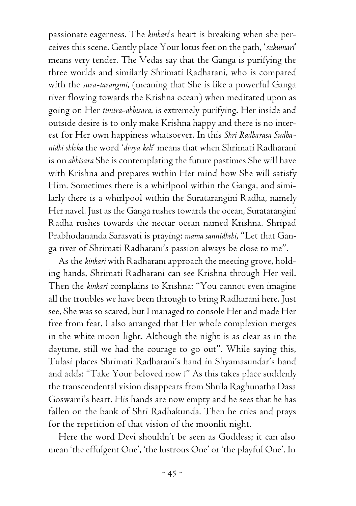passionate eagerness. The *kinkari*'s heart is breaking when she perceives this scene. Gently place Your lotus feet on the path, '*sukumari*' means very tender. The Vedas say that the Ganga is purifying the three worlds and similarly Shrimati Radharani, who is compared with the *sura-tarangini*, (meaning that She is like a powerful Ganga river flowing towards the Krishna ocean) when meditated upon as going on Her *timira-abhisara*, is extremely purifying. Her inside and outside desire is to only make Krishna happy and there is no interest for Her own happiness whatsoever. In this *Shri Radharasa Sudhanidhi shloka* the word '*divya keli*' means that when Shrimati Radharani is on *abhisara* She is contemplating the future pastimes She will have with Krishna and prepares within Her mind how She will satisfy Him. Sometimes there is a whirlpool within the Ganga, and similarly there is a whirlpool within the Suratarangini Radha, namely Her navel. Just as the Ganga rushes towards the ocean, Suratarangini Radha rushes towards the nectar ocean named Krishna. Shripad Prabhodananda Sarasvati is praying: *mama sannidhehi*, "Let that Ganga river of Shrimati Radharani's passion always be close to me".

As the *kinkari* with Radharani approach the meeting grove, holding hands, Shrimati Radharani can see Krishna through Her veil. Then the *kinkari* complains to Krishna: "You cannot even imagine all the troubles we have been through to bring Radharani here. Just see, She was so scared, but I managed to console Her and made Her free from fear. I also arranged that Her whole complexion merges in the white moon light. Although the night is as clear as in the daytime, still we had the courage to go out". While saying this, Tulasi places Shrimati Radharani's hand in Shyamasundar's hand and adds: "Take Your beloved now !" As this takes place suddenly the transcendental vision disappears from Shrila Raghunatha Dasa Goswami's heart. His hands are now empty and he sees that he has fallen on the bank of Shri Radhakunda. Then he cries and prays for the repetition of that vision of the moonlit night.

Here the word Devi shouldn't be seen as Goddess; it can also mean 'the effulgent One', 'the lustrous One' or 'the playful One'. In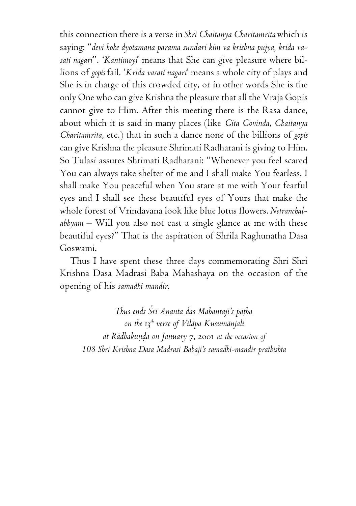this connection there is a verse in *Shri Chaitanya Charitamrita* which is saying: "*devi kohe dyotamana parama sundari kim va krishna pujya, krida vasati nagari*". '*Kantimoyi*' means that She can give pleasure where billions of *gopis* fail. '*Krida vasati nagari*' means a whole city of plays and She is in charge of this crowded city, or in other words She is the only One who can give Krishna the pleasure that all the Vraja Gopis cannot give to Him. After this meeting there is the Rasa dance, about which it is said in many places (like *Gita Govinda*, *Chaitanya Charitamrita*, etc.) that in such a dance none of the billions of *gopis* can give Krishna the pleasure Shrimati Radharani is giving to Him. So Tulasi assures Shrimati Radharani: "Whenever you feel scared You can always take shelter of me and I shall make You fearless. I shall make You peaceful when You stare at me with Your fearful eyes and I shall see these beautiful eyes of Yours that make the whole forest of Vrindavana look like blue lotus flowers. *Netranchalabhyam* – Will you also not cast a single glance at me with these beautiful eyes?" That is the aspiration of Shrila Raghunatha Dasa Goswami.

Thus I have spent these three days commemorating Shri Shri Krishna Dasa Madrasi Baba Mahashaya on the occasion of the opening of his *samadhi mandir*.

*Thus ends Çré Ananta das Mahantaji's päöha on the* 13*th verse of Viläpa Kusumänjali at Rädhakuëòa on January* 7, 2001 *at the occasion of 108 Shri Krishna Dasa Madrasi Babaji's samadhi-mandir prathishta*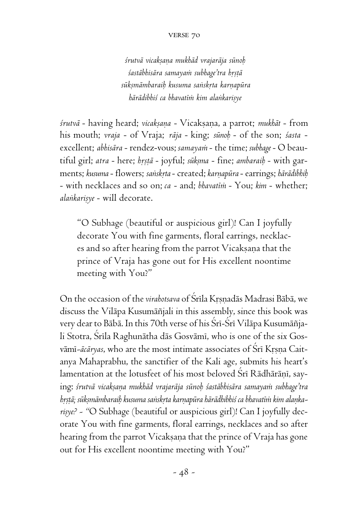#### verse 70

 *çrutvä vicakñaëa mukhäd vrajaräja sünoù çastäbhisära samayaà subhage'tra håñöä sükñmämbaraiù kusuma saìskåta karëapüra härädibhiç ca bhavatéà kim alaìkariñye*

*çrutvä* - having heard; *vicakñaëa* - Vicakñaëa, a parrot; *mukhät* - from his mouth; *vraja* - of Vraja; *räja* - king; *sünoù* - of the son; *çasta* excellent; *abhisära* - rendez-vous; *samayaà* - the time; *subhage* - O beautiful girl; atra - here; *hrstā* - joyful; *sūkṣma* - fine; ambaraib - with garments; *kusuma* - flowers; *saìskåta* - created; *karëapüra* - earrings; *härädibhiù* - with necklaces and so on; *ca* - and; *bhavatéà* - You; *kim* - whether; *alankarisye* - will decorate.

"O Subhage (beautiful or auspicious girl)! Can I joyfully decorate You with fine garments, floral earrings, necklaces and so after hearing from the parrot Vicakṣaṇa that the prince of Vraja has gone out for His excellent noontime meeting with You?"

On the occasion of the *virahotsava* of Śrīla Krsnadās Madrasi Bābā, we discuss the Viläpa Kusumäïjali in this assembly, since this book was very dear to Bābā. In this 70th verse of his Śrī-Śrī Vilāpa Kusumāñjali Stotra, Srila Raghunātha dās Gosvāmī, who is one of the six Gosvāmī-ācāryas, who are the most intimate associates of Śrī Krsna Caitanya Mahaprabhu, the sanctifier of the Kali age, submits his heart's lamentation at the lotusfeet of his most beloved Sri Rādhārānī, saying: *çrutvä vicakñaëa mukhäd vrajaräja sünoù çastäbhisära samayaà subhage'tra* brstā; sūkṣmāmbaraiḥ kusuma saṅskṛta karṇapūra hārādhibhiś ca bhavatīm kim alaṇkarisye? - "O Subhage (beautiful or auspicious girl)! Can I joyfully decorate You with fine garments, floral earrings, necklaces and so after hearing from the parrot Vicakṣaṇa that the prince of Vraja has gone out for His excellent noontime meeting with You?"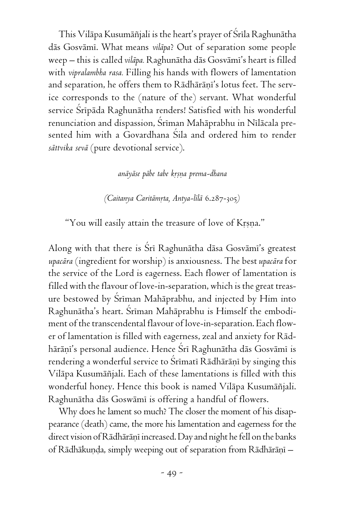This Vilāpa Kusumāñjali is the heart's prayer of Śrīla Raghunātha däs Gosvämé. What means *viläpa*? Out of separation some people weep – this is called *viläpa.* Raghunätha däs Gosvämé's heart is filled with *vipralambha rasa.* Filling his hands with flowers of lamentation and separation, he offers them to Rādhārāņi's lotus feet. The service corresponds to the (nature of the) servant. What wonderful service Srīpāda Raghunātha renders! Satisfied with his wonderful renunciation and dispassion, Srīman Mahāprabhu in Nīlācala presented him with a Govardhana Sila and ordered him to render *sättvika sevä* (pure devotional service).

#### *anäyäse päbe tabe kåñëa prema-dhana*

*(Caitanya Caritāmrta, Antya-līlā 6.287-305)* 

"You will easily attain the treasure of love of Krsna."

Along with that there is Śrī Raghunātha dāsa Gosvāmī's greatest *upacära* (ingredient for worship) is anxiousness. The best *upacära* for the service of the Lord is eagerness. Each flower of lamentation is filled with the flavour of love-in-separation, which is the great treasure bestowed by Sriman Mahāprabhu, and injected by Him into Raghunātha's heart. Śrīman Mahāprabhu is Himself the embodiment of the transcendental flavour of love-in-separation. Each flower of lamentation is filled with eagerness, zeal and anxiety for Rädhārāņi's personal audience. Hence Śrī Raghunātha dās Gosvāmī is rendering a wonderful service to Śrīmatī Rādhārāṇī by singing this Viläpa Kusumäïjali. Each of these lamentations is filled with this wonderful honey. Hence this book is named Vilāpa Kusumāñjali. Raghunätha däs Goswämé is offering a handful of flowers.

Why does he lament so much? The closer the moment of his disappearance (death) came, the more his lamentation and eagerness for the direct vision of Rādhārāṇī increased. Day and night he fell on the banks of Rādhākunda, simply weeping out of separation from Rādhārāņī –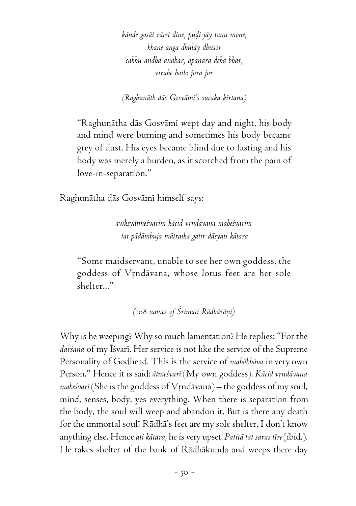*kände gosäi rätri dine, puòi jäy tanu mone, khane anga dhüläy dhüsor cakhu andha anähär, äpanära deha bhär, virahe hoilo jora jor*

*(Raghunäth däs Gosvämé's sucaka kértana)*

"Raghunätha däs Gosvämé wept day and night, his body and mind were burning and sometimes his body became grey of dust. His eyes became blind due to fasting and his body was merely a burden, as it scorched from the pain of love-in-separation."

Raghunātha dās Gosvāmī himself says:

*avékñyätmeçvarém käcid våndävana maheçvarém tat pädämbuja mätraika gatir däsyati kätara*

"Some maidservant, unable to see her own goddess, the goddess of Vrndävana, whose lotus feet are her sole shelter..."

*(*108 *names of Çrématé Rädhäräëé)*

Why is he weeping? Why so much lamentation? He replies: "For the *darçana* of my Éçvaré. Her service is not like the service of the Supreme Personality of Godhead. This is the service of *mahäbhäva* in very own Person." Hence it is said: ātmeśvarī (My own goddess). *Kācid vrndāvana* maheśvarī (She is the goddess of Vrndāvana) – the goddess of my soul, mind, senses, body, yes everything. When there is separation from the body, the soul will weep and abandon it. But is there any death for the immortal soul? Rädhä's feet are my sole shelter, I don't know anything else. Hence *ati kätara*, he is very upset. *Patitä tat saras tére* (ibid.). He takes shelter of the bank of Rādhākuņda and weeps there day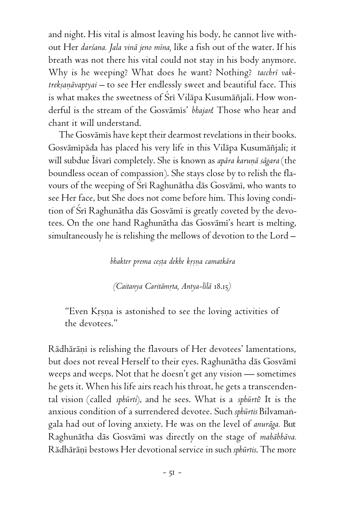and night. His vital is almost leaving his body, he cannot live without Her *darçana. Jala vinä jeno ména,* like a fish out of the water. If his breath was not there his vital could not stay in his body anymore. Why is he weeping? What does he want? Nothing? *tacchré vak*treksanāvaptyai – to see Her endlessly sweet and beautiful face. This is what makes the sweetness of Srī Vilāpa Kusumāñjali. How wonderful is the stream of the Gosvämés' *bhajan*! Those who hear and chant it will understand.

The Gosvāmīs have kept their dearmost revelations in their books. Gosvāmīpāda has placed his very life in this Vilāpa Kusumāñjali; it will subdue Īśvarī completely. She is known as *apāra karuņā sāgara* (the boundless ocean of compassion). She stays close by to relish the flavours of the weeping of Sri Raghunātha dās Gosvāmi, who wants to see Her face, but She does not come before him. This loving condition of Srī Raghunātha dās Gosvāmī is greatly coveted by the devotees. On the one hand Raghunātha das Gosvāmī's heart is melting, simultaneously he is relishing the mellows of devotion to the Lord –

### *bhakter prema ceñöa dekhe kåñëa camatkära*

*(Caitanya Caritämåta, Antya-lélä* 18.15*)*

"Even Krsna is astonished to see the loving activities of the devotees."

Rādhārānī is relishing the flavours of Her devotees' lamentations, but does not reveal Herself to their eyes. Raghunätha däs Gosvämé weeps and weeps. Not that he doesn't get any vision — sometimes he gets it. When his life airs reach his throat, he gets a transcendental vision (called *sphürti*), and he sees. What is a *sphürti*? It is the anxious condition of a surrendered devotee. Such *sphürtis* Bilvamaìgala had out of loving anxiety. He was on the level of *anuräga.* But Raghunätha däs Gosvämé was directly on the stage of *mahäbhäva.* Rādhārāņī bestows Her devotional service in such *sphūrtis*. The more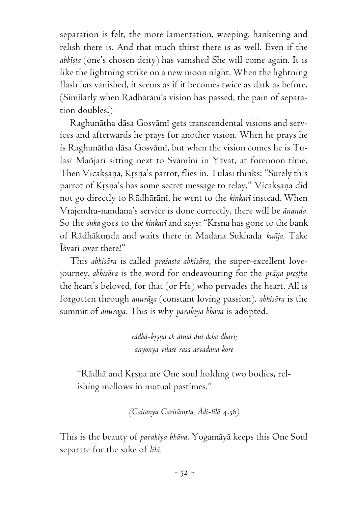separation is felt, the more lamentation, weeping, hankering and relish there is. And that much thirst there is as well. Even if the *abhista* (one's chosen deity) has vanished She will come again. It is like the lightning strike on a new moon night. When the lightning flash has vanished, it seems as if it becomes twice as dark as before. (Similarly when Rādhārāṇi's vision has passed, the pain of separation doubles.)

Raghunätha däsa Gosvämé gets transcendental visions and services and afterwards he prays for another vision. When he prays he is Raghunātha dāsa Gosvāmī, but when the vision comes he is Tulasi Mañjari sitting next to Svāmini in Yāvat, at forenoon time. Then Vicaksana, Krsna's parrot, flies in. Tulasi thinks: "Surely this parrot of Krsna's has some secret message to relay." Vicaksana did not go directly to Rādhārānī, he went to the *kinkarī* instead. When Vrajendra-nandana's service is done correctly, there will be *änanda.* So the *śuka* goes to the *kinkarī* and says: "Kṛṣṇa has gone to the bank of Rādhākunda and waits there in Madana Sukhada *kuñja*. Take Éçvaré over there!"

This *abhisära* is called *praçasta abhisära*, the super-excellent lovejourney. *abhisāra* is the word for endeavouring for the *prāņa preștha* the heart's beloved, for that (or He) who pervades the heart. All is forgotten through *anuräga* (constant loving passion). *abhisära* is the summit of *anuräga.* This is why *parakéya bhäva* is adopted.

> *rädhä-kåñëa ek ätmä dui deha dhari; anyonya vilase rasa äsvädana kore*

"Rādhā and Krsņa are One soul holding two bodies, relishing mellows in mutual pastimes."

*(Caitanya Caritämåta, Ädé-lélä* 4.56*)*

This is the beauty of *parakéya bhäva*. Yogamäyä keeps this One Soul separate for the sake of *lélä.*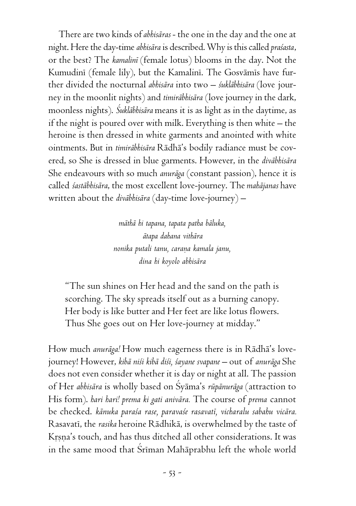There are two kinds of *abhisäras* - the one in the day and the one at night. Here the day-time *abhisära* is described. Why is this called *praçasta*, or the best? The *kamaliné* (female lotus) blooms in the day. Not the Kumudini (female lily), but the Kamalini. The Gosvämis have further divided the nocturnal *abhisära* into two – *çukläbhisära* (love journey in the moonlit nights) and *timiräbhisära* (love journey in the dark, moonless nights). *Çukläbhisära* means it is as light as in the daytime, as if the night is poured over with milk. Everything is then white – the heroine is then dressed in white garments and anointed with white ointments. But in *timiräbhisära* Rädhä's bodily radiance must be covered, so She is dressed in blue garments. However, in the *diväbhisära* She endeavours with so much *anuräga* (constant passion), hence it is called *çastäbhisära*, the most excellent love-journey. The *mahäjanas* have written about the *diväbhisära* (day-time love-journey) –

> *mäthä hi tapana, tapata patha bäluka, ätapa dahana vithära nonika putali tanu, caraëa kamala janu, dina hi koyolo abhisära*

"The sun shines on Her head and the sand on the path is scorching. The sky spreads itself out as a burning canopy. Her body is like butter and Her feet are like lotus flowers. Thus She goes out on Her love-journey at midday."

How much *anuräga!* How much eagerness there is in Rädhä's lovejourney! However, *kibä niçi kibä diçi, çayane svapane –* out of *anuräga* She does not even consider whether it is day or night at all. The passion of Her *abhisära* is wholly based on Çyäma's *rüpänuräga* (attraction to His form). *hari hari! prema ki gati anivära.* The course of *prema* cannot be checked. *känuka paraça rase, paravaçe rasavaté, vicharalu sabahu vicära.* Rasavaté, the *rasika* heroine Rädhikä, is overwhelmed by the taste of Krsna's touch, and has thus ditched all other considerations. It was in the same mood that Sriman Mahāprabhu left the whole world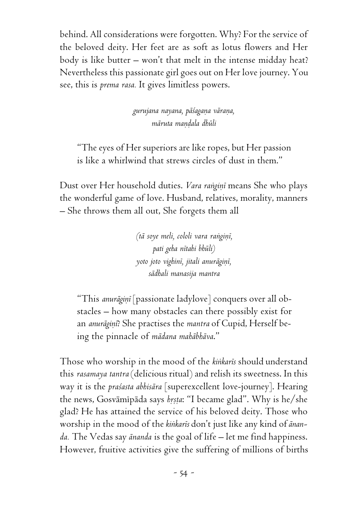behind. All considerations were forgotten. Why? For the service of the beloved deity. Her feet are as soft as lotus flowers and Her body is like butter – won't that melt in the intense midday heat? Nevertheless this passionate girl goes out on Her love journey. You see, this is *prema rasa.* It gives limitless powers.

> *gurujana nayana, päçagaëa väraëa, märuta maëòala dhüli*

"The eyes of Her superiors are like ropes, but Her passion is like a whirlwind that strews circles of dust in them."

Dust over Her household duties. *Vara rangini* means She who plays the wonderful game of love. Husband, relatives, morality, manners – She throws them all out, She forgets them all

> *(tā soye meli, cololi vara ranginī, pati geha nétahi bhüli)*  $y$ oto joto vighin*i*, jitali anurāginī, *sädhali manasija mantra*

"This *anurāginī* [passionate ladylove] conquers over all obstacles – how many obstacles can there possibly exist for an *anurāgiņi*? She practises the *mantra* of Cupid, Herself being the pinnacle of *mädana mahäbhäva*."

Those who worship in the mood of the *kiìkarés* should understand this *rasamaya tantra* (delicious ritual) and relish its sweetness. In this way it is the *praçasta abhisära* [superexcellent love-journey]. Hearing the news, Gosvāmīpāda says *hrsta*: "I became glad". Why is he/she glad? He has attained the service of his beloved deity. Those who worship in the mood of the *kiìkarés* don't just like any kind of *änanda.* The Vedas say *änanda* is the goal of life – let me find happiness. However, fruitive activities give the suffering of millions of births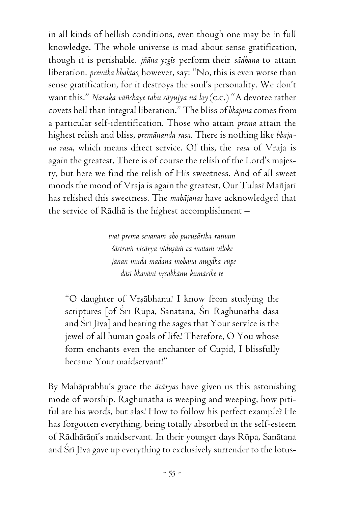in all kinds of hellish conditions, even though one may be in full knowledge. The whole universe is mad about sense gratification, though it is perishable. *jïäna yogés* perform their *sädhana* to attain liberation. *premika bhaktas,* however, say: "No, this is even worse than sense gratification, for it destroys the soul's personality. We don't want this." *Naraka väïchaye tabu säyujya nä loy* (c.c.) "A devotee rather covets hell than integral liberation." The bliss of *bhajana* comes from a particular self-identification. Those who attain *prema* attain the highest relish and bliss, *premänanda rasa.* There is nothing like *bhajana rasa*, which means direct service. Of this, the *rasa* of Vraja is again the greatest. There is of course the relish of the Lord's majesty, but here we find the relish of His sweetness. And of all sweet moods the mood of Vraja is again the greatest. Our Tulasi Mañjari has relished this sweetness. The *mahäjanas* have acknowledged that the service of Rädhä is the highest accomplishment –

> *tvat prema sevanam aho puruñärtha ratnam çästraà vicärya viduñäà ca mataà viloke jänan mudä madana mohana mugdha rüpe däsé bhaväni våñabhänu kumärike te*

"O daughter of Vrsābhanu! I know from studying the scriptures [of Śrī Rūpa, Sanātana, Śrī Raghunātha dāsa and Srī Jīva] and hearing the sages that Your service is the jewel of all human goals of life! Therefore, O You whose form enchants even the enchanter of Cupid, I blissfully became Your maidservant!"

By Mahäprabhu's grace the *äcäryas* have given us this astonishing mode of worship. Raghunätha is weeping and weeping, how pitiful are his words, but alas! How to follow his perfect example? He has forgotten everything, being totally absorbed in the self-esteem of Rādhārāņi's maidservant. In their younger days Rūpa, Sanātana and Srī Jīva gave up everything to exclusively surrender to the lotus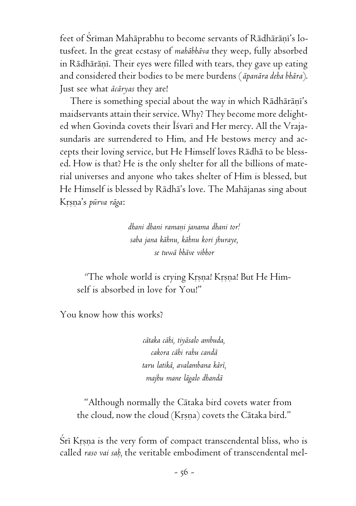feet of Śrīman Mahāprabhu to become servants of Rādhārāņī's lotusfeet. In the great ecstasy of *mahäbhäva* they weep, fully absorbed in Rādhārāņī. Their eyes were filled with tears, they gave up eating and considered their bodies to be mere burdens (*äpanära deha bhära*). Just see what *äcäryas* they are!

There is something special about the way in which Rādhārāņi's maidservants attain their service. Why? They become more delighted when Govinda covets their Isvari and Her mercy. All the Vrajasundaris are surrendered to Him, and He bestows mercy and accepts their loving service, but He Himself loves Rädhä to be blessed. How is that? He is the only shelter for all the billions of material universes and anyone who takes shelter of Him is blessed, but He Himself is blessed by Rädhä's love. The Mahäjanas sing about Kåñëa's *pürva räga*:

> *dhani dhani ramaëi janama dhani tor! saba jana kähnu, kähnu kori jhuraye, se tuwä bhäve vibhor*

*"*The whole world is crying Kåñëa! Kåñëa! But He Himself is absorbed in love for You!"

You know how this works?

*cätaka cähi, tiyäsalo ambuda, cakora cähi rahu candä taru latikä, avalambana käré, majhu mane lägalo dhandä*

"Although normally the Cätaka bird covets water from the cloud, now the cloud (Krsna) covets the Cātaka bird."

Srī Krsņa is the very form of compact transcendental bliss, who is called *raso vai saù,* the veritable embodiment of transcendental mel-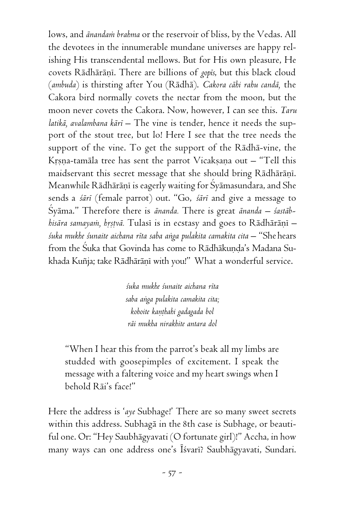lows, and *ānandam brahma* or the reservoir of bliss, by the Vedas. All the devotees in the innumerable mundane universes are happy relishing His transcendental mellows. But for His own pleasure, He covets Rādhārāņī. There are billions of *gopis*, but this black cloud (*ambuda*) is thirsting after You (Rädhä). *Cakora cähi rahu candä,* the Cakora bird normally covets the nectar from the moon, but the moon never covets the Cakora. Now, however, I can see this. *Taru latikä, avalambana käré –* The vine is tender, hence it needs the support of the stout tree, but lo! Here I see that the tree needs the support of the vine. To get the support of the Rädhä-vine, the Krsna-tamāla tree has sent the parrot Vicakṣaṇa out – "Tell this maidservant this secret message that she should bring Rādhārānī. Meanwhile Rādhārānī is eagerly waiting for Śyāmasundara, and She sends a *çäré* (female parrot) out. "Go, *çäré* and give a message to Çyäma." Therefore there is *änanda.* There is great *änanda – çastäbhisāra samayam, hrstvā.* Tulasī is in ecstasy and goes to Rādhārāņī *çuka mukhe çunaite aichana réta saba aìga pulakita camakita cita* – "She hears from the Śuka that Govinda has come to Rādhākuņda's Madana Sukhada Kuñja; take Rādhārāņī with you!" What a wonderful service.

> *çuka mukhe çunaite aichana réta saba aìga pulakita camakita cita; kohoite kaëöhahi gadagada bol räi mukha nirakhite antara dol*

"When I hear this from the parrot's beak all my limbs are studded with goosepimples of excitement. I speak the message with a faltering voice and my heart swings when I behold Räi's face!"

Here the address is '*aye* Subhage!' There are so many sweet secrets within this address. Subhagä in the 8th case is Subhage, or beautiful one. Or: "Hey Saubhägyavati (O fortunate girl)!" Accha, in how many ways can one address one's Īśvarī? Saubhāgyavati, Sundari.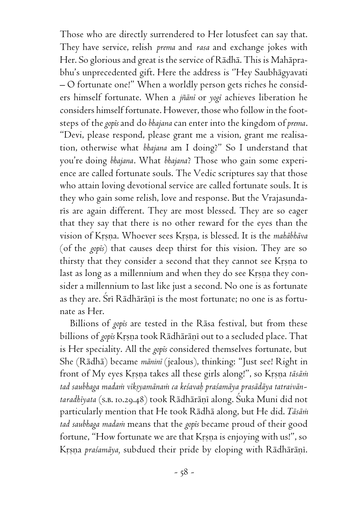Those who are directly surrendered to Her lotusfeet can say that. They have service, relish *prema* and *rasa* and exchange jokes with Her. So glorious and great is the service of Rädhä. This is Mahäprabhu's unprecedented gift. Here the address is ''Hey Saubhägyavati – O fortunate one!" When a worldly person gets riches he considers himself fortunate. When a *jïäné* or *yogé* achieves liberation he considers himself fortunate. However, those who follow in the footsteps of the *gopés* and do *bhajana* can enter into the kingdom of *prema*. "Devi, please respond, please grant me a vision, grant me realisation, otherwise what *bhajana* am I doing?" So I understand that you're doing *bhajana*. What *bhajana*? Those who gain some experience are called fortunate souls. The Vedic scriptures say that those who attain loving devotional service are called fortunate souls. It is they who gain some relish, love and response. But the Vrajasundaris are again different. They are most blessed. They are so eager that they say that there is no other reward for the eyes than the vision of Krsna. Whoever sees Krsna, is blessed. It is the *mahābhāva* (of the *gopés*) that causes deep thirst for this vision. They are so thirsty that they consider a second that they cannot see Krsna to last as long as a millennium and when they do see Krsna they consider a millennium to last like just a second. No one is as fortunate as they are. Srī Rādhārāņī is the most fortunate; no one is as fortunate as Her.

Billions of *gopés* are tested in the Räsa festival, but from these billions of *gopis* Krsna took Rādhārāņī out to a secluded place. That is Her speciality. All the *gopés* considered themselves fortunate, but She (Rädhä) became *mäniné* (jealous), thinking: "Just see! Right in front of My eyes Krsna takes all these girls along!", so Krsna tāsām tad saubhaga mada*n vīksyamānam ca keśavaḥ praśamāya prasādāya tatraivān*taradhiyata (s.*b. 10.29.48)* took Rādhārāņī along. Šuka Muni did not particularly mention that He took Rädhä along, but He did. *Täsäà tad saubhaga madaà* means that the *gopés* became proud of their good fortune, "How fortunate we are that Krsna is enjoying with us!", so Krsna *praśamāya*, subdued their pride by eloping with Rādhārāņī.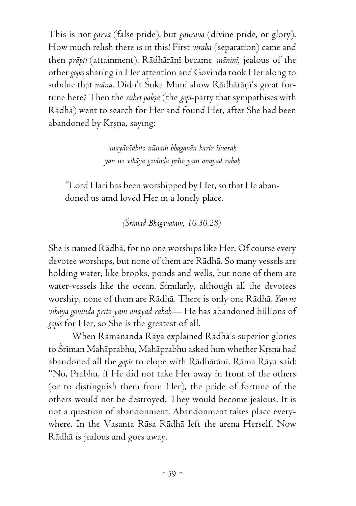This is not *garva* (false pride), but *gaurava* (divine pride, or glory). How much relish there is in this! First *viraha* (separation) came and then *prāpti* (attainment). Rādhārāņī became *māninī*, jealous of the other *gopés* sharing in Her attention and Govinda took Her along to subdue that *māna.* Didn't Suka Muni show Rādhārāņi's great fortune here? Then the *suhrt paksa* (the *gopi*-party that sympathises with Rädhä) went to search for Her and found Her, after She had been abandoned by Krsna, saying:

> *anayärädhito nünaà bhagavän harir éçvaraù yan no vihäya govinda préto yam anayad rahaù*

"Lord Hari has been worshipped by Her, so that He abandoned us amd loved Her in a lonely place.

*(Çrémad Bhägavatam, 10.30.28)*

She is named Rädhä, for no one worships like Her. Of course every devotee worships, but none of them are Rädhä. So many vessels are holding water, like brooks, ponds and wells, but none of them are water-vessels like the ocean. Similarly, although all the devotees worship, none of them are Rädhä. There is only one Rädhä. *Yan no vihäya govinda préto yam anayad rahaù—* He has abandoned billions of *gopés* for Her, so She is the greatest of all.

When Rämänanda Räya explained Rädhä's superior glories to Śrīman Mahāprabhu, Mahāprabhu asked him whether Krsna had abandoned all the *gopis* to elope with Rādhārānī. Rāma Rāya said: "No, Prabhu, if He did not take Her away in front of the others (or to distinguish them from Her), the pride of fortune of the others would not be destroyed. They would become jealous. It is not a question of abandonment. Abandonment takes place everywhere. In the Vasanta Räsa Rädhä left the arena Herself*.* Now Rädhä is jealous and goes away.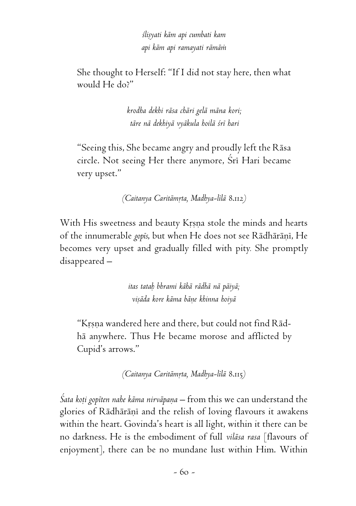*çliñyati käm api cumbati kam api käm api ramayati rämäà*

She thought to Herself: "If I did not stay here, then what would He do?"

> *krodha dekhi räsa chäri gelä mäna kori; täre nä dekhiyä vyäkula hoilä çré hari*

"Seeing this, She became angry and proudly left the Räsa circle. Not seeing Her there anymore, Śrī Hari became very upset."

*(Caitanya Caritämåta, Madhya-lélä* 8.112*)*

With His sweetness and beauty Krsna stole the minds and hearts of the innumerable *gopis*, but when He does not see Rādhārānī, He becomes very upset and gradually filled with pity*.* She promptly disappeared –

> *itas tataù bhrami kähä rädhä nä päiyä; viñäda kore käma bäëe khinna hoiyä*

"Krsna wandered here and there, but could not find Rādhä anywhere. Thus He became morose and afflicted by Cupid's arrows."

*(Caitanya Caritämåta, Madhya-lélä* 8.115*)*

Śata koți gopiten nahe kāma nirvāpaņa – from this we can understand the glories of Rādhārānī and the relish of loving flavours it awakens within the heart. Govinda's heart is all light, within it there can be no darkness. He is the embodiment of full *viläsa rasa* [flavours of enjoyment], there can be no mundane lust within Him. Within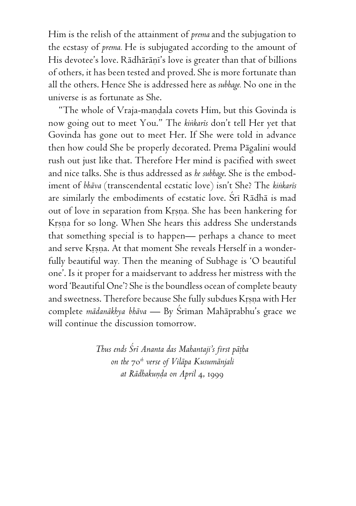Him is the relish of the attainment of *prema* and the subjugation to the ecstasy of *prema.* He is subjugated according to the amount of His devotee's love. Rādhārāņi's love is greater than that of billions of others, it has been tested and proved. She is more fortunate than all the others. Hence She is addressed here as *subhage.* No one in the universe is as fortunate as She.

"The whole of Vraja-mandala covets Him, but this Govinda is now going out to meet You." The *kiìkarés* don't tell Her yet that Govinda has gone out to meet Her. If She were told in advance then how could She be properly decorated. Prema Pägalini would rush out just like that. Therefore Her mind is pacified with sweet and nice talks. She is thus addressed as *he subhage*. She is the embodiment of *bhäva* (transcendental ecstatic love) isn't She? The *kiìkarés* are similarly the embodiments of ecstatic love. Srī Rādhā is mad out of love in separation from Krsna. She has been hankering for Krṣṇa for so long. When She hears this address She understands that something special is to happen— perhaps a chance to meet and serve Krsna. At that moment She reveals Herself in a wonderfully beautiful way*.* Then the meaning of Subhage is 'O beautiful one'. Is it proper for a maidservant to address her mistress with the word 'Beautiful One'? She is the boundless ocean of complete beauty and sweetness. Therefore because She fully subdues Krsna with Her complete *mädanäkhya bhäva* — By Çréman Mahäprabhu's grace we will continue the discussion tomorrow.

> *Thus ends Çré Ananta das Mahantaji's first päöha on the* 70*th verse of Viläpa Kusumänjali at Rādhakunda on April 4, 1999*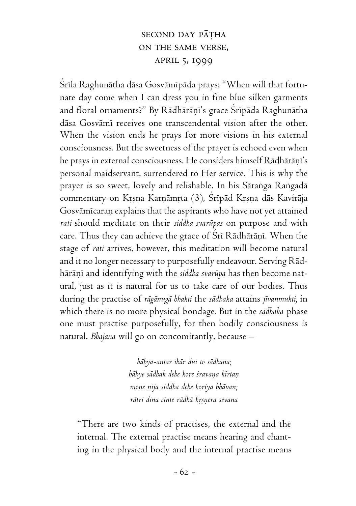# SECOND DAY PĀTHA on the same verse, april 5, 1999

Srīla Raghunātha dāsa Gosvāmīpāda prays: "When will that fortunate day come when I can dress you in fine blue silken garments and floral ornaments?" By Rādhārāņī's grace Srīpāda Raghunātha däsa Gosvämé receives one transcendental vision after the other. When the vision ends he prays for more visions in his external consciousness. But the sweetness of the prayer is echoed even when he prays in external consciousness. He considers himself Rādhārāņi's personal maidservant, surrendered to Her service. This is why the prayer is so sweet, lovely and relishable. In his Sāranga Rangadā commentary on Krsna Karnāmrta (3), Śrīpād Krsna dās Kavirāja Gosvāmīcaran explains that the aspirants who have not yet attained *rati* should meditate on their *siddha svarüpas* on purpose and with care. Thus they can achieve the grace of Sri Rādhārāņi. When the stage of *rati* arrives, however, this meditation will become natural and it no longer necessary to purposefully endeavour. Serving Rädhārāņī and identifying with the siddha svarūpa has then become natural, just as it is natural for us to take care of our bodies. Thus during the practise of *rägänugä bhakti* the *sädhaka* attains *jévanmukti,* in which there is no more physical bondage*.* But in the *sädhaka* phase one must practise purposefully, for then bodily consciousness is natural. *Bhajana* will go on concomitantly, because –

> *bähya-antar ihär dui to sädhana; bähye sädhak dehe kore çravaëa kértaë mone nija siddha dehe koriya bhävan; rätri dina cinte rädhä kåñëera sevana*

"There are two kinds of practises, the external and the internal. The external practise means hearing and chanting in the physical body and the internal practise means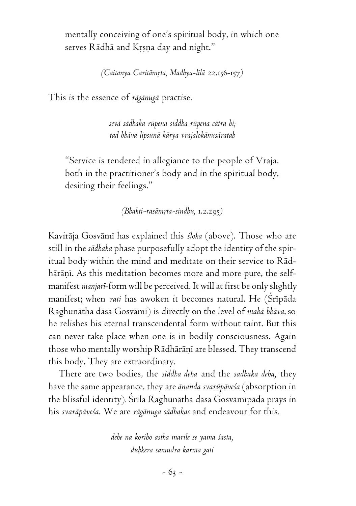mentally conceiving of one's spiritual body, in which one serves Rādhā and Krṣṇa day and night."

*(Caitanya Caritämåta, Madhya-lélä* 22.156-157*)*

This is the essence of *rägänugä* practise.

*sevä sädhaka rüpena siddha rüpena cätra hi; tad bhäva lipsunä kärya vrajalokänusärataù*

"Service is rendered in allegiance to the people of Vraja, both in the practitioner's body and in the spiritual body, desiring their feelings."

*(Bhakti-rasämåta-sindhu,* 1.2.295*)*

Kaviräja Gosvämé has explained this *çloka* (above). Those who are still in the *sädhaka* phase purposefully adopt the identity of the spiritual body within the mind and meditate on their service to Rädhārāņī. As this meditation becomes more and more pure, the selfmanifest *manjaré*-form will be perceived. It will at first be only slightly manifest; when *rati* has awoken it becomes natural. He (Sripāda Raghunätha däsa Gosvämé) is directly on the level of *mahä bhäva*, so he relishes his eternal transcendental form without taint. But this can never take place when one is in bodily consciousness. Again those who mentally worship Rādhārānī are blessed. They transcend this body. They are extraordinary.

There are two bodies, the *siddha deha* and the *sadhaka deha,* they have the same appearance, they are *änanda svarüpäveça* (absorption in the blissful identity). Šrīla Raghunātha dāsa Gosvāmīpāda prays in his *svaräpäveça*. We are *rägänuga sädhakas* and endeavour for this*.*

> *dehe na koriho astha marile se yama çasta, duùkera samudra karma gati*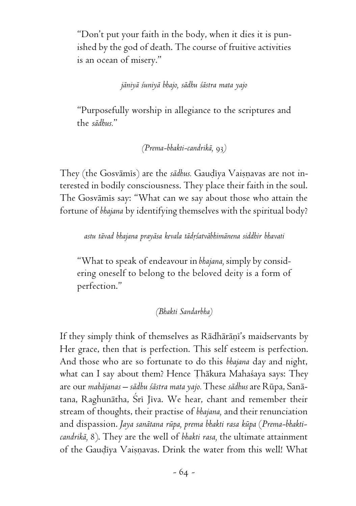"Don't put your faith in the body, when it dies it is punished by the god of death. The course of fruitive activities is an ocean of misery."

*jäniyä çuniyä bhajo, sädhu çästra mata yajo*

"Purposefully worship in allegiance to the scriptures and the *sädhus.*"

*(Prema-bhakti-candrikä,* 93*)*

They (the Gosvāmis) are the *sādhus*. Gaudīya Vaisnavas are not interested in bodily consciousness. They place their faith in the soul. The Gosvāmis say: "What can we say about those who attain the fortune of *bhajana* by identifying themselves with the spiritual body?

*astu tävad bhajana prayäsa kevala tädåçatväbhimänena siddhir bhavati*

"What to speak of endeavour in *bhajana,* simply by considering oneself to belong to the beloved deity is a form of perfection."

*(Bhakti Sandarbha)*

If they simply think of themselves as Rādhārāni's maidservants by Her grace, then that is perfection. This self esteem is perfection. And those who are so fortunate to do this *bhajana* day and night, what can I say about them? Hence Thākura Mahaśaya says: They are our *mahäjanas – sädhu çästra mata yajo.* These *sädhus* are Rüpa, Sanätana, Raghunātha, Śrī Jīva. We hear, chant and remember their stream of thoughts, their practise of *bhajana,* and their renunciation and dispassion. *Jaya sanätana rüpa, prema bhakti rasa küpa* (*Prema-bhakticandrikä,* 8). They are the well of *bhakti rasa,* the ultimate attainment of the Gaudiya Vaisnavas. Drink the water from this well! What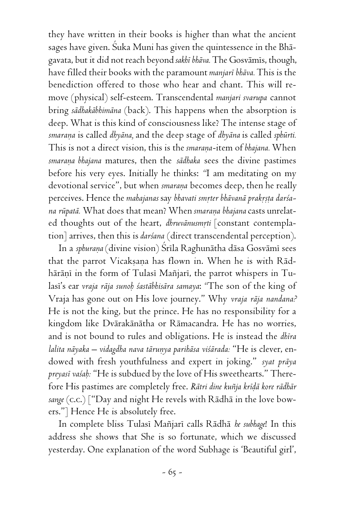they have written in their books is higher than what the ancient sages have given. Çuka Muni has given the quintessence in the Bhägavata, but it did not reach beyond *sakhé bhäva.* The Gosvämés, though, have filled their books with the paramount *manjaré bhäva.* This is the benediction offered to those who hear and chant. This will remove (physical) self-esteem. Transcendental *manjari svarupa* cannot bring *sädhakäbhimäna* (back). This happens when the absorption is deep. What is this kind of consciousness like? The intense stage of *smaraëa* is called *dhyäna,* and the deep stage of *dhyäna* is called *sphürti.* This is not a direct vision, this is the *smarana*-item of *bhajana*. When *smaraëa bhajana* matures, then the *sädhaka* sees the divine pastimes before his very eyes. Initially he thinks: *"*I am meditating on my devotional service", but when *smarana* becomes deep, then he really perceives. Hence the *mahajanas* say bhavati smrter bhāvanā prakrsta darśa*na rüpatä.* What does that mean? When *smaraëa bhajana* casts unrelated thoughts out of the heart, *dhruvānusmrti* [constant contemplation] arrives, then this is *darçana* (direct transcendental perception).

In a *sphurana* (divine vision) Srila Raghunātha dāsa Gosvāmi sees that the parrot Vicaksana has flown in. When he is with Rādhārāņī in the form of Tulasī Mañjarī, the parrot whispers in Tulasi's ear *vraja rāja sunoḥ śastābhisāra samaya*: "The son of the king of Vraja has gone out on His love journey." Why *vraja räja nandana?* He is not the king, but the prince. He has no responsibility for a kingdom like Dvärakänätha or Rämacandra. He has no worries, and is not bound to rules and obligations. He is instead the *dhéra lalita näyaka – vidagdha nava täruëya parihäsa viçärada:* "He is clever, endowed with fresh youthfulness and expert in joking." *syat präya preyasé vaçaù:* "He is subdued by the love of His sweethearts." Therefore His pastimes are completely free. *Rätri dine kuïja kréòä kore rädhär sange* (c.c.) ["Day and night He revels with Rädhä in the love bowers."] Hence He is absolutely free.

In complete bliss Tulasé Maïjaré calls Rädhä *he subhage*! In this address she shows that She is so fortunate, which we discussed yesterday. One explanation of the word Subhage is 'Beautiful girl',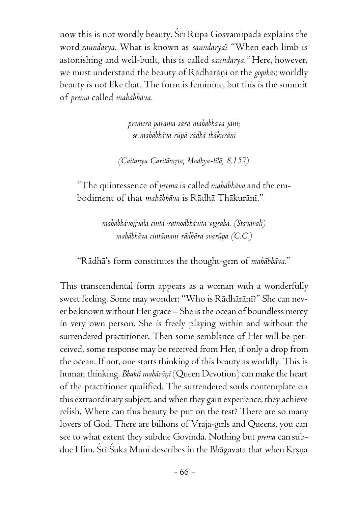now this is not wordly beauty. Srī Rūpa Gosvāmīpāda explains the word *saundarya*. What is known as *saundarya*? "When each limb is astonishing and well-built, this is called *saundarya."* Here, however, we must understand the beauty of Rādhārāņī or the *gopikās*; worldly beauty is not like that. The form is feminine, but this is the summit of *prema* called *mahäbhäva.*

> *premera parama sära mahäbhäva jäni; se mahäbhäva rüpä rädhä öhäkuräëé*

*(Caitanya Caritämåta, Madhya-lélä, 8.157)*

"The quintessence of *prema* is called *mahäbhäva* and the embodiment of that *mahābhāva* is Rādhā Thākurānī."

> *mahäbhävojjvala cintä-ratnodbhävita vigrahä. (Stavävali) mahäbhäva cintämaëi rädhära svarüpa (C.C.)*

"Rädhä's form constitutes the thought-gem of *mahäbhäva.*"

This transcendental form appears as a woman with a wonderfully sweet feeling. Some may wonder: "Who is Rādhārāṇī?" She can never be known without Her grace – She is the ocean of boundless mercy in very own person. She is freely playing within and without the surrendered practitioner. Then some semblance of Her will be perceived, some response may be received from Her, if only a drop from the ocean. If not, one starts thinking of this beauty as worldly. This is human thinking. *Bhakti mahārānī* (Queen Devotion) can make the heart of the practitioner qualified. The surrendered souls contemplate on this extraordinary subject, and when they gain experience, they achieve relish. Where can this beauty be put on the test? There are so many lovers of God. There are billions of Vraja-girls and Queens, you can see to what extent they subdue Govinda. Nothing but *prema* can subdue Him. Šrī Šuka Muni describes in the Bhāgavata that when Krsna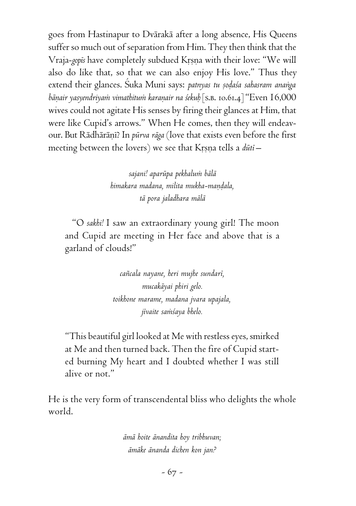goes from Hastinapur to Dvärakä after a long absence, His Queens suffer so much out of separation from Him. They then think that the Vraja-*gopis* have completely subdued Krsna with their love: "We will also do like that, so that we can also enjoy His love." Thus they extend their glances. Suka Muni says: patnyas tu sodaśa sahasram ananga *bäëair yasyendriyaà vimathituà karaëair na çekuù* [s.b. 10.61.4] "Even 16,000 wives could not agitate His senses by firing their glances at Him, that were like Cupid's arrows." When He comes, then they will endeavour. But Rādhārānī? In *pūrva rāga* (love that exists even before the first meeting between the lovers) we see that Krsna tells a *dūti* –

> *sajani! aparüpa pekhaluà bälä himakara madana, milita mukha-maëòala, tä pora jaladhara mälä*

"O *sakhi!* I saw an extraordinary young girl! The moon and Cupid are meeting in Her face and above that is a garland of clouds!"

> *caïcala nayane, heri mujhe sundaré, mucakäyai phiri gelo. toikhone marame, madana jvara upajala, jévaite saàçaya bhelo.*

"This beautiful girl looked at Me with restless eyes, smirked at Me and then turned back. Then the fire of Cupid started burning My heart and I doubted whether I was still alive or not."

He is the very form of transcendental bliss who delights the whole world.

> *ämä hoite änandita hoy tribhuvan; ämäke änanda dichen kon jan?*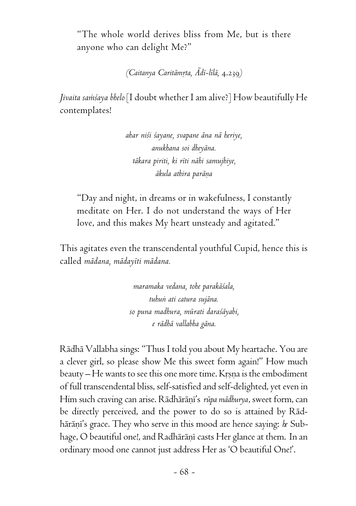"The whole world derives bliss from Me, but is there anyone who can delight Me?"

*(Caitanya Caritämåta, Ädé-lélä,* 4.239*)*

*Jivaita samsaya bhelo* [I doubt whether I am alive?] How beautifully He contemplates!

> *ahar niçi çayane, svapane äna nä heriye, anukhana soi dheyäna. täkara piriti, ki réti nähi samujhiye,*  $\bar{a}$ kula athira parāna

"Day and night, in dreams or in wakefulness, I constantly meditate on Her. I do not understand the ways of Her love, and this makes My heart unsteady and agitated."

This agitates even the transcendental youthful Cupid, hence this is called *mädana, mädayéti mädana.*

> *maramaka vedana, tohe parakäçala, tuhuì ati catura sujäna. so puna madhura, mürati daraçäyabi, e rädhä vallabha gäna.*

Rädhä Vallabha sings: "Thus I told you about My heartache. You are a clever girl, so please show Me this sweet form again!" How much beauty – He wants to see this one more time. Krsna is the embodiment of full transcendental bliss, self-satisfied and self-delighted, yet even in Him such craving can arise. Rādhārānī's *rūpa mādhurya*, sweet form, can be directly perceived, and the power to do so is attained by Rädhārāņī's grace. They who serve in this mood are hence saying: *he* Subhage, O beautiful one!, and Radhārānī casts Her glance at them. In an ordinary mood one cannot just address Her as 'O beautiful One!'.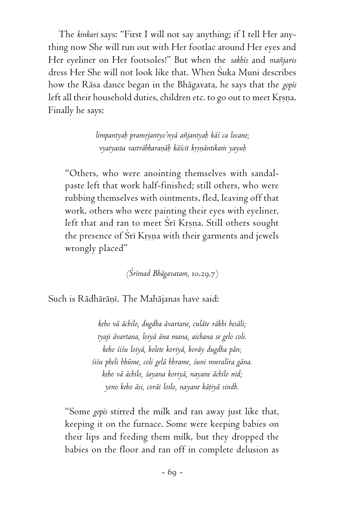The *kinkari* says: "First I will not say anything; if I tell Her anything now She will run out with Her footlac around Her eyes and Her eyeliner on Her footsoles!" But when the *sakhés* and *maïjaris* dress Her She will not look like that. When Çuka Muni describes how the Räsa dance began in the Bhägavata, he says that the *gopés* left all their household duties, children etc. to go out to meet Krsna. Finally he says:

> *limpantyaù pramåjantyo'nyä aïjantyaù käç ca locane; vyatyasta vasträbharaëäù käçcit kåñëäntikaà yayuù*

"Others, who were anointing themselves with sandalpaste left that work half-finished; still others, who were rubbing themselves with ointments, fled, leaving off that work, others who were painting their eyes with eyeliner, left that and ran to meet Śrī Krsna. Still others sought the presence of Śrī Krsņa with their garments and jewels wrongly placed"

*(Çrémad Bhägavatam,* 10.29.7)

Such is Rādhārāņī. The Mahājanas have said:

*keho vä ächilo, dugdha ävartane, culäte räkhi besäli; tyaji ävartana, loiyä äna mana, aichana se gelo coli. keho çiçu loiyä, kolete koriyä, koräy dugdha pän; çiçu pheli bhüme, coli gelä bhrame, çuni muraléra gäna. keho vä ächilo, çayana koriyä, nayane ächilo nid; yeno keho äsi, coräi loilo, nayane käöiyä sindh.*

"Some *gopés* stirred the milk and ran away just like that, keeping it on the furnace. Some were keeping babies on their lips and feeding them milk, but they dropped the babies on the floor and ran off in complete delusion as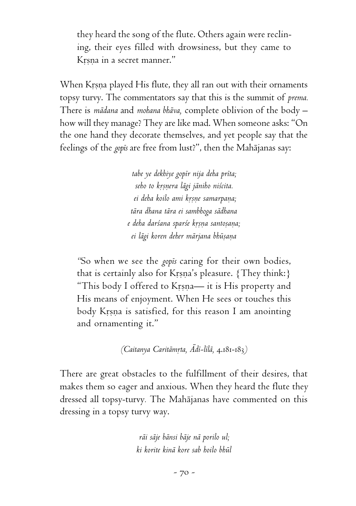they heard the song of the flute. Others again were reclining, their eyes filled with drowsiness, but they came to Krsna in a secret manner."

When Krsna played His flute, they all ran out with their ornaments topsy turvy. The commentators say that this is the summit of *prema.* There is *mädana* and *mohana bhäva,* complete oblivion of the body – how will they manage? They are like mad. When someone asks: "On the one hand they decorate themselves, and yet people say that the feelings of the *gopés* are free from lust?", then the Mahäjanas say:

> *tabe ye dekhiye gopér nija deha préta; seho to kåñëera lägi jäniho niçcita. ei deha koilo ami kåñëe samarpaëa; tära dhana tära ei sambhoga sädhana e deha darçana sparçe kåñëa santoñaëa; ei lägi koren deher märjana bhüñaëa*

*"*So when we see the *gopés* caring for their own bodies, that is certainly also for Krsna's pleasure. {They think:} "This body I offered to Krsna— it is His property and His means of enjoyment. When He sees or touches this body Krsna is satisfied, for this reason I am anointing and ornamenting it."

*(Caitanya Caritämåta, Ädé-lélä,* 4.181-183*)*

There are great obstacles to the fulfillment of their desires, that makes them so eager and anxious. When they heard the flute they dressed all topsy-turvy*.* The Mahäjanas have commented on this dressing in a topsy turvy way.

> *räi säje bänsi bäje nä porilo ul; ki korite kinä kore sab hoilo bhül*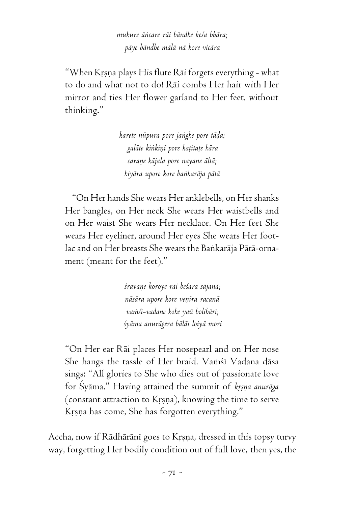*mukure äìcare räi bändhe keça bhära; päye bändhe mälä nä kore vicära*

"When Krṣṇa plays His flute Rāi forgets everything - what to do and what not to do! Räi combs Her hair with Her mirror and ties Her flower garland to Her feet, without thinking."

> *karete nüpura pore jaìghe pore täòa; galäte kiìkiëé pore kaöitaöe hära caraëe käjala pore nayane ältä; hiyära upore kore baìkaräja pätä*

"On Her hands She wears Her anklebells, on Her shanks Her bangles, on Her neck She wears Her waistbells and on Her waist She wears Her necklace. On Her feet She wears Her eyeliner, around Her eyes She wears Her footlac and on Her breasts She wears the Bankarāja Pātā-ornament (meant for the feet)."

> *çravaëe koroye räi beçara säjanä; näsära upore kore veëéra racanä vaàçé-vadane kohe yaü bolihäré; çyäma anurägera bäläi loiyä mori*

"On Her ear Räi places Her nosepearl and on Her nose She hangs the tassle of Her braid. Vamsi Vadana däsa sings: "All glories to She who dies out of passionate love for Syama." Having attained the summit of *krsna anuraga* (constant attraction to Krsna), knowing the time to serve Krsna has come, She has forgotten everything."

Accha, now if Rādhārāņī goes to Krsna, dressed in this topsy turvy way, forgetting Her bodily condition out of full love, then yes, the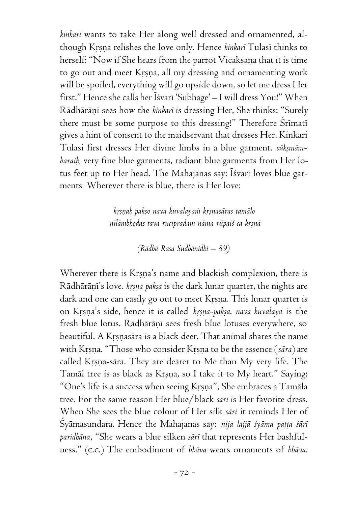*kinkaré* wants to take Her along well dressed and ornamented, although Krsna relishes the love only. Hence *kinkari* Tulasi thinks to herself: "Now if She hears from the parrot Vicakṣaṇa that it is time to go out and meet Krsna, all my dressing and ornamenting work will be spoiled, everything will go upside down, so let me dress Her first." Hence she calls her Īśvarī 'Subhage' – I will dress You!" When Rādhārāņī sees how the *kinkarī* is dressing Her, She thinks: "Surely there must be some purpose to this dressing!" Therefore Srimati gives a hint of consent to the maidservant that dresses Her. Kinkari Tulasi first dresses Her divine limbs in a blue garment. sūksmām*baraiù,* very fine blue garments, radiant blue garments from Her lotus feet up to Her head. The Mahājanas say: Īśvarī loves blue garments*.* Wherever there is blue, there is Her love:

> *kåñëaù pakño nava kuvalayaà kåñëasäras tamälo* nīlāmbhodas tava rucipradam nāma rūpai*ś* ca krsnā

> > *(Rädhä Rasa Sudhänidhi – 89)*

Wherever there is Krsna's name and blackish complexion, there is Rādhārāņī's love. *kṛṣṇa pakṣa* is the dark lunar quarter, the nights are dark and one can easily go out to meet Krsna. This lunar quarter is on Kåñëa's side, hence it is called *kåñëa-pakña*. *nava kuvalaya* is the fresh blue lotus. Rādhārāņī sees fresh blue lotuses everywhere, so beautiful. A Krsnasära is a black deer. That animal shares the name with Krsna. "Those who consider Krsna to be the essence (*sāra*) are called Krsna-sära. They are dearer to Me than My very life. The Tamāl tree is as black as Krsna, so I take it to My heart." Saying: "One's life is a success when seeing Krsna", She embraces a Tamāla tree. For the same reason Her blue/black *säré* is Her favorite dress. When She sees the blue colour of Her silk *säré* it reminds Her of Śyāmasundara. Hence the Mahajanas say: *nija lajjā śyāma pațța śārī paridhäna*, "She wears a blue silken *säré* that represents Her bashfulness." (c.c.) The embodiment of *bhäva* wears ornaments of *bhäva*.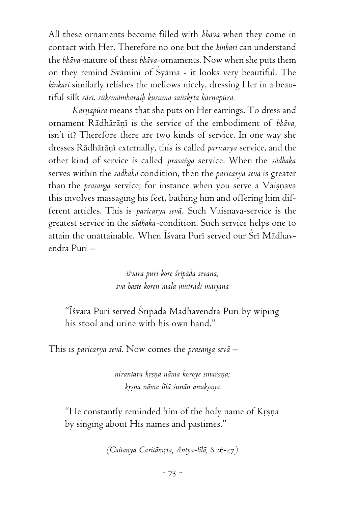All these ornaments become filled with *bhäva* when they come in contact with Her. Therefore no one but the *kinkari* can understand the *bhäva-*nature of these *bhäva-*ornaments. Now when she puts them on they remind Svāmini of Syāma - it looks very beautiful. The *kinkari* similarly relishes the mellows nicely, dressing Her in a beautiful silk *sārī. sūkṣmāmbaraiḥ kusuma saṅskrta karṇapūra*.

*Karnapūra* means that she puts on Her earrings. To dress and ornament Rādhārāņi is the service of the embodiment of *bhāva*, isn't it? Therefore there are two kinds of service. In one way she dresses Rādhārānī externally, this is called *paricarya* service, and the other kind of service is called *prasaìga* service. When the *sädhaka* serves within the *sädhaka* condition, then the *paricarya sevä* is greater than the *prasanga* service; for instance when you serve a Vaisnava this involves massaging his feet, bathing him and offering him different articles. This is *paricarya sevā*. Such Vaisnava-service is the greatest service in the *sädhaka-*condition. Such service helps one to attain the unattainable. When Īśvara Purī served our Śrī Mādhavendra Puri –

> *éçvara puri kore çrépäda sevana; sva haste koren mala müträdi märjana*

"Éçvara Puri served Çrépäda Mädhavendra Puri by wiping his stool and urine with his own hand."

This is *paricarya sevä.* Now comes the *prasanga sevä –*

*nirantara kåñëa näma koroye smaraëa; kåñëa näma lélä çunän anukñaëa*

"He constantly reminded him of the holy name of Krsna by singing about His names and pastimes."

*(Caitanya Caritämåta, Antya-lélä,* 8.26-27*)*

*-* 73 *-*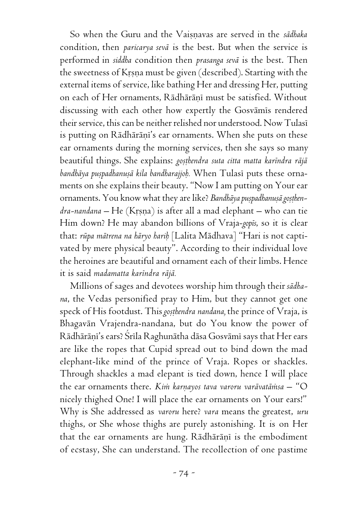So when the Guru and the Vaiñëavas are served in the *sädhaka* condition, then *paricarya sevä* is the best. But when the service is performed in *siddha* condition then *prasanga sevä* is the best. Then the sweetness of Krsna must be given (described). Starting with the external items of service, like bathing Her and dressing Her, putting on each of Her ornaments, Rādhārāņī must be satisfied. Without discussing with each other how expertly the Gosvāmis rendered their service, this can be neither relished nor understood. Now Tulasé is putting on Rādhārāni's ear ornaments. When she puts on these ear ornaments during the morning services, then she says so many beautiful things. She explains: *goșthendra suta citta matta karindra rājā* bandhāya puspadhanusā kila bandharajjoh. When Tulasī puts these ornaments on she explains their beauty. "Now I am putting on Your ear ornaments. You know what they are like? Bandhāya puspadhanusā gosthen*dra-nandana* – He (Krsna) is after all a mad elephant – who can tie Him down? He may abandon billions of Vraja-*gopés*, so it is clear that: *rüpa mätrena na häryo hariù* [Lalita Mädhava] "Hari is not captivated by mere physical beauty". According to their individual love the heroines are beautiful and ornament each of their limbs. Hence it is said *madamatta karéndra räjä.*

Millions of sages and devotees worship him through their *sädhana*, the Vedas personified pray to Him, but they cannot get one speck of His footdust. This *gosthendra nandana*, the prince of Vraja, is Bhagavän Vrajendra-nandana, but do You know the power of Rādhārāņī's ears? Srīla Raghunātha dāsa Gosvāmī says that Her ears are like the ropes that Cupid spread out to bind down the mad elephant-like mind of the prince of Vraja. Ropes or shackles. Through shackles a mad elepant is tied down, hence I will place the ear ornaments there. *Kim karnayos tava varoru varāvatāmsa* – "O nicely thighed One! I will place the ear ornaments on Your ears!" Why is She addressed as *varoru* here? *vara* means the greatest, *uru* thighs, or She whose thighs are purely astonishing. It is on Her that the ear ornaments are hung. Rādhārāņi is the embodiment of ecstasy, She can understand. The recollection of one pastime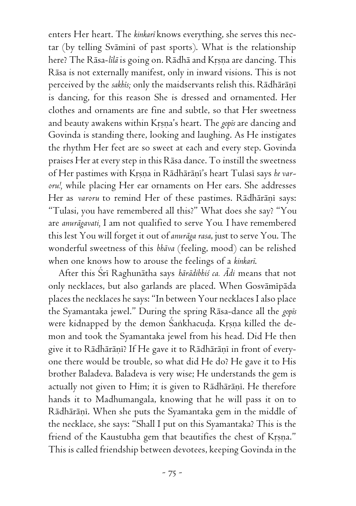enters Her heart. The *kinkaré* knows everything, she serves this nectar (by telling Svāmini of past sports). What is the relationship here? The Rāsa-*līlā* is going on. Rādhā and Krṣṇa are dancing. This Räsa is not externally manifest, only in inward visions. This is not perceived by the *sakhis*; only the maidservants relish this. Rādhārāņī is dancing, for this reason She is dressed and ornamented. Her clothes and ornaments are fine and subtle, so that Her sweetness and beauty awakens within Krsna's heart. The *gopis* are dancing and Govinda is standing there, looking and laughing. As He instigates the rhythm Her feet are so sweet at each and every step. Govinda praises Her at every step in this Räsa dance. To instill the sweetness of Her pastimes with Krsna in Rādhārāni's heart Tulasī says *he varoru!,* while placing Her ear ornaments on Her ears. She addresses Her as *varoru* to remind Her of these pastimes. Rādhārāņī says: "Tulasi, you have remembered all this?" What does she say? "You are *anurägavati,* I am not qualified to serve You*.* I have remembered this lest You will forget it out of *anuräga rasa*, just to serve You. The wonderful sweetness of this *bhäva* (feeling, mood) can be relished when one knows how to arouse the feelings of a *kinkaré*.

After this Çré Raghunätha says *härädibhiç ca. Ädi* means that not only necklaces, but also garlands are placed. When Gosvāmīpāda places the necklaces he says: "In between Your necklaces I also place the Syamantaka jewel." During the spring Räsa-dance all the *gopés* were kidnapped by the demon Śankhacuda. Krsna killed the demon and took the Syamantaka jewel from his head. Did He then give it to Rādhārānī? If He gave it to Rādhārānī in front of everyone there would be trouble, so what did He do? He gave it to His brother Baladeva. Baladeva is very wise; He understands the gem is actually not given to Him; it is given to Rādhārānī. He therefore hands it to Madhumangala, knowing that he will pass it on to Rādhārāņī. When she puts the Syamantaka gem in the middle of the necklace, she says: "Shall I put on this Syamantaka? This is the friend of the Kaustubha gem that beautifies the chest of Krsna." This is called friendship between devotees, keeping Govinda in the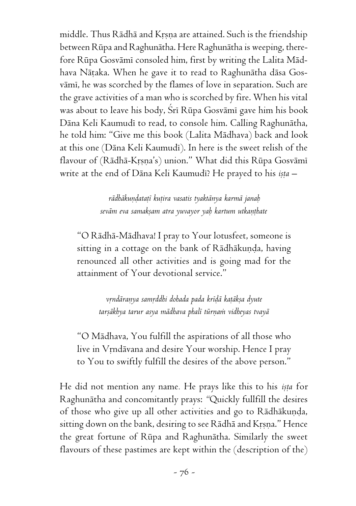middle. Thus Rādhā and Krsņa are attained. Such is the friendship between Rüpa and Raghunätha. Here Raghunätha is weeping, therefore Rūpa Gosvāmī consoled him, first by writing the Lalita Mādhava Nāṭaka. When he gave it to read to Raghunātha dāsa Gosvāmī, he was scorched by the flames of love in separation. Such are the grave activities of a man who is scorched by fire. When his vital was about to leave his body, Srī Rūpa Gosvāmī gave him his book Däna Keli Kaumudé to read, to console him. Calling Raghunätha, he told him: "Give me this book (Lalita Mädhava) back and look at this one (Dāna Keli Kaumudī). In here is the sweet relish of the flavour of (Rādhā-Krṣṇa's) union." What did this Rūpa Gosvāmī write at the end of Dāna Keli Kaumudī? He prayed to his *ista* –

> *rädhäkuëòataöé kuöira vasatis tyaktänya karmä janaù seväm eva samakñam atra yuvayor yaù kartum utkaëöhate*

"O Rädhä-Mädhava! I pray to Your lotusfeet, someone is sitting in a cottage on the bank of Rādhākuṇḍa, having renounced all other activities and is going mad for the attainment of Your devotional service."

> *våndäraëya samåddhi dohada pada kréòä kaöäkña dyute tarñäkhya tarur asya mädhava phalé türëaà vidheyas tvayä*

"O Mädhava, You fulfill the aspirations of all those who live in Vrndävana and desire Your worship. Hence I pray to You to swiftly fulfill the desires of the above person."

He did not mention any name. He prays like this to his *ista* for Raghunätha and concomitantly prays: *"*Quickly fullfill the desires of those who give up all other activities and go to Rādhākuņda, sitting down on the bank, desiring to see Rādhā and Krsna." Hence the great fortune of Rüpa and Raghunätha. Similarly the sweet flavours of these pastimes are kept within the (description of the)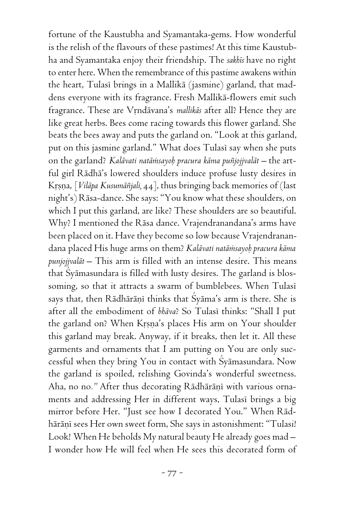fortune of the Kaustubha and Syamantaka-gems. How wonderful is the relish of the flavours of these pastimes! At this time Kaustubha and Syamantaka enjoy their friendship. The *sakhés* have no right to enter here. When the remembrance of this pastime awakens within the heart, Tulasī brings in a Mallikā (jasmine) garland, that maddens everyone with its fragrance. Fresh Mallikä-flowers emit such fragrance. These are Vrndāvana's *mallikās* after all? Hence they are like great herbs. Bees come racing towards this flower garland. She beats the bees away and puts the garland on. "Look at this garland, put on this jasmine garland." What does Tulasi say when she puts on the garland? *Kalāvati natāmsayob pracura kāma puñjojjvalāt* – the artful girl Rädhä's lowered shoulders induce profuse lusty desires in Krsna, *[Vilāpa Kusumāñjali, 44]*, thus bringing back memories of (last night's) Räsa-dance. She says: "You know what these shoulders, on which I put this garland, are like? These shoulders are so beautiful. Why? I mentioned the Räsa dance. Vrajendranandana's arms have been placed on it. Have they become so low because Vrajendranandana placed His huge arms on them? *Kalävati natäàsayoù pracura käma punjojjvalät –* This arm is filled with an intense desire. This means that Çyämasundara is filled with lusty desires. The garland is blossoming, so that it attracts a swarm of bumblebees. When Tulasi says that, then Rādhārāņī thinks that Śyāma's arm is there. She is after all the embodiment of *bhäva*? So Tulasé thinks: "Shall I put the garland on? When Krsna's places His arm on Your shoulder this garland may break. Anyway, if it breaks, then let it. All these garments and ornaments that I am putting on You are only successful when they bring You in contact with Çyämasundara. Now the garland is spoiled, relishing Govinda's wonderful sweetness. Aha, no no." After thus decorating Rādhārānī with various ornaments and addressing Her in different ways, Tulasi brings a big mirror before Her. "Just see how I decorated You." When Rädhārāņī sees Her own sweet form, She says in astonishment: "Tulasi! Look! When He beholds My natural beauty He already goes mad – I wonder how He will feel when He sees this decorated form of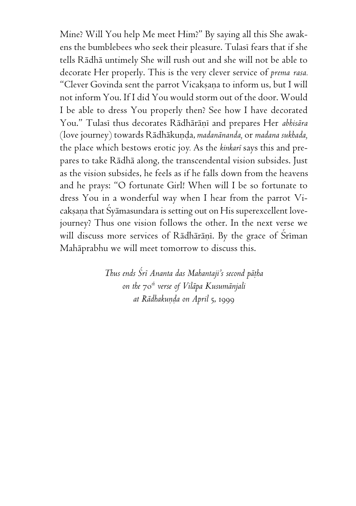Mine? Will You help Me meet Him?" By saying all this She awakens the bumblebees who seek their pleasure. Tulasi fears that if she tells Rädhä untimely She will rush out and she will not be able to decorate Her properly. This is the very clever service of *prema rasa.* "Clever Govinda sent the parrot Vicakṣaṇa to inform us, but I will not inform You. If I did You would storm out of the door. Would I be able to dress You properly then? See how I have decorated You." Tulasi thus decorates Rādhārāņi and prepares Her *abhisāra* (love journey) towards Rädhäkuëòa, *madanänanda,* or *madana sukhada,* the place which bestows erotic joy*.* As the *kinkaré* says this and prepares to take Rädhä along, the transcendental vision subsides. Just as the vision subsides, he feels as if he falls down from the heavens and he prays: "O fortunate Girl! When will I be so fortunate to dress You in a wonderful way when I hear from the parrot Vicaksana that Syamasundara is setting out on His superexcellent lovejourney? Thus one vision follows the other. In the next verse we will discuss more services of Rādhārānī. By the grace of Srīman Mahäprabhu we will meet tomorrow to discuss this.

> *Thus ends Çré Ananta das Mahantaji's second päöha on the* 70*th verse of Viläpa Kusumänjali at Rädhakuëòa on April* 5, 1999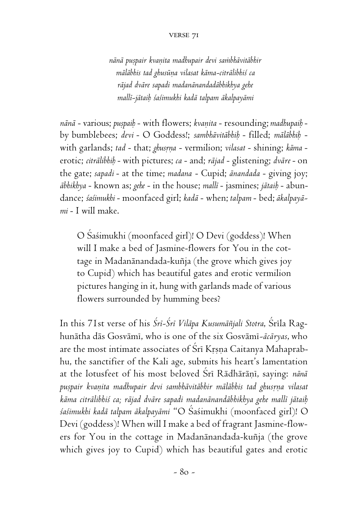*nänä puñpair kvaëita madhupair devi saàbhävitäbhir mäläbhis tad ghusüëa vilasat käma-citrälibhiç ca räjad dväre sapadi madanänandadäbhikhya gehe mallé-jätaiù çaçimukhi kadä talpam äkalpayämi*

*nänä* - various; *puñpaiù* - with flowers; *kvaëita* - resounding; *madhupaiù* by bumblebees; *devi* - O Goddess!; *sambhävitäbhiù* - filled; *mäläbhiù* with garlands; tad - that; *ghusrna* - vermilion; *vilasat* - shining; *kāma* erotic; *citrälibhiù* - with pictures; *ca* - and; *räjad* - glistening; *dväre* - on the gate; *sapadi* - at the time; *madana* - Cupid; *änandada* - giving joy; *äbhikhya* - known as; *gehe* - in the house; *mallé* - jasmines; *jätaiù* - abundance; *çaçimukhi* - moonfaced girl; *kadä* - when; *talpam* - bed; *äkalpayämi* - I will make.

O Çaçimukhi (moonfaced girl)! O Devi (goddess)! When will I make a bed of Jasmine-flowers for You in the cottage in Madanānandada-kuñja (the grove which gives joy to Cupid) which has beautiful gates and erotic vermilion pictures hanging in it, hung with garlands made of various flowers surrounded by humming bees?

In this 71st verse of his *Śrī-Śrī Vilāpa Kusumāñjali Stotra*, Śrīla Raghunätha däs Gosvämé, who is one of the six Gosvämé*-äcäryas*, who are the most intimate associates of Sri Krsna Caitanya Mahaprabhu, the sanctifier of the Kali age, submits his heart's lamentation at the lotusfeet of his most beloved Srī Rādhārānī, saying: *nānā puñpair kvaëita madhupair devi sambhävitäbhir mäläbhis tad ghusåëa vilasat käma citrälibhiç ca; räjad dväre sapadi madanänandäbhikhya gehe mallé jätaiù çaçimukhi kadä talpam äkalpayämi* "O Çaçimukhi (moonfaced girl)! O Devi (goddess)! When will I make a bed of fragrant Jasmine-flowers for You in the cottage in Madanānandada-kuñja (the grove which gives joy to Cupid) which has beautiful gates and erotic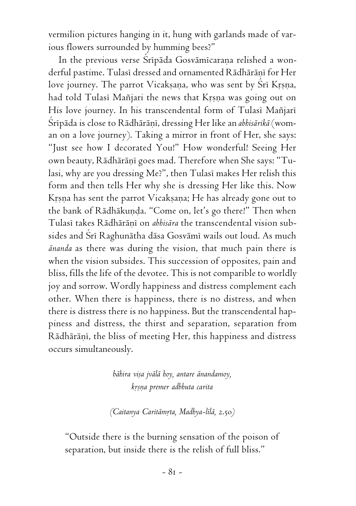vermilion pictures hanging in it, hung with garlands made of various flowers surrounded by humming bees?"

In the previous verse Sripāda Gosvāmicaraņa relished a wonderful pastime. Tulasi dressed and ornamented Rādhārāņi for Her love journey. The parrot Vicakṣaṇa, who was sent by Srī Kṛṣṇa, had told Tulasi Mañjari the news that Krsna was going out on His love journey. In his transcendental form of Tulasi Mañjari Śrīpāda is close to Rādhārāņī, dressing Her like an *abhisārikā* (woman on a love journey). Taking a mirror in front of Her, she says: "Just see how I decorated You!" How wonderful! Seeing Her own beauty, Rādhārāņī goes mad. Therefore when She says: "Tulasi, why are you dressing Me?", then Tulasi makes Her relish this form and then tells Her why she is dressing Her like this. Now Krsna has sent the parrot Vicaksana; He has already gone out to the bank of Rādhākunda. "Come on, let's go there!" Then when Tulasī takes Rādhārāņī on *abhisāra* the transcendental vision subsides and Çré Raghunätha däsa Gosvämé wails out loud. As much *änanda* as there was during the vision, that much pain there is when the vision subsides. This succession of opposites, pain and bliss, fills the life of the devotee. This is not comparible to worldly joy and sorrow. Wordly happiness and distress complement each other. When there is happiness, there is no distress, and when there is distress there is no happiness. But the transcendental happiness and distress, the thirst and separation, separation from Rādhārāņī, the bliss of meeting Her, this happiness and distress occurs simultaneously.

> *bähira viña jvälä hoy, antare änandamoy, kåñëa premer adbhuta carita*

*(Caitanya Caritämåta, Madhya-lélä,* 2.50*)*

"Outside there is the burning sensation of the poison of separation, but inside there is the relish of full bliss."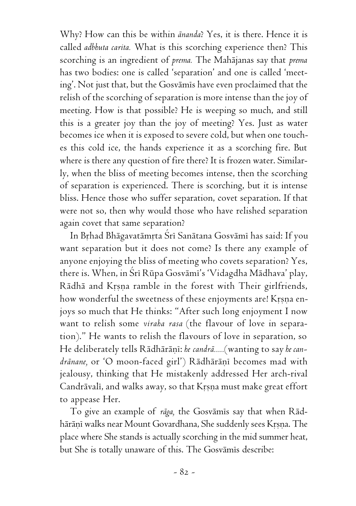Why? How can this be within *änanda*? Yes, it is there. Hence it is called *adbhuta carita.* What is this scorching experience then? This scorching is an ingredient of *prema.* The Mahäjanas say that *prema* has two bodies: one is called 'separation' and one is called 'meeting'. Not just that, but the Gosvāmis have even proclaimed that the relish of the scorching of separation is more intense than the joy of meeting. How is that possible? He is weeping so much, and still this is a greater joy than the joy of meeting? Yes. Just as water becomes ice when it is exposed to severe cold, but when one touches this cold ice, the hands experience it as a scorching fire. But where is there any question of fire there? It is frozen water. Similarly, when the bliss of meeting becomes intense, then the scorching of separation is experienced. There is scorching, but it is intense bliss. Hence those who suffer separation, covet separation. If that were not so, then why would those who have relished separation again covet that same separation?

In Bṛhad Bhāgavatāmṛta Śrī Sanātana Gosvāmī has said: If you want separation but it does not come? Is there any example of anyone enjoying the bliss of meeting who covets separation? Yes, there is. When, in Śrī Rūpa Gosvāmī's 'Vidagdha Mādhava' play, Rādhā and Krsņa ramble in the forest with Their girlfriends, how wonderful the sweetness of these enjoyments are! Krsna enjoys so much that He thinks: "After such long enjoyment I now want to relish some *viraha rasa* (the flavour of love in separation)." He wants to relish the flavours of love in separation, so He deliberately tells Rādhārānī: *he candrā.....* (wanting to say *he can*drānane, or 'O moon-faced girl') Rādhārānī becomes mad with jealousy, thinking that He mistakenly addressed Her arch-rival Candrāvalī, and walks away, so that Krsna must make great effort to appease Her.

To give an example of *räga,* the Gosvämés say that when Rädhārāņī walks near Mount Govardhana, She suddenly sees Krsna. The place where She stands is actually scorching in the mid summer heat, but She is totally unaware of this. The Gosvāmis describe: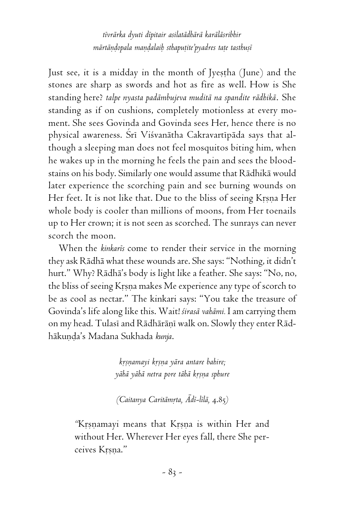*tévrärka dyuti dépitair asilatädhärä karäläsribhir mārtāndopala mandalaih sthaputite'pyadres tate tasthuṣī* 

Just see, it is a midday in the month of Jyestha (June) and the stones are sharp as swords and hot as fire as well. How is She standing here? *talpe nyasta padämbujeva muditä na spandite rädhikä*. She standing as if on cushions, completely motionless at every moment. She sees Govinda and Govinda sees Her, hence there is no physical awareness. Śrī Viśvanātha Cakravartīpāda says that although a sleeping man does not feel mosquitos biting him, when he wakes up in the morning he feels the pain and sees the bloodstains on his body. Similarly one would assume that Rädhikä would later experience the scorching pain and see burning wounds on Her feet. It is not like that. Due to the bliss of seeing Krsna Her whole body is cooler than millions of moons, from Her toenails up to Her crown; it is not seen as scorched. The sunrays can never scorch the moon.

When the *kinkarés* come to render their service in the morning they ask Rädhä what these wounds are. She says: "Nothing, it didn't hurt." Why? Rädhä's body is light like a feather. She says: "No, no, the bliss of seeing Krsna makes Me experience any type of scorch to be as cool as nectar." The kinkari says: "You take the treasure of Govinda's life along like this. Wait! *çirasä vahämi.* I am carrying them on my head. Tulasi and Rādhārāņi walk on. Slowly they enter Rādhākuņda's Madana Sukhada kunja.

> *kåñëamayi kåñëa yära antare bahire; yähä yähä netra pore tähä kåñëa sphure*

*(Caitanya Caritämåta, Ädé-lélä,* 4.85*)*

*"*Kåñëamayi means that Kåñëa is within Her and without Her. Wherever Her eyes fall, there She perceives Krsna."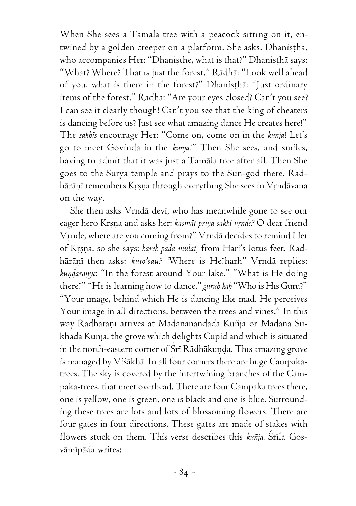When She sees a Tamäla tree with a peacock sitting on it, entwined by a golden creeper on a platform, She asks. Dhaniṣṭhā, who accompanies Her: "Dhanisthe, what is that?" Dhanistha says: "What? Where? That is just the forest." Rädhä: "Look well ahead of you, what is there in the forest?" Dhanistha: "Just ordinary items of the forest." Rädhä: "Are your eyes closed? Can't you see? I can see it clearly though! Can't you see that the king of cheaters is dancing before us? Just see what amazing dance He creates here!" The *sakhés* encourage Her: "Come on, come on in the *kunja*! Let's go to meet Govinda in the *kunja*!" Then She sees, and smiles, having to admit that it was just a Tamäla tree after all. Then She goes to the Sürya temple and prays to the Sun-god there. Rädhārāņī remembers Krsņa through everything She sees in Vrndāvana on the way.

She then asks Vrndā devī, who has meanwhile gone to see our eager hero Krsna and asks her: *kasmāt priya sakhi vrnde?* O dear friend Vrnde, where are you coming from?" Vrndā decides to remind Her of Krsna, so she says: *hareh pāda mūlāt*, from Hari's lotus feet. Rādhārānī then asks: *kuto'sau?* 'Where is He?harh'' Vrndā replies: kundaranye: "In the forest around Your lake." "What is He doing there?" "He is learning how to dance." *guruù kaù* "Who is His Guru?" "Your image, behind which He is dancing like mad. He perceives Your image in all directions, between the trees and vines." In this way Rādhārāņī arrives at Madanānandada Kuñja or Madana Sukhada Kunja, the grove which delights Cupid and which is situated in the north-eastern corner of Śrī Rādhākunda. This amazing grove is managed by Viçäkhä. In all four corners there are huge Campakatrees. The sky is covered by the intertwining branches of the Campaka-trees, that meet overhead. There are four Campaka trees there, one is yellow, one is green, one is black and one is blue. Surrounding these trees are lots and lots of blossoming flowers. There are four gates in four directions. These gates are made of stakes with flowers stuck on them. This verse describes this *kuñja*. Srīla Gosvāmīpāda writes: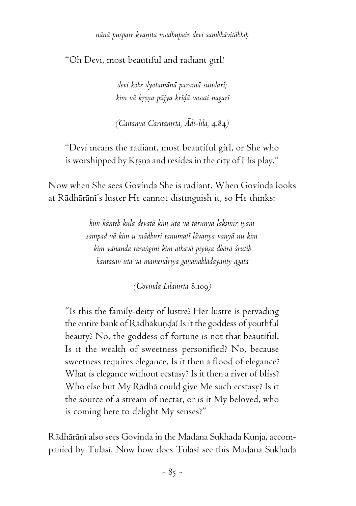*nänä puñpair kvaëita madhupair devi sambhävitäbhiù*

"Oh Devi, most beautiful and radiant girl!

*devi kohe dyotamänä paramä sundaré; kim vä kåñëa püjya kréòä vasati nagaré*

*(Caitanya Caritāmrta, Ādi-līlā, 4.*84*)* 

"Devi means the radiant, most beautiful girl, or She who is worshipped by Krsna and resides in the city of His play."

Now when She sees Govinda She is radiant. When Govinda looks at Rādhārānī's luster He cannot distinguish it, so He thinks:

> *kià känteù kula devatä kim uta vä täruëya lakñmér iyaà sampad vä kim u mädhuré tanumaté lävaëya vanyä nu kim kim vänanda taraìginé kim athavä péyüña dhärä çrutiù käntäsäv uta vä mamendriya gaëanählädayanty ägatä*

> > *(Govinda Lélämåta* 8.109*)*

"Is this the family-deity of lustre? Her lustre is pervading the entire bank of Rādhākunda! Is it the goddess of youthful beauty? No, the goddess of fortune is not that beautiful. Is it the wealth of sweetness personified? No, because sweetness requires elegance. Is it then a flood of elegance? What is elegance without ecstasy? Is it then a river of bliss? Who else but My Rädhä could give Me such ecstasy? Is it the source of a stream of nectar, or is it My beloved, who is coming here to delight My senses?"

Rādhārānī also sees Govinda in the Madana Sukhada Kunja, accompanied by Tulasi. Now how does Tulasi see this Madana Sukhada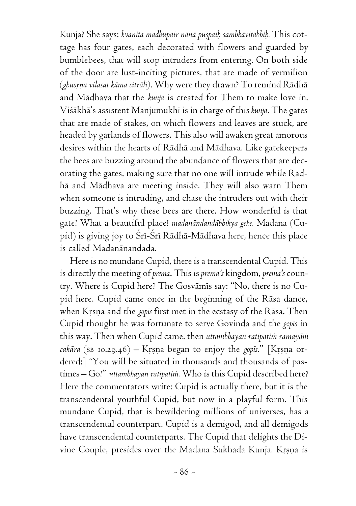Kunja? She says: *kvanita madhupair nānā puṣpaiḥ sambhāvitābhiḥ*. This cottage has four gates, each decorated with flowers and guarded by bumblebees, that will stop intruders from entering. On both side of the door are lust-inciting pictures, that are made of vermilion (*ghusrna vilasat kāma citrāli*). Why were they drawn? To remind Rādhā and Mädhava that the *kunja* is created for Them to make love in. Viçäkhä's assistent Manjumukhé is in charge of this *kunja*. The gates that are made of stakes, on which flowers and leaves are stuck, are headed by garlands of flowers. This also will awaken great amorous desires within the hearts of Rädhä and Mädhava. Like gatekeepers the bees are buzzing around the abundance of flowers that are decorating the gates, making sure that no one will intrude while Rädhä and Mädhava are meeting inside. They will also warn Them when someone is intruding, and chase the intruders out with their buzzing. That's why these bees are there. How wonderful is that gate! What a beautiful place! *madanändandäbhikya gehe.* Madana (Cupid) is giving joy to Śrī-Śrī Rādhā-Mādhava here, hence this place is called Madanänandada.

Here is no mundane Cupid, there is a transcendental Cupid. This is directly the meeting of *prema*. This is *prema's* kingdom, *prema's* country. Where is Cupid here? The Gosvämés say: "No, there is no Cupid here. Cupid came once in the beginning of the Räsa dance, when Krsna and the *gopis* first met in the ecstasy of the Rāsa. Then Cupid thought he was fortunate to serve Govinda and the *gopés* in this way. Then when Cupid came, then uttambhayan ratipatim ramayām *cakāra* (SB 10.29.46) – Krsna began to enjoy the *gopis*." [Krsna ordered:] *"*You will be situated in thousands and thousands of pastimes – Go!" *uttambhayan ratipatim*. Who is this Cupid described here? Here the commentators write: Cupid is actually there, but it is the transcendental youthful Cupid, but now in a playful form. This mundane Cupid, that is bewildering millions of universes, has a transcendental counterpart. Cupid is a demigod, and all demigods have transcendental counterparts. The Cupid that delights the Divine Couple, presides over the Madana Sukhada Kunja. Krsna is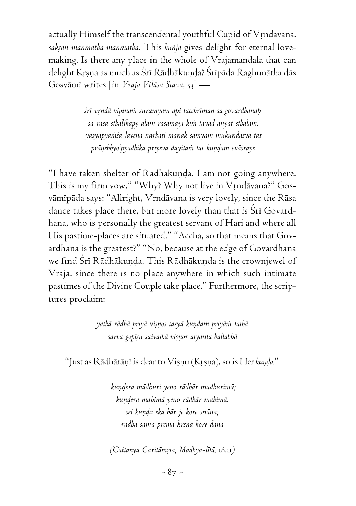actually Himself the transcendental youthful Cupid of Vrndävana. *säkñän manmatha manmatha.* This *kuïja* gives delight for eternal lovemaking. Is there any place in the whole of Vrajamandala that can delight Krsna as much as Śrī Rādhākuņda? Śrīpāda Raghunātha dās Gosvämé writes [in *Vraja Viläsa Stava*, 53] —

> *çré våndä vipinaà suramyam api tacchréman sa govardhanaù sä räsa sthalikäpy alaà rasamayé kià tävad anyat sthalam. yasyäpyaàça lavena närhati manäk sämyaà mukundasya tat* prānebhyo'pyadhika priyeva dayita*ni tat kundam evāśraye*

"I have taken shelter of Rādhākunda. I am not going anywhere. This is my firm vow." "Why? Why not live in Vrndāvana?" Gosvāmīpāda says: "Allright, Vrndāvana is very lovely, since the Rāsa dance takes place there, but more lovely than that is Sri Govardhana, who is personally the greatest servant of Hari and where all His pastime-places are situated." "Accha, so that means that Govardhana is the greatest?" "No, because at the edge of Govardhana we find Śrī Rādhākunda. This Rādhākunda is the crownjewel of Vraja, since there is no place anywhere in which such intimate pastimes of the Divine Couple take place." Furthermore, the scriptures proclaim:

> *yathä rädhä priyä viñëos tasyä kuëòaà priyäà tathä sarva gopéñu saivaikä viñëor atyanta ballabhä*

"Just as Rādhārānī is dear to Visnu (Krsna), so is Her *kunda.*"

 *kuëòera mädhuri yeno rädhär madhurimä; kuëòera mahimä yeno rädhär mahimä. sei kuëòa eka bär je kore snäna; rädhä sama prema kåñëa kore däna*

*(Caitanya Caritämåta, Madhya-lélä,* 18.11*)*

*-* 87 *-*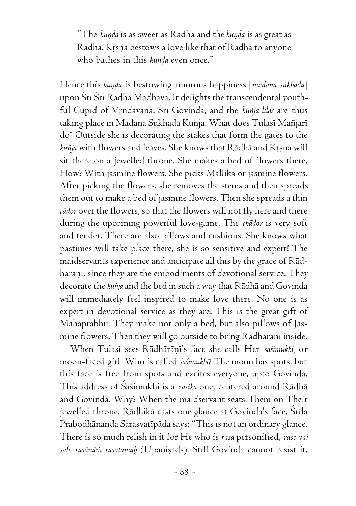"The *kunda* is as sweet as Rādhā and the *kunda* is as great as Rādhā. Krsņa bestows a love like that of Rādhā to anyone who bathes in this *kunda* even once."

Hence this *kunda* is bestowing amorous happiness [madana sukhada] upon Śrī Śrī Rādhā Mādhava. It delights the transcendental youthful Cupid of Vrndāvana, Srī Govinda, and the *kuñja līlās* are thus taking place in Madana Sukhada Kunja. What does Tulasi Mañjari do? Outside she is decorating the stakes that form the gates to the kuñja with flowers and leaves. She knows that Rādhā and Krsna will sit there on a jewelled throne. She makes a bed of flowers there. How? With jasmine flowers. She picks Mallika or jasmine flowers. After picking the flowers, she removes the stems and then spreads them out to make a bed of jasmine flowers. Then she spreads a thin *cädor* over the flowers, so that the flowers will not fly here and there during the upcoming powerful love-game. The *chädor* is very soft and tender. There are also pillows and cushions. She knows what pastimes will take place there, she is so sensitive and expert! The maidservants experience and anticipate all this by the grace of Rädhārāņī, since they are the embodiments of devotional service. They decorate the *kuïja* and the bed in such a way that Rädhä and Govinda will immediately feel inspired to make love there. No one is as expert in devotional service as they are. This is the great gift of Mahäprabhu. They make not only a bed, but also pillows of Jasmine flowers. Then they will go outside to bring Rādhārāņī inside.

When Tulasi sees Rādhārāni's face she calls Her śaśimukhi, or moon-faced girl. Who is called *çaçimukhi*? The moon has spots, but this face is free from spots and excites everyone, upto Govinda. This address of Çaçimukhi is a *rasika* one, centered around Rädhä and Govinda. Why? When the maidservant seats Them on Their jewelled throne, Rādhikā casts one glance at Govinda's face. Śrīla Prabodhānanda Sarasvatīpāda says: "This is not an ordinary glance. There is so much relish in it for He who is *rasa* personified, *raso vai* sab. rasānām rasatamab (Upanisads). Still Govinda cannot resist it.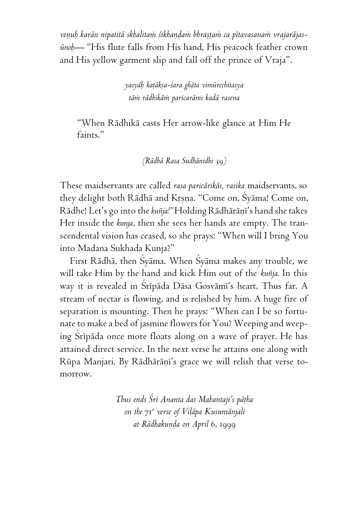venub karān nipatitā skhalitam śikhandam bhrastam ca pītavasanam vrajarājas*ünoù—* "His flute falls from His hand, His peacock feather crown and His yellow garment slip and fall off the prince of Vraja".

> *yasyäù kaöäkña-çara ghäta vimürcchitasya täà rädhikäà paricarämi kadä rasena*

"When Rädhikä casts Her arrow-like glance at Him He faints."

*(Rädhä Rasa Sudhänidhi* 39*)*

These maidservants are called *rasa paricärikäs, rasika* maidservants, so they delight both Rādhā and Krsna. "Come on, Śyāma! Come on, Rādhe! Let's go into the *kuñja!*" Holding Rādhārānī's hand she takes Her inside the *kunja*, then she sees her hands are empty. The transcendental vision has ceased, so she prays: "When will I bring You into Madana Sukhada Kunja?"

First Rädhä, then Çyäma. When Çyäma makes any trouble, we will take Him by the hand and kick Him out of the *kuïja.* In this way it is revealed in Srīpāda Dāsa Gosvāmī's heart. Thus far. A stream of nectar is flowing, and is relished by him. A huge fire of separation is mounting. Then he prays: "When can I be so fortunate to make a bed of jasmine flowers for You? Weeping and weeping Sripāda once more floats along on a wave of prayer. He has attained direct service. In the next verse he attains one along with Rūpa Manjari. By Rādhārāni's grace we will relish that verse tomorrow.

> *Thus ends Çré Ananta das Mahantaji's päöha on the* 71*st verse of Viläpa Kusumänjali at Rādhakunda on April 6, 1999*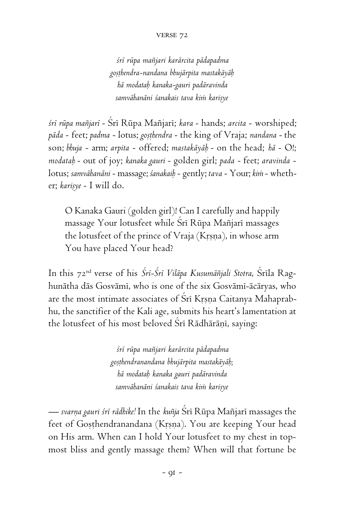## verse 72

*çré rüpa maïjari karärcita pädapadma goñöhendra-nandana bhujärpita mastakäyäù hä modataù kanaka-gauri padäravinda samvähanäni çanakais tava kià kariñye*

*çré rüpa maïjaré* - Çré Rüpa Maïjaré; *kara* - hands; *arcita* - worshiped; *päda* - feet; *padma* - lotus; *goñöhendra* - the king of Vraja; *nandana* - the son; *bhuja* - arm; *arpita* - offered; *mastakäyäù* - on the head; *hä* - O!; *modataù* - out of joy; *kanaka gauri* - golden girl; *pada* - feet; *aravinda* lotus; *samvähanäni* - massage; *çanakaiù* - gently; *tava* - Your; *kià* - whether; karisye - I will do.

O Kanaka Gauri (golden girl)! Can I carefully and happily massage Your lotusfeet while Sri Rūpa Mañjari massages the lotusfeet of the prince of Vraja (Krsna), in whose arm You have placed Your head?

In this 72<sup>nd</sup> verse of his *Śrī-Śrī Vilāpa Kusumāñjali Stotra*, Śrīla Raghunätha däs Gosvämé, who is one of the six Gosvämé-äcäryas, who are the most intimate associates of Sri Krsna Caitanya Mahaprabhu, the sanctifier of the Kali age, submits his heart's lamentation at the lotusfeet of his most beloved Srī Rādhārāņī, saying:

> *çré rüpa maïjari karärcita pädapadma goñöhendranandana bhujärpita mastakäyäù; hä modataù kanaka gauri padäravinda samvähanäni çanakais tava kià kariñye*

— svarna gauri śrī rādhike! In the *kuñja* Śrī Rūpa Mañjarī massages the feet of Gosthendranandana (Krsna). You are keeping Your head on His arm. When can I hold Your lotusfeet to my chest in topmost bliss and gently massage them? When will that fortune be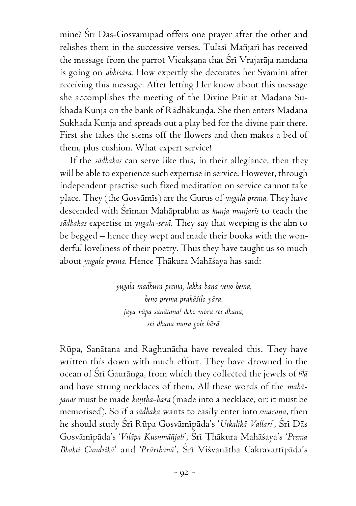mine? Srī Dās-Gosvāmīpād offers one prayer after the other and relishes them in the successive verses. Tulasi Mañjari has received the message from the parrot Vicakṣaṇa that Śrī Vrajarāja nandana is going on *abhisära.* How expertly she decorates her Sväminé after receiving this message. After letting Her know about this message she accomplishes the meeting of the Divine Pair at Madana Sukhada Kunja on the bank of Rādhākuņda. She then enters Madana Sukhada Kunja and spreads out a play bed for the divine pair there. First she takes the stems off the flowers and then makes a bed of them, plus cushion. What expert service!

If the *sädhakas* can serve like this, in their allegiance, then they will be able to experience such expertise in service. However, through independent practise such fixed meditation on service cannot take place. They (the Gosvämés) are the Gurus of *yugala prema.* They have descended with Çréman Mahäprabhu as *kunja manjarés* to teach the *sädhakas* expertise in *yugala-sevä*. They say that weeping is the alm to be begged – hence they wept and made their books with the wonderful loveliness of their poetry. Thus they have taught us so much about yugala prema. Hence Thākura Mahāśaya has said:

> *yugala madhura prema, lakha bäëa yeno hema, heno prema prakäçilo yära. jaya rüpa sanätana! deho mora sei dhana, sei dhana mora gole härä.*

Rüpa, Sanätana and Raghunätha have revealed this. They have written this down with much effort. They have drowned in the ocean of Çré Gauräìga, from which they collected the jewels of *lélä* and have strung necklaces of them. All these words of the *mahäjanas* must be made *kantha-hāra* (made into a necklace, or: it must be memorised). So if a *sādhaka* wants to easily enter into *smarana*, then he should study Çré Rüpa Gosvämépäda's '*Utkalikä Vallari*', Çré Däs Gosvämépäda's '*Viläpa Kusumäïjali*', Çré Öhäkura Mahäçaya's '*Prema Bhakti Candrikä*' and '*Prärthanä*', Çré Viçvanätha Cakravartépäda's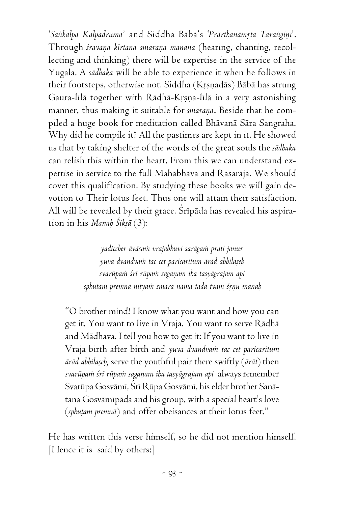'*Sankalpa Kalpadruma*' and Siddha Bābā's '*Prārthanāmṛta Taraṅgiṇi*'. Through *śravana kirtana smarana manana* (hearing, chanting, recollecting and thinking) there will be expertise in the service of the Yugala. A *sädhaka* will be able to experience it when he follows in their footsteps, otherwise not. Siddha (Krsnadās) Bābā has strung Gaura-lilä together with Rädhä-Krsna-lilä in a very astonishing manner, thus making it suitable for *smarana*. Beside that he compiled a huge book for meditation called Bhävanä Sära Sangraha. Why did he compile it? All the pastimes are kept in it. He showed us that by taking shelter of the words of the great souls the *sädhaka* can relish this within the heart. From this we can understand expertise in service to the full Mahäbhäva and Rasaräja. We should covet this qualification. By studying these books we will gain devotion to Their lotus feet. Thus one will attain their satisfaction. All will be revealed by their grace. Sripāda has revealed his aspiration in his *Manaù Çikñä* (3):

> *yadiccher äväsaà vrajabhuvi sarägaà prati janur yuva dvandvaà tac cet paricaritum äräd abhilañeù svarüpaà çré rüpaà sagaëam iha tasyägrajam api sphutaà premnä nityaà smara nama tadä tvam çåëu manaù*

"O brother mind! I know what you want and how you can get it. You want to live in Vraja. You want to serve Rädhä and Mädhava. I tell you how to get it: If you want to live in Vraja birth after birth and *yuva dvandvaà tac cet paricaritum äräd abhilañeù,* serve the youthful pair there swiftly (*ärät*) then *svarüpaà çré rüpaà sagaëam iha tasyägrajam api* always remember Svarüpa Gosvämé, Çré Rüpa Gosvämé, his elder brother Sanätana Gosvämépäda and his group, with a special heart's love (sphuțam premnā) and offer obeisances at their lotus feet."

He has written this verse himself, so he did not mention himself. [Hence it is said by others:]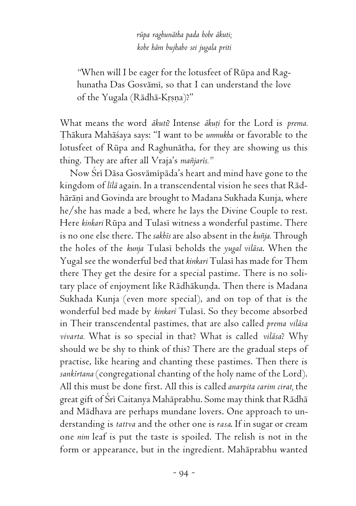*rüpa raghunätha pada hobe äkuti; kobe häm bujhabo sei jugala priti*

*"*When will I be eager for the lotusfeet of Rüpa and Raghunatha Das Gosvämé, so that I can understand the love of the Yugala (Rādhā-Krsna)?"

What means the word *ākuti*? Intense *ākuți* for the Lord is *prema*. Öhäkura Mahäçaya says: "I want to be *unmukha* or favorable to the lotusfeet of Rüpa and Raghunätha, for they are showing us this thing. They are after all Vraja's *maïjarés."*

Now Çré Däsa Gosvämépäda's heart and mind have gone to the kingdom of *lélä* again. In a transcendental vision he sees that Rädhārāņī and Govinda are brought to Madana Sukhada Kunja, where he/she has made a bed, where he lays the Divine Couple to rest. Here *kinkari* Rüpa and Tulasé witness a wonderful pastime. There is no one else there. The *sakhés* are also absent in the *kuïja.* Through the holes of the *kunja* Tulasé beholds the *yugal viläsa*. When the Yugal see the wonderful bed that *kinkari* Tulasé has made for Them there They get the desire for a special pastime. There is no solitary place of enjoyment like Rādhākuņda. Then there is Madana Sukhada Kunja (even more special), and on top of that is the wonderful bed made by *kinkaré* Tulasé. So they become absorbed in Their transcendental pastimes, that are also called *prema viläsa vivarta.* What is so special in that? What is called *viläsa*? Why should we be shy to think of this? There are the gradual steps of practise, like hearing and chanting these pastimes. Then there is sankirtana (congregational chanting of the holy name of the Lord). All this must be done first. All this is called *anarpita carim cirat,* the great gift of Śrī Caitanya Mahāprabhu. Some may think that Rādhā and Mädhava are perhaps mundane lovers. One approach to understanding is *tattva* and the other one is *rasa*. If in sugar or cream one *nim* leaf is put the taste is spoiled. The relish is not in the form or appearance, but in the ingredient. Mahäprabhu wanted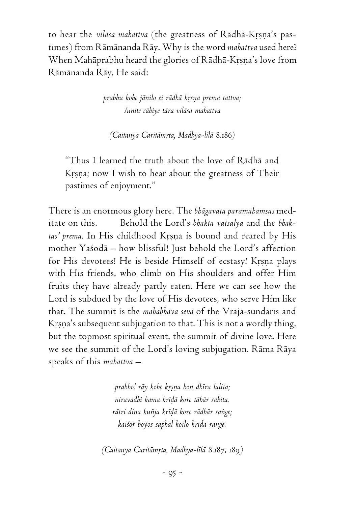to hear the *vilāsa mahattva* (the greatness of Rādhā-Krṣṇa's pastimes) from Rämänanda Räy. Why is the word *mahattva* used here? When Mahāprabhu heard the glories of Rādhā-Krṣṇa's love from Rämänanda Räy, He said:

> *prabhu kohe jänilo ei rädhä kåñëa prema tattva; çunite cähiye tära viläsa mahattva*

*(Caitanya Caritämåta, Madhya-lélä* 8.186*)*

"Thus I learned the truth about the love of Rädhä and Krsna; now I wish to hear about the greatness of Their pastimes of enjoyment."

There is an enormous glory here. The *bhägavata paramahamsas* meditate on this. Behold the Lord's *bhakta vatsalya* and the *bhak*tas' prema. In His childhood Krsna is bound and reared by His mother Yaçodä – how blissful! Just behold the Lord's affection for His devotees! He is beside Himself of ecstasy! Krsna plays with His friends, who climb on His shoulders and offer Him fruits they have already partly eaten. Here we can see how the Lord is subdued by the love of His devotees, who serve Him like that. The summit is the *mahābhāva sevā* of the Vraja-sundarīs and Krsna's subsequent subjugation to that. This is not a wordly thing, but the topmost spiritual event, the summit of divine love. Here we see the summit of the Lord's loving subjugation. Räma Räya speaks of this *mahattva –*

> *prabho! räy kohe kåñëa hon dhéra lalita; niravadhi kama kréòä kore tähär sahita. rätri dina kuïja kréòä kore rädhär saìge; kaiçor boyos saphal koilo kréòä range.*

*(Caitanya Caritämåta, Madhya-lélä* 8.187, 189*)*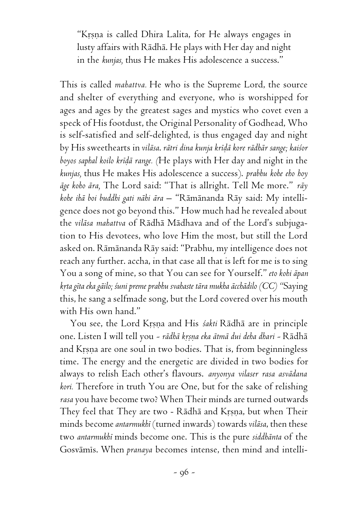"Krsna is called Dhira Lalita, for He always engages in lusty affairs with Rädhä. He plays with Her day and night in the *kunjas,* thus He makes His adolescence a success."

This is called *mahattva.* He who is the Supreme Lord, the source and shelter of everything and everyone, who is worshipped for ages and ages by the greatest sages and mystics who covet even a speck of His footdust, the Original Personality of Godhead, Who is self-satisfied and self-delighted, is thus engaged day and night by His sweethearts in *viläsa*. *rätri dina kunja kréòä kore rädhär sange; kaiçor boyos saphal koilo kréòä range. (*He plays with Her day and night in the *kunjas,* thus He makes His adolescence a success). *prabhu kohe eho hoy äge koho ära,* The Lord said: "That is allright. Tell Me more." *räy kohe ihä boi buddhi gati nähi ära –* "Rämänanda Räy said: My intelligence does not go beyond this." How much had he revealed about the *viläsa mahattva* of Rädhä Mädhava and of the Lord's subjugation to His devotees, who love Him the most, but still the Lord asked on. Rämänanda Räy said: "Prabhu, my intelligence does not reach any further. accha, in that case all that is left for me is to sing You a song of mine, so that You can see for Yourself." *eto kohi äpan kåta géta eka gäilo; çuni preme prabhu svahaste tära mukha äcchädilo (CC) "*Saying this, he sang a selfmade song, but the Lord covered over his mouth with His own hand."

You see, the Lord Krsna and His *śakti* Rādhā are in principle one. Listen I will tell you - rādhā krsņa eka ātmā dui deha dhari - Rādhā and Krsna are one soul in two bodies. That is, from beginningless time. The energy and the energetic are divided in two bodies for always to relish Each other's flavours. *anyonya vilaser rasa asvädana kori.* Therefore in truth You are One, but for the sake of relishing *rasa* you have become two? When Their minds are turned outwards They feel that They are two - Rādhā and Krsna, but when Their minds become *antarmukhé* (turned inwards) towards *viläsa*, then these two *antarmukhé* minds become one. This is the pure *siddhänta* of the Gosvāmis. When *pranaya* becomes intense, then mind and intelli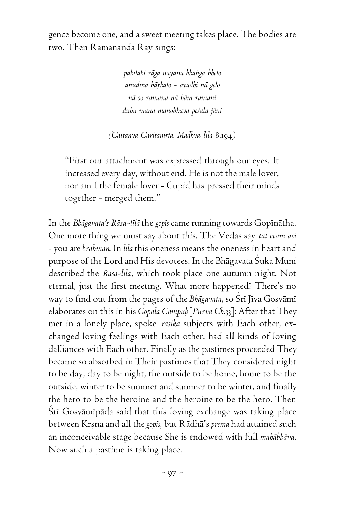gence become one, and a sweet meeting takes place. The bodies are two. Then Rämänanda Räy sings:

> *pahilahi räga nayana bhaìga bhelo anudina bäåhalo - avadhi nä gelo nä so ramana nä häm ramané duhu mana manobhava peçala jäni*

*(Caitanya Caritämåta, Madhya-lélä* 8.194*)*

"First our attachment was expressed through our eyes. It increased every day, without end. He is not the male lover, nor am I the female lover - Cupid has pressed their minds together - merged them."

In the *Bhāgavata's Rāsa-līlā* the *gopīs* came running towards Gopīnātha. One more thing we must say about this. The Vedas say *tat tvam asi* - you are *brahman*. In *lélä* this oneness means the oneness in heart and purpose of the Lord and His devotees. In the Bhāgavata Suka Muni described the *Räsa-lélä*, which took place one autumn night. Not eternal, just the first meeting. What more happened? There's no way to find out from the pages of the *Bhāgavata*, so Šrī Jīva Gosvāmī elaborates on this in his *Gopäla Campüù* [*Pürva Ch*.33]: After that They met in a lonely place, spoke *rasika* subjects with Each other, exchanged loving feelings with Each other, had all kinds of loving dalliances with Each other. Finally as the pastimes proceeded They became so absorbed in Their pastimes that They considered night to be day, day to be night, the outside to be home, home to be the outside, winter to be summer and summer to be winter, and finally the hero to be the heroine and the heroine to be the hero. Then Śrī Gosvāmīpāda said that this loving exchange was taking place between Krsna and all the *gopis*, but Rādhā's *prema* had attained such an inconceivable stage because She is endowed with full *mahäbhäva*. Now such a pastime is taking place.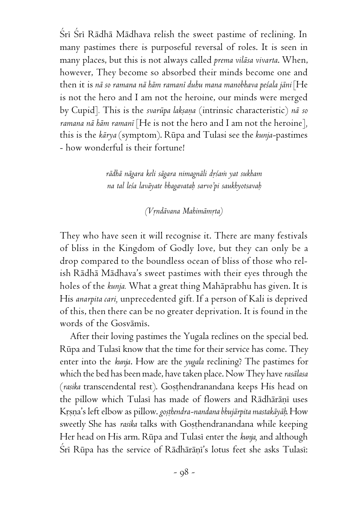Śrī Śrī Rādhā Mādhava relish the sweet pastime of reclining. In many pastimes there is purposeful reversal of roles. It is seen in many places, but this is not always called *prema viläsa vivarta*. When, however, They become so absorbed their minds become one and then it is *nä so ramana nä häm ramané duhu mana manobhava peçala jäni* [He is not the hero and I am not the heroine, our minds were merged by Cupid]*.* This is the *svarüpa lakñaëa* (intrinsic characteristic) *nä so ramana nä häm ramané* [He is not the hero and I am not the heroine]*,* this is the *kärya* (symptom). Rüpa and Tulasi see the *kunja-*pastimes - how wonderful is their fortune!

> *rädhä nägara keli sägara nimagnäli dåçaà yat sukham na tal leça laväyate bhagavataù sarvo'pi saukhyotsavaù*

> > *(Våndävana Mahimämåta)*

They who have seen it will recognise it. There are many festivals of bliss in the Kingdom of Godly love, but they can only be a drop compared to the boundless ocean of bliss of those who relish Rädhä Mädhava's sweet pastimes with their eyes through the holes of the *kunja.* What a great thing Mahäprabhu has given. It is His *anarpita cari,* unprecedented gift*.* If a person of Kali is deprived of this, then there can be no greater deprivation. It is found in the words of the Gosvämés.

After their loving pastimes the Yugala reclines on the special bed. Rūpa and Tulasi know that the time for their service has come. They enter into the *kunja*. How are the *yugala* reclining? The pastimes for which the bed has been made, have taken place. Now They have *rasälasa* (*rasika* transcendental rest). Gosthendranandana keeps His head on the pillow which Tulasi has made of flowers and Rādhārāņi uses Krsna's left elbow as pillow. *gosthendra-nandana bhujārpita mastakāyāh*. How sweetly She has *rasika* talks with Gosthendranandana while keeping Her head on His arm. Rūpa and Tulasi enter the kunja, and although Srī Rūpa has the service of Rādhārānī's lotus feet she asks Tulasī: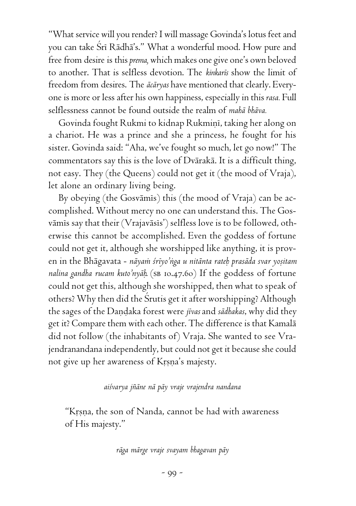"What service will you render? I will massage Govinda's lotus feet and you can take Çré Rädhä's." What a wonderful mood. How pure and free from desire is this *prema,* which makes one give one's own beloved to another. That is selfless devotion. The *kinkarés* show the limit of freedom from desires. The *äcäryas* have mentioned that clearly. Everyone is more or less after his own happiness, especially in this *rasa.* Full selflessness cannot be found outside the realm of *mahä bhäva.*

Govinda fought Rukmi to kidnap Rukmini, taking her along on a chariot. He was a prince and she a princess, he fought for his sister. Govinda said: "Aha, we've fought so much, let go now!" The commentators say this is the love of Dvärakä. It is a difficult thing, not easy. They (the Queens) could not get it (the mood of Vraja), let alone an ordinary living being.

By obeying (the Gosvāmis) this (the mood of Vraja) can be accomplished. Without mercy no one can understand this. The Gosvāmīs say that their (Vrajavāsīs') selfless love is to be followed, otherwise this cannot be accomplished. Even the goddess of fortune could not get it, although she worshipped like anything, it is proven in the Bhāgavata - *nāyam śrīyo'nga u nitānta rateḥ prasāda svar yoṣitam nalina gandha rucam kuto'nyäù*. (sb 10.47.60) If the goddess of fortune could not get this, although she worshipped, then what to speak of others? Why then did the Çrutis get it after worshipping? Although the sages of the Dandaka forest were *jivas* and *sādhakas*, why did they get it? Compare them with each other. The difference is that Kamalä did not follow (the inhabitants of) Vraja. She wanted to see Vrajendranandana independently, but could not get it because she could not give up her awareness of Krsna's majesty.

## *aiçvarya jïäne nä päy vraje vrajendra nandana*

"Krsna, the son of Nanda, cannot be had with awareness of His majesty."

*räga märge vraje svayam bhagavan päy*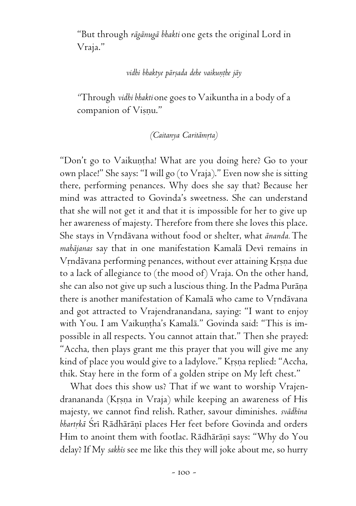"But through *rägänugä bhakti* one gets the original Lord in Vraja."

## vidhi bhaktye pārsada dehe vaikunthe jāy

*"*Through *vidhi bhakti* one goes to Vaikuntha in a body of a companion of Visnu."

## *(Caitanya Caritāmrta)*

"Don't go to Vaikuntha! What are you doing here? Go to your own place!" She says: "I will go (to Vraja)." Even now she is sitting there, performing penances. Why does she say that? Because her mind was attracted to Govinda's sweetness. She can understand that she will not get it and that it is impossible for her to give up her awareness of majesty. Therefore from there she loves this place. She stays in Vrndävana without food or shelter, what *ānanda*. The *mahäjanas* say that in one manifestation Kamalä Devé remains in Vrndävana performing penances, without ever attaining Krsna due to a lack of allegiance to (the mood of) Vraja. On the other hand, she can also not give up such a luscious thing. In the Padma Purāņa there is another manifestation of Kamalā who came to Vrndāvana and got attracted to Vrajendranandana, saying: "I want to enjoy with You. I am Vaikuntha's Kamalā." Govinda said: "This is impossible in all respects. You cannot attain that." Then she prayed: "Accha, then plays grant me this prayer that you will give me any kind of place you would give to a ladylove." Krsna replied: "Accha, thik. Stay here in the form of a golden stripe on My left chest."

What does this show us? That if we want to worship Vrajendranananda (Krsna in Vraja) while keeping an awareness of His majesty, we cannot find relish. Rather, savour diminishes. *svädhéna* bhartrkā Srī Rādhārāņī places Her feet before Govinda and orders Him to anoint them with footlac. Rādhārāņī says: "Why do You delay? If My *sakhés* see me like this they will joke about me, so hurry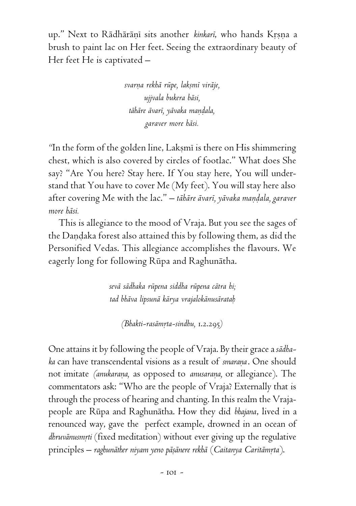up." Next to Rādhārāņī sits another *kinkarī*, who hands Krsņa a brush to paint lac on Her feet. Seeing the extraordinary beauty of Her feet He is captivated –

> *svarëa rekhä rüpe, lakñmé viräje, ujjvala bukera bäsi, tähäre ävaré, yävaka maëòala, garaver more häsi.*

"In the form of the golden line, Laksmi is there on His shimmering chest, which is also covered by circles of footlac." What does She say? "Are You here? Stay here. If You stay here, You will understand that You have to cover Me (My feet). You will stay here also after covering Me with the lac." – tābāre āvarī, yāvaka maņdala, garaver *more häsi.*

This is allegiance to the mood of Vraja. But you see the sages of the Dandaka forest also attained this by following them, as did the Personified Vedas. This allegiance accomplishes the flavours. We eagerly long for following Rüpa and Raghunätha.

> *sevä sädhaka rüpena siddha rüpena cätra hi; tad bhäva lipsunä kärya vrajalokänusärataù*

*(Bhakti-rasämåta-sindhu,* 1.2.295*)*

One attains it by following the people of Vraja. By their grace a *sädhaka* can have transcendental visions as a result of *smaraëa*. One should not imitate *(anukarana*, as opposed to *anusarana*, or allegiance). The commentators ask: "Who are the people of Vraja? Externally that is through the process of hearing and chanting. In this realm the Vrajapeople are Rüpa and Raghunätha. How they did *bhajana*, lived in a renounced way, gave the perfect example, drowned in an ocean of dhruvānusmrti (fixed meditation) without ever giving up the regulative principles – raghunāther niyam yeno pāṣānere rekhā (Caitanya Caritāmṛta).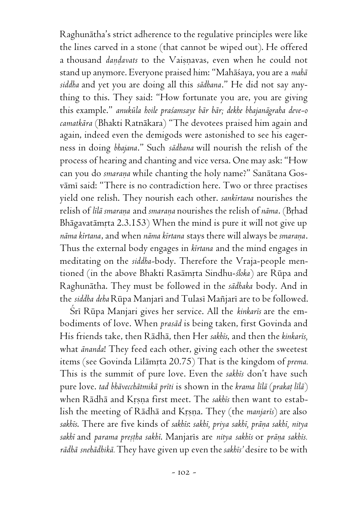Raghunätha's strict adherence to the regulative principles were like the lines carved in a stone (that cannot be wiped out). He offered a thousand *dandavats* to the Vaisnavas, even when he could not stand up anymore. Everyone praised him: "Mahäçaya, you are a *mahä siddha* and yet you are doing all this *sädhana*." He did not say anything to this. They said: "How fortunate you are, you are giving this example." *anuküla hoile praçamsaye bär bär; dekhe bhajanägraha deve-o camatkära* (Bhakti Ratnäkara) "The devotees praised him again and again, indeed even the demigods were astonished to see his eagerness in doing *bhajana*." Such *sädhana* will nourish the relish of the process of hearing and chanting and vice versa. One may ask: "How can you do *smarana* while chanting the holy name?" Sanātana Gosvāmī said: "There is no contradiction here. Two or three practises yield one relish. They nourish each other. *sankértana* nourishes the relish of lilā smarana and smarana nourishes the relish of nāma. (Brhad Bhāgavatāmŗta 2.3.153) When the mind is pure it will not give up *näma kértana*, and when *näma kértana* stays there will always be *smaraëa*. Thus the external body engages in *kértana* and the mind engages in meditating on the *siddha-*body. Therefore the Vraja-people mentioned (in the above Bhakti Rasāmrta Sindhu-śloka) are Rūpa and Raghunätha. They must be followed in the *sädhaka* body. And in the *siddha deha* Rüpa Manjaré and Tulasé Maïjaré are to be followed.

Śrī Rūpa Manjari gives her service. All the *kinkarīs* are the embodiments of love. When *prasäd* is being taken, first Govinda and His friends take, then Rädhä, then Her *sakhés*, and then the *kinkarés,* what *änanda*! They feed each other, giving each other the sweetest items (see Govinda Līlāmrta 20.75) That is the kingdom of *prema*. This is the summit of pure love. Even the *sakhés* don't have such pure love. *tad bhävecchätmikä préti* is shown in the *krama lélä* (*prakaö lélä*) when Rādhā and Krsna first meet. The sakhis then want to establish the meeting of Rādhā and Krsna. They (the *manjaris*) are also *sakhés*. There are five kinds of *sakhés*: *sakhé, priya sakhé, präëa sakhé, nitya* sakhi and *parama preștha sakhi*. Manjaris are nitya sakhis or prāņa sakhis. *rädhä snehädhikä.* They have given up even the *sakhés'* desire to be with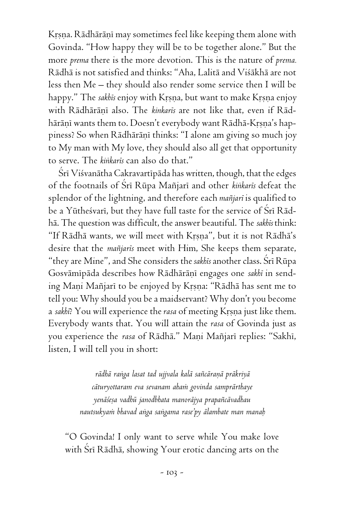Krsna. Rädhäräni may sometimes feel like keeping them alone with Govinda. "How happy they will be to be together alone." But the more *prema* there is the more devotion. This is the nature of *prema.* Rädhä is not satisfied and thinks: "Aha, Lalitä and Viçäkhä are not less then Me – they should also render some service then I will be happy." The *sakhis* enjoy with Krsna, but want to make Krsna enjoy with Rādhārānī also. The kinkaris are not like that, even if Rādhārāņī wants them to. Doesn't everybody want Rādhā-Krṣṇa's happiness? So when Rādhārānī thinks: "I alone am giving so much joy to My man with My love, they should also all get that opportunity to serve. The *kiìkarés* can also do that."

Śrī Viśvanātha Cakravartīpāda has written, though, that the edges of the footnails of Çré Rüpa Maïjaré and other *kiìkarés* defeat the splendor of the lightning, and therefore each *maïjaré* is qualified to be a Yūthesvari, but they have full taste for the service of Sri Rādhä. The question was difficult, the answer beautiful. The *sakhés* think: "If Rādhā wants, we will meet with Krsna", but it is not Rādhā's desire that the *maïjarés* meet with Him, She keeps them separate, "they are Mine", and She considers the *sakhés* another class. Çré Rüpa Gosvāmīpāda describes how Rādhārāņī engages one sakhi in sending Mani Mañjari to be enjoyed by Krsna: "Rādhā has sent me to tell you: Why should you be a maidservant? Why don't you become a *sakhī*? You will experience the *rasa* of meeting Krsna just like them. Everybody wants that. You will attain the *rasa* of Govinda just as you experience the *rasa* of Rādhā." Maņi Mañjarī replies: "Sakhī, listen, I will tell you in short:

> rādhā raṅga lasat tad ujjvala kalā sañcāranā prākriyā *cäturyottaram eva sevanam ahaà govinda samprärthaye yenäçeña vadhü janodbhata manoräjya prapaïcävadhau nautsukyaà bhavad aìga saìgama rase'py älambate man manaù*

"O Govinda! I only want to serve while You make love with Srī Rādhā, showing Your erotic dancing arts on the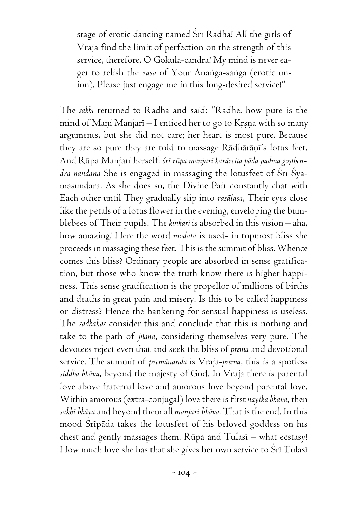stage of erotic dancing named Śrī Rādhā! All the girls of Vraja find the limit of perfection on the strength of this service, therefore, O Gokula-candra! My mind is never eager to relish the *rasa* of Your Ananga-sanga (erotic union). Please just engage me in this long-desired service!"

The *sakhé* returned to Rädhä and said: "Rädhe, how pure is the mind of Mani Manjari – I enticed her to go to Krsna with so many arguments, but she did not care; her heart is most pure. Because they are so pure they are told to massage Rādhārāņi's lotus feet. And Rūpa Manjari herself: śrī rūpa manjarī karārcita pāda padma gosthen*dra nandana* She is engaged in massaging the lotusfeet of Sri Syamasundara. As she does so, the Divine Pair constantly chat with Each other until They gradually slip into *rasälasa*, Their eyes close like the petals of a lotus flower in the evening, enveloping the bumblebees of Their pupils. The *kinkari* is absorbed in this vision – aha, how amazing! Here the word *modata* is used- in topmost bliss she proceeds in massaging these feet. This is the summit of bliss. Whence comes this bliss? Ordinary people are absorbed in sense gratification, but those who know the truth know there is higher happiness. This sense gratification is the propellor of millions of births and deaths in great pain and misery. Is this to be called happiness or distress? Hence the hankering for sensual happiness is useless. The *sädhakas* consider this and conclude that this is nothing and take to the path of *jïäna*, considering themselves very pure. The devotees reject even that and seek the bliss of *prema* and devotional service. The summit of *premänanda* is Vraja-*prema*, this is a spotless *siddha bhäva*, beyond the majesty of God. In Vraja there is parental love above fraternal love and amorous love beyond parental love. Within amorous (extra-conjugal) love there is first *näyika bhäva*, then *sakhé bhäva* and beyond them all *manjari bhäva*. That is the end. In this mood Sripāda takes the lotusfeet of his beloved goddess on his chest and gently massages them.  $Rūpa$  and  $Tulasi$  – what ecstasy! How much love she has that she gives her own service to Sri Tulasi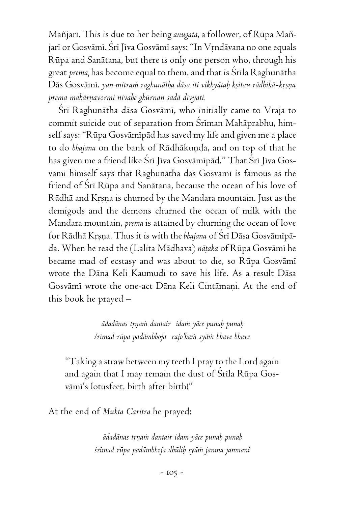Maïjaré. This is due to her being *anugata*, a follower, of Rüpa Maïjari or Gosvāmi. Śri Jiva Gosvāmi says: "In Vrndāvana no one equals Rüpa and Sanätana, but there is only one person who, through his great *prema*, has become equal to them, and that is Srila Raghunātha Dās Gosvāmī. *yan mitram raghunātha dāsa iti vikhyātaḥ kṣitau rādhikā-kṛṣṇa prema mahärëavormi nivahe ghürnan sadä dévyati.*

Šrī Raghunātha dāsa Gosvāmī, who initially came to Vraja to commit suicide out of separation from Sriman Mahāprabhu, himself says: "Rüpa Gosvämépäd has saved my life and given me a place to do bhajana on the bank of Rādhākuṇḍa, and on top of that he has given me a friend like Śrī Jīva Gosvāmīpād." That Śrī Jīva Gosvämé himself says that Raghunätha däs Gosvämé is famous as the friend of Srī Rūpa and Sanātana, because the ocean of his love of Rādhā and Krsņa is churned by the Mandara mountain. Just as the demigods and the demons churned the ocean of milk with the Mandara mountain, *prema* is attained by churning the ocean of love for Rādhā Krsņa. Thus it is with the *bhajana* of Šrī Dāsa Gosvāmīpāda. When he read the (Lalita Mādhava) nātaka of Rūpa Gosvāmī he became mad of ecstasy and was about to die, so Rüpa Gosvämé wrote the Däna Keli Kaumudi to save his life. As a result Däsa Gosvāmī wrote the one-act Dāna Keli Cintāmani. At the end of this book he prayed –

> *ädadänas tåëaà dantair idaà yäce punaù punaù çrémad rüpa padämbhoja rajo'haà syäà bhave bhave*

"Taking a straw between my teeth I pray to the Lord again and again that I may remain the dust of Srila Rūpa Gosvämé's lotusfeet, birth after birth!"

At the end of *Mukta Caritra* he prayed:

*ädadänas tåëaà dantair idam yäce punaù punaù çrémad rüpa padämbhoja dhüliù syäà janma janmani*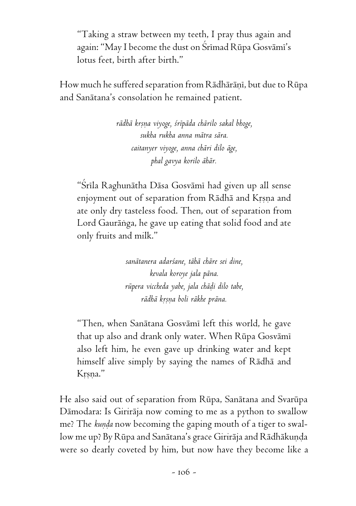"Taking a straw between my teeth, I pray thus again and again: "May I become the dust on Śrīmad Rūpa Gosvāmī's lotus feet, birth after birth."

How much he suffered separation from Rādhārāņī, but due to Rūpa and Sanätana's consolation he remained patient.

> *rädhä krñëa viyoge, çrépäda chärilo sakal bhoge, sukha rukha anna mätra sära. caitanyer viyoge, anna chäri dilo äge, phal gavya korilo ähär.*

"Srila Raghunātha Dāsa Gosvāmi had given up all sense enjoyment out of separation from Rādhā and Krsna and ate only dry tasteless food. Then, out of separation from Lord Gauräìga, he gave up eating that solid food and ate only fruits and milk."

> *sanätanera adarçane, tähä chäre sei dine, kevala koroye jala päna. rüpera viccheda yabe, jala chäòi dilo tabe, rädhä kåñëa boli räkhe präna.*

"Then, when Sanätana Gosvämé left this world, he gave that up also and drank only water. When Rüpa Gosvämé also left him, he even gave up drinking water and kept himself alive simply by saying the names of Rädhä and Krsna."

He also said out of separation from Rüpa, Sanätana and Svarüpa Dämodara: Is Giriräja now coming to me as a python to swallow me? The *kunda* now becoming the gaping mouth of a tiger to swallow me up? By Rūpa and Sanātana's grace Girirāja and Rādhākuņda were so dearly coveted by him, but now have they become like a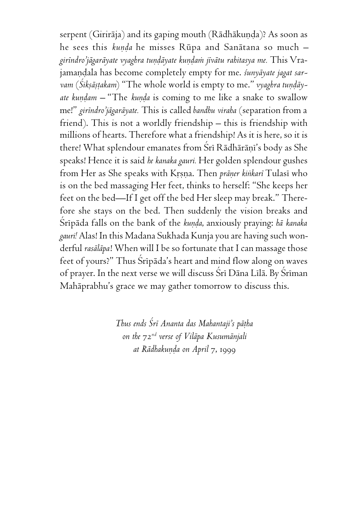serpent (Girirāja) and its gaping mouth (Rādhākuņḍa)? As soon as he sees this *kunda* he misses Rūpa and Sanātana so much *giréndro'jägaräyate vyaghra tuëòäyate kuëòaà jévätu rahitasya me.* This Vrajamandala has become completely empty for me. *śunyāyate jagat sar*vam (*Śikṣāṣṭakam*) "The whole world is empty to me." *vyaghra tuṇḍāyate kundam –* "The *kunda* is coming to me like a snake to swallow me!" *giréndro'jägaräyate.* This is called *bandhu viraha* (separation from a friend). This is not a worldly friendship – this is friendship with millions of hearts. Therefore what a friendship! As it is here, so it is there! What splendour emanates from Sri Rādhārāni's body as She speaks! Hence it is said *he kanaka gauri.* Her golden splendour gushes from Her as She speaks with Krsna. Then *präner kinkari* Tulasi who is on the bed massaging Her feet, thinks to herself: "She keeps her feet on the bed—If I get off the bed Her sleep may break." Therefore she stays on the bed. Then suddenly the vision breaks and Śrīpāda falls on the bank of the *kunda*, anxiously praying: *hā kanaka gauri!* Alas! In this Madana Sukhada Kunja you are having such wonderful *rasäläpa*! When will I be so fortunate that I can massage those feet of yours?" Thus Sripada's heart and mind flow along on waves of prayer. In the next verse we will discuss Śrī Dāna Līlā. By Śrīman Mahäprabhu's grace we may gather tomorrow to discuss this.

> *Thus ends Çré Ananta das Mahantaji's päöha on the* 72*nd verse of Viläpa Kusumänjali at Rādhakunda on April 7, 1999*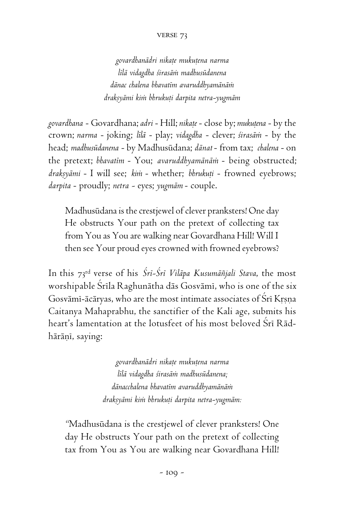#### verse 73

*govardhanädri nikaöe mukuöena narma lélä vidagdha çirasäà madhusüdanena dänac chalena bhavatém avaruddhyamänäà drakñyämi kià bhrukuöi darpita netra-yugmäm*

*govardhana* - Govardhana; *adri* - Hill; nikaṭe - close by; mukuṭena - by the crown; *narma* - joking; *lélä* - play; *vidagdha* - clever; *çirasäà* - by the head; *madhusüdanena* - by Madhusüdana; *dänat* - from tax; *chalena* - on the pretext; *bhavatém* - You; *avaruddhyamänäà* - being obstructed; draksyāmi - I will see; kim - whether; bhrukuti - frowned eyebrows; *darpita* - proudly; *netra -* eyes; *yugmäm* - couple.

Madhusüdana is the crestjewel of clever pranksters! One day He obstructs Your path on the pretext of collecting tax from You as You are walking near Govardhana Hill! Will I then see Your proud eyes crowned with frowned eyebrows?

In this 73rd verse of his *Çré-Çré Viläpa Kusumäïjali Stava*, the most worshipable Srila Raghunātha dās Gosvāmi, who is one of the six Gosvāmī-ācāryas, who are the most intimate associates of Srī Krsna Caitanya Mahaprabhu, the sanctifier of the Kali age, submits his heart's lamentation at the lotusfeet of his most beloved Śrī Rādhārāņī, saying:

> *govardhanädri nikaöe mukuöena narma lélä vidagdha çirasäà madhusüdanena; dänacchalena bhavatém avaruddhyamänäà drakñyämi kià bhrukuöi darpita netra-yugmäm:*

*"*Madhusüdana is the crestjewel of clever pranksters! One day He obstructs Your path on the pretext of collecting tax from You as You are walking near Govardhana Hill!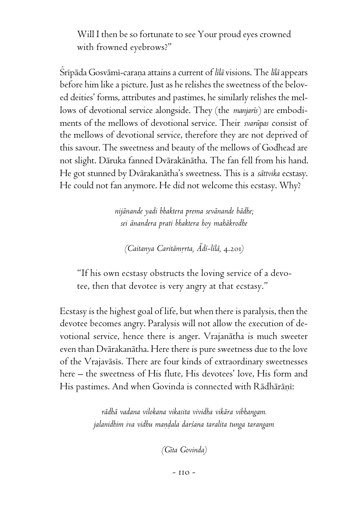Will I then be so fortunate to see Your proud eyes crowned with frowned eyebrows?"

Çrépäda Gosvämé-caraëa attains a current of *lélä* visions. The *lélä* appears before him like a picture. Just as he relishes the sweetness of the beloved deities' forms, attributes and pastimes, he similarly relishes the mellows of devotional service alongside. They (the *manjarés*) are embodiments of the mellows of devotional service. Their *svarüpas* consist of the mellows of devotional service, therefore they are not deprived of this savour. The sweetness and beauty of the mellows of Godhead are not slight. Däruka fanned Dvärakänätha. The fan fell from his hand. He got stunned by Dvärakanätha's sweetness. This is a *sättvika* ecstasy. He could not fan anymore. He did not welcome this ecstasy. Why?

> *nijänande yadi bhaktera prema sevänande bädhe; sei änandera prati bhaktera hoy mahäkrodhe*

*(Caitanya Caritämårta, Ädé-lélä,* 4.201*)*

"If his own ecstasy obstructs the loving service of a devotee, then that devotee is very angry at that ecstasy."

Ecstasy is the highest goal of life, but when there is paralysis, then the devotee becomes angry. Paralysis will not allow the execution of devotional service, hence there is anger. Vrajanätha is much sweeter even than Dvärakanätha. Here there is pure sweetness due to the love of the Vrajaväsés. There are four kinds of extraordinary sweetnesses here – the sweetness of His flute, His devotees' love, His form and His pastimes. And when Govinda is connected with Rādhārāņī:

> *rädhä vadana vilokana vikasita vividha vikära vibhangam.* jalanidhim iva vidhu maṇḍala darśana taralita tunga tarangam

> > *(Géta Govinda)*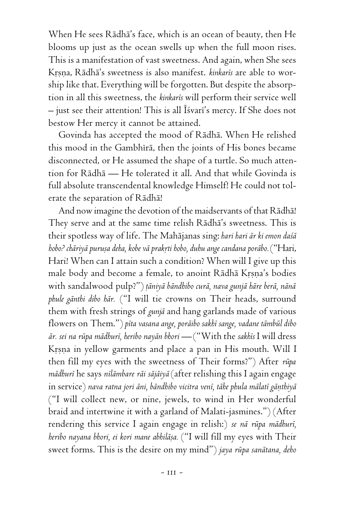When He sees Rädhä's face, which is an ocean of beauty, then He blooms up just as the ocean swells up when the full moon rises. This is a manifestation of vast sweetness. And again, when She sees Krsna, Rādhā's sweetness is also manifest. *kinkarīs* are able to worship like that. Everything will be forgotten. But despite the absorption in all this sweetness, the *kinkarés* will perform their service well  $-$  just see their attention! This is all Isvari's mercy. If She does not bestow Her mercy it cannot be attained.

Govinda has accepted the mood of Rädhä. When He relished this mood in the Gambhīrā, then the joints of His bones became disconnected, or He assumed the shape of a turtle. So much attention for Rädhä — He tolerated it all. And that while Govinda is full absolute transcendental knowledge Himself! He could not tolerate the separation of Rädhä!

And now imagine the devotion of the maidservants of that Rädhä! They serve and at the same time relish Rädhä's sweetness. This is their spotless way of life. The Mahäjanas sing: *hari hari är ki emon daçä hobo? chäriyä puruña deha, kobe vä prakåti hobo, duhu ange candana poräbo.* ("Hari, Hari! When can I attain such a condition? When will I give up this male body and become a female, to anoint Rādhā Krsna's bodies with sandalwood pulp?") *öäniyä bändhibo curä, nava gunjä häre berä, nänä phule gänthi dibo här.* ("I will tie crowns on Their heads, surround them with fresh strings of *gunjä* and hang garlands made of various flowers on Them.") *péta vasana ange, poräibo sakhé sange, vadane tämbül dibo är. sei na rüpa mädhuré, heribo nayän bhori —* ("With the *sakhés* I will dress Krsna in yellow garments and place a pan in His mouth. Will I then fill my eyes with the sweetness of Their forms?") After *rüpa mädhuré* he says *nélämbare räi säjäiyä* (after relishing this I again engage in service) nava ratna jori āni, bāndhibo vicitra venī, tāhe phula mālatī gānthiyā ("I will collect new, or nine, jewels, to wind in Her wonderful braid and intertwine it with a garland of Malati-jasmines.") (After rendering this service I again engage in relish:) *se nä rüpa mädhuré, heribo nayana bhori, ei kori mane abhiläña.* ("I will fill my eyes with Their sweet forms. This is the desire on my mind") *jaya rüpa sanätana, deho*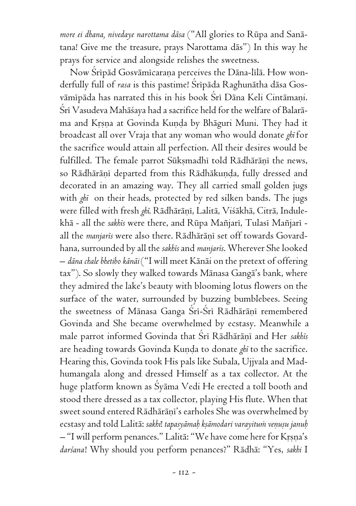*more ei dhana, nivedaye narottama däsa* ("All glories to Rüpa and Sanätana! Give me the treasure, prays Narottama däs") In this way he prays for service and alongside relishes the sweetness.

Now Śrīpād Gosvāmīcaraṇa perceives the Dāna-līlā. How wonderfully full of *rasa* is this pastime! Srīpāda Raghunātha dāsa Gosvämipäda has narrated this in his book Sri Däna Keli Cintämani. Śrī Vasudeva Mahāśaya had a sacrifice held for the welfare of Balarāma and Krsna at Govinda Kunda by Bhāguri Muni. They had it broadcast all over Vraja that any woman who would donate *ghé* for the sacrifice would attain all perfection. All their desires would be fulfilled. The female parrot Sūkṣmadhī told Rādhārāṇī the news, so Rādhārānī departed from this Rādhākunda, fully dressed and decorated in an amazing way. They all carried small golden jugs with *ghé* on their heads, protected by red silken bands. The jugs were filled with fresh *ghi*. Rādhārāṇī, Lalitā, Viśākhā, Citrā, Indulekhā - all the *sakhis* were there, and Rūpa Mañjarī, Tulasī Mañjarī all the *manjaris* were also there. Rādhārāni set off towards Govardhana, surrounded by all the *sakhés* and *manjarés*. Wherever She looked – *däna chale bhetibo känäi* ("I will meet Känäi on the pretext of offering tax"). So slowly they walked towards Mänasa Gangä's bank, where they admired the lake's beauty with blooming lotus flowers on the surface of the water, surrounded by buzzing bumblebees. Seeing the sweetness of Mānasa Ganga Śrī-Śrī Rādhārānī remembered Govinda and She became overwhelmed by ecstasy. Meanwhile a male parrot informed Govinda that Śrī Rādhārāņī and Her sakhīs are heading towards Govinda Kunda to donate *ghi* to the sacrifice. Hearing this, Govinda took His pals like Subala, Ujjvala and Madhumangala along and dressed Himself as a tax collector. At the huge platform known as Syama Vedi He erected a toll booth and stood there dressed as a tax collector, playing His flute. When that sweet sound entered Rādhārānī's earholes She was overwhelmed by ecstasy and told Lalitā: sakhi! tapasyāmah kṣāmodari varayitum veņuṣu januh  $-$  "I will perform penances." Lalitā: "We have come here for Krsna's *darçana*! Why should you perform penances?" Rädhä: "Yes, *sakhi* I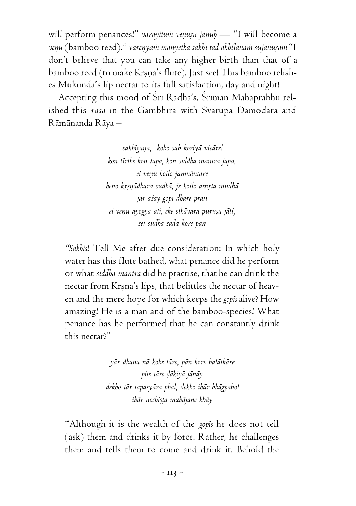will perform penances!" *varayitum venusu januh* — "I will become a veņu (bamboo reed)." vareņyam manyethā sakhi tad akhilānām sujanusām "I don't believe that you can take any higher birth than that of a bamboo reed (to make Krsna's flute). Just see! This bamboo relishes Mukunda's lip nectar to its full satisfaction, day and night!

Accepting this mood of Sri Rādhā's, Sriman Mahāprabhu relished this *rasa* in the Gambhīrā with Svarūpa Dāmodara and Rämänanda Räya –

> *sakhégaëa, koho sab koriyä vicäre! kon térthe kon tapa, kon siddha mantra japa, ei veëu koilo janmäntare heno kåñëädhara sudhä, je koilo amåta mudhä jär äçäy gopé dhare prän ei veëu ayogya ati, eke sthävara puruña jäti, sei sudhä sadä kore pän*

*"Sakhis*! Tell Me after due consideration: In which holy water has this flute bathed, what penance did he perform or what *siddha mantra* did he practise, that he can drink the nectar from Krsna's lips, that belittles the nectar of heaven and the mere hope for which keeps the *gopés* alive? How amazing! He is a man and of the bamboo-species! What penance has he performed that he can constantly drink this nectar?"

> *yär dhana nä kohe täre, pän kore balätkäre pite täre òäkiyä jänäy dekho tär tapasyära phal, dekho ihär bhägyabol ihär ucchiñöa mahäjane khäy*

"Although it is the wealth of the *gopés* he does not tell (ask) them and drinks it by force. Rather, he challenges them and tells them to come and drink it. Behold the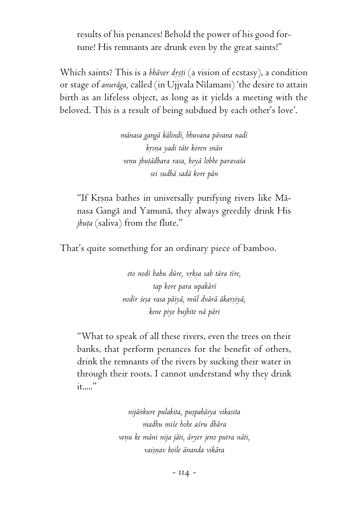results of his penances! Behold the power of his good fortune! His remnants are drunk even by the great saints!"

Which saints? This is a *bhāver dṛṣṭi* (a vision of ecstasy), a condition or stage of *anuräga,* called (in Ujjvala Nélamani) 'the desire to attain birth as an lifeless object, as long as it yields a meeting with the beloved. This is a result of being subdued by each other's love'.

> *mänasa gangä kälindé, bhuvana pävana nadé kåsëa yadi täte koren snän veëu jhuöädhara rasa, hoyä lobhe paravaça sei sudhä sadä kore pän*

"If Krsna bathes in universally purifying rivers like Mānasa Gangä and Yamunä, they always greedily drink His *jhuta* (saliva) from the flute."

That's quite something for an ordinary piece of bamboo.

*eto nodé bahu düre, våkña sab tära tére, tap kore para upakäré nodér çeña rasa päiyä, mül dvärä äkarñiyä, kene piye bujhite nä päri*

"What to speak of all these rivers, even the trees on their banks, that perform penances for the benefit of others, drink the remnants of the rivers by sucking their water in through their roots. I cannot understand why they drink it....."

> *nijäìkure pulakita, puñpahäsya vikasita madhu miçe bohe açru dhära veëu ke mäni nija jäti, äryer jeno putra näti, vaiñëav hoile änanda vikära*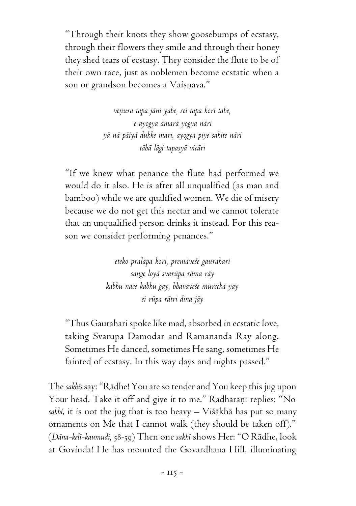"Through their knots they show goosebumps of ecstasy, through their flowers they smile and through their honey they shed tears of ecstasy. They consider the flute to be of their own race, just as noblemen become ecstatic when a son or grandson becomes a Vaișnava."

> *veëura tapa jäni yabe, sei tapa kori tabe, e ayogya ämarä yogya näré yä nä päiyä duùke mari, ayogya piye sahite näri tähä lägi tapasyä vicäri*

"If we knew what penance the flute had performed we would do it also. He is after all unqualified (as man and bamboo) while we are qualified women. We die of misery because we do not get this nectar and we cannot tolerate that an unqualified person drinks it instead. For this reason we consider performing penances."

> *eteko praläpa kori, premäveçe gaurahari sange loyä svarüpa räma räy kabhu näce kabhu gäy, bhäväveçe mürcchä yäy ei rüpa rätri dina jäy*

"Thus Gaurahari spoke like mad, absorbed in ecstatic love, taking Svarupa Damodar and Ramananda Ray along. Sometimes He danced, sometimes He sang, sometimes He fainted of ecstasy. In this way days and nights passed."

The *sakhés* say: "Rädhe! You are so tender and You keep this jug upon Your head. Take it off and give it to me." Rādhārāņī replies: "No *sakhi*, it is not the jug that is too heavy – Viçäkhä has put so many ornaments on Me that I cannot walk (they should be taken off)." (*Däna-kelé-kaumudé,* 58-59) Then one *sakhé* shows Her: "O Rädhe, look at Govinda! He has mounted the Govardhana Hill, illuminating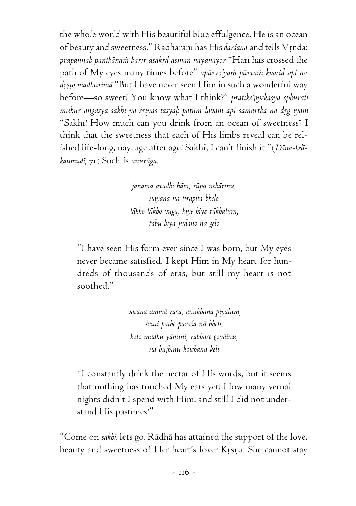the whole world with His beautiful blue effulgence. He is an ocean of beauty and sweetness." Rādhārāņī has His *darśana* and tells Vrndā: *prapannaù panthänaà harir asakåd asman nayanayor* "Hari has crossed the path of My eyes many times before" *apürvo'yaà pürvaà kvacid api na* drsto madhurimā "But I have never seen Him in such a wonderful way before—so sweet! You know what I think?" *pratike'pyekasya sphurati muhur aìgasya sakhi yä çriyas tasyäù pätuà lavam api samarthä na dåg iyam* "Sakhi! How much can you drink from an ocean of sweetness? I think that the sweetness that each of His limbs reveal can be relished life-long, nay, age after age! Sakhi, I can't finish it."(*Däna-kelékaumudé,* 71) Such is *anuräga.*

> *janama avadhi häm, rüpa nehärinu, nayana nä tirapita bhelo läkho läkho yuga, hiye hiye räkhalum, tabu hiyä juòano nä gelo*

"I have seen His form ever since I was born, but My eyes never became satisfied. I kept Him in My heart for hundreds of thousands of eras, but still my heart is not soothed."

> *vacana amiyä rasa, anukhana piyalum, çruti pathe paraça nä bheli, koto madhu yäminé, rabhase goyäinu, nä bujhinu koichana keli*

"I constantly drink the nectar of His words, but it seems that nothing has touched My ears yet! How many vernal nights didn't I spend with Him, and still I did not understand His pastimes!"

"Come on *sakhi,* lets go. Rädhä has attained the support of the love, beauty and sweetness of Her heart's lover Krsna. She cannot stay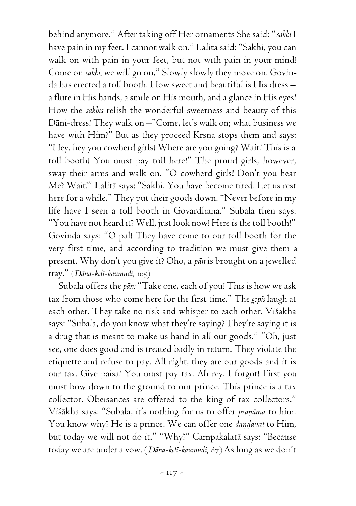behind anymore." After taking off Her ornaments She said: "*sakhi* I have pain in my feet. I cannot walk on." Lalitä said: "Sakhi, you can walk on with pain in your feet, but not with pain in your mind! Come on *sakhi,* we will go on." Slowly slowly they move on. Govinda has erected a toll booth. How sweet and beautiful is His dress – a flute in His hands, a smile on His mouth, and a glance in His eyes! How the *sakhés* relish the wonderful sweetness and beauty of this Däni-dress! They walk on –"Come, let's walk on; what business we have with Him?" But as they proceed Krsna stops them and says: "Hey, hey you cowherd girls! Where are you going? Wait! This is a toll booth! You must pay toll here!" The proud girls, however, sway their arms and walk on. "O cowherd girls! Don't you hear Me? Wait!" Lalitä says: "Sakhi, You have become tired. Let us rest here for a while." They put their goods down. "Never before in my life have I seen a toll booth in Govardhana." Subala then says: "You have not heard it? Well, just look now! Here is the toll booth!" Govinda says: "O pal! They have come to our toll booth for the very first time, and according to tradition we must give them a present. Why don't you give it? Oho, a *pän* is brought on a jewelled tray." (*Däna-kelé-kaumudé,* 105)

Subala offers the *pän:* "Take one, each of you! This is how we ask tax from those who come here for the first time." The *gopés* laugh at each other. They take no risk and whisper to each other. Viśakhā says: "Subala, do you know what they're saying? They're saying it is a drug that is meant to make us hand in all our goods." "Oh, just see, one does good and is treated badly in return. They violate the etiquette and refuse to pay. All right, they are our goods and it is our tax. Give paisa! You must pay tax. Ah rey, I forgot! First you must bow down to the ground to our prince. This prince is a tax collector. Obeisances are offered to the king of tax collectors." Viśākha says: "Subala, it's nothing for us to offer *praņāma* to him. You know why? He is a prince. We can offer one *dandavat* to Him, but today we will not do it." "Why?" Campakalatä says: "Because today we are under a vow. (*Däna-kelé-kaumudé,* 87) As long as we don't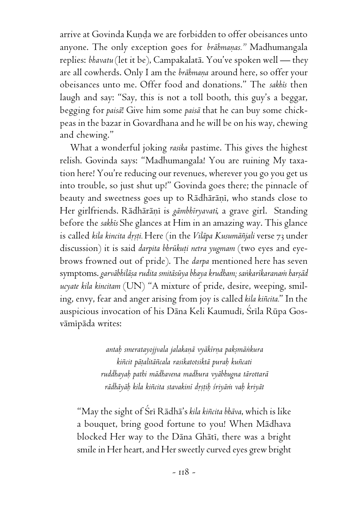arrive at Govinda Kunda we are forbidden to offer obeisances unto anyone. The only exception goes for *brāhmaņas.*" Madhumangala replies: *bhavatu* (let it be), Campakalatä. You've spoken well — they are all cowherds. Only I am the *brāhmana* around here, so offer your obeisances unto me. Offer food and donations." The *sakhés* then laugh and say: "Say, this is not a toll booth, this guy's a beggar, begging for *paisä*! Give him some *paisä* that he can buy some chickpeas in the bazar in Govardhana and he will be on his way, chewing and chewing."

What a wonderful joking *rasika* pastime. This gives the highest relish. Govinda says: "Madhumangala! You are ruining My taxation here! You're reducing our revenues, wherever you go you get us into trouble, so just shut up!" Govinda goes there; the pinnacle of beauty and sweetness goes up to Rādhārānī, who stands close to Her girlfriends. Rādhārāņī is *gāmbhīryavatī*, a grave girl. Standing before the *sakhés* She glances at Him in an amazing way. This glance is called *kila kincita dåñöi.* Here (in the *Viläpa Kusumäïjali* verse 73 under discussion) it is said *darpita bhrūkuṭi netra yugmam* (two eyes and eyebrows frowned out of pride). The *darpa* mentioned here has seven symptoms. garvābhilāṣa rudita smitāsūya bhaya krudham; sankarīkaranam harṣād *ucyate kila kincitam* (UN) "A mixture of pride, desire, weeping, smiling, envy, fear and anger arising from joy is called *kila kiïcita.*" In the auspicious invocation of his Dāna Keli Kaumudī, Śrīla Rūpa Gosvāmīpāda writes:

> *antaù smeratayojjvala jalakaëä vyäkérëa pakñmäìkura kiïcit päöalitäïcala rasikatotsiktä puraù kuïcati ruddhayaù pathi mädhavena madhura vyäbhugna tärottarä rädhäyäù kila kiïcita stavakiné dåñöiù çriyäà vaù kriyät*

"May the sight of Çré Rädhä's *kila kiïcita bhäva*, which is like a bouquet, bring good fortune to you! When Mädhava blocked Her way to the Dāna Ghātī, there was a bright smile in Her heart, and Her sweetly curved eyes grew bright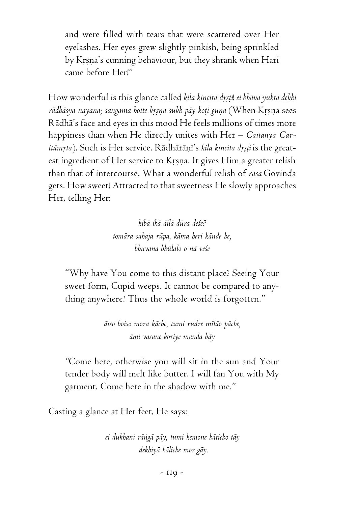and were filled with tears that were scattered over Her eyelashes. Her eyes grew slightly pinkish, being sprinkled by Krsna's cunning behaviour, but they shrank when Hari came before Her!"

How wonderful is this glance called kila kincita drstil ei bhāva yukta dekhi rādhāsya nayana; sangama hoite krsna sukh pāy koti guna (When Krsna sees Rädhä's face and eyes in this mood He feels millions of times more happiness than when He directly unites with Her – *Caitanya Caritāmrta*). Such is Her service. Rādhārānī's kila kincita drsti is the greatest ingredient of Her service to Krsna. It gives Him a greater relish than that of intercourse. What a wonderful relish of *rasa* Govinda gets. How sweet! Attracted to that sweetness He slowly approaches Her, telling Her:

> *kibä ihä äilä düra deçe? tomära sahaja rüpa, käma heri kände he, bhuvana bhülalo o nä veçe*

"Why have You come to this distant place? Seeing Your sweet form, Cupid weeps. It cannot be compared to anything anywhere! Thus the whole world is forgotten."

> *äiso boiso mora käche, tumi rudre méläo päche, ämi vasane koriye manda bäy*

*"*Come here, otherwise you will sit in the sun and Your tender body will melt like butter. I will fan You with My garment. Come here in the shadow with me."

Casting a glance at Her feet, He says:

*ei dukhani räìgä päy, tumi kemone häticho täy dekhiyä häliche mor gäy.*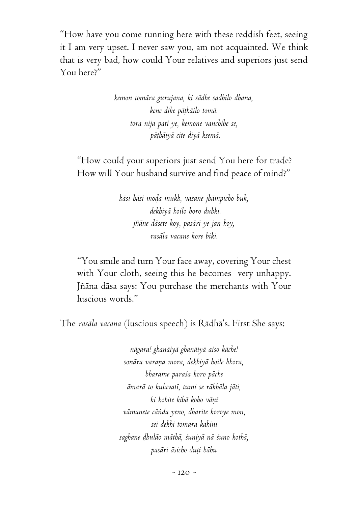"How have you come running here with these reddish feet, seeing it I am very upset. I never saw you, am not acquainted. We think that is very bad, how could Your relatives and superiors just send You here?"

> *kemon tomära gurujana, ki sädhe sadhilo dhana, kene dike päöhäilo tomä. tora nija pati ye, kemone vanchibe se, päöhäiyä cite diyä kñemä.*

"How could your superiors just send You here for trade? How will Your husband survive and find peace of mind?"

> *häsi häsi moòa mukh, vasane jhämpicho buk, dekhiyä hoilo boro duhki. jïäne däsete koy, pasäré ye jan hoy, rasäla vacane kore biki.*

"You smile and turn Your face away, covering Your chest with Your cloth, seeing this he becomes very unhappy. Jñāna dāsa says: You purchase the merchants with Your luscious words."

The *rasäla vacana* (luscious speech) is Rädhä's. First She says:

*nägara! ghanäiyä ghanäiyä aiso käche! sonära varaëa mora, dekhiyä hoile bhora, bharame paraça koro päche ämarä to kulavaté, tumi se räkhäla jäti,*  $ki$  kohite kibā koho vānī *vämanete cäìda yeno, dharite koroye mon, sei dekhi tomära kähiné saghane òhuläo mäthä, çuniyä nä çuno kothä, pasäri äsicho duöi bähu*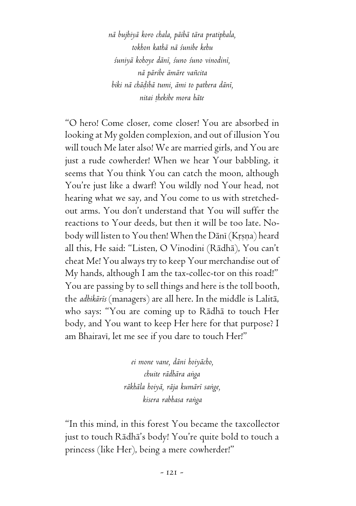*nä bujhiyä koro chala, päibä tära pratiphala, tokhon kathä nä çunibe kehu çuniyä kohoye däné, çuno çuno vinodiné, nä päribe ämäre vaïcita biki nä chäòibä tumi, ämi to pathera däné, nitai öhekibe mora häte*

"O hero! Come closer, come closer! You are absorbed in looking at My golden complexion, and out of illusion You will touch Me later also! We are married girls, and You are just a rude cowherder! When we hear Your babbling, it seems that You think You can catch the moon, although You're just like a dwarf! You wildly nod Your head, not hearing what we say, and You come to us with stretchedout arms. You don't understand that You will suffer the reactions to Your deeds, but then it will be too late. Nobody will listen to You then! When the Dānī (Krsna) heard all this, He said: "Listen, O Vinodini (Rädhä), You can't cheat Me! You always try to keep Your merchandise out of My hands, although I am the tax-collec-tor on this road!" You are passing by to sell things and here is the toll booth, the *adhikärés* (managers) are all here. In the middle is Lalitä, who says: "You are coming up to Rädhä to touch Her body, and You want to keep Her here for that purpose? I am Bhairavi, let me see if you dare to touch Her!"

> *ei mone vane, däni hoiyächo, chuite rädhära aìga räkhäla hoiyä, räja kumäré saìge, kisera rabhasa raìga*

"In this mind, in this forest You became the taxcollector just to touch Rädhä's body! You're quite bold to touch a princess (like Her), being a mere cowherder!"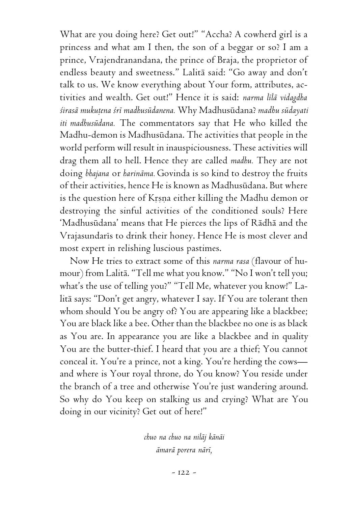What are you doing here? Get out!" "Accha? A cowherd girl is a princess and what am I then, the son of a beggar or so? I am a prince, Vrajendranandana, the prince of Braja, the proprietor of endless beauty and sweetness." Lalitä said: "Go away and don't talk to us. We know everything about Your form, attributes, activities and wealth. Get out!" Hence it is said: *narma lélä vidagdha çirasä mukuöena çré madhusüdanena.* Why Madhusüdana? *madhu südayati iti madhusüdana.* The commentators say that He who killed the Madhu-demon is Madhusüdana. The activities that people in the world perform will result in inauspiciousness. These activities will drag them all to hell. Hence they are called *madhu.* They are not doing *bhajana* or *harinäma.* Govinda is so kind to destroy the fruits of their activities, hence He is known as Madhusüdana. But where is the question here of Krsna either killing the Madhu demon or destroying the sinful activities of the conditioned souls? Here 'Madhusüdana' means that He pierces the lips of Rädhä and the Vrajasundaris to drink their honey. Hence He is most clever and most expert in relishing luscious pastimes.

Now He tries to extract some of this *narma rasa* (flavour of humour) from Lalitä. "Tell me what you know." "No I won't tell you; what's the use of telling you?" "Tell Me, whatever you know!" Lalitä says: "Don't get angry, whatever I say. If You are tolerant then whom should You be angry of? You are appearing like a blackbee; You are black like a bee. Other than the blackbee no one is as black as You are. In appearance you are like a blackbee and in quality You are the butter-thief. I heard that you are a thief; You cannot conceal it. You're a prince, not a king. You're herding the cows and where is Your royal throne, do You know? You reside under the branch of a tree and otherwise You're just wandering around. So why do You keep on stalking us and crying? What are You doing in our vicinity? Get out of here!"

> *chuo na chuo na niläj känäi ämarä porera näré,*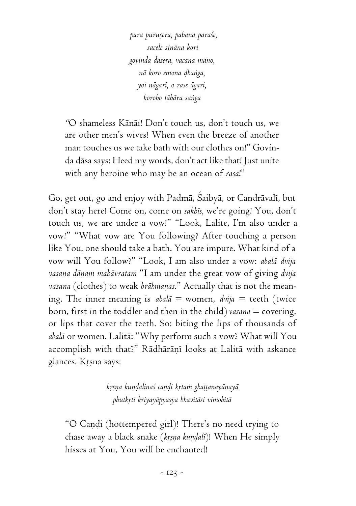*para puruñera, pabana paraçe, sacele sinäna kori govinda däsera, vacana mäno, nä koro emona òhaìga, yoi nägaré, o rase ägari, koroho tähära saìga*

*"*O shameless Känäi! Don't touch us, don't touch us, we are other men's wives! When even the breeze of another man touches us we take bath with our clothes on!" Govinda däsa says: Heed my words, don't act like that! Just unite with any heroine who may be an ocean of *rasa*!"

Go, get out, go and enjoy with Padmā, Śaibyā, or Candrāvalī, but don't stay here! Come on, come on *sakhés,* we're going! You, don't touch us, we are under a vow!" "Look, Lalite, I'm also under a vow!" "What vow are You following? After touching a person like You, one should take a bath. You are impure. What kind of a vow will You follow?" "Look, I am also under a vow: *abalä dvija vasana dänam mahävratam* "I am under the great vow of giving *dvija* vasana (clothes) to weak *brāhmaṇas*." Actually that is not the meaning. The inner meaning is  $abal\bar{a} =$  women,  $dvija =$  teeth (twice born, first in the toddler and then in the child) *vasana* = covering, or lips that cover the teeth. So: biting the lips of thousands of *abalä* or women. Lalitä: "Why perform such a vow? What will You accomplish with that?" Rādhārānī looks at Lalitā with askance glances. Krsna says:

> *kåñëa kuëòalinaç caëòi kåtaà ghaööanayänayä phutkåti kriyayäpyasya bhavitäsi vimohitä*

"O Candi (hottempered girl)! There's no need trying to chase away a black snake (*krsna kundali*)! When He simply hisses at You, You will be enchanted!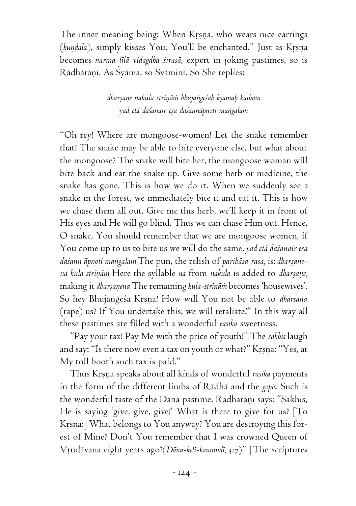The inner meaning being: When Krsna, who wears nice earrings (kundala), simply kisses You, You'll be enchanted." Just as Krsna becomes *narma lélä vidagdha çirasä*, expert in joking pastimes, so is Rādhārāņī. As Syāma, so Svāminī. So She replies:

> *dharñaëe nakula stréëäà bhujaìgeçaù kñamaù katham yad etä daçanair eña daçannäpnoti maìgalam*

"Oh rey! Where are mongoose-women! Let the snake remember that! The snake may be able to bite everyone else, but what about the mongoose? The snake will bite her, the mongoose woman will bite back and eat the snake up. Give some herb or medicine, the snake has gone. This is how we do it. When we suddenly see a snake in the forest, we immediately bite it and eat it. This is how we chase them all out. Give me this herb, we'll keep it in front of His eyes and He will go blind. Thus we can chase Him out. Hence, O snake, You should remember that we are mongoose women, if You come up to us to bite us we will do the same. *yad etā daśanair eșa* daśann āpnoti mangalam The pun, the relish of parihāsa rasa, is: dharṣaṇe*na kula stréëäà* Here the syllable *na* from *nakula* is added to *dharñaëe,* making it *dharsanena* The remaining *kula-strinām* becomes 'housewives'. So hey Bhujangeśa Krsna! How will You not be able to *dharsana* (rape) us? If You undertake this, we will retaliate!" In this way all these pastimes are filled with a wonderful *rasika* sweetness.

"Pay your tax! Pay Me with the price of youth!" The *sakhés* laugh and say: "Is there now even a tax on youth or what?" Kṛṣṇa: "Yes, at My toll booth such tax is paid."

Thus Krsna speaks about all kinds of wonderful rasika payments in the form of the different limbs of Rädhä and the *gopés*. Such is the wonderful taste of the Dāna pastime. Rādhārāņī says: "Sakhis, He is saying 'give, give, give!' What is there to give for us? [To Krsna:] What belongs to You anyway? You are destroying this forest of Mine? Don't You remember that I was crowned Queen of Våndävana eight years ago?(*Däna-kelé-kaumudé,* 317)" [The scriptures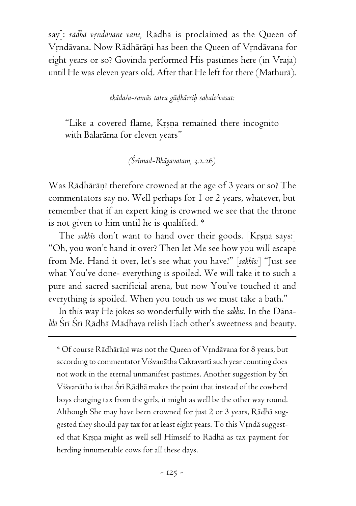say]: *rādhā vṛndāvane vane*, Rādhā is proclaimed as the Queen of Vrndävana. Now Rädhäräni has been the Queen of Vrndävana for eight years or so? Govinda performed His pastimes here (in Vraja) until He was eleven years old. After that He left for there (Mathurä).

### *ekädaça-samäs tatra güòhärciù sabalo'vasat:*

"Like a covered flame, Krsna remained there incognito with Balaräma for eleven years"

*(Çrémad-Bhägavatam,* 3.2.26*)*

Was Rādhārānī therefore crowned at the age of 3 years or so? The commentators say no. Well perhaps for 1 or 2 years, whatever, but remember that if an expert king is crowned we see that the throne is not given to him until he is qualified. \*

The *sakhis* don't want to hand over their goods. [Krsna says:] "Oh, you won't hand it over? Then let Me see how you will escape from Me. Hand it over, let's see what you have!" [*sakhés:*] "Just see what You've done- everything is spoiled. We will take it to such a pure and sacred sacrificial arena, but now You've touched it and everything is spoiled. When you touch us we must take a bath."

In this way He jokes so wonderfully with the *sakhés*. In the Däna*līlā* Śrī Śrī Rādhā Mādhava relish Each other's sweetness and beauty.

\* Of course Rādhārānī was not the Queen of Vrndāvana for 8 years, but according to commentator Viśvanātha Cakravartī such year counting does not work in the eternal unmanifest pastimes. Another suggestion by Sri Viśvanātha is that Śrī Rādhā makes the point that instead of the cowherd boys charging tax from the girls, it might as well be the other way round. Although She may have been crowned for just 2 or 3 years, Rädhä suggested they should pay tax for at least eight years. To this Vrndā suggested that Krsna might as well sell Himself to Rādhā as tax payment for herding innumerable cows for all these days.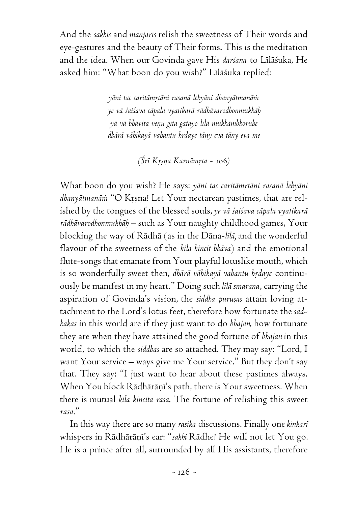And the *sakhés* and *manjarés* relish the sweetness of Their words and eye-gestures and the beauty of Their forms. This is the meditation and the idea. When our Govinda gave His *darsana* to Līlāsuka, He asked him: "What boon do you wish?" Līlāśuka replied:

> *yäni tac caritämåtäni rasanä lehyäni dhanyätmanäà ye vä çaiçava cäpala vyatikarä rädhävarodhonmukhäù yä vä bhävita veëu géta gatayo lélä mukhämbhoruhe dhärä vähikayä vahantu hådaye täny eva täny eva me*

> > *(Çré Kåñëa Karnämåta -* 106*)*

What boon do you wish? He says: yāni tac caritāmrtāni rasanā lehyāni dhanyātmanām "O Krsna! Let Your nectarean pastimes, that are relished by the tongues of the blessed souls, *ye vä çaiçava cäpala vyatikarä rädhävarodhonmukhäù –* such as Your naughty childhood games, Your blocking the way of Rädhä (as in the Däna-*lélä,* and the wonderful flavour of the sweetness of the *kila kincit bhäva*) and the emotional flute-songs that emanate from Your playful lotuslike mouth, which is so wonderfully sweet then, *dhārā vāhikayā vahantu hṛdaye* continuously be manifest in my heart." Doing such *lélä smarana*, carrying the aspiration of Govinda's vision, the *siddha purusas* attain loving attachment to the Lord's lotus feet, therefore how fortunate the *sädhakas* in this world are if they just want to do *bhajan*, how fortunate they are when they have attained the good fortune of *bhajan* in this world, to which the *siddhas* are so attached. They may say: "Lord, I want Your service – ways give me Your service." But they don't say that. They say: "I just want to hear about these pastimes always. When You block Rādhārāni's path, there is Your sweetness. When there is mutual *kila kincita rasa*. The fortune of relishing this sweet *rasa*."

In this way there are so many *rasika* discussions. Finally one *kinkaré* whispers in Rādhārāņī's ear: "sakhi Rādhe! He will not let You go. He is a prince after all, surrounded by all His assistants, therefore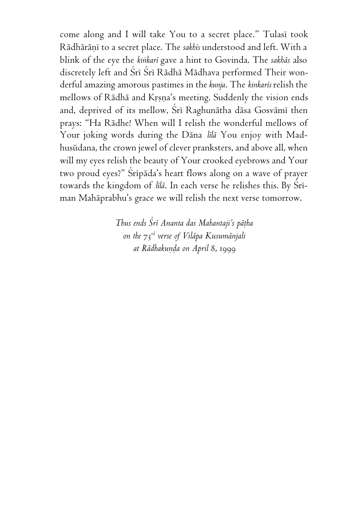come along and I will take You to a secret place." Tulasi took Rādhārāņī to a secret place. The *sakhīs* understood and left. With a blink of the eye the *kiìkaré* gave a hint to Govinda. The *sakhäs* also discretely left and Srī Srī Rādhā Mādhava performed Their wonderful amazing amorous pastimes in the *kunja*. The *kinkarés* relish the mellows of Rādhā and Krsna's meeting. Suddenly the vision ends and, deprived of its mellow, Srī Raghunātha dāsa Gosvāmī then prays: "Ha Rädhe! When will I relish the wonderful mellows of Your joking words during the Däna *lélä* You enjoy with Madhusüdana, the crown jewel of clever pranksters, and above all, when will my eyes relish the beauty of Your crooked eyebrows and Your two proud eyes?" Sripāda's heart flows along on a wave of prayer towards the kingdom of *lilā*. In each verse he relishes this. By Srīman Mahäprabhu's grace we will relish the next verse tomorrow.

> *Thus ends Çré Ananta das Mahantaji's päöha on the* 73*rd verse of Viläpa Kusumänjali at Rädhakuëòa on April* 8, 1999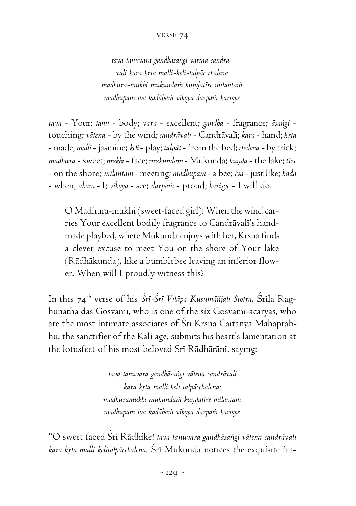#### verse 74

*tava tanuvara gandhäsaìgi vätena candrävali kara kåta mallé-keli-talpäc chalena madhura-mukhi mukundaà kuëòatére milantaà madhupam iva kadähaà vékñya darpaà kariñye*

*tava* - Your; *tanu* - body; *vara* - excellent; *gandha* - fragrance; *äsaìgi* touching; *vätena* - by the wind; *candrävali* - Candrävalé; *kara* - hand; *kåta* - made; *mallé* - jasmine; *keli* - play; *talpät* - from the bed; *chalena* - by trick; *madbura* - sweet; *mukhi* - face; *mukundam* - Mukunda; *kunda* - the lake; tire - on the shore; *milantaà* - meeting; *madhupam* - a bee; *iva* - just like; *kadä* - when; aham - I; viksya - see; darpam - proud; karisye - I will do.

O Madhura-mukhi (sweet-faced girl)! When the wind carries Your excellent bodily fragrance to Candrāvalī's handmade playbed, where Mukunda enjoys with her, Krsna finds a clever excuse to meet You on the shore of Your lake (Rādhākunda), like a bumblebee leaving an inferior flower. When will I proudly witness this?

In this 74<sup>th</sup> verse of his *Śrī-Śrī Vilāpa Kusumāñjali Stotra*, Śrīla Raghunätha däs Gosvämé, who is one of the six Gosvämé-äcäryas, who are the most intimate associates of  $\overline{S}$ ri Krsna Caitanya Mahaprabhu, the sanctifier of the Kali age, submits his heart's lamentation at the lotusfeet of his most beloved Sri Rādhārāni, saying:

> *tava tanuvara gandhäsaìgi vätena candrävali kara kåta malli keli talpäcchalena; madhuramukhi mukundaà kuëòatére milantaà madhupam iva kadähaà vékñya darpaà kariñye*

"O sweet faced Çré Rädhike! *tava tanuvara gandhäsaìgi vätena candrävali* kara krta malli kelitalpācchalena. Śrī Mukunda notices the exquisite fra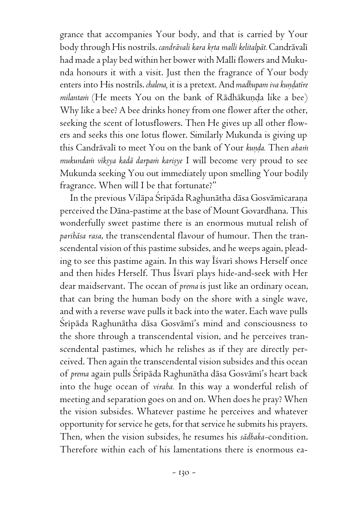grance that accompanies Your body, and that is carried by Your body through His nostrils. *candrāvali kara krta malli kelitalpāt*. Candrāvalī had made a play bed within her bower with Malli flowers and Mukunda honours it with a visit. Just then the fragrance of Your body enters into His nostrils. *chalena*, it is a pretext. And *madhupam iva kundatire milantam* (He meets You on the bank of Rādhākunda like a bee) Why like a bee? A bee drinks honey from one flower after the other, seeking the scent of lotusflowers. Then He gives up all other flowers and seeks this one lotus flower. Similarly Mukunda is giving up this Candrāvali to meet You on the bank of Your *kunda*. Then *aham* mukundann viksya kadā darpam karisye I will become very proud to see Mukunda seeking You out immediately upon smelling Your bodily fragrance. When will I be that fortunate?"

In the previous Vilāpa Srīpāda Raghunātha dāsa Gosvāmīcaraņa perceived the Däna-pastime at the base of Mount Govardhana. This wonderfully sweet pastime there is an enormous mutual relish of *parihäsa rasa*, the transcendental flavour of humour. Then the transcendental vision of this pastime subsides, and he weeps again, pleading to see this pastime again. In this way Īśvarī shows Herself once and then hides Herself. Thus Īśvarī plays hide-and-seek with Her dear maidservant. The ocean of *prema* is just like an ordinary ocean, that can bring the human body on the shore with a single wave, and with a reverse wave pulls it back into the water. Each wave pulls Srīpāda Raghunātha dāsa Gosvāmī's mind and consciousness to the shore through a transcendental vision, and he perceives transcendental pastimes, which he relishes as if they are directly perceived. Then again the transcendental vision subsides and this ocean of *prema* again pulls Śrīpāda Raghunātha dāsa Gosvāmī's heart back into the huge ocean of *viraha.* In this way a wonderful relish of meeting and separation goes on and on. When does he pray? When the vision subsides. Whatever pastime he perceives and whatever opportunity for service he gets, for that service he submits his prayers. Then, when the vision subsides, he resumes his *sädhaka-*condition. Therefore within each of his lamentations there is enormous ea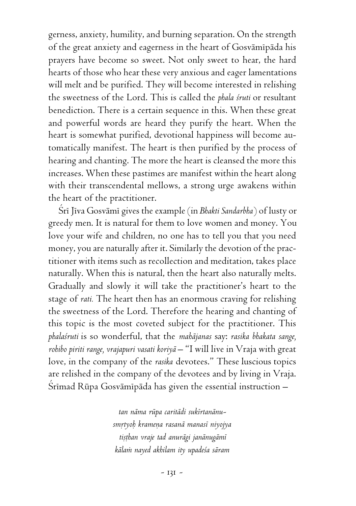gerness, anxiety, humility, and burning separation. On the strength of the great anxiety and eagerness in the heart of Gosvāmīpāda his prayers have become so sweet. Not only sweet to hear, the hard hearts of those who hear these very anxious and eager lamentations will melt and be purified. They will become interested in relishing the sweetness of the Lord. This is called the *phala çruti* or resultant benediction. There is a certain sequence in this. When these great and powerful words are heard they purify the heart. When the heart is somewhat purified, devotional happiness will become automatically manifest. The heart is then purified by the process of hearing and chanting. The more the heart is cleansed the more this increases. When these pastimes are manifest within the heart along with their transcendental mellows, a strong urge awakens within the heart of the practitioner.

Śrī Jīva Gosvāmī gives the example (in *Bhakti Sandarbha*) of lusty or greedy men. It is natural for them to love women and money. You love your wife and children, no one has to tell you that you need money, you are naturally after it. Similarly the devotion of the practitioner with items such as recollection and meditation, takes place naturally. When this is natural, then the heart also naturally melts. Gradually and slowly it will take the practitioner's heart to the stage of *rati.* The heart then has an enormous craving for relishing the sweetness of the Lord. Therefore the hearing and chanting of this topic is the most coveted subject for the practitioner. This *phalaçruti* is so wonderful, that the *mahäjanas* say: *rasika bhakata sange, rohibo piriti range, vrajapuri vasati koriyä* – "I will live in Vraja with great love, in the company of the *rasika* devotees." These luscious topics are relished in the company of the devotees and by living in Vraja. Śrīmad Rūpa Gosvāmīpāda has given the essential instruction –

> *tan näma rüpa caritädi sukértanänusmåtyoù krameëa rasanä manasé niyojya tiñöhan vraje tad anurägi janänugämé kälaà nayed akhilam ity upadeça säram*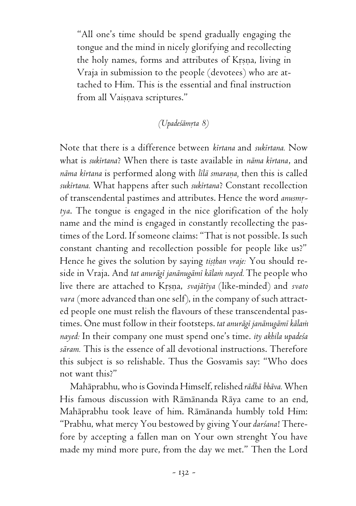"All one's time should be spend gradually engaging the tongue and the mind in nicely glorifying and recollecting the holy names, forms and attributes of Krsna, living in Vraja in submission to the people (devotees) who are attached to Him. This is the essential and final instruction from all Vaisnava scriptures."

# *(Upadeçämåta 8)*

Note that there is a difference between *kértana* and *sukértana.* Now what is *sukértana*? When there is taste available in *näma kértana*, and *näma kértana* is performed along with *lélä smaraëa,* then this is called *sukértana.* What happens after such *sukértana*? Constant recollection of transcendental pastimes and attributes. Hence the word *anusmrtya*. The tongue is engaged in the nice glorification of the holy name and the mind is engaged in constantly recollecting the pastimes of the Lord. If someone claims: "That is not possible. Is such constant chanting and recollection possible for people like us?" Hence he gives the solution by saying *tisthan vraje:* You should reside in Vraja. And *tat anurägé janänugämé kälaà nayed.* The people who live there are attached to Krsna, *svajātīya* (like-minded) and *svato vara* (more advanced than one self), in the company of such attracted people one must relish the flavours of these transcendental pastimes. One must follow in their footsteps. *tat anurägé janänugämé kälaà nayed:* In their company one must spend one's time. *ity akhila upadeça säram.* This is the essence of all devotional instructions. Therefore this subject is so relishable. Thus the Gosvamis say: "Who does not want this?"

Mahäprabhu, who is Govinda Himself, relished *rädhä bhäva.* When His famous discussion with Rämänanda Räya came to an end, Mahäprabhu took leave of him. Rämänanda humbly told Him: "Prabhu, what mercy You bestowed by giving Your *darçana*! Therefore by accepting a fallen man on Your own strenght You have made my mind more pure, from the day we met." Then the Lord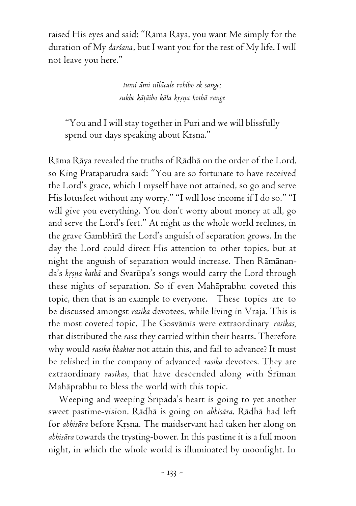raised His eyes and said: "Räma Räya, you want Me simply for the duration of My *darçana*, but I want you for the rest of My life. I will not leave you here."

> *tumi ämi néläcale rohibo ek sange; sukhe käöäibo käla kåñëa kothä range*

"You and I will stay together in Puri and we will blissfully spend our days speaking about Krsna."

Räma Räya revealed the truths of Rädhä on the order of the Lord, so King Pratäparudra said: "You are so fortunate to have received the Lord's grace, which I myself have not attained, so go and serve His lotusfeet without any worry." "I will lose income if I do so." "I will give you everything. You don't worry about money at all, go and serve the Lord's feet." At night as the whole world reclines, in the grave Gambhīrā the Lord's anguish of separation grows. In the day the Lord could direct His attention to other topics, but at night the anguish of separation would increase. Then Rämänanda's krsna kathā and Svarūpa's songs would carry the Lord through these nights of separation. So if even Mahäprabhu coveted this topic, then that is an example to everyone. These topics are to be discussed amongst *rasika* devotees, while living in Vraja. This is the most coveted topic. The Gosvāmis were extraordinary *rasikas*, that distributed the *rasa* they carried within their hearts. Therefore why would *rasika bhaktas* not attain this, and fail to advance? It must be relished in the company of advanced *rasika* devotees. They are extraordinary rasikas, that have descended along with Sriman Mahäprabhu to bless the world with this topic.

Weeping and weeping Sripada's heart is going to yet another sweet pastime-vision. Rädhä is going on *abhisära*. Rädhä had left for *abhisāra* before Krsna. The maidservant had taken her along on *abhisära* towards the trysting-bower. In this pastime it is a full moon night, in which the whole world is illuminated by moonlight. In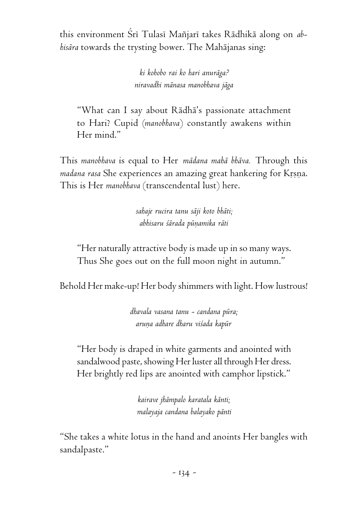this environment Çré Tulasé Maïjaré takes Rädhikä along on *abhisära* towards the trysting bower. The Mahäjanas sing:

> *ki kohobo rai ko hari anuräga? niravadhi mänasa manobhava jäga*

"What can I say about Rädhä's passionate attachment to Hari? Cupid (*manobhava*) constantly awakens within Her mind."

This *manobhava* is equal to Her *mädana mahä bhäva.* Through this madana rasa She experiences an amazing great hankering for Krsna. This is Her *manobhava* (transcendental lust) here.

> *sahaje rucira tanu säji koto bhäti; abhisaru çärada püëamika räti*

"Her naturally attractive body is made up in so many ways. Thus She goes out on the full moon night in autumn."

Behold Her make-up! Her body shimmers with light. How lustrous!

*dhavala vasana tanu - candana püra; aruëa adhare dharu viçada kapür*

"Her body is draped in white garments and anointed with sandalwood paste, showing Her luster all through Her dress. Her brightly red lips are anointed with camphor lipstick."

> *kairave jhämpalo karatala känti; malayaja candana balayako pänti*

"She takes a white lotus in the hand and anoints Her bangles with sandalpaste."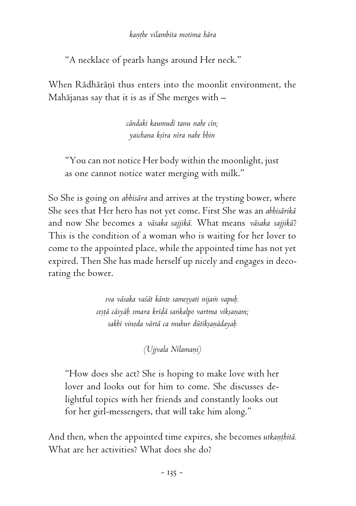## *kaëöhe vilambita motima hära*

"A necklace of pearls hangs around Her neck."

When Rādhārānī thus enters into the moonlit environment, the Mahäjanas say that it is as if She merges with –

> *cändaki kaumudé tanu nahe cén; yaichana kñéra néra nahe bhin*

"You can not notice Her body within the moonlight, just as one cannot notice water merging with milk."

So She is going on *abhisära* and arrives at the trysting bower, where She sees that Her hero has not yet come. First She was an *abhisärikä* and now She becomes a *väsaka sajjikä.* What means *väsaka sajjikä*? This is the condition of a woman who is waiting for her lover to come to the appointed place, while the appointed time has not yet expired. Then She has made herself up nicely and engages in decorating the bower.

> *sva väsaka vaçät känte sameñyati nijaà vapuù. ceñöä cäsyäù smara kréòä saìkalpo vartma vékñaëam; sakhé vinoda värtä ca muhur dütékñaëädayaù*

> > *(Ujjvala Nélamaëi)*

"How does she act? She is hoping to make love with her lover and looks out for him to come. She discusses delightful topics with her friends and constantly looks out for her girl-messengers, that will take him along."

And then, when the appointed time expires, she becomes utkanthitā. What are her activities? What does she do?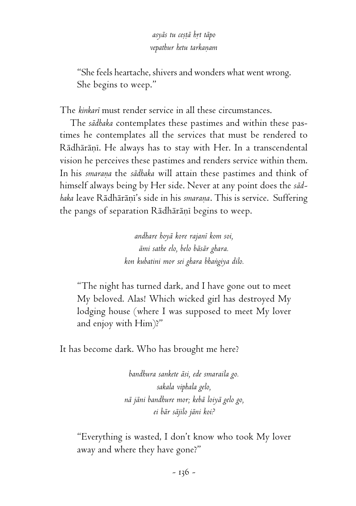*asyäs tu ceñöä håt täpo vepathur hetu tarkaëam*

"She feels heartache, shivers and wonders what went wrong. She begins to weep."

The *kinkaré* must render service in all these circumstances.

The *sädhaka* contemplates these pastimes and within these pastimes he contemplates all the services that must be rendered to Rādhārānī. He always has to stay with Her. In a transcendental vision he perceives these pastimes and renders service within them. In his *smarana* the *sādhaka* will attain these pastimes and think of himself always being by Her side. Never at any point does the *sädhaka* leave Rādhārānī's side in his *smarana*. This is service. Suffering the pangs of separation Rādhārāņī begins to weep.

> *andhare hoyä kore rajané kom soi, ämi sathe elo, belo bäsär ghara. kon kubatini mor sei ghara bhaìgiya dilo.*

"The night has turned dark, and I have gone out to meet My beloved. Alas! Which wicked girl has destroyed My lodging house (where I was supposed to meet My lover and enjoy with Him)?"

It has become dark. Who has brought me here?

*bandhura sankete äsi, ede smaraila go. sakala viphala gelo, nä jäni bandhure mor; kebä loiyä gelo go, ei bär säjilo jäni koi?*

"Everything is wasted, I don't know who took My lover away and where they have gone?"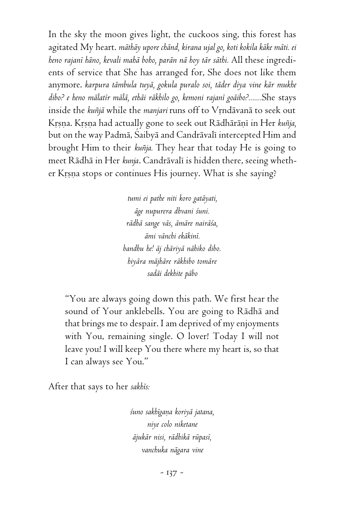In the sky the moon gives light, the cuckoos sing, this forest has agitated My heart. *mäthäy upore chänd, kirana ujal go, koti kokila käke mäti. ei heno rajané häno, kevali mahä boho, parän nä hoy tär säthi.* All these ingredients of service that She has arranged for, She does not like them anymore. *karpura tämbula tuyä, gokula puralo soi, täder diya vine kär mukhe dibo? e heno mälatér mälä, ethäi räkhilo go, kemoni rajané goäibo?.......*She stays inside the *kuïjä* while the *manjari* runs off to Våndävanä to seek out Krsna. Krsna had actually gone to seek out Rādhārāņī in Her *kuñja*, but on the way Padmā, Šaibyā and Candrāvali intercepted Him and brought Him to their *kuïja.* They hear that today He is going to meet Rādhā in Her kunja. Candrāvalī is hidden there, seeing whether Krsna stops or continues His journey. What is she saying?

> *tumi ei pathe niti koro gatäyati, äge nupurera dhvani çuni. rädhä sange väs, ämäre nairäça, ämi vänchi ekäkiné. bandhu he! äj chäriyä nähiko dibo. hiyära mäjhäre räkhibo tomäre sadäi dekhite päbo*

"You are always going down this path. We first hear the sound of Your anklebells. You are going to Rädhä and that brings me to despair. I am deprived of my enjoyments with You, remaining single. O lover! Today I will not leave you! I will keep You there where my heart is, so that I can always see You."

After that says to her *sakhés:*

*çuno sakhégaëa koriyä jatana, niye colo niketane äjukär nisi, rädhikä rüpasé, vanchuka nägara vine*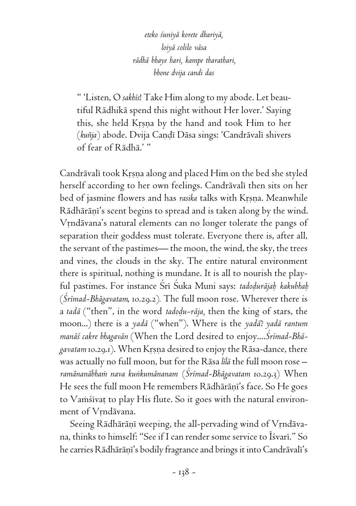*eteko çuniyä korete dhariyä, loiyä colilo väsa rädhä bhaye hari, kampe tharathari, bhone dvija candi das*

" 'Listen, O *sakhés*! Take Him along to my abode. Let beautiful Rädhikä spend this night without Her lover.' Saying this, she held Krsna by the hand and took Him to her (kuñja) abode. Dvija Candī Dāsa sings: 'Candrāvalī shivers of fear of Rädhä.' "

Candrāvalī took Krsna along and placed Him on the bed she styled herself according to her own feelings. Candrāvali then sits on her bed of jasmine flowers and has *rasika* talks with Krsna. Meanwhile Rādhārānī's scent begins to spread and is taken along by the wind. Vrndävana's natural elements can no longer tolerate the pangs of separation their goddess must tolerate. Everyone there is, after all, the servant of the pastimes— the moon, the wind, the sky, the trees and vines, the clouds in the sky. The entire natural environment there is spiritual, nothing is mundane. It is all to nourish the playful pastimes. For instance Srī Suka Muni says: *tadodurājah kakubhah* (*Çrémad-Bhägavatam*, 10.29.2)*.* The full moon rose. Wherever there is a *tadā* ("then", in the word *tadodu-rāja*, then the king of stars, the moon...) there is a *yadä* ("when"). Where is the *yadä*? *yadä rantum manäç cakre bhagavän* (When the Lord desired to enjoy....*Çrémad-Bhägavatam* 10.29.1). When Krsna desired to enjoy the Rāsa-dance, there was actually no full moon, but for the Räsa *lélä* the full moon rose – *ramänanäbhaà nava kuìkumänanam* (*Çrémad-Bhägavatam* 10.29.3) When He sees the full moon He remembers Rādhārāni's face. So He goes to Vamśīvat to play His flute. So it goes with the natural environment of Vrndävana.

Seeing Rādhārāņī weeping, the all-pervading wind of Vrndāvana, thinks to himself: "See if I can render some service to Isvari." So he carries Rādhārāņī's bodily fragrance and brings it into Candrāvalī's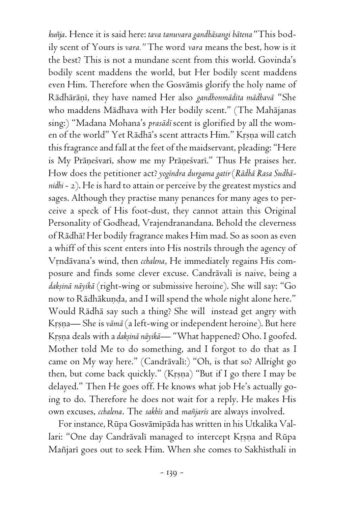*kuïja*. Hence it is said here: *tava tanuvara gandhäsangi bätena* "This bodily scent of Yours is *vara."* The word *vara* means the best, how is it the best? This is not a mundane scent from this world. Govinda's bodily scent maddens the world, but Her bodily scent maddens even Him. Therefore when the Gosvamis glorify the holy name of Rädhäräëé, they have named Her also *gandhonmädita mädhavä* "She who maddens Mädhava with Her bodily scent." (The Mahäjanas sing:) "Madana Mohana's *prasädé* scent is glorified by all the women of the world" Yet Rādhā's scent attracts Him." Krsna will catch this fragrance and fall at the feet of the maidservant, pleading: "Here is My Präneśvari, show me my Präneśvari." Thus He praises her. How does the petitioner act? *yogéndra durgama gatir* (*Rädhä Rasa Sudhänidhi* - 2). He is hard to attain or perceive by the greatest mystics and sages. Although they practise many penances for many ages to perceive a speck of His foot-dust, they cannot attain this Original Personality of Godhead, Vrajendranandana. Behold the cleverness of Rädhä! Her bodily fragrance makes Him mad. So as soon as even a whiff of this scent enters into His nostrils through the agency of Vrndāvana's wind, then *cchalena*, He immediately regains His composure and finds some clever excuse. Candrāvalī is naive, being a daksinā nāyikā (right-wing or submissive heroine). She will say: "Go now to Rādhākunda, and I will spend the whole night alone here." Would Rädhä say such a thing? She will instead get angry with Krsna— She is *vāmā* (a left-wing or independent heroine). But here Krsna deals with a *daksinā nāyikā*— "What happened? Oho. I goofed. Mother told Me to do something, and I forgot to do that as I came on My way here." (Candrāvalī:) "Oh, is that so? Allright go then, but come back quickly." (Krsna) "But if I go there I may be delayed." Then He goes off. He knows what job He's actually going to do. Therefore he does not wait for a reply. He makes His own excuses, *cchalena*. The *sakhés* and *maïjarés* are always involved.

For instance, Rüpa Gosvämépäda has written in his Utkalika Vallari: "One day Candrāvalī managed to intercept Krsna and Rūpa Mañjarī goes out to seek Him. When she comes to Sakhīsthali in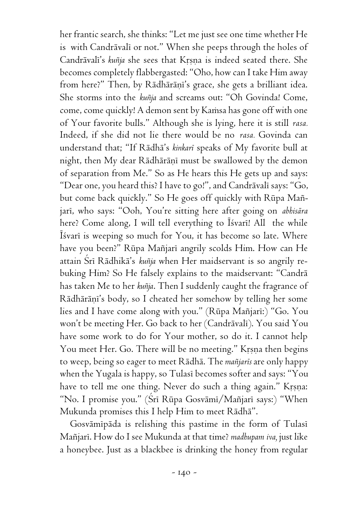her frantic search, she thinks: "Let me just see one time whether He is with Candrāvali or not." When she peeps through the holes of Candrāvali's kuñja she sees that Krsna is indeed seated there. She becomes completely flabbergasted: "Oho, how can I take Him away from here?" Then, by Rādhārāṇī's grace, she gets a brilliant idea. She storms into the *kuïja* and screams out: "Oh Govinda! Come, come, come quickly! A demon sent by Kamsa has gone off with one of Your favorite bulls." Although she is lying, here it is still *rasa.* Indeed, if she did not lie there would be no *rasa.* Govinda can understand that; "If Rädhä's *kinkaré* speaks of My favorite bull at night, then My dear Rādhārāņī must be swallowed by the demon of separation from Me." So as He hears this He gets up and says: "Dear one, you heard this? I have to go!", and Candrāvalī says: "Go, but come back quickly." So He goes off quickly with Rüpa Maïjari, who says: "Ooh, You're sitting here after going on *abhisāra* here? Come along, I will tell everything to Isvari! All the while Isvari is weeping so much for You, it has become so late. Where have you been?" Rüpa Maïjaré angrily scolds Him. How can He attain Çré Rädhikä's *kuïja* when Her maidservant is so angrily rebuking Him? So He falsely explains to the maidservant: "Candrä has taken Me to her *kuïja*. Then I suddenly caught the fragrance of Rādhārāņi's body, so I cheated her somehow by telling her some lies and I have come along with you." (Rūpa Mañjarī:) "Go. You won't be meeting Her. Go back to her (Candrāvalī). You said You have some work to do for Your mother, so do it. I cannot help You meet Her. Go. There will be no meeting." Krsna then begins to weep, being so eager to meet Rädhä. The *maïjarés* are only happy when the Yugala is happy, so Tulasi becomes softer and says: "You have to tell me one thing. Never do such a thing again." Krsna: "No. I promise you." (Śrī Rūpa Gosvāmī/Mañjarī says:) "When Mukunda promises this I help Him to meet Rädhä".

Gosvāmīpāda is relishing this pastime in the form of Tulasī Maïjaré. How do I see Mukunda at that time? *madhupam iva,* just like a honeybee. Just as a blackbee is drinking the honey from regular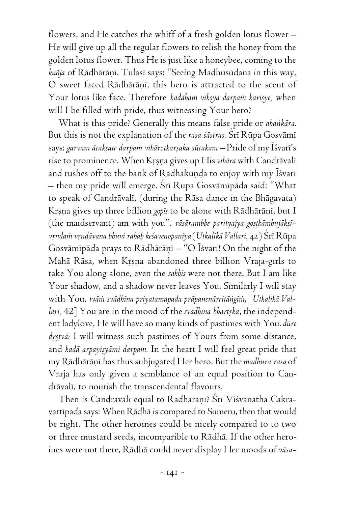flowers, and He catches the whiff of a fresh golden lotus flower – He will give up all the regular flowers to relish the honey from the golden lotus flower. Thus He is just like a honeybee, coming to the kuñja of Rādhārāņī. Tulasī says: "Seeing Madhusūdana in this way, O sweet faced Rādhārāņī, this hero is attracted to the scent of Your lotus like face. Therefore *kadāham vīksya darpam karisye*, when will I be filled with pride, thus witnessing Your hero?

What is this pride? Generally this means false pride or *ahaìkära.* But this is not the explanation of the *rasa śāstras*. Šrī Rūpa Gosvāmī says: garvam ācaksate darpam vihārotkarṣaka sūcakam – Pride of my Īśvarī's rise to prominence. When Krsna gives up His *vihāra* with Candrāvalī and rushes off to the bank of Rādhākunda to enjoy with my Īśvarī – then my pride will emerge. Çré Rupa Gosvämépäda said: "What to speak of Candrāvalī, (during the Rāsa dance in the Bhāgavata) Krsna gives up three billion *gopis* to be alone with Rādhārāņī, but I (the maidservant) am with you". *rāsārambhe parityajya gosthāmbujāksīvåndaà våndävana bhuvi rahaù keçavenopanéya* (*Utkalikä Vallari,* 42) Çré Rüpa Gosvāmī pāda prays to Rādhārānī – "O Īśvari! On the night of the Mahā Rāsa, when Krsna abandoned three billion Vraja-girls to take You along alone, even the *sakhés* were not there. But I am like Your shadow, and a shadow never leaves You. Similarly I will stay with You. tvām svādhīna priyatamapada prāpanenārcitāngīm, [Utkalikā Val*lari*, 42] You are in the mood of the *svādhīna bhartrkā*, the independent ladylove, He will have so many kinds of pastimes with You. *düre* drstvā: I will witness such pastimes of Yours from some distance, and *kadā arpayisyāmi darpam*. In the heart I will feel great pride that my Rādhārānī has thus subjugated Her hero. But the *madhura rasa* of Vraja has only given a semblance of an equal position to Candrāvalī, to nourish the transcendental flavours.

Then is Candrāvalī equal to Rādhārāņī? Śrī Viśvanātha Cakravartipada says: When Rādhā is compared to Sumeru, then that would be right. The other heroines could be nicely compared to to two or three mustard seeds, incomparible to Rädhä. If the other heroines were not there, Rädhä could never display Her moods of *väsa-*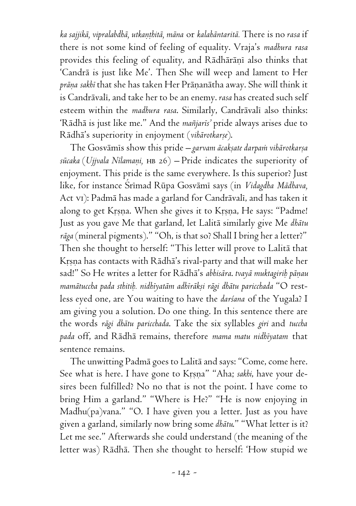*ka sajjikä, vipralabdhä, utkaëöhitä, mäna* or *kalahäntaritä.* There is no *rasa* if there is not some kind of feeling of equality. Vraja's *madhura rasa* provides this feeling of equality, and Rādhārāņī also thinks that 'Candrä is just like Me'. Then She will weep and lament to Her *präëa sakhé* that she has taken Her Präëanätha away. She will think it is Candrāvalī, and take her to be an enemy. *rasa* has created such self esteem within the *madhura rasa*. Similarly, Candrāvalī also thinks: 'Rädhä is just like me." And the *maïjarés'* pride always arises due to Rādhā's superiority in enjoyment (*vihārotkarse*).

The Gosvāmīs show this pride – *garvam ācaksate darpam vihārotkarsa sücaka* (*Ujjvala Nélamaëi,* hb 26) – Pride indicates the superiority of enjoyment. This pride is the same everywhere. Is this superior? Just like, for instance Çrémad Rüpa Gosvämé says (in *Vidagdha Mädhava,* Act vi): Padmā has made a garland for Candrāvalī, and has taken it along to get Krsna. When she gives it to Krsna, He says: "Padme! Just as you gave Me that garland, let Lalitä similarly give Me *dhätu räga* (mineral pigments)." "Oh, is that so? Shall I bring her a letter?" Then she thought to herself: "This letter will prove to Lalitä that Krsna has contacts with Rādhā's rival-party and that will make her sad!" So He writes a letter for Rādhā's abhisāra. *tvayā muktagirih pāņau mamätuccha pada sthitiù. nidhéyatäm adhéräkñi rägi dhätu paricchada* "O restless eyed one, are You waiting to have the *darsana* of the Yugala? I am giving you a solution. Do one thing. In this sentence there are the words *rägi dhätu paricchada*. Take the six syllables *giri* and *tuccha pada* off, and Rädhä remains, therefore *mama matu nidhéyatam* that sentence remains.

The unwitting Padmä goes to Lalitä and says: "Come, come here. See what is here. I have gone to Krsna" "Aha; *sakhi*, have your desires been fulfilled? No no that is not the point. I have come to bring Him a garland." "Where is He?" "He is now enjoying in Madhu(pa)vana." "O. I have given you a letter. Just as you have given a garland, similarly now bring some *dhätu*." "What letter is it? Let me see." Afterwards she could understand (the meaning of the letter was) Rädhä. Then she thought to herself: 'How stupid we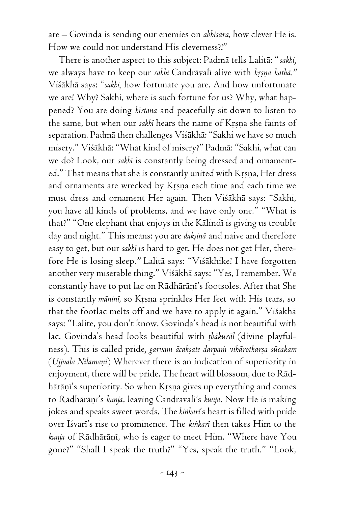are – Govinda is sending our enemies on *abhisära*, how clever He is. How we could not understand His cleverness?!"

There is another aspect to this subject: Padmä tells Lalitä: "*sakhi,* we always have to keep our sakhi Candrāvali alive with krsna kathā." Viçäkhä says: "*sakhi,* how fortunate you are. And how unfortunate we are! Why? Sakhi, where is such fortune for us? Why, what happened? You are doing *kértana* and peacefully sit down to listen to the same, but when our *sakhi* hears the name of Krsna she faints of separation. Padmä then challenges Viçäkhä: "Sakhi we have so much misery." Viçäkhä: "What kind of misery?" Padmä: "Sakhi, what can we do? Look, our *sakhé* is constantly being dressed and ornamented." That means that she is constantly united with Krsna, Her dress and ornaments are wrecked by Krsna each time and each time we must dress and ornament Her again. Then Viçäkhä says: "Sakhi, you have all kinds of problems, and we have only one." "What is that?" "One elephant that enjoys in the Kālindī is giving us trouble day and night." This means: you are *daksina* and naive and therefore easy to get, but our *sakhé* is hard to get. He does not get Her, therefore He is losing sleep*."* Lalitä says: "Viçäkhike! I have forgotten another very miserable thing." Viçäkhä says: "Yes, I remember. We constantly have to put lac on Rādhārāṇī's footsoles. After that She is constantly *mänini*, so Krsna sprinkles Her feet with His tears, so that the footlac melts off and we have to apply it again." Viçäkhä says: "Lalite, you don't know. Govinda's head is not beautiful with lac. Govinda's head looks beautiful with *öhäkuräl* (divine playfulness). This is called pride, garvam ācaksate darpam vihārotkarsa sūcakam (*Ujjvala Nélamaëi*) Wherever there is an indication of superiority in enjoyment, there will be pride. The heart will blossom, due to Rädhārāņi's superiority. So when Krsņa gives up everything and comes to Rādhārāņi's *kunja*, leaving Candravali's *kunja*. Now He is making jokes and speaks sweet words. The *kiìkaré*'s heart is filled with pride over Isvari's rise to prominence. The kinkari then takes Him to the kunja of Rādhārāņī, who is eager to meet Him. "Where have You gone?" "Shall I speak the truth?" "Yes, speak the truth." "Look,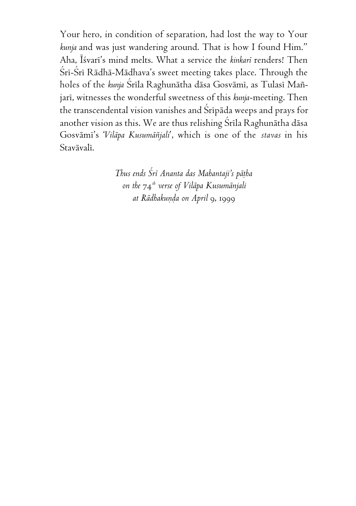Your hero, in condition of separation, had lost the way to Your *kunja* and was just wandering around. That is how I found Him." Aha, Éçvaré's mind melts. What a service the *kinkaré* renders! Then Śrī-Śrī Rādhā-Mādhava's sweet meeting takes place. Through the holes of the *kunja* Çréla Raghunätha däsa Gosvämé, as Tulasé Maïjari, witnesses the wonderful sweetness of this *kunja*-meeting. Then the transcendental vision vanishes and Srīpāda weeps and prays for another vision as this. We are thus relishing Śrīla Raghunātha dāsa Gosvämé's '*Viläpa Kusumäïjali*', which is one of the *stavas* in his Stavāvalī.

> *Thus ends Çré Ananta das Mahantaji's päöha on the* 74*th verse of Viläpa Kusumänjali at Rādhakunda on April 9, 1999*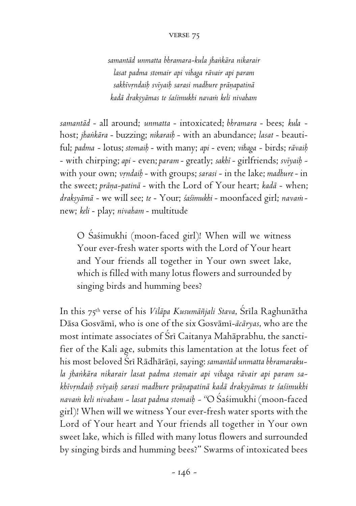## verse 75

*samantäd unmatta bhramara-kula jhaìkära nikarair lasat padma stomair api vihaga rävair api param* sakhivrndaih sviyaih sarasi madhure pr*ānapatinā kadä drakñyämas te çaçimukhi navaà keli nivaham*

*samantäd* - all around; *unmatta* - intoxicated; *bhramara* - bees; *kula* host; *jhaìkära* - buzzing; *nikaraiù* - with an abundance; *lasat* - beautiful; *padma* - lotus; *stomaiù* - with many; *api* - even; *vihaga* - birds; *rävaiù* - with chirping; *api* - even; *param* - greatly; *sakhé* - girlfriends; *svéyaiù*  with your own; *vrndaib* - with groups; sarasi - in the lake; *madhure* - in the sweet; *prāna-patinā* - with the Lord of Your heart; *kadā* - when; draksyāmā - we will see; te - Your; śaśimukhi - moonfaced girl; navam new; *keli* - play; *nivaham* - multitude

O Sasimukhi (moon-faced girl)! When will we witness Your ever-fresh water sports with the Lord of Your heart and Your friends all together in Your own sweet lake, which is filled with many lotus flowers and surrounded by singing birds and humming bees?

In this 75<sup>th</sup> verse of his *Vilāpa Kusumāñjali Stava*, Śrīla Raghunātha Däsa Gosvämé, who is one of the six Gosvämé-*äcäryas*, who are the most intimate associates of Śrī Caitanya Mahāprabhu, the sanctifier of the Kali age, submits this lamentation at the lotus feet of his most beloved Çré Rädhäräëé, saying: *samantäd unmatta bhramarakula jhaìkära nikarair lasat padma stomair api vihaga rävair api param sakhévåndaiù svéyaiù sarasi madhure präëapatinä kadä drakñyämas te çaçimukhi navaà keli nivaham - lasat padma stomaiù - "*O Çaçimukhi (moon-faced girl)! When will we witness Your ever-fresh water sports with the Lord of Your heart and Your friends all together in Your own sweet lake, which is filled with many lotus flowers and surrounded by singing birds and humming bees?" Swarms of intoxicated bees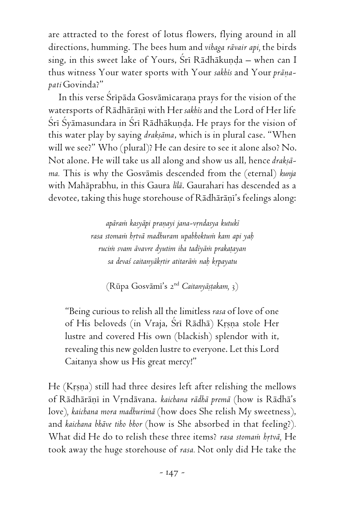are attracted to the forest of lotus flowers, flying around in all directions, humming. The bees hum and *vihaga rävair api,* the birds sing, in this sweet lake of Yours, Sri Rādhākunda – when can I thus witness Your water sports with Your sakhis and Your prāņa*pati* Govinda?"

In this verse Śrīpāda Gosvāmīcarana prays for the vision of the watersports of Rādhārāņī with Her sakhis and the Lord of Her life Śrī Śyāmasundara in Śrī Rādhākuṇḍa. He prays for the vision of this water play by saying *drakñäma*, which is in plural case. "When will we see?" Who (plural)? He can desire to see it alone also? No. Not alone. He will take us all along and show us all, hence *drakñäma.* This is why the Gosvämés descended from the (eternal) *kunja* with Mahäprabhu, in this Gaura *lélä*. Gaurahari has descended as a devotee, taking this huge storehouse of Rādhārāņi's feelings along:

> *apäraà kasyäpi praëayi jana-våndasya kutuké rasa stomaà håtvä madhuram upabhoktuà kam api yaù rucià svam ävavre dyutim iha tadéyäà prakaöayan sa devaç caitanyäkåtir atitaräà naù kåpayatu*

(Rüpa Gosvämé's 2 nd *Caitanyäñöakam,* 3)

"Being curious to relish all the limitless *rasa* of love of one of His beloveds (in Vraja, Śrī Rādhā) Krsņa stole Her lustre and covered His own (blackish) splendor with it, revealing this new golden lustre to everyone. Let this Lord Caitanya show us His great mercy!"

He (Krsna) still had three desires left after relishing the mellows of Rādhārāņī in Vrndāvana. *kaichana rādhā premā* (how is Rādhā's love)*, kaichana mora madhurimä* (how does She relish My sweetness), and *kaichana bhäve tiho bhor* (how is She absorbed in that feeling?)*.* What did He do to relish these three items? *rasa stomam brtvā*, He took away the huge storehouse of *rasa.* Not only did He take the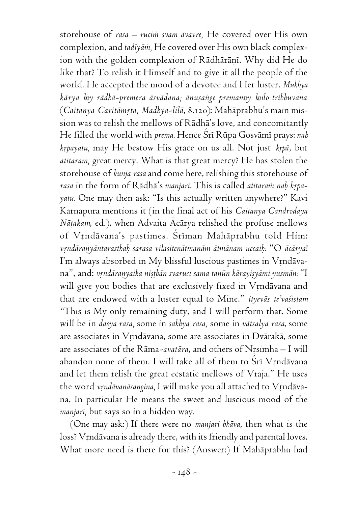storehouse of *rasa – rucià svam ävavre,* He covered over His own complexion, and *tadéyäà,* He covered over His own black complexion with the golden complexion of Rādhārāņī. Why did He do like that? To relish it Himself and to give it all the people of the world. He accepted the mood of a devotee and Her luster. *Mukhya kärya hoy rädhä-premera äsvädana; änuñaìge premamoy koilo tribhuvana* (Caitanya Caritāmrta, Madhya-līlā, 8.120): Mahāprabhu's main mission was to relish the mellows of Rädhä's love, and concomitantly He filled the world with *prema.* Hence Çré Rüpa Gosvämé prays: *naù krpayatu*, may He bestow His grace on us all. Not just *krpā*, but *atitaram,* great mercy. What is that great mercy? He has stolen the storehouse of *kunja rasa* and come here, relishing this storehouse of rasa in the form of Rādhā's manjarī. This is called atitaram nah krpa*yatu.* One may then ask: "Is this actually written anywhere?" Kavi Karnapura mentions it (in the final act of his *Caitanya Candrodaya Nāṭakam*, ed.), when Advaita Ācārya relished the profuse mellows of Vrndävana's pastimes. Śrīman Mahāprabhu told Him: *våndäraëyäntarasthaù sarasa vilasitenätmanäm ätmänam uccaiù:* "O *äcärya*! I'm always absorbed in My blissful luscious pastimes in Vrndävana", and: *vrndāranyaika niṣṭhān svaruci sama tanūn kārayiṣyāmi yusmān:* "I will give you bodies that are exclusively fixed in Vrndävana and that are endowed with a luster equal to Mine." *ityevās te'vaśistam "*This is My only remaining duty, and I will perform that. Some will be in *dasya rasa,* some in *sakhya rasa,* some in *vätsalya rasa*, some are associates in Vrndāvana, some are associates in Dvārakā, some are associates of the Rāma-avatāra, and others of Nrsimha - I will abandon none of them. I will take all of them to Śrī Vrndāvana and let them relish the great ecstatic mellows of Vraja." He uses the word *vrndāvanāsangina*, I will make you all attached to Vrndāvana. In particular He means the sweet and luscious mood of the *manjaré,* but says so in a hidden way.

(One may ask:) If there were no *manjari bhäva*, then what is the loss? Vrndāvana is already there, with its friendly and parental loves. What more need is there for this? (Answer:) If Mahäprabhu had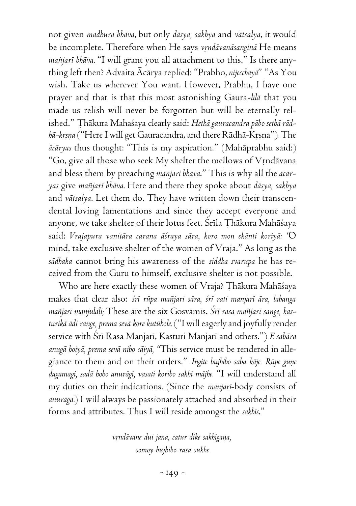not given *madhura bhäva*, but only *däsya, sakhya* and *vätsalya*, it would be incomplete. Therefore when He says vrndāvanāsanginā He means *maïjaré bhäva.* "I will grant you all attachment to this." Is there anything left then? Advaita Äcärya replied: "Prabho, *nijecchayä*" "As You wish. Take us wherever You want. However, Prabhu, I have one prayer and that is that this most astonishing Gaura*-lélä* that you made us relish will never be forgotten but will be eternally relished." Thākura Mahaśaya clearly said: *Hethā gauracandra pābo sethā rādhā-krsna* ("Here I will get Gauracandra, and there Rādhā-Krsna"). The *äcäryas* thus thought: "This is my aspiration." (Mahäprabhu said:) "Go, give all those who seek My shelter the mellows of Vrndävana and bless them by preaching *manjari bhäva*." This is why all the *äcäryas* give *maïjaré bhäva.* Here and there they spoke about *däsya, sakhya* and *vätsalya*. Let them do. They have written down their transcendental loving lamentations and since they accept everyone and anyone, we take shelter of their lotus feet. Srila Țhākura Mahāśaya said: *Vrajapura vanitära carana äçraya sära, koro mon ekänti koriyä: "*O mind, take exclusive shelter of the women of Vraja." As long as the *sädhaka* cannot bring his awareness of the *siddha svarupa* he has received from the Guru to himself, exclusive shelter is not possible.

Who are here exactly these women of Vraja? Thākura Mahāśaya makes that clear also: *çré rüpa maïjari sära, çré rati manjaré ära, labanga maïjaré manjuläli;* These are the six Gosvämés. *Çré rasa maïjaré sange, kasturikä ädi range, prema sevä kore kutühole.* ("I will eagerly and joyfully render service with Çré Rasa Manjaré, Kasturi Manjaré and others.") *E sabära anugä hoiyä, prema sevä nibo cäiyä, "*This service must be rendered in allegiance to them and on their orders." *Ingite bujhibo saba kāje. Rūpe gune òagamagi, sadä hobo anurägé, vasati koribo sakhé mäjhe.* "I will understand all my duties on their indications. (Since the *manjaré*-body consists of *anuräga.*) I will always be passionately attached and absorbed in their forms and attributes. Thus I will reside amongst the *sakhés*."

> *våndävane dui jana, catur dike sakhégaëa, somoy bujhibo rasa sukhe*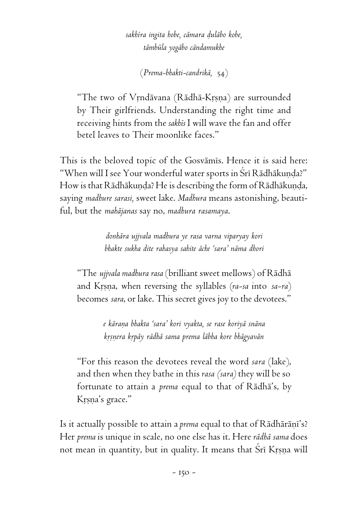*sakhéra ingita hobe, cämara òuläbo kobe, tämbüla yogäbo cändamukhe*

(*Prema-bhakti-candrikä,* 54)

"The two of Vrndävana (Rädhä-Krsna) are surrounded by Their girlfriends. Understanding the right time and receiving hints from the *sakhés* I will wave the fan and offer betel leaves to Their moonlike faces."

This is the beloved topic of the Gosvāmis. Hence it is said here: "When will I see Your wonderful water sports in Śrī Rādhākunda?" How is that Rādhākunda? He is describing the form of Rādhākunda, saying *madhure sarasi,* sweet lake. *Madhura* means astonishing, beautiful, but the *mahäjanas* say no, *madhura rasamaya*.

> *donhära ujjvala madhura ye rasa varna viparyay kori bhakte sukha dite rahasya sahite äche 'sara' näma dhori*

"The *ujjvala madhura rasa* (brilliant sweet mellows) of Rädhä and Krsna, when reversing the syllables (ra-sa into sa-ra) becomes *sara*, or lake. This secret gives joy to the devotees."

> *e käraëa bhakta 'sara' kori vyakta, se rase koriyä snäna kåñëera kåpäy rädhä sama prema läbha kore bhägyavän*

"For this reason the devotees reveal the word *sara* (lake), and then when they bathe in this *rasa (sara)* they will be so fortunate to attain a *prema* equal to that of Rädhä's, by Krsna's grace."

Is it actually possible to attain a *prema* equal to that of Rādhārāņī's? Her *prema* is unique in scale, no one else has it. Here *rädhä sama* does not mean in quantity, but in quality. It means that Sri Krsna will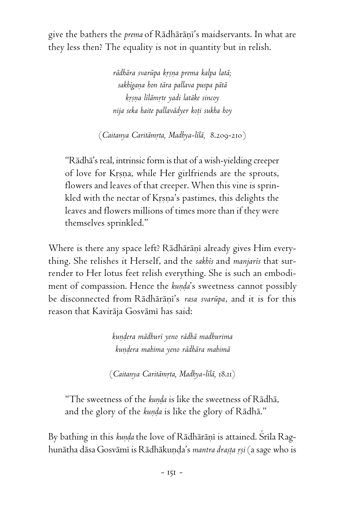give the bathers the *prema* of Rādhārāni's maidservants. In what are they less then? The equality is not in quantity but in relish.

> *rädhära svarüpa kåñëa prema kalpa latä; sakhégaëa hon tära pallava puspa pätä kåñëa lélämåte yadi latäke sincoy nija seka haite pallavädyer koöi sukha hoy*

(*Caitanya Caritämåta, Madhya-lélä,* 8.209-210)

"Rädhä's real, intrinsic form is that of a wish-yielding creeper of love for Krsna, while Her girlfriends are the sprouts, flowers and leaves of that creeper. When this vine is sprinkled with the nectar of Krsna's pastimes, this delights the leaves and flowers millions of times more than if they were themselves sprinkled."

Where is there any space left? Rādhārāņī already gives Him everything. She relishes it Herself, and the *sakhés* and *manjarés* that surrender to Her lotus feet relish everything. She is such an embodiment of compassion. Hence the *kunda*'s sweetness cannot possibly be disconnected from Rādhārāni's *rasa svarūpa*, and it is for this reason that Kavirāja Gosvāmī has said:

> *kuëòera mädhuré yeno rädhä madhurima kuëòera mahima yeno rädhära mahimä*

(*Caitanya Caritämåta, Madhya-lélä,* 18.11)

"The sweetness of the *kunda* is like the sweetness of Rādhā, and the glory of the *kunda* is like the glory of Rādhā."

By bathing in this kunda the love of Rādhārāņī is attained. Srīla Raghunātha dāsa Gosvāmī is Rādhākuņda's *mantra drasta rsi* (a sage who is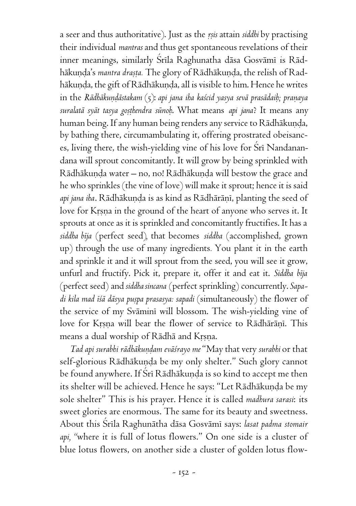a seer and thus authoritative). Just as the *åñis* attain *siddhi* by practising their individual *mantras* and thus get spontaneous revelations of their inner meanings, similarly Srila Raghunatha dāsa Gosvāmī is Rādhākuņda's mantra drasta. The glory of Rādhākuņda, the relish of Radhākuņḍa, the gift of Rādhākuņḍa, all is visible to him. Hence he writes in the *Rādhākundāstakam* (5): *api jana iha kaścid yasya sevā prasādaiḥ; praṇaya suralatä syät tasya goñöhendra sünoù*. What means *api jana*? It means any human being. If any human being renders any service to Rādhākunda, by bathing there, circumambulating it, offering prostrated obeisances, living there, the wish-yielding vine of his love for Sri Nandanandana will sprout concomitantly. It will grow by being sprinkled with Rādhākunda water – no, no! Rādhākunda will bestow the grace and he who sprinkles (the vine of love) will make it sprout; hence it is said *api jana iha*. Rādhākunda is as kind as Rādhārānī, planting the seed of love for Krsna in the ground of the heart of anyone who serves it. It sprouts at once as it is sprinkled and concomitantly fructifies. It has a *siddha béja* (perfect seed)*,* that becomes *siddha* (accomplished, grown up) through the use of many ingredients*.* You plant it in the earth and sprinkle it and it will sprout from the seed, you will see it grow, unfurl and fructify. Pick it, prepare it, offer it and eat it. *Siddha béja* (perfect seed) and *siddha sincana* (perfect sprinkling) concurrently. *Sapadi kila mad éçä däsya puñpa prasasya: sapadi* (simultaneously) the flower of the service of my Sväminé will blossom. The wish-yielding vine of love for Krsna will bear the flower of service to Rādhārāņi. This means a dual worship of Rādhā and Krsna.

*Tad api surabhi rädhäkuëòam eväçrayo me* "May that very *surabhi* or that self-glorious Rādhākunda be my only shelter." Such glory cannot be found anywhere. If Srī Rādhākunda is so kind to accept me then its shelter will be achieved. Hence he says: "Let Rādhākunda be my sole shelter" This is his prayer. Hence it is called *madhura sarasi*: its sweet glories are enormous. The same for its beauty and sweetness. About this Çréla Raghunätha däsa Gosvämé says: *lasat padma stomair api, "*where it is full of lotus flowers." On one side is a cluster of blue lotus flowers, on another side a cluster of golden lotus flow-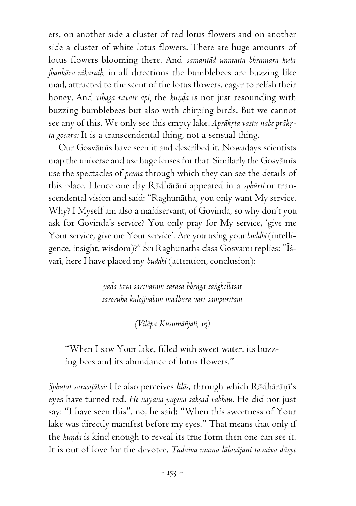ers, on another side a cluster of red lotus flowers and on another side a cluster of white lotus flowers. There are huge amounts of lotus flowers blooming there. And *samantäd unmatta bhramara kula jhankära nikaraiù,* in all directions the bumblebees are buzzing like mad, attracted to the scent of the lotus flowers, eager to relish their honey. And *vihaga rāvair api*, the *kunda* is not just resounding with buzzing bumblebees but also with chirping birds. But we cannot see any of this. We only see this empty lake. Aprākrta vastu nahe prākr*ta gocara:* It is a transcendental thing, not a sensual thing.

Our Gosvämés have seen it and described it. Nowadays scientists map the universe and use huge lenses for that. Similarly the Gosvämés use the spectacles of *prema* through which they can see the details of this place. Hence one day Rādhārāņī appeared in a *sphūrti* or transcendental vision and said: "Raghunätha, you only want My service. Why? I Myself am also a maidservant, of Govinda, so why don't you ask for Govinda's service? You only pray for My service, 'give me Your service, give me Your service'. Are you using your *buddhi* (intelligence, insight, wisdom)?" Śrī Raghunātha dāsa Gosvāmī replies: "Īśvari, here I have placed my *buddhi* (attention, conclusion):

> *yadä tava sarovaraà sarasa bhåìga saìghollasat saroruha kulojjvalaà madhura väri sampüritam*

> > *(Viläpa Kusumäïjali,* 15*)*

"When I saw Your lake, filled with sweet water, its buzzing bees and its abundance of lotus flowers."

Sphuțat sarasijāksi: He also perceives līlās, through which Rādhārāni's eyes have turned red. *He nayana yugma sākṣād vabhau:* He did not just say: "I have seen this", no, he said: "When this sweetness of Your lake was directly manifest before my eyes." That means that only if the kunda is kind enough to reveal its true form then one can see it. It is out of love for the devotee. *Tadaiva mama lälasäjani tavaiva däsye*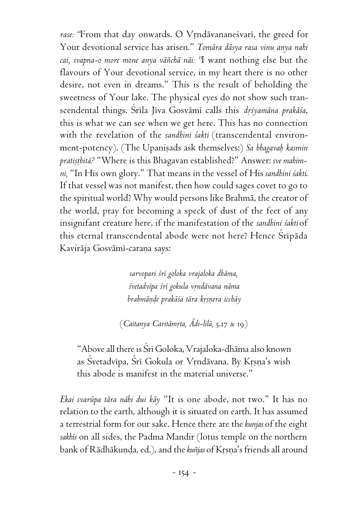rase: "From that day onwards. O Vrndävananesvari, the greed for Your devotional service has arisen." *Tomära däsya rasa vinu anya nahi cai, svapna-o more mone anya väïchä näi: "*I want nothing else but the flavours of Your devotional service, in my heart there is no other desire, not even in dreams." This is the result of beholding the sweetness of Your lake. The physical eyes do not show such transcendental things. Srila Jiva Gosvämi calls this *drśyamāna prakāśa*, this is what we can see when we get here. This has no connection with the revelation of the sandhini sakti (transcendental environment-potency). (The Upanisads ask themselves:) Sa bhagavah kasmin pratisthitā? "Where is this Bhagavan established?" Answer: *sve mahimni,* "In His own glory." That means in the vessel of His *sandhiné çakti*. If that vessel was not manifest, then how could sages covet to go to the spiritual world? Why would persons like Brahmä, the creator of the world, pray for becoming a speck of dust of the feet of any insignifant creature here, if the manifestation of the *sandhini çakti* of this eternal transcendental abode were not here? Hence Śrīpāda Kavirāja Gosvāmī-caraņa says:

> *sarvopari çré goloka vrajaloka dhäma, çvetadvépa çré gokula våndävana näma brahmände prakäśa tära krsnera icchäy*

(*Caitanya Caritämåta, Ädi-lélä,* 5.17 & 19)

"Above all there is Çré Goloka, Vrajaloka-dhäma also known as Śvetadvīpa, Śrī Gokula or Vrndāvana. By Krsna's wish this abode is manifest in the material universe."

*Ekai svarüpa tära nähi dui käy* "It is one abode, not two." It has no relation to the earth, although it is situated on earth. It has assumed a terrestrial form for our sake. Hence there are the *kunjas* of the eight *sakhés* on all sides, the Padma Mandir (lotus temple on the northern bank of Rādhākunda, ed.), and the *kuñjas* of Krsna's friends all around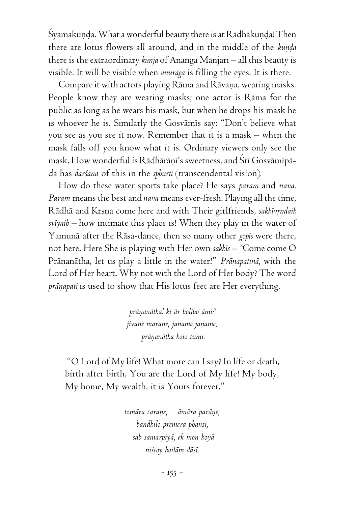Syāmakuṇḍa. What a wonderful beauty there is at Rādhākuṇḍa! Then there are lotus flowers all around, and in the middle of the *kunda* there is the extraordinary *kunja* of Ananga Manjari – all this beauty is visible. It will be visible when *anuräga* is filling the eyes. It is there.

Compare it with actors playing Rāma and Rāvaṇa, wearing masks. People know they are wearing masks; one actor is Räma for the public as long as he wears his mask, but when he drops his mask he is whoever he is. Similarly the Gosvamis say: "Don't believe what you see as you see it now. Remember that it is a mask – when the mask falls off you know what it is. Ordinary viewers only see the mask. How wonderful is Rādhārāņi's sweetness, and Śrī Gosvāmīpāda has *darçana* of this in the *sphurti* (transcendental vision)*.*

How do these water sports take place? He says *param* and *nava. Param* means the best and *nava* means ever-fresh. Playing all the time, Rādhā and Krsna come here and with Their girlfriends, *sakhīvrndaih svéyaiù –* how intimate this place is! When they play in the water of Yamunä after the Räsa-dance, then so many other *gopés* were there, not here. Here She is playing with Her own *sakhés – "*Come come O Pränanätha, let us play a little in the water!" Pränapatinā, with the Lord of Her heart. Why not with the Lord of Her body? The word *prāņapati* is used to show that His lotus feet are Her everything.

> *präëanätha! ki är bolibo ämi? jévane marane, janame janame, präëanätha hoio tumi.*

"O Lord of My life! What more can I say? In life or death, birth after birth, You are the Lord of My life! My body, My home, My wealth, it is Yours forever."

> *tomāra carane, āmāra parāne, bändhilo premera phäìsi, sab samarpiyä, ek mon hoyä niçcoy hoiläm däsé.*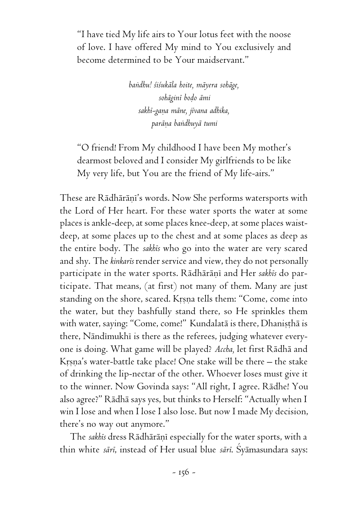"I have tied My life airs to Your lotus feet with the noose of love. I have offered My mind to You exclusively and become determined to be Your maidservant."

> *baìdhu! çiçukäla hoite, mäyera sohäge, sohäginé boòo ämi sakhé-gaëa mäne, jévana adhika, paräëa baìdhuyä tumi*

"O friend! From My childhood I have been My mother's dearmost beloved and I consider My girlfriends to be like My very life, but You are the friend of My life-airs."

These are Rādhārāṇi's words. Now She performs watersports with the Lord of Her heart. For these water sports the water at some places is ankle-deep, at some places knee-deep, at some places waistdeep, at some places up to the chest and at some places as deep as the entire body. The *sakhés* who go into the water are very scared and shy. The *kinkarés* render service and view, they do not personally participate in the water sports. Rādhārāņī and Her sakhis do participate. That means, (at first) not many of them. Many are just standing on the shore, scared. Krsna tells them: "Come, come into the water, but they bashfully stand there, so He sprinkles them with water, saying: "Come, come!" Kundalatā is there, Dhanisthā is there, Nāndīmukhī is there as the referees, judging whatever everyone is doing. What game will be played? *Accha,* let first Rädhä and Krsna's water-battle take place! One stake will be there – the stake of drinking the lip-nectar of the other. Whoever loses must give it to the winner. Now Govinda says: "All right, I agree. Rädhe! You also agree?" Rädhä says yes, but thinks to Herself: "Actually when I win I lose and when I lose I also lose. But now I made My decision, there's no way out anymore."

The *sakhis* dress Rādhārāņī especially for the water sports, with a thin white *säré*, instead of Her usual blue *säré*. Çyämasundara says: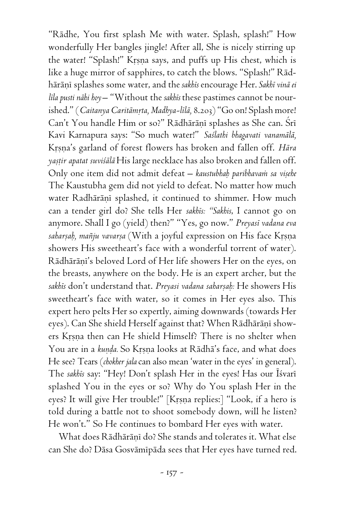"Rädhe, You first splash Me with water. Splash, splash!" How wonderfully Her bangles jingle! After all, She is nicely stirring up the water! "Splash!" Krsna says, and puffs up His chest, which is like a huge mirror of sapphires, to catch the blows. "Splash!" Rädhäräëé splashes some water, and the *sakhés* encourage Her. *Sakhé vinä ei léla pusti nähi hoy* – "Without the *sakhés* these pastimes cannot be nourished." (*Caitanya Caritāmrta, Madhya-līlā, 8.203*) "Go on! Splash more! Can't You handle Him or so?" Rādhārāņī splashes as She can. Šrī Kavi Karnapura says: "So much water!" *Saçlathi bhagavati vanamälä,* Krsna's garland of forest flowers has broken and fallen off. *Hāra yañöir apatat suviçälä* His large necklace has also broken and fallen off. Only one item did not admit defeat – *kaustubhah paribhavam sa visehe* The Kaustubha gem did not yield to defeat. No matter how much water Radhārānī splashed, it continued to shimmer. How much can a tender girl do? She tells Her *sakhés: "Sakhis*, I cannot go on anymore. Shall I go (yield) then?" "Yes, go now." *Preyasé vadana eva* saharșah, mañju vavarșa (With a joyful expression on His face Krsna showers His sweetheart's face with a wonderful torrent of water). Rādhārāni's beloved Lord of Her life showers Her on the eyes, on the breasts, anywhere on the body. He is an expert archer, but the sakhis don't understand that. *Preyasi vadana saharṣaḥ*: He showers His sweetheart's face with water, so it comes in Her eyes also. This expert hero pelts Her so expertly, aiming downwards (towards Her eyes). Can She shield Herself against that? When Rādhārāṇī showers Krsna then can He shield Himself? There is no shelter when You are in a *kunda*. So Krsna looks at Rādhā's face, and what does He see? Tears (*chokher jala* can also mean 'water in the eyes' in general). The sakhis say: "Hey! Don't splash Her in the eyes! Has our Isvari splashed You in the eyes or so? Why do You splash Her in the eyes? It will give Her trouble!" [Krsna replies:] "Look, if a hero is told during a battle not to shoot somebody down, will he listen? He won't." So He continues to bombard Her eyes with water.

What does Rādhārānī do? She stands and tolerates it. What else can She do? Dāsa Gosvāmīpāda sees that Her eyes have turned red.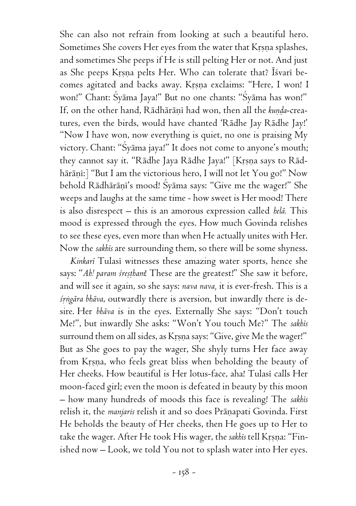She can also not refrain from looking at such a beautiful hero. Sometimes She covers Her eyes from the water that Krsna splashes, and sometimes She peeps if He is still pelting Her or not. And just as She peeps Krsna pelts Her. Who can tolerate that? Īśvarī becomes agitated and backs away. Krsna exclaims: "Here, I won! I won!" Chant: Śyāma Jaya!" But no one chants: "Śyāma has won!" If, on the other hand, Rādhārāņī had won, then all the kunda-creatures, even the birds, would have chanted 'Rädhe Jay Rädhe Jay!' "Now I have won, now everything is quiet, no one is praising My victory. Chant: "Syama jaya!" It does not come to anyone's mouth; they cannot say it. "Rādhe Jaya Rādhe Jaya!" [Krsna says to Rādhārānī:] "But I am the victorious hero, I will not let You go!" Now behold Rādhārānī's mood! Śyāma says: "Give me the wager!" She weeps and laughs at the same time - how sweet is Her mood! There is also disrespect – this is an amorous expression called *helä.* This mood is expressed through the eyes. How much Govinda relishes to see these eyes, even more than when He actually unites with Her. Now the *sakhés* are surrounding them, so there will be some shyness.

*Kinkaré* Tulasé witnesses these amazing water sports, hence she says: "Ah! param śreștham! These are the greatest!" She saw it before, and will see it again, so she says: *nava nava,* it is ever-fresh. This is a *çåìgära bhäva*, outwardly there is aversion, but inwardly there is desire. Her *bhäva* is in the eyes. Externally She says: "Don't touch Me!", but inwardly She asks: "Won't You touch Me?" The *sakhés* surround them on all sides, as Krsna says: "Give, give Me the wager!" But as She goes to pay the wager, She shyly turns Her face away from Krsna, who feels great bliss when beholding the beauty of Her cheeks. How beautiful is Her lotus-face, aha! Tulasī calls Her moon-faced girl; even the moon is defeated in beauty by this moon – how many hundreds of moods this face is revealing! The *sakhés* relish it, the *manjaris* relish it and so does Prāņapati Govinda. First He beholds the beauty of Her cheeks, then He goes up to Her to take the wager. After He took His wager, the *sakhis* tell Krsna: "Finished now – Look, we told You not to splash water into Her eyes.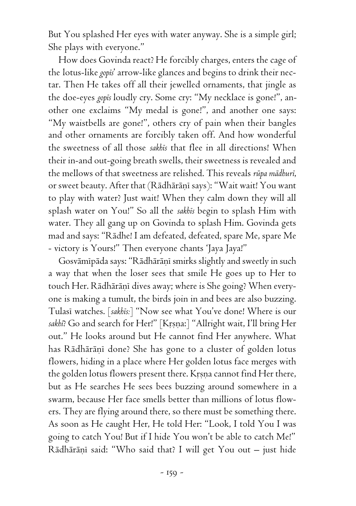But You splashed Her eyes with water anyway. She is a simple girl; She plays with everyone."

How does Govinda react? He forcibly charges, enters the cage of the lotus-like *gopés*' arrow-like glances and begins to drink their nectar. Then He takes off all their jewelled ornaments, that jingle as the doe-eyes *gopés* loudly cry. Some cry: "My necklace is gone!", another one exclaims "My medal is gone!", and another one says: "My waistbells are gone!", others cry of pain when their bangles and other ornaments are forcibly taken off. And how wonderful the sweetness of all those *sakhés* that flee in all directions! When their in-and out-going breath swells, their sweetness is revealed and the mellows of that sweetness are relished. This reveals *rüpa mädhuré*, or sweet beauty. After that (Rādhārānī says): "Wait wait! You want to play with water? Just wait! When they calm down they will all splash water on You!" So all the *sakhés* begin to splash Him with water. They all gang up on Govinda to splash Him. Govinda gets mad and says: "Rädhe! I am defeated, defeated, spare Me, spare Me - victory is Yours!" Then everyone chants 'Jaya Jaya!"

Gosvämīpāda says: "Rādhārāṇī smirks slightly and sweetly in such a way that when the loser sees that smile He goes up to Her to touch Her. Rādhārāņī dives away; where is She going? When everyone is making a tumult, the birds join in and bees are also buzzing. Tulasé watches. [*sakhés:*] "Now see what You've done! Where is our sakhî? Go and search for Her!" [Krsna:] "Allright wait, I'll bring Her out." He looks around but He cannot find Her anywhere. What has Rādhārānī done? She has gone to a cluster of golden lotus flowers, hiding in a place where Her golden lotus face merges with the golden lotus flowers present there. Krsna cannot find Her there, but as He searches He sees bees buzzing around somewhere in a swarm, because Her face smells better than millions of lotus flowers. They are flying around there, so there must be something there. As soon as He caught Her, He told Her: "Look, I told You I was going to catch You! But if I hide You won't be able to catch Me!" Rādhārāņī said: "Who said that? I will get You out – just hide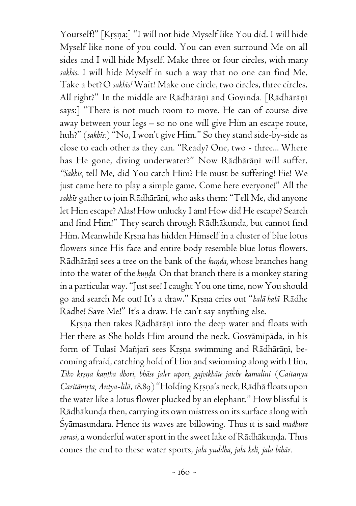Yourself!" [Kṛṣṇa:] "I will not hide Myself like You did. I will hide Myself like none of you could. You can even surround Me on all sides and I will hide Myself. Make three or four circles, with many *sakhés*. I will hide Myself in such a way that no one can find Me. Take a bet?O *sakhés!* Wait! Make one circle, two circles, three circles. All right?" In the middle are Rādhārāņī and Govinda. [Rādhārāņī says:] "There is not much room to move. He can of course dive away between your legs – so no one will give Him an escape route, huh?" (*sakhés:*) "No, I won't give Him." So they stand side-by-side as close to each other as they can. "Ready? One, two - three... Where has He gone, diving underwater?" Now Rādhārāņī will suffer. *"Sakhés,* tell Me, did You catch Him? He must be suffering! Fie! We just came here to play a simple game. Come here everyone!" All the sakhīs gather to join Rādhārānī, who asks them: "Tell Me, did anyone let Him escape? Alas! How unlucky I am! How did He escape? Search and find Him!" They search through Rādhākuņḍa, but cannot find Him. Meanwhile Krsna has hidden Himself in a cluster of blue lotus flowers since His face and entire body resemble blue lotus flowers. Rādhārānī sees a tree on the bank of the *kunda*, whose branches hang into the water of the *kunda*. On that branch there is a monkey staring in a particular way. "Just see! I caught You one time, now You should go and search Me out! It's a draw." Krsna cries out "*halā halā* Rādhe Rädhe! Save Me!" It's a draw. He can't say anything else.

Krsna then takes Rādhārāņi into the deep water and floats with Her there as She holds Him around the neck. Gosvāmīpāda, in his form of Tulasi Mañjari sees Krsna swimming and Rädhäräni, becoming afraid, catching hold of Him and swimming along with Him. *Tiho kåñëa kaëöha dhori, bhäse jaler upori, gajotkhäte jaiche kamalini* (*Caitanya Caritāmṛta, Antya-līlā, 18.89*) "Holding Krsna's neck, Rādhā floats upon the water like a lotus flower plucked by an elephant." How blissful is Rādhākunḍa then, carrying its own mistress on its surface along with Çyämasundara. Hence its waves are billowing. Thus it is said *madhure* sarasi, a wonderful water sport in the sweet lake of Rādhākuņda. Thus comes the end to these water sports, *jala yuddha, jala keli, jala bihär.*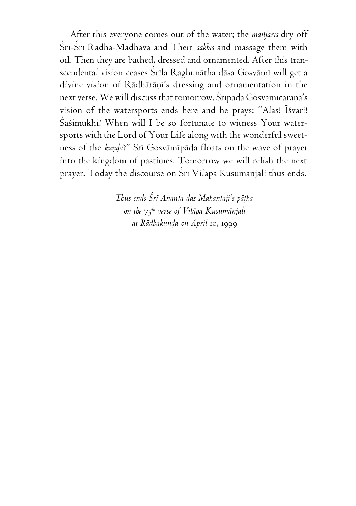After this everyone comes out of the water; the *maïjarés* dry off Śrī-Śrī Rādhā-Mādhava and Their sakhis and massage them with oil. Then they are bathed, dressed and ornamented. After this transcendental vision ceases Śrīla Raghunātha dāsa Gosvāmī will get a divine vision of Rādhārāņi's dressing and ornamentation in the next verse. We will discuss that tomorrow. Sripāda Gosvāmicaraņa's vision of the watersports ends here and he prays: "Alas! Isvari! Çaçimukhi! When will I be so fortunate to witness Your watersports with the Lord of Your Life along with the wonderful sweetness of the *kunda?*" Srī Gosvāmīpāda floats on the wave of prayer into the kingdom of pastimes. Tomorrow we will relish the next prayer. Today the discourse on Śrī Vilāpa Kusumanjali thus ends.

> *Thus ends Çré Ananta das Mahantaji's päöha on the* 75*th verse of Viläpa Kusumänjali at Rādhakunda on April 10, 1999*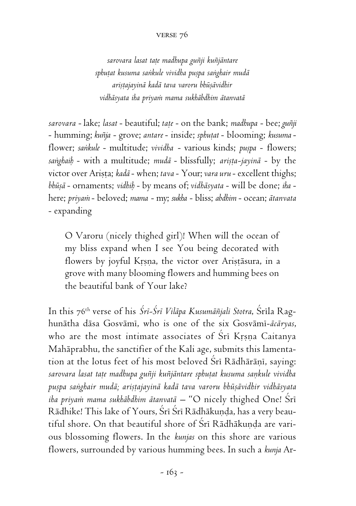## verse 76

*sarovara lasat taöe madhupa guïji kuïjäntare sphuöat kusuma saìkule vividha puñpa saìghair mudä ariñöajayinä kadä tava varoru bhüñävidhir vidhäsyata iha priyaà mama sukhäbdhim ätanvatä*

*sarovara* - lake; *lasat* - beautiful; *taöe* - on the bank; *madhupa* - bee; *guïji* - humming; *kuïja* - grove; *antare* - inside; *sphuöat* - blooming; *kusuma*  flower; sankule - multitude; vividha - various kinds; puspa - flowers; sanghaih - with a multitude; *mudā* - blissfully; arișta-jayinā - by the victor over Arista; *kadā* - when; *tava* - Your; *vara uru* - excellent thighs; *bhüñä* - ornaments; *vidhiù* - by means of; *vidhäsyata* - will be done; *iha* here; *priyaà* - beloved; *mama* - my; *sukha* - bliss; *abdhim* - ocean; *ätanvata* - expanding

O Varoru (nicely thighed girl)! When will the ocean of my bliss expand when I see You being decorated with flowers by joyful Krsna, the victor over Aristāsura, in a grove with many blooming flowers and humming bees on the beautiful bank of Your lake?

In this 76<sup>th</sup> verse of his *Śrī-Śrī Vilāpa Kusumāñjali Stotra*, Śrīla Raghunätha däsa Gosvämé, who is one of the six Gosvämé-*äcäryas*, who are the most intimate associates of  $\overline{S}$ ri Krsna Caitanya Mahäprabhu, the sanctifier of the Kali age, submits this lamentation at the lotus feet of his most beloved Śrī Rādhārānī, saying: sarovara lasat tate madhupa guñji kuñjāntare sphutat kusuma sankule vividha *puñpa saìghair mudä; ariñöajayinä kadä tava varoru bhüñävidhir vidhäsyata iha priyam mama sukhābdhim ātanvatā* – "O nicely thighed One! Śrī Rādhike! This lake of Yours, Śrī Śrī Rādhākunda, has a very beautiful shore. On that beautiful shore of Sri Rādhākunda are various blossoming flowers. In the *kunjas* on this shore are various flowers, surrounded by various humming bees. In such a *kunja* Ar-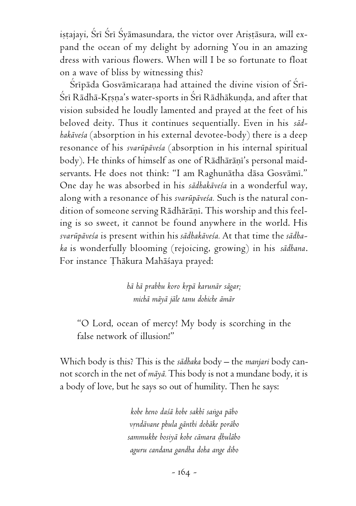ișțajayi, Śrī Śrī Śyāmasundara, the victor over Arișțāsura, will expand the ocean of my delight by adorning You in an amazing dress with various flowers. When will I be so fortunate to float on a wave of bliss by witnessing this?

Srīpāda Gosvāmīcaraņa had attained the divine vision of Srī-Śrī Rādhā-Krsna's water-sports in Śrī Rādhākunda, and after that vision subsided he loudly lamented and prayed at the feet of his beloved deity. Thus it continues sequentially. Even in his *sädhakäveça* (absorption in his external devotee-body) there is a deep resonance of his *svarüpäveça* (absorption in his internal spiritual body). He thinks of himself as one of Rādhārāņī's personal maidservants. He does not think: "I am Raghunātha dāsa Gosvāmī." One day he was absorbed in his *sädhakäveça* in a wonderful way, along with a resonance of his *svarüpäveça.* Such is the natural condition of someone serving Rādhārānī. This worship and this feeling is so sweet, it cannot be found anywhere in the world. His *svarüpäveça* is present within his *sädhakäveça.* At that time the *sädhaka* is wonderfully blooming (rejoicing, growing) in his *sädhana*. For instance Thākura Mahāśaya prayed:

> *hä hä prabhu koro kåpä karunär sägar; michä mäyä jäle tanu dohiche ämär*

"O Lord, ocean of mercy! My body is scorching in the false network of illusion!"

Which body is this? This is the *sädhaka* body – the *manjari* body cannot scorch in the net of *mäyä.* This body is not a mundane body, it is a body of love, but he says so out of humility. Then he says:

> *kobe heno daçä hobe sakhé saìga päbo våndävane phula gänthi dohäke poräbo sammukhe bosiyä kobe cämara òhuläbo aguru candana gandha doha ange dibo*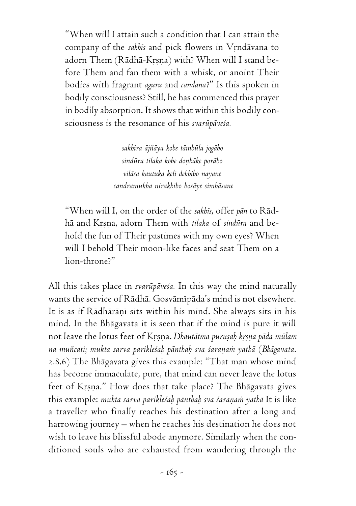"When will I attain such a condition that I can attain the company of the *sakhis* and pick flowers in Vrndävana to adorn Them (Rādhā-Krsna) with? When will I stand before Them and fan them with a whisk, or anoint Their bodies with fragrant *aguru* and *candana*?" Is this spoken in bodily consciousness? Still, he has commenced this prayer in bodily absorption. It shows that within this bodily consciousness is the resonance of his *svarüpäveça.*

> *sakhéra äjïäya kobe tämbüla jogäbo sindüra tilaka kobe doëhäke poräbo viläsa kautuka keli dekhibo nayane candramukha nirakhibo bosäye simhäsane*

"When will I, on the order of the *sakhés*, offer *pän* to Rädhä and Kåñëa, adorn Them with *tilaka* of *sindüra* and behold the fun of Their pastimes with my own eyes? When will I behold Their moon-like faces and seat Them on a lion-throne?"

All this takes place in *svarüpäveça.* In this way the mind naturally wants the service of Rädhä. Gosvämépäda's mind is not elsewhere. It is as if Rādhārānī sits within his mind. She always sits in his mind. In the Bhägavata it is seen that if the mind is pure it will not leave the lotus feet of Krsna. *Dhautātma purusah krsna pāda mūlam na muïcati; mukta sarva parikleçaù pänthaù sva çaraëaà yathä* (*Bhägavata*. 2.8.6) The Bhägavata gives this example: "That man whose mind has become immaculate, pure, that mind can never leave the lotus feet of Krsna." How does that take place? The Bhāgavata gives this example: *mukta sarva parikleśah pānthah sva śaraņam yathā* It is like a traveller who finally reaches his destination after a long and harrowing journey – when he reaches his destination he does not wish to leave his blissful abode anymore. Similarly when the conditioned souls who are exhausted from wandering through the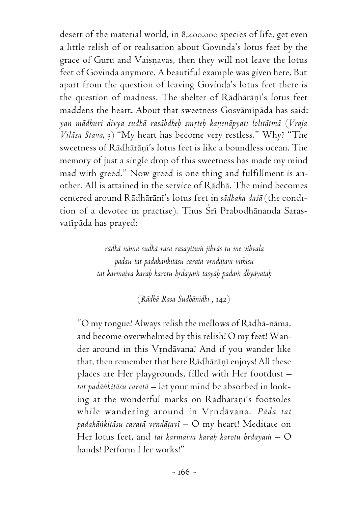desert of the material world, in 8,400,000 species of life, get even a little relish of or realisation about Govinda's lotus feet by the grace of Guru and Vaisnavas, then they will not leave the lotus feet of Govinda anymore. A beautiful example was given here. But apart from the question of leaving Govinda's lotus feet there is the question of madness. The shelter of Rādhārāņi's lotus feet maddens the heart. About that sweetness Gosvāmīpāda has said: *yan mädhuri divya sudhä rasäbdheù småteù kaëenäpyati lolitätmä* (*Vraja Viläsa Stava*, 3) "My heart has become very restless." Why? "The sweetness of Rādhārānī's lotus feet is like a boundless ocean. The memory of just a single drop of this sweetness has made my mind mad with greed." Now greed is one thing and fulfillment is another. All is attained in the service of Rädhä. The mind becomes centered around Rādhārānī's lotus feet in sādhaka daśā (the condition of a devotee in practise). Thus Srī Prabodhānanda Sarasvatīpāda has prayed:

> *rädhä näma sudhä rasa rasayituà jihväs tu me vihvala pädau tat padakäìkitäsu caratä våndäöavé véthiñu tat karmaiva karaù karotu hådayaà tasyäù padaà dhyäyataù*

> > (*Rädhä Rasa Sudhänidhi ,* 142)

"O my tongue! Always relish the mellows of Rädhä-näma, and become overwhelmed by this relish! O my feet! Wander around in this Vrndävana! And if you wander like that, then remember that here Rādhārānī enjoys! All these places are Her playgrounds, filled with Her footdust – *tat padäìkitäsu caratä –* let your mind be absorbed in looking at the wonderful marks on Rādhārāņi's footsoles while wandering around in Vrndävana. Päda tat padakānkitāsu caratā vrndāțavī – O my heart! Meditate on Her lotus feet, and *tat karmaiva karah karotu hrdayam* – O hands! Perform Her works!"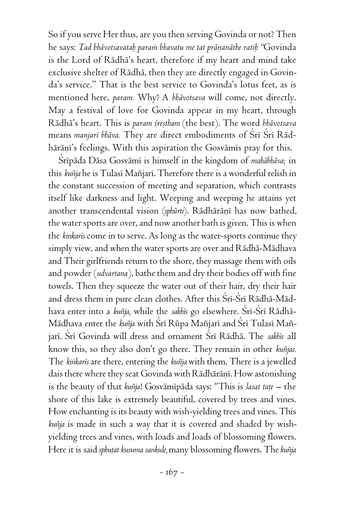So if you serve Her thus, are you then serving Govinda or not? Then he says: *Tad bhävotsavataù paraà bhavatu me tat präëanäthe ratiù "*Govinda is the Lord of Rädhä's heart, therefore if my heart and mind take exclusive shelter of Rädhä, then they are directly engaged in Govinda's service." That is the best service to Govinda's lotus feet, as is mentioned here, *param.* Why? A *bhävotsava* will come, not directly. May a festival of love for Govinda appear in my heart, through Rādhā's heart. This is *param śreștham* (the best). The word bhāvotsava means *manjaré bhäva.* They are direct embodiments of Çré Çré Rädhārāņi's feelings. With this aspiration the Gosvāmīs pray for this.

Śrīpāda Dāsa Gosvāmī is himself in the kingdom of *mahābhāva*; in this *kuïja* he is Tulasé Maïjaré. Therefore there is a wonderful relish in the constant succession of meeting and separation, which contrasts itself like darkness and light. Weeping and weeping he attains yet another transcendental vision (sphūrti). Rādhārānī has now bathed, the water sports are over, and now another bath is given. This is when the *kinkarés* come in to serve. As long as the water-sports continue they simply view, and when the water sports are over and Rädhä-Mädhava and Their girlfriends return to the shore, they massage them with oils and powder (*udvartana*), bathe them and dry their bodies off with fine towels. Then they squeeze the water out of their hair, dry their hair and dress them in pure clean clothes. After this Śrī-Śrī Rādhā-Mādhava enter into a *kuñja*, while the *sakhis* go elsewhere. Śrī-Śrī Rādhā-Mādhava enter the *kuñja* with Śrī Rūpa Mañjarī and Śrī Tulasī Mañjari. Śri Govinda will dress and ornament Śri Rādhā. The sakhis all know this, so they also don't go there. They remain in other *kuïjas.* The *kiìkarés* are there, entering the *kuïja* with them. There is a jewelled dais there where they seat Govinda with Rādhārānī. How astonishing is the beauty of that *kuñja*! Gosvāmīpāda says: "This is *lasat taṭe* – the shore of this lake is extremely beautiful, covered by trees and vines. How enchanting is its beauty with wish-yielding trees and vines. This *kuïja* is made in such a way that it is covered and shaded by wishyielding trees and vines, with loads and loads of blossoming flowers. Here it is said *sphutat kusuma sankule*, many blossoming flowers. The *kuñja*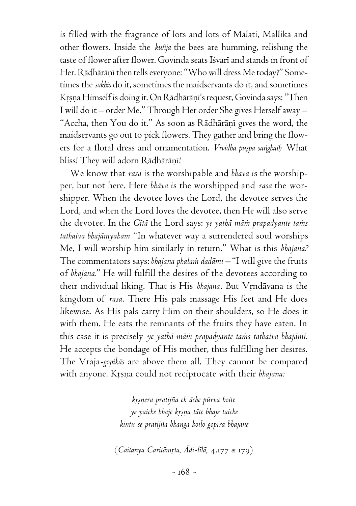is filled with the fragrance of lots and lots of Mälati, Mallikä and other flowers. Inside the *kuïja* the bees are humming, relishing the taste of flower after flower. Govinda seats Isvari and stands in front of Her. Rādhārāņī then tells everyone: "Who will dress Me today?" Sometimes the *sakhés* do it, sometimes the maidservants do it, and sometimes Krsna Himself is doing it. On Rādhārāṇī's request, Govinda says: "Then I will do it – order Me." Through Her order She gives Herself away – "Accha, then You do it." As soon as Rādhārāņī gives the word, the maidservants go out to pick flowers. They gather and bring the flowers for a floral dress and ornamentation. *Vividha puspa sanghaih* What bliss! They will adorn Rādhārāṇī!

We know that *rasa* is the worshipable and *bhäva* is the worshipper, but not here. Here *bhäva* is the worshipped and *rasa* the worshipper. When the devotee loves the Lord, the devotee serves the Lord, and when the Lord loves the devotee, then He will also serve the devotee. In the *Gitā* the Lord says: *ye yathā mām prapadyante tans tathaiva bhajämyaham* "In whatever way a surrendered soul worships Me, I will worship him similarly in return." What is this *bhajana?* The commentators says: *bhajana phalam dadāmi* - "I will give the fruits of *bhajana.*" He will fulfill the desires of the devotees according to their individual liking. That is His bhajana. But Vrndāvana is the kingdom of *rasa*. There His pals massage His feet and He does likewise. As His pals carry Him on their shoulders, so He does it with them. He eats the remnants of the fruits they have eaten. In this case it is precisely ye yathā mām prapadyante tams tathaiva bhajāmi. He accepts the bondage of His mother, thus fulfilling her desires. The Vraja*-gopikäs* are above them all. They cannot be compared with anyone. Krsna could not reciprocate with their bhajana:

> *kåñëera pratijïa ek äche pürva hoite ye yaiche bhaje kåñëa täte bhaje taiche kintu se pratijïa bhanga hoilo gopéra bhajane*

(*Caitanya Caritämåta, Ädi-lélä,* 4.177 & 179)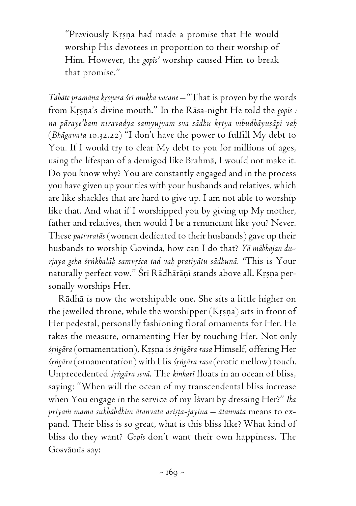"Previously Kåñëa had made a promise that He would worship His devotees in proportion to their worship of Him. However, the *gopés'* worship caused Him to break that promise."

*Tāhāte pramāņa krsnera śrī mukha vacane* – "That is proven by the words from Krsna's divine mouth." In the Rāsa-night He told the *gopis :* na pāraye'ham niravadya samyujyam sva sādhu krtya vibudhāyuṣāpi vaḥ (*Bhägavata* 10.32.22) "I don't have the power to fulfill My debt to You. If I would try to clear My debt to you for millions of ages, using the lifespan of a demigod like Brahmä, I would not make it. Do you know why? You are constantly engaged and in the process you have given up your ties with your husbands and relatives, which are like shackles that are hard to give up. I am not able to worship like that. And what if I worshipped you by giving up My mother, father and relatives, then would I be a renunciant like you? Never. These *pativratäs* (women dedicated to their husbands) gave up their husbands to worship Govinda, how can I do that? *Yä mäbhajan durjaya geha çåìkhaläù samvåçca tad vaù pratiyätu sädhunä. "*This is Your naturally perfect vow." Šrī Rādhārāṇī stands above all. Krsṇa personally worships Her.

Rädhä is now the worshipable one. She sits a little higher on the jewelled throne, while the worshipper  $(Krsna)$  sits in front of Her pedestal, personally fashioning floral ornaments for Her. He takes the measure, ornamenting Her by touching Her. Not only *çåìgära* (ornamentation), Kåñëa is *çåìgära rasa* Himself, offering Her *çåìgära* (ornamentation) with His *çåìgära rasa* (erotic mellow) touch. Unprecedented *çåìgära sevä*. The *kinkaré* floats in an ocean of bliss, saying: "When will the ocean of my transcendental bliss increase when You engage in the service of my Éçvaré by dressing Her?" *Iha* priyam mama sukhābdhim ātanvata arista-jayina - ātanvata means to expand. Their bliss is so great, what is this bliss like? What kind of bliss do they want? *Gopés* don't want their own happiness. The Gosvāmīs say: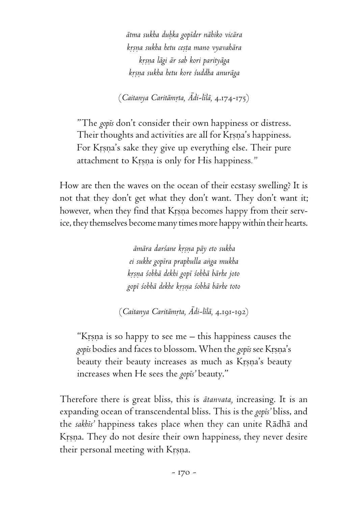*ätma sukha duùka gopéder nähiko vicära kåñëa sukha hetu ceñöa mano vyavahära kåñëa lägi är sab kori parityäga kåñëa sukha hetu kore çuddha anuräga*

(*Caitanya Caritämåta, Ädi-lélä,* 4.174-175)

"The *gopés* don't consider their own happiness or distress. Their thoughts and activities are all for Krsna's happiness. For Krsna's sake they give up everything else. Their pure attachment to Krsna is only for His happiness."

How are then the waves on the ocean of their ecstasy swelling? It is not that they don't get what they don't want. They don't want it; however, when they find that Krsna becomes happy from their service, they themselves become many times more happy within their hearts.

> *ämära darçane kåñëa päy eto sukha ei sukhe gopéra praphulla aìga mukha kåñëa çobhä dekhi gopé çobhä bärhe joto gopé çobhä dekhe kåñëa çobhä bärhe toto*

(*Caitanya Caritämåta, Ädi-lélä,* 4.191-192)

"Krsna is so happy to see me  $-$  this happiness causes the *gopés* bodies and faces to blossom. When the *gopés* see Kåñëa's beauty their beauty increases as much as Krsna's beauty increases when He sees the *gopés'* beauty."

Therefore there is great bliss, this is *ätanvata,* increasing. It is an expanding ocean of transcendental bliss. This is the *gopés'* bliss, and the *sakhés'* happiness takes place when they can unite Rädhä and Krsna. They do not desire their own happiness, they never desire their personal meeting with Krsna.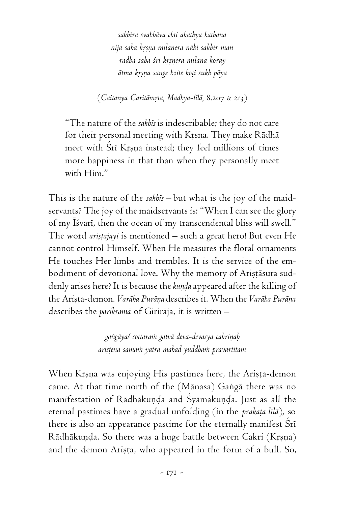*sakhéra svabhäva ekti akathya kathana nija saha kåñëa milanera nähi sakhér man rädhä saha çré kåñëera milana koräy ätma kåñëa sange hoite koöi sukh päya*

(*Caitanya Caritämåta, Madhya-lélä,* 8.207 & 213)

"The nature of the *sakhés* is indescribable; they do not care for their personal meeting with Krsna. They make Rädhä meet with Srī Krsna instead; they feel millions of times more happiness in that than when they personally meet with Him."

This is the nature of the *sakhés –* but what is the joy of the maidservants? The joy of the maidservants is: "When I can see the glory of my Īśvarī, then the ocean of my transcendental bliss will swell." The word *aristajayi* is mentioned – such a great hero! But even He cannot control Himself. When He measures the floral ornaments He touches Her limbs and trembles. It is the service of the embodiment of devotional love. Why the memory of Arișțāsura suddenly arises here? It is because the *kunda* appeared after the killing of the Arista-demon. *Varāha Purāna* describes it. When the *Varāha Purāna* describes the *parikramä* of Giriräja, it is written –

> *gaìgäyaç cottaraà gatvä deva-devasya cakriëaù ariñöena samaà yatra mahad yuddhaà pravartitam*

When Krsna was enjoying His pastimes here, the Arista-demon came. At that time north of the (Mānasa) Gangā there was no manifestation of Rādhākunda and Śyāmakunda. Just as all the eternal pastimes have a gradual unfolding (in the *prakața lilā*), so there is also an appearance pastime for the eternally manifest Sri Rādhākuņda. So there was a huge battle between Cakri (Krsna) and the demon Arista, who appeared in the form of a bull. So,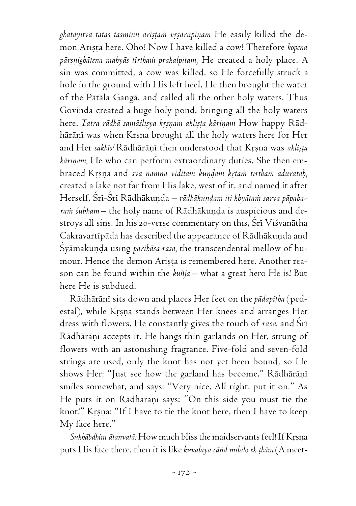<sub>g</sub>bātayitvā tatas tasminn ariṣṭaṁ vṛṣarūpiṇam He easily killed the demon Arișta here. Oho! Now I have killed a cow! Therefore *kopena* pārșņighātena mahyās tīrtham prakalpitam, He created a holy place. A sin was committed, a cow was killed, so He forcefully struck a hole in the ground with His left heel. He then brought the water of the Pätäla Gangä, and called all the other holy waters. Thus Govinda created a huge holy pond, bringing all the holy waters here. *Tatra rädhä samäślisya krsnam aklista kärinam* How happy Rädhārānī was when Krsna brought all the holy waters here for Her and Her sakhis! Rädhäräni then understood that Krsna was aklista *kāriņam*, He who can perform extraordinary duties. She then embraced Krsna and *sva nāmnā viditam kundam krtam tīrtham adūratah*, created a lake not far from His lake, west of it, and named it after Herself, Śrī-Śrī Rādhākunda – rādhākundam iti khyātam sarva pāpaharam śubham – the holy name of Rādhākunda is auspicious and destroys all sins. In his 20-verse commentary on this, Srī Visvanātha Cakravartipāda has described the appearance of Rādhākuņda and Śyāmakuņda using *paribāsa rasa*, the transcendental mellow of humour. Hence the demon Arista is remembered here. Another reason can be found within the *kuïja* – what a great hero He is! But here He is subdued.

Rādhārāņī sits down and places Her feet on the *pādapītha* (pedestal), while Krsna stands between Her knees and arranges Her dress with flowers. He constantly gives the touch of *rasa*, and Sri Rādhārāņī accepts it. He hangs thin garlands on Her, strung of flowers with an astonishing fragrance. Five-fold and seven-fold strings are used, only the knot has not yet been bound, so He shows Her: "Just see how the garland has become." Rādhārānī smiles somewhat, and says: "Very nice. All right, put it on." As He puts it on Rādhārāņī says: "On this side you must tie the knot!" Krṣṇa: "If I have to tie the knot here, then I have to keep My face here."

Sukhābdhim ātanvatā: How much bliss the maidservants feel! If Krsna puts His face there, then it is like *kuvalaya cānd milalo ek thām* (A meet-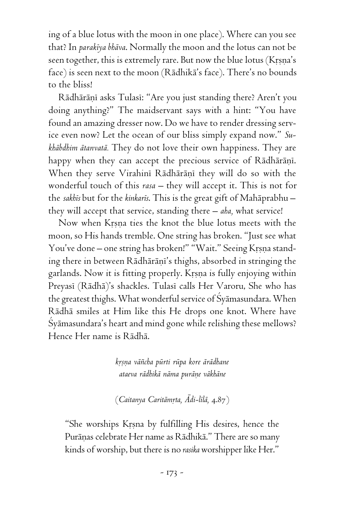ing of a blue lotus with the moon in one place). Where can you see that? In *parakéya bhäva*. Normally the moon and the lotus can not be seen together, this is extremely rare. But now the blue lotus (Krsna's face) is seen next to the moon (Rädhikä's face). There's no bounds to the bliss!

Rādhārāņī asks Tulasī: "Are you just standing there? Aren't you doing anything?" The maidservant says with a hint: "You have found an amazing dresser now. Do we have to render dressing service even now? Let the ocean of our bliss simply expand now." *Sukhäbdhim ätanvatä.* They do not love their own happiness. They are happy when they can accept the precious service of Rādhārāņī. When they serve Virahini Rādhārānī they will do so with the wonderful touch of this *rasa* – they will accept it. This is not for the *sakhés* but for the *kinkarés*. This is the great gift of Mahäprabhu – they will accept that service, standing there – *aha,* what service!

Now when Krsna ties the knot the blue lotus meets with the moon, so His hands tremble. One string has broken. "Just see what You've done – one string has broken!" "Wait." Seeing Krsna standing there in between Rādhārāņi's thighs, absorbed in stringing the garlands. Now it is fitting properly. Krsna is fully enjoying within Preyasī (Rādhā)'s shackles. Tulasī calls Her Varoru, She who has the greatest thighs. What wonderful service of Çyämasundara. When Rädhä smiles at Him like this He drops one knot. Where have Çyämasundara's heart and mind gone while relishing these mellows? Hence Her name is Rädhä.

> *kåñëa väïcha pürti rüpa kore ärädhane ataeva rädhikä näma puräëe väkhäne*

> (*Caitanya Caritāmrta, Ādi-līlā*, 4.87)

"She worships Krsna by fulfilling His desires, hence the Purāņas celebrate Her name as Rādhikā." There are so many kinds of worship, but there is no *rasika* worshipper like Her."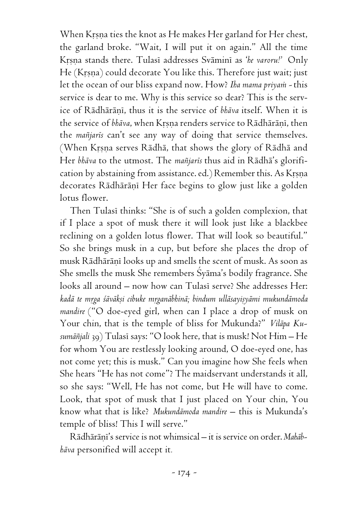When Krṣṇa ties the knot as He makes Her garland for Her chest, the garland broke. "Wait, I will put it on again." All the time Krsna stands there. Tulasi addresses Svämini as '*he varoru!'* Only He (Krsna) could decorate You like this. Therefore just wait; just let the ocean of our bliss expand now. How? *Iha mama priyam -* this service is dear to me. Why is this service so dear? This is the service of Rādhārānī, thus it is the service of *bhāva* itself. When it is the service of *bhāva*, when Krsna renders service to Rādhārāņī, then the *maïjarés* can't see any way of doing that service themselves. (When Krsna serves Rādhā, that shows the glory of Rādhā and Her *bhäva* to the utmost. The *maïjarés* thus aid in Rädhä's glorification by abstaining from assistance. ed.) Remember this. As Krsna decorates Rādhārāņī Her face begins to glow just like a golden lotus flower.

Then Tulasi thinks: "She is of such a golden complexion, that if I place a spot of musk there it will look just like a blackbee reclining on a golden lotus flower. That will look so beautiful." So she brings musk in a cup, but before she places the drop of musk Rādhārāņī looks up and smells the scent of musk. As soon as She smells the musk She remembers Çyäma's bodily fragrance. She looks all around – now how can Tulasi serve? She addresses Her: kadā te m<u>rg</u>a śāvākṣi cibuke mṛganābhinā; bindum ullāsayiṣyāmi mukundāmoda *mandire* ("O doe-eyed girl, when can I place a drop of musk on Your chin, that is the temple of bliss for Mukunda?" *Viläpa Kusumäïjali* 39) Tulasé says: "O look here, that is musk! Not Him – He for whom You are restlessly looking around, O doe-eyed one, has not come yet; this is musk." Can you imagine how She feels when She hears "He has not come"? The maidservant understands it all, so she says: "Well, He has not come, but He will have to come. Look, that spot of musk that I just placed on Your chin, You know what that is like? *Mukundämoda mandire –* this is Mukunda's temple of bliss! This I will serve."

Rādhārāni's service is not whimsical - it is service on order. *Mahābhäva* personified will accept it*.*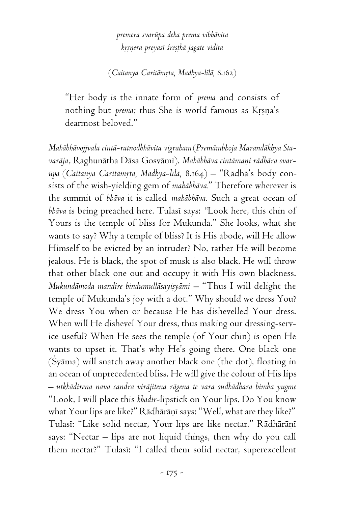*premera svarüpa deha prema vibhävita kåñëera preyasé çreñöhä jagate vidita*

(*Caitanya Caritämåta, Madhya-lélä,* 8.162)

"Her body is the innate form of *prema* and consists of nothing but *prema*; thus She is world famous as Krsna's dearmost beloved."

*Mahäbhävojjvala cintä-ratnodbhävita vigraham* (*Premämbhoja Marandäkhya Sta*varāja, Raghunātha Dāsa Gosvāmī). Mahābhāva cintāmaņi rādhāra svar- $\bar{u}$ pa (*Caitanya Caritāmrta, Madhya-līlā*, 8.164) – "Rādhā's body consists of the wish-yielding gem of *mahäbhäva.*" Therefore wherever is the summit of *bhäva* it is called *mahäbhäva.* Such a great ocean of *bhäva* is being preached here. Tulasé says: *"*Look here, this chin of Yours is the temple of bliss for Mukunda." She looks, what she wants to say? Why a temple of bliss? It is His abode, will He allow Himself to be evicted by an intruder? No, rather He will become jealous. He is black, the spot of musk is also black. He will throw that other black one out and occupy it with His own blackness. *Mukundāmoda mandire bindumullāsayişyāmi* – "Thus I will delight the temple of Mukunda's joy with a dot." Why should we dress You? We dress You when or because He has dishevelled Your dress. When will He dishevel Your dress, thus making our dressing-service useful? When He sees the temple (of Your chin) is open He wants to upset it. That's why He's going there. One black one  $(Syāma)$  will snatch away another black one (the dot), floating in an ocean of unprecedented bliss. He will give the colour of His lips – *utkhädirena nava candra viräjitena rägena te vara sudhädhara bimba yugme* "Look, I will place this *khadir-*lipstick on Your lips. Do You know what Your lips are like?" Rādhārāņī says: "Well, what are they like?" Tulasi: "Like solid nectar, Your lips are like nectar." Rādhārāņī says: "Nectar – lips are not liquid things, then why do you call them nectar?" Tulasi: "I called them solid nectar, superexcellent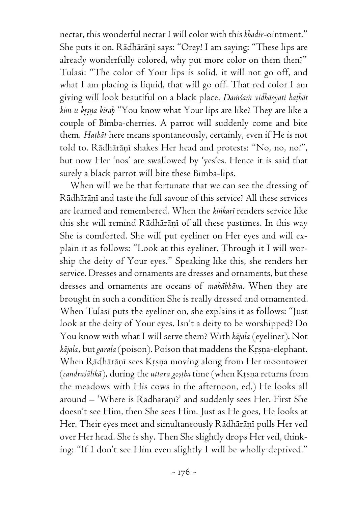nectar, this wonderful nectar I will color with this *khadir-*ointment." She puts it on. Rādhārāņī says: "Orey! I am saying: "These lips are already wonderfully colored, why put more color on them then?" Tulasi: "The color of Your lips is solid, it will not go off, and what I am placing is liquid, that will go off. That red color I am giving will look beautiful on a black place. *Damsam vidhāsyati hathāt kim u kåñëa kéraù* "You know what Your lips are like? They are like a couple of Bimba-cherries. A parrot will suddenly come and bite them. *Hathat* here means spontaneously, certainly, even if He is not told to. Rādhārāņī shakes Her head and protests: "No, no, no!", but now Her 'nos' are swallowed by 'yes'es. Hence it is said that surely a black parrot will bite these Bimba-lips.

When will we be that fortunate that we can see the dressing of Rādhārānī and taste the full savour of this service? All these services are learned and remembered. When the *kiìkaré* renders service like this she will remind Rādhārānī of all these pastimes. In this way She is comforted. She will put eyeliner on Her eyes and will explain it as follows: "Look at this eyeliner. Through it I will worship the deity of Your eyes." Speaking like this, she renders her service. Dresses and ornaments are dresses and ornaments, but these dresses and ornaments are oceans of *mahäbhäva.* When they are brought in such a condition She is really dressed and ornamented. When Tulasi puts the eyeliner on, she explains it as follows: "Just look at the deity of Your eyes. Isn't a deity to be worshipped? Do You know with what I will serve them? With *käjala* (eyeliner). Not *kājala*, but garala (poison). Poison that maddens the Krsna-elephant. When Rādhārāņī sees Krsņa moving along from Her moontower (candraśālikā), during the *uttara gostha* time (when Krsna returns from the meadows with His cows in the afternoon, ed.) He looks all around – 'Where is Rādhārāṇī?' and suddenly sees Her. First She doesn't see Him, then She sees Him. Just as He goes, He looks at Her. Their eyes meet and simultaneously Rādhārāņī pulls Her veil over Her head. She is shy. Then She slightly drops Her veil, thinking: "If I don't see Him even slightly I will be wholly deprived."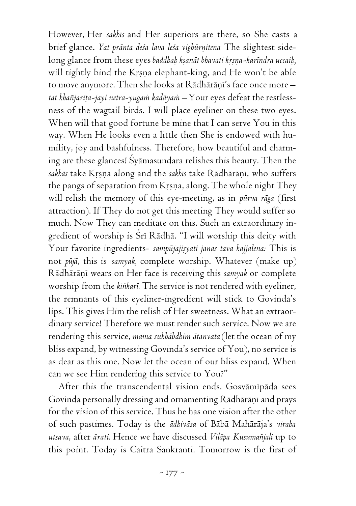However, Her *sakhés* and Her superiors are there, so She casts a brief glance. *Yat prānta deśa lava leśa vighūrnitena* The slightest sidelong glance from these eyes *baddhah kṣanāt bhavati kṛṣṇa-karīndra uccaih*, will tightly bind the Krsna elephant-king, and He won't be able to move anymore. Then she looks at Rādhārāņī's face once more tat khañjarīta-jayi netra-yugam kadāyam – Your eyes defeat the restlessness of the wagtail birds. I will place eyeliner on these two eyes. When will that good fortune be mine that I can serve You in this way. When He looks even a little then She is endowed with humility, joy and bashfulness. Therefore, how beautiful and charming are these glances! Çyämasundara relishes this beauty. Then the sakhās take Krsna along and the sakhīs take Rādhārānī, who suffers the pangs of separation from Krsna, along. The whole night They will relish the memory of this eye-meeting, as in *pürva räga* (first attraction). If They do not get this meeting They would suffer so much. Now They can meditate on this. Such an extraordinary ingredient of worship is Śrī Rādhā. "I will worship this deity with Your favorite ingredients- sampūjajisyati janas tava kajjalena: This is not *püjä*, this is *samyak,* complete worship. Whatever (make up) Rādhārāņī wears on Her face is receiving this samyak or complete worship from the *kiìkaré.* The service is not rendered with eyeliner, the remnants of this eyeliner-ingredient will stick to Govinda's lips. This gives Him the relish of Her sweetness. What an extraordinary service! Therefore we must render such service. Now we are rendering this service, *mama sukhäbdhim ätanvata* (let the ocean of my bliss expand, by witnessing Govinda's service of You), no service is as dear as this one. Now let the ocean of our bliss expand. When can we see Him rendering this service to You?"

After this the transcendental vision ends. Gosvāmīpāda sees Govinda personally dressing and ornamenting Rādhārāņī and prays for the vision of this service. Thus he has one vision after the other of such pastimes. Today is the *ädhiväsa* of Bäbä Mahäräja's *viraha utsava*, after *ärati*. Hence we have discussed *Viläpa Kusumaïjali* up to this point. Today is Caitra Sankranti. Tomorrow is the first of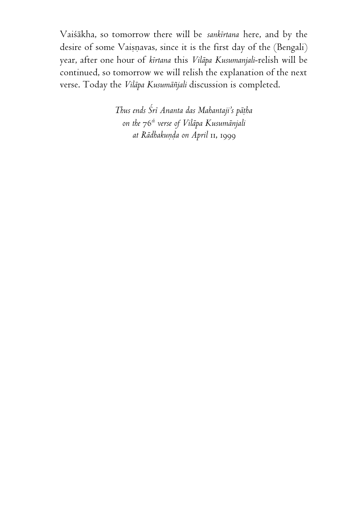Vaiçäkha, so tomorrow there will be *sankértana* here, and by the desire of some Vaiṣṇavas, since it is the first day of the (Bengali) year, after one hour of *kértana* this *Viläpa Kusumanjali*-relish will be continued, so tomorrow we will relish the explanation of the next verse. Today the *Viläpa Kusumäïjali* discussion is completed.

> *Thus ends Çré Ananta das Mahantaji's päöha on the* 76*th verse of Viläpa Kusumänjali at Rädhakuëòa on April* 11, 1999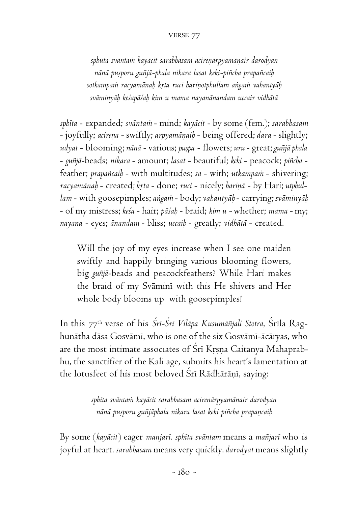## VERSE 77

sphūta svāntam kayācit sarabhasam acireņārpyamānair darodyan *nänä puñporu guïjä-phala nikara lasat keki-piïcha prapaïcaiù* sotkampam racyamānah krta ruci harinotphullam angam vahantyāh *sväminyäù keçapäçaù kim u mama nayanänandam uccair vidhätä*

*sphéta* - expanded; *sväntaà* - mind; *kayäcit* - by some (fem.); *sarabhasam* - joyfully; *acireëa* - swiftly; *arpyamäëaiù* - being offered; *dara* - slightly; *udyat* - blooming; *nänä* - various; *puñpa* - flowers; *uru* - great; *guïjä phala* - *guïjä*-beads; *nikara* - amount; *lasat* - beautiful; *keki* - peacock; *piïcha* feather; *prapañcaib* - with multitudes; *sa* - with; *utkampam* - shivering; racyamānab - created; krta - done; ruci - nicely; harinā - by Hari; utphul*lam* - with goosepimples; *aìgaà* - body; *vahantyäù* - carrying; *sväminyäù* - of my mistress; *keça* - hair; *päçaù* - braid; *kim u -* whether; *mama* - my; *nayana* - eyes; *änandam* - bliss; *uccaiù* - greatly; *vidhätä* - created.

Will the joy of my eyes increase when I see one maiden swiftly and happily bringing various blooming flowers, big *guïjä*-beads and peacockfeathers? While Hari makes the braid of my Sväminé with this He shivers and Her whole body blooms up with goosepimples!

In this 77<sup>th</sup> verse of his *Śrī-Śrī Vilāpa Kusumāñjali Stotra*, Śrīla Raghunätha däsa Gosvämé, who is one of the six Gosvämé-äcäryas, who are the most intimate associates of Sri Krsna Caitanya Mahaprabhu, the sanctifier of the Kali age, submits his heart's lamentation at the lotusfeet of his most beloved Srī Rādhārānī, saying:

> *sphéta sväntaà kayäcit sarabhasam acirenärpyamänair darodyan nänä puñporu guïjäphala nikara lasat keki piïcha prapaëcaiù*

By some (*kayäcit*) eager *manjaré. sphéta sväntam* means a *maïjaré* who is joyful at heart. *sarabhasam* means very quickly. *darodyat* means slightly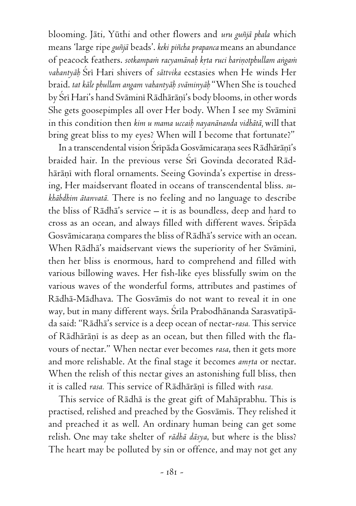blooming. Jäti, Yüthi and other flowers and *uru guïjä phala* which means 'large ripe *guïjä* beads'. *keki piïcha prapanca* means an abundance of peacock feathers. sotkampam racyamānab krta ruci hariņotphullam angam *vahantyäù* Çré Hari shivers of *sättvika* ecstasies when He winds Her braid. *tat käle phullam angam vahantyäù sväminyäù* "When She is touched by Šrī Hari's hand Svāminī Rādhārāṇī's body blooms, in other words She gets goosepimples all over Her body. When I see my Sväminé in this condition then *kim u mama uccaiù nayanänanda vidhätä,* will that bring great bliss to my eyes? When will I become that fortunate?"

In a transcendental vision Śrīpāda Gosvāmicaraņa sees Rādhārāņi's braided hair. In the previous verse Srī Govinda decorated Rādhārānī with floral ornaments. Seeing Govinda's expertise in dressing, Her maidservant floated in oceans of transcendental bliss. *sukhäbdhim ätanvatä.* There is no feeling and no language to describe the bliss of Rädhä's service – it is as boundless, deep and hard to cross as an ocean, and always filled with different waves. Sripāda Gosvāmicaraņa compares the bliss of Rādhā's service with an ocean. When Rādhā's maidservant views the superiority of her Svāminī, then her bliss is enormous, hard to comprehend and filled with various billowing waves. Her fish-like eyes blissfully swim on the various waves of the wonderful forms, attributes and pastimes of Rädhä-Mädhava. The Gosvämés do not want to reveal it in one way, but in many different ways. Śrīla Prabodhānanda Sarasvatīpāda said: "Rädhä's service is a deep ocean of nectar-*rasa.* This service of Rādhārāņi is as deep as an ocean, but then filled with the flavours of nectar." When nectar ever becomes *rasa*, then it gets more and more relishable. At the final stage it becomes *amrta* or nectar. When the relish of this nectar gives an astonishing full bliss, then it is called *rasa*. This service of Rādhārānī is filled with *rasa*.

This service of Rädhä is the great gift of Mahäprabhu. This is practised, relished and preached by the Gosvāmīs. They relished it and preached it as well. An ordinary human being can get some relish. One may take shelter of *rädhä däsya*, but where is the bliss? The heart may be polluted by sin or offence, and may not get any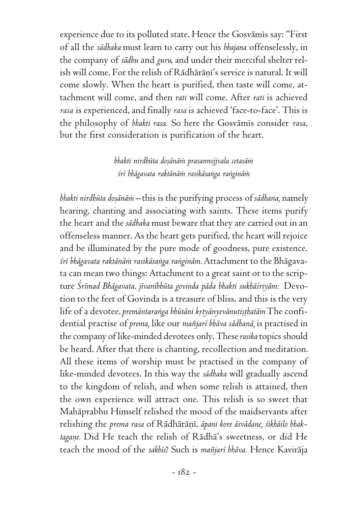experience due to its polluted state. Hence the Gosvāmis say: "First of all the *sädhaka* must learn to carry out his *bhajana* offenselessly, in the company of *sädhu* and *guru*, and under their merciful shelter relish will come. For the relish of Rādhārānī's service is natural. It will come slowly. When the heart is purified, then taste will come, attachment will come, and then *rati* will come. After *rati* is achieved *rasa* is experienced, and finally *rasa* is achieved 'face-to-face'. This is the philosophy of *bhakti rasa.* So here the Gosvämés consider *rasa*, but the first consideration is purification of the heart.

## *bhakti nirdhüta doñänäà prasannojjvala cetasäà çré bhägavata raktänäà rasikäsaìga raìginäà*

*bhakti nirdhüta doñänäà –* this is the purifying process of *sädhana,* namely hearing, chanting and associating with saints. These items purify the heart and the *sädhaka* must beware that they are carried out in an offenseless manner. As the heart gets purified, the heart will rejoice and be illuminated by the pure mode of goodness, pure existence. *çré bhägavata raktänäà rasikäsaìga raìginäm.* Attachment to the Bhägavata can mean two things: Attachment to a great saint or to the scripture *Çrémad Bhägavata*. *jévanébhüta govinda päda bhakti sukhäçriyäm:* Devotion to the feet of Govinda is a treasure of bliss, and this is the very life of a devotee. *premāntaranga bhūtāni krtyānyevānutisthatām* The confidential practise of *prema,* like our *maïjaré bhäva sädhanä,* is practised in the company of like-minded devotees only. These *rasika* topics should be heard. After that there is chanting, recollection and meditation. All these items of worship must be practised in the company of like-minded devotees. In this way the *sädhaka* will gradually ascend to the kingdom of relish, and when some relish is attained, then the own experience will attract one. This relish is so sweet that Mahäprabhu Himself relished the mood of the maidservants after relishing the *prema rasa* of Rādhārāņī. *āpani kore āsvādane*, *śikhāilo bhak*tagane. Did He teach the relish of Rādha's sweetness, or did He teach the mood of the *sakhés*? Such is *maïjaré bhäva.* Hence Kaviräja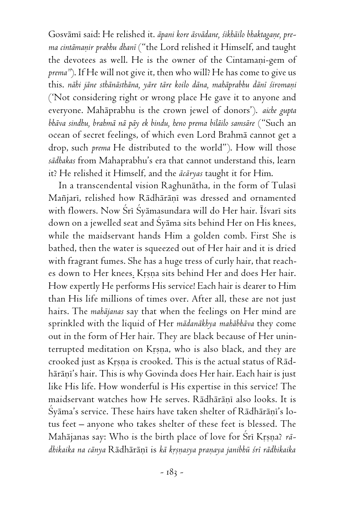Gosvāmī said: He relished it. *āpani kore āsvādane, śikhāilo bhaktagane*, pre*ma cintämaëir prabhu dhané* ("the Lord relished it Himself, and taught the devotees as well. He is the owner of the Cintamani-gem of *prema"*). If He will not give it, then who will? He has come to give us this. nāhi jāne sthānāsthāna, yāre tāre koilo dāna, mahāprabhu dānī śiromaņi ('Not considering right or wrong place He gave it to anyone and everyone. Mahäprabhu is the crown jewel of donors'). *aiche gupta bhäva sindhu, brahmä nä päy ek bindu, heno prema biläilo samsäre* ("Such an ocean of secret feelings, of which even Lord Brahmä cannot get a drop, such *prema* He distributed to the world"). How will those *sädhakas* from Mahaprabhu's era that cannot understand this, learn it? He relished it Himself, and the *äcäryas* taught it for Him.

In a transcendental vision Raghunātha, in the form of Tulasi Mañjarī, relished how Rādhārānī was dressed and ornamented with flowers. Now Śrī Śyāmasundara will do Her hair. Īśvarī sits down on a jewelled seat and Çyäma sits behind Her on His knees, while the maidservant hands Him a golden comb. First She is bathed, then the water is squeezed out of Her hair and it is dried with fragrant fumes. She has a huge tress of curly hair, that reaches down to Her knees. Krsna sits behind Her and does Her hair. How expertly He performs His service! Each hair is dearer to Him than His life millions of times over. After all, these are not just hairs. The *mahäjanas* say that when the feelings on Her mind are sprinkled with the liquid of Her *mädanäkhya mahäbhäva* they come out in the form of Her hair. They are black because of Her uninterrupted meditation on Krsna, who is also black, and they are crooked just as Krsna is crooked. This is the actual status of Rādhārānī's hair. This is why Govinda does Her hair. Each hair is just like His life. How wonderful is His expertise in this service! The maidservant watches how He serves. Rādhārāņī also looks. It is  $\hat{S}$ yāma's service. These hairs have taken shelter of Rādhārānī's lotus feet – anyone who takes shelter of these feet is blessed. The Mahājanas say: Who is the birth place of love for Śrī Krsna? *rādhikaika na cānya* Rādhārānī is *kā krsnasya pranaya janibhū śrī rādhikaika*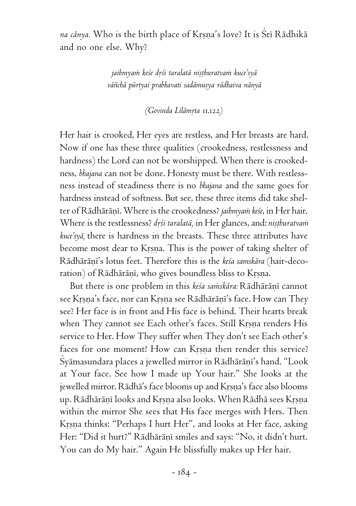na cānya. Who is the birth place of Krṣṇa's love? It is Śrī Rādhikā and no one else. Why?

> *jaihmyaà keçe dåçi taralatä niñöhuratvaà kuce'syä väïchä pürtyai prabhavati sadämuñya rädhaiva nänyä*

> > *(Govinda Lélämåta* 11.122*)*

Her hair is crooked, Her eyes are restless, and Her breasts are hard. Now if one has these three qualities (crookedness, restlessness and hardness) the Lord can not be worshipped. When there is crookedness, *bhajana* can not be done. Honesty must be there. With restlessness instead of steadiness there is no *bhajana* and the same goes for hardness instead of softness. But see, these three items did take shelter of Rādhārānī. Where is the crookedness? *jaihmyam keśe*, in Her hair. Where is the restlessness? *drśi taralatā*, in Her glances, and: *niṣṭhuratvam kuce'syä,* there is hardness in the breasts. These three attributes have become most dear to Krsna. This is the power of taking shelter of Rādhārāni's lotus feet. Therefore this is the *keśa samskāra* (hair-decoration) of Rādhārāņī, who gives boundless bliss to Krsna.

But there is one problem in this kesa samskāra: Rādhārāņī cannot see Krsna's face, nor can Krsna see Rādhārānī's face. How can They see? Her face is in front and His face is behind. Their hearts break when They cannot see Each other's faces. Still Krsna renders His service to Her. How They suffer when They don't see Each other's faces for one moment! How can Krsna then render this service? Śyāmasundara places a jewelled mirror in Rādhārānī's hand. "Look at Your face. See how I made up Your hair." She looks at the jewelled mirror. Rädhä's face blooms up and Krsna's face also blooms up. Rädhäräni looks and Krsna also looks. When Rädhä sees Krsna within the mirror She sees that His face merges with Hers. Then Krsna thinks: "Perhaps I hurt Her", and looks at Her face, asking Her: "Did it hurt?" Rādhārāņī smiles and says: "No, it didn't hurt. You can do My hair." Again He blissfully makes up Her hair.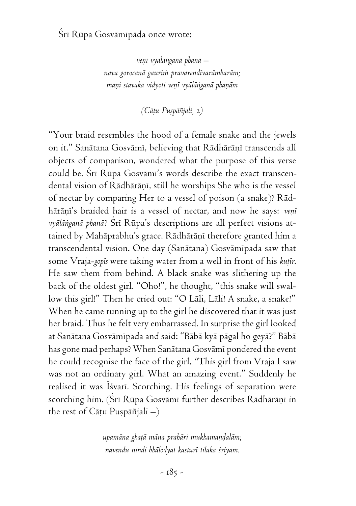# Śrī Rūpa Gosvāmīpāda once wrote:

*veëé vyäläìganä phanä – nava gorocanä gauréà pravarendévarämbaräm; maëi stavaka vidyoti veëé vyäläìganä phaëäm*

*(Cäöu Puñpäïjali,* 2*)*

"Your braid resembles the hood of a female snake and the jewels on it." Sanātana Gosvāmī, believing that Rādhārānī transcends all objects of comparison, wondered what the purpose of this verse could be. Sri Rūpa Gosvāmi's words describe the exact transcendental vision of Rādhārānī, still he worships She who is the vessel of nectar by comparing Her to a vessel of poison (a snake)? Rädhārāni's braided hair is a vessel of nectar, and now he says: *veni vyäläìganä phanä*? Çré Rüpa's descriptions are all perfect visions attained by Mahāprabhu's grace. Rādhārāņī therefore granted him a transcendental vision. One day (Sanätana) Gosvämépada saw that some Vraja-*gopis* were taking water from a well in front of his kutir. He saw them from behind. A black snake was slithering up the back of the oldest girl. "Oho!", he thought, "this snake will swallow this girl!" Then he cried out: "O Läli, Läli! A snake, a snake!" When he came running up to the girl he discovered that it was just her braid. Thus he felt very embarrassed. In surprise the girl looked at Sanätana Gosvämépada and said: "Bäbä kyä pägal ho geyä?" Bäbä has gone mad perhaps? When Sanätana Gosvämé pondered the event he could recognise the face of the girl. *"*This girl from Vraja I saw was not an ordinary girl. What an amazing event." Suddenly he realised it was Isvari. Scorching. His feelings of separation were scorching him. (Srī Rūpa Gosvāmī further describes Rādhārāņī in the rest of Cātu Puspāñjali  $-$ )

> *upamäna ghaöä mäna prahäri mukhamaëòaläm; navendu nindi bhälodyat kasturé tilaka çriyam.*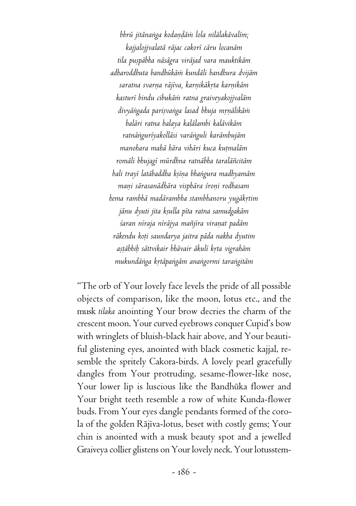bhrū jitānanga kodandām lola nilālakāvalīm; *kajjalojjvalatä räjac cakoré cäru locanäm tila puñpäbha näsägra viräjad vara mauktikäm adharoddhuta bandhükäà kundäli bandhura dvijäm saratna svarëa räjéva, karëikäkåta karëikäm kasturé bindu cibukäà ratna graiveyakojjvaläm divyäìgada pariñvaìga lasad bhuja måëälikäà baläri ratna balaya kalälambi kalävikäm ratnäìguréyakolläsi varäìguli karämbujäm manohara mahä hära vihäri kuca kuömaläm romäli bhujagé mürdhna ratnäbha taraläïcitäm bali trayé latäbaddha kñéëa bhaìgura madhyamäm maëi särasanädhära visphära çroëi rodhasam hema rambhä madärambha stambhanoru yugäkåtim jänu dyuti jita kñulla péta ratna samudgakäm çaran néraja néräjya maïjéra viraëat padäm räkendu koöi saundarya jaitra päda nakha dyutim añöäbhiù sättvikair bhävair äkulé kåta vigrahäm mukundäìga kåtäpaìgäm anaìgormi taraìgitäm*

"The orb of Your lovely face levels the pride of all possible objects of comparison, like the moon, lotus etc., and the musk *tilaka* anointing Your brow decries the charm of the crescent moon. Your curved eyebrows conquer Cupid's bow with wringlets of bluish-black hair above, and Your beautiful glistening eyes, anointed with black cosmetic kajjal, resemble the spritely Cakora-birds. A lovely pearl gracefully dangles from Your protruding, sesame-flower-like nose, Your lower lip is luscious like the Bandhüka flower and Your bright teeth resemble a row of white Kunda-flower buds. From Your eyes dangle pendants formed of the corola of the golden Rājīva-lotus, beset with costly gems; Your chin is anointed with a musk beauty spot and a jewelled Graiveya collier glistens on Your lovely neck. Your lotusstem-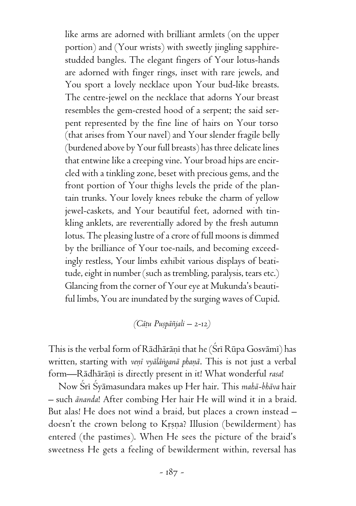like arms are adorned with brilliant armlets (on the upper portion) and (Your wrists) with sweetly jingling sapphirestudded bangles. The elegant fingers of Your lotus-hands are adorned with finger rings, inset with rare jewels, and You sport a lovely necklace upon Your bud-like breasts. The centre-jewel on the necklace that adorns Your breast resembles the gem-crested hood of a serpent; the said serpent represented by the fine line of hairs on Your torso (that arises from Your navel) and Your slender fragile belly (burdened above by Your full breasts) has three delicate lines that entwine like a creeping vine. Your broad hips are encircled with a tinkling zone, beset with precious gems, and the front portion of Your thighs levels the pride of the plantain trunks. Your lovely knees rebuke the charm of yellow jewel-caskets, and Your beautiful feet, adorned with tinkling anklets, are reverentially adored by the fresh autumn lotus. The pleasing lustre of a crore of full moons is dimmed by the brilliance of Your toe-nails, and becoming exceedingly restless, Your limbs exhibit various displays of beatitude, eight in number (such as trembling, paralysis, tears etc.) Glancing from the corner of Your eye at Mukunda's beautiful limbs, You are inundated by the surging waves of Cupid.

*(Cäöu Puñpäïjali –* 2-12*)*

This is the verbal form of Rādhārānī that he (Śrī Rūpa Gosvāmī) has written, starting with *venī vyālānganā phanā*. This is not just a verbal form-Rādhārāņī is directly present in it! What wonderful *rasa*!

Now Çré Çyämasundara makes up Her hair. This *mahä-bhäva* hair – such *änanda*! After combing Her hair He will wind it in a braid. But alas! He does not wind a braid, but places a crown instead – doesn't the crown belong to Krsna? Illusion (bewilderment) has entered (the pastimes). When He sees the picture of the braid's sweetness He gets a feeling of bewilderment within, reversal has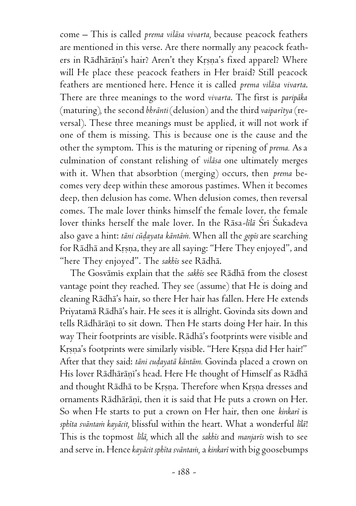come – This is called *prema viläsa vivarta,* because peacock feathers are mentioned in this verse. Are there normally any peacock feathers in Rādhārāņī's hair? Aren't they Krsņa's fixed apparel? Where will He place these peacock feathers in Her braid? Still peacock feathers are mentioned here. Hence it is called *prema viläsa vivarta*. There are three meanings to the word *vivarta*. The first is *paripäka* (maturing)*,* the second *bhränti* (delusion) and the third *vaiparétya* (reversal). These three meanings must be applied, it will not work if one of them is missing. This is because one is the cause and the other the symptom. This is the maturing or ripening of *prema.* As a culmination of constant relishing of *viläsa* one ultimately merges with it. When that absorbtion (merging) occurs, then *prema* becomes very deep within these amorous pastimes. When it becomes deep, then delusion has come. When delusion comes, then reversal comes. The male lover thinks himself the female lover, the female lover thinks herself the male lover. In the Rāsa-līlā Śrī Śukadeva also gave a hint: *täni cüòayata käntäà.* When all the *gopés* are searching for Rādhā and Krsņa, they are all saying: "Here They enjoyed", and "here They enjoyed". The *sakhés* see Rädhä.

The Gosvämés explain that the *sakhés* see Rädhä from the closest vantage point they reached. They see (assume) that He is doing and cleaning Rädhä's hair, so there Her hair has fallen. Here He extends Priyatamä Rädhä's hair. He sees it is allright. Govinda sits down and tells Rādhārāņī to sit down. Then He starts doing Her hair. In this way Their footprints are visible. Rädhä's footprints were visible and Krsna's footprints were similarly visible. "Here Krsna did Her hair!" After that they said: *tāni cudayatā kāntām*. Govinda placed a crown on His lover Rādhārāni's head. Here He thought of Himself as Rādhā and thought Rādhā to be Krsna. Therefore when Krsna dresses and ornaments Rādhārāṇī, then it is said that He puts a crown on Her. So when He starts to put a crown on Her hair, then one *kinkaré* is *sphéta sväntaà kayäcit,* blissful within the heart. What a wonderful *lélä*! This is the topmost *lélä,* which all the *sakhés* and *manjarés* wish to see and serve in. Hence *kayäcit sphéta sväntaà,* a *kinkaré* with big goosebumps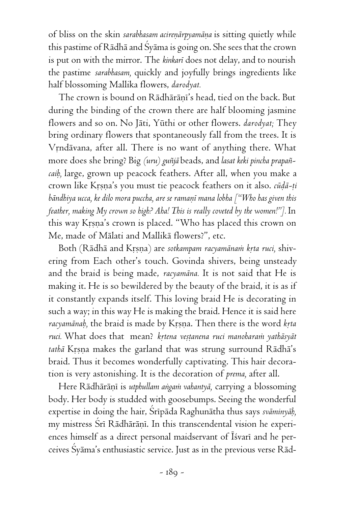of bliss on the skin *sarabhasam acirenārpyamāna* is sitting quietly while this pastime of Rädhä and Çyäma is going on. She sees that the crown is put on with the mirror. The *kinkaré* does not delay, and to nourish the pastime *sarabhasam,* quickly and joyfully brings ingredients like half blossoming Mallika flowers, *darodyat.*

The crown is bound on Rādhārānī's head, tied on the back. But during the binding of the crown there are half blooming jasmine flowers and so on. No Jäti, Yüthi or other flowers. *darodyat;* They bring ordinary flowers that spontaneously fall from the trees. It is Vrndävana, after all. There is no want of anything there. What more does she bring? Big *(uru) guïjä* beads, and *lasat keki pincha prapaïcaiù,* large, grown up peacock feathers. After all, when you make a crown like Kåñëa's you must tie peacock feathers on it also. *cüòä-öi* bāndhiya ucca, ke dilo mora puccha, are se ramanī mana lobha ["Who has given this *feather, making My crown so high? Aha! This is really coveted by the women!"].* In this way Krsna's crown is placed. "Who has placed this crown on Me, made of Mälati and Mallikä flowers?", etc.

Both (Rādhā and Krsna) are sotkampam racyamānam krta ruci, shivering from Each other's touch. Govinda shivers, being unsteady and the braid is being made, *racyamäna.* It is not said that He is making it. He is so bewildered by the beauty of the braid, it is as if it constantly expands itself. This loving braid He is decorating in such a way; in this way He is making the braid. Hence it is said here *racyamānab*, the braid is made by Krsna. Then there is the word *krta* ruci. What does that mean? krtena veștanena ruci manoharam yathāsyāt tathā Krsna makes the garland that was strung surround Rādhā's braid. Thus it becomes wonderfully captivating. This hair decoration is very astonishing. It is the decoration of *prema,* after all.

Here Rādhārānī is *utphullam angam vahantyā*, carrying a blossoming body. Her body is studded with goosebumps. Seeing the wonderful expertise in doing the hair, Srīpāda Raghunātha thus says svāminyāb, my mistress Srī Rādhārāņī. In this transcendental vision he experiences himself as a direct personal maidservant of Īśvarī and he perceives Çyäma's enthusiastic service. Just as in the previous verse Räd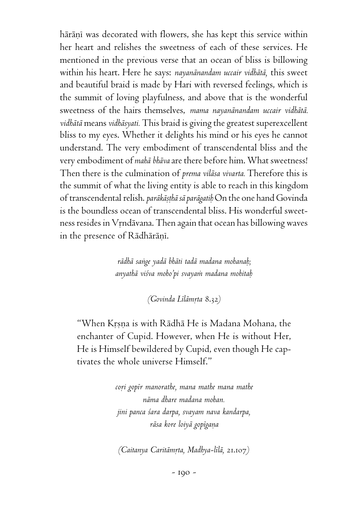hārāņī was decorated with flowers, she has kept this service within her heart and relishes the sweetness of each of these services. He mentioned in the previous verse that an ocean of bliss is billowing within his heart. Here he says: *nayanänandam uccair vidhätä,* this sweet and beautiful braid is made by Hari with reversed feelings, which is the summit of loving playfulness, and above that is the wonderful sweetness of the hairs themselves, *mama nayanänandam uccair vidhätä. vidhätä* means *vidhäsyati.* This braid is giving the greatest superexcellent bliss to my eyes. Whether it delights his mind or his eyes he cannot understand. The very embodiment of transcendental bliss and the very embodiment of *mahä bhäva* are there before him. What sweetness! Then there is the culmination of *prema viläsa vivarta.* Therefore this is the summit of what the living entity is able to reach in this kingdom of transcendental relish. *paräkäñöhä sä parägatiù* On the one hand Govinda is the boundless ocean of transcendental bliss. His wonderful sweetness resides in Vrndävana. Then again that ocean has billowing waves in the presence of Rādhārānī.

> *rädhä saìge yadä bhäti tadä madana mohanaù; anyathä viçva moho'pi svayaà madana mohitaù*

> > *(Govinda Lélämåta* 8.32*)*

"When Krsna is with Rādhā He is Madana Mohana, the enchanter of Cupid. However, when He is without Her, He is Himself bewildered by Cupid, even though He captivates the whole universe Himself."

> *coåi gopér manorathe, mana mathe mana mathe näma dhare madana mohan. jini panca çara darpa, svayam nava kandarpa, räsa kore loiyä gopégaëa*

*(Caitanya Caritämåta, Madhya-lélä,* 21.107*)*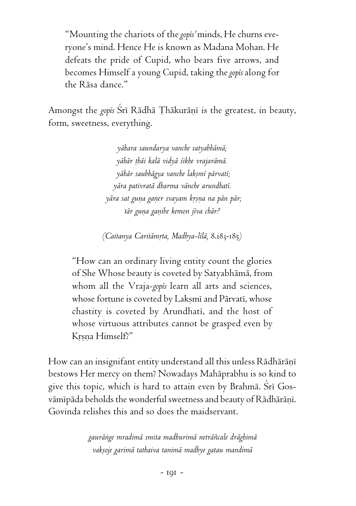"Mounting the chariots of the *gopés'* minds, He churns everyone's mind. Hence He is known as Madana Mohan. He defeats the pride of Cupid, who bears five arrows, and becomes Himself a young Cupid, taking the *gopés* along for the Räsa dance."

Amongst the *gopis* Srī Rādhā Thākurāņi is the greatest, in beauty, form, sweetness, everything.

> *yähara saundarya vanche satyabhämä; yähär öhäi kalä vidyä çikhe vrajarämä. yähär saubhägya vanche lakñmé pärvaté; yära pativratä dharma vänche arundhaté.* yāra sat guna ganer svayam krsna na pān pār; *tär guëa gaëibe kemon jéva chär?*

*(Caitanya Caritämåta, Madhya-lélä,* 8.183-185*)*

"How can an ordinary living entity count the glories of She Whose beauty is coveted by Satyabhämä, from whom all the Vraja-*gopés* learn all arts and sciences, whose fortune is coveted by Laksmi and Pärvati, whose chastity is coveted by Arundhati, and the host of whose virtuous attributes cannot be grasped even by Krsna Himself?"

How can an insignifant entity understand all this unless Rādhārānī bestows Her mercy on them? Nowadays Mahäprabhu is so kind to give this topic, which is hard to attain even by Brahmā. Srī Gosvämipäda beholds the wonderful sweetness and beauty of Rädhäräni. Govinda relishes this and so does the maidservant.

> *gauräìge mradimä smita madhurimä neträïcale dräghimä vakñoje garimä tathaiva tanimä madhye gatau mandimä*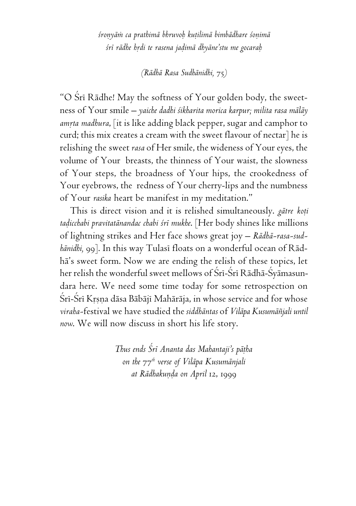*çroëyäà ca prathimä bhruvoù kuöilimä bimbädhare çoëimä çré rädhe hådi te rasena jaòimä dhyäne'stu me gocaraù*

*(Rädhä Rasa Sudhänidhi,* 75*)*

"O Srī Rādhe! May the softness of Your golden body, the sweetness of Your smile – *yaiche dadhi çikharita morica karpur; milita rasa mäläy* amrta madhura, [it is like adding black pepper, sugar and camphor to curd; this mix creates a cream with the sweet flavour of nectar] he is relishing the sweet *rasa* of Her smile, the wideness of Your eyes, the volume of Your breasts, the thinness of Your waist, the slowness of Your steps, the broadness of Your hips, the crookedness of Your eyebrows, the redness of Your cherry-lips and the numbness of Your *rasika* heart be manifest in my meditation."

This is direct vision and it is relished simultaneously. *gātre koti taòicchabi pravitatänandac chabi çré mukhe*. [Her body shines like millions of lightning strikes and Her face shows great joy – *Rädhä-rasa-sudhānidhi*, 99]. In this way Tulasī floats on a wonderful ocean of Rādhä's sweet form. Now we are ending the relish of these topics, let her relish the wonderful sweet mellows of Śrī-Śrī Rādhā-Śyāmasundara here. We need some time today for some retrospection on Šrī-Šrī Krsna dāsa Bābājī Mahārāja, in whose service and for whose *viraha-*festival we have studied the *siddhäntas* of *Viläpa Kusumäïjali until now*. We will now discuss in short his life story.

> *Thus ends Çré Ananta das Mahantaji's päöha on the* 77*th verse of Viläpa Kusumänjali at Rädhakuëòa on April* 12, 1999